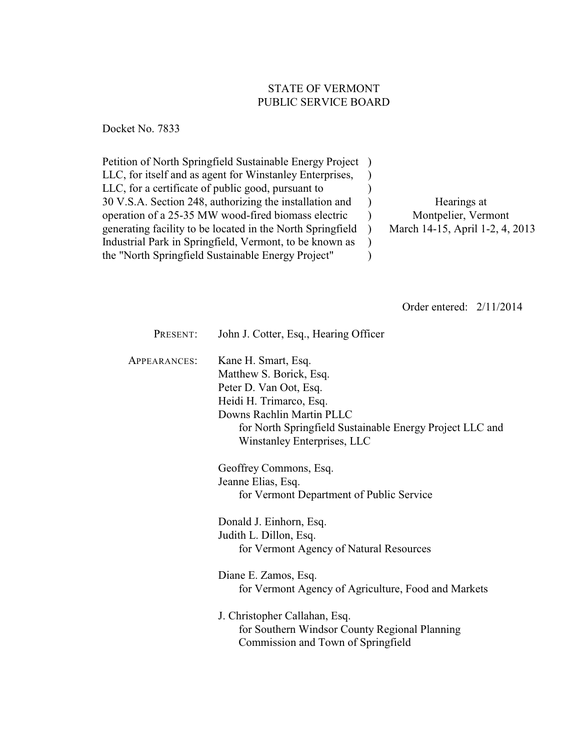# STATE OF VERMONT PUBLIC SERVICE BOARD

Docket No. 7833

Petition of North Springfield Sustainable Energy Project ) LLC, for itself and as agent for Winstanley Enterprises, LLC, for a certificate of public good, pursuant to 30 V.S.A. Section 248, authorizing the installation and operation of a 25-35 MW wood-fired biomass electric generating facility to be located in the North Springfield Industrial Park in Springfield, Vermont, to be known as the "North Springfield Sustainable Energy Project"  $\lambda$ ) ) ) ) ) )

Hearings at Montpelier, Vermont March 14-15, April 1-2, 4, 2013

Order entered: 2/11/2014

| PRESENT:     | John J. Cotter, Esq., Hearing Officer                                                                                                                                                                                       |
|--------------|-----------------------------------------------------------------------------------------------------------------------------------------------------------------------------------------------------------------------------|
| APPEARANCES: | Kane H. Smart, Esq.<br>Matthew S. Borick, Esq.<br>Peter D. Van Oot, Esq.<br>Heidi H. Trimarco, Esq.<br>Downs Rachlin Martin PLLC<br>for North Springfield Sustainable Energy Project LLC and<br>Winstanley Enterprises, LLC |
|              | Geoffrey Commons, Esq.<br>Jeanne Elias, Esq.<br>for Vermont Department of Public Service                                                                                                                                    |
|              | Donald J. Einhorn, Esq.<br>Judith L. Dillon, Esq.<br>for Vermont Agency of Natural Resources                                                                                                                                |
|              | Diane E. Zamos, Esq.<br>for Vermont Agency of Agriculture, Food and Markets                                                                                                                                                 |
|              | J. Christopher Callahan, Esq.<br>for Southern Windsor County Regional Planning<br>Commission and Town of Springfield                                                                                                        |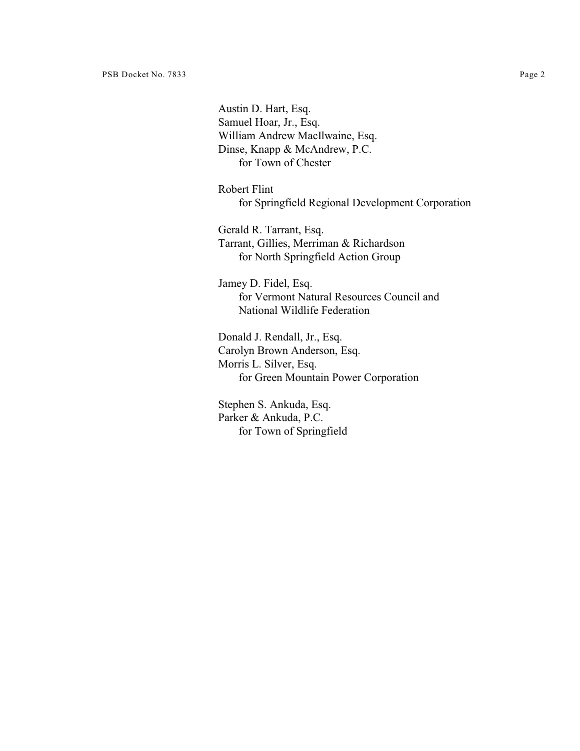Austin D. Hart, Esq. Samuel Hoar, Jr., Esq. William Andrew MacIlwaine, Esq. Dinse, Knapp & McAndrew, P.C. for Town of Chester

Robert Flint for Springfield Regional Development Corporation

Gerald R. Tarrant, Esq. Tarrant, Gillies, Merriman & Richardson for North Springfield Action Group

Jamey D. Fidel, Esq. for Vermont Natural Resources Council and National Wildlife Federation

Donald J. Rendall, Jr., Esq. Carolyn Brown Anderson, Esq. Morris L. Silver, Esq. for Green Mountain Power Corporation

Stephen S. Ankuda, Esq. Parker & Ankuda, P.C. for Town of Springfield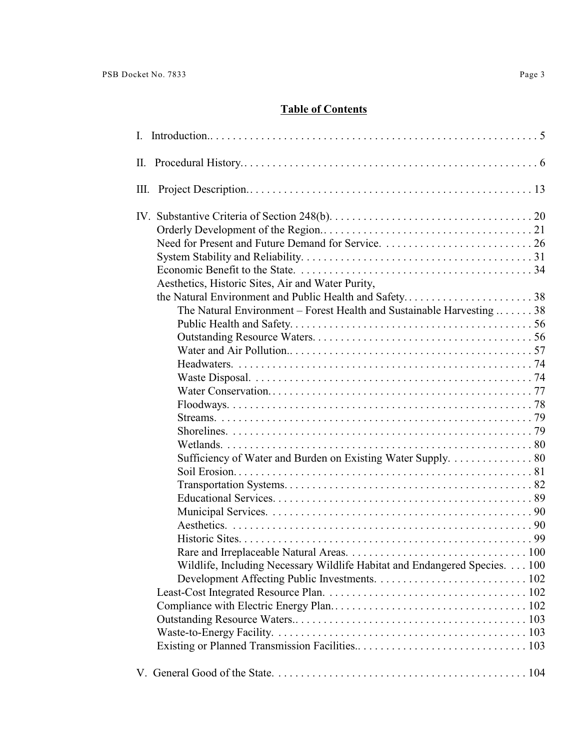# **Table of Contents**

| Ш.                                                                                                                                                                                                       |
|----------------------------------------------------------------------------------------------------------------------------------------------------------------------------------------------------------|
| Aesthetics, Historic Sites, Air and Water Purity,<br>The Natural Environment – Forest Health and Sustainable Harvesting $\dots \dots 38$<br>Sufficiency of Water and Burden on Existing Water Supply. 80 |
|                                                                                                                                                                                                          |
| Wildlife, Including Necessary Wildlife Habitat and Endangered Species. 100                                                                                                                               |
|                                                                                                                                                                                                          |
|                                                                                                                                                                                                          |
|                                                                                                                                                                                                          |
|                                                                                                                                                                                                          |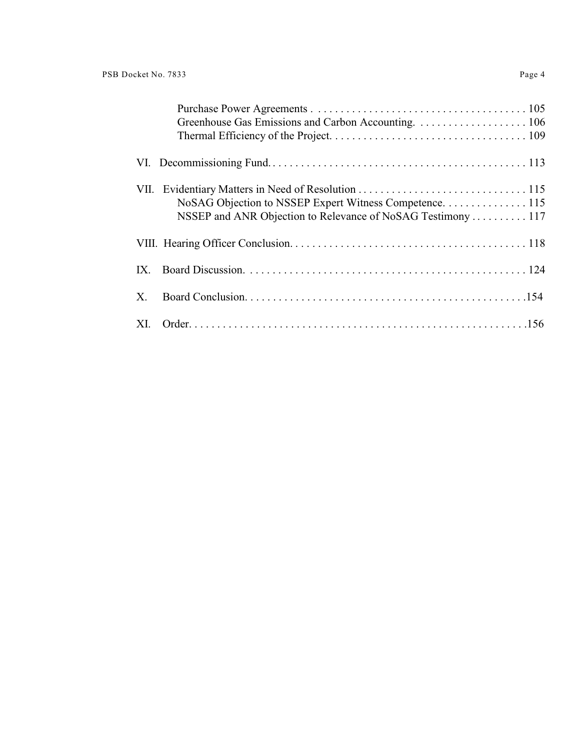| NoSAG Objection to NSSEP Expert Witness Competence. 115<br>NSSEP and ANR Objection to Relevance of NoSAG Testimony  117 |
|-------------------------------------------------------------------------------------------------------------------------|
|                                                                                                                         |
|                                                                                                                         |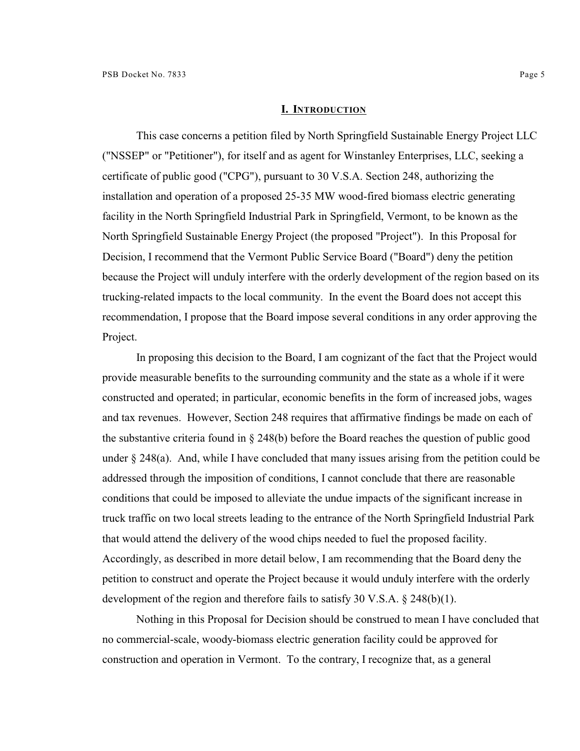#### **I. INTRODUCTION**

This case concerns a petition filed by North Springfield Sustainable Energy Project LLC ("NSSEP" or "Petitioner"), for itself and as agent for Winstanley Enterprises, LLC, seeking a certificate of public good ("CPG"), pursuant to 30 V.S.A. Section 248, authorizing the installation and operation of a proposed 25-35 MW wood-fired biomass electric generating facility in the North Springfield Industrial Park in Springfield, Vermont, to be known as the North Springfield Sustainable Energy Project (the proposed "Project"). In this Proposal for Decision, I recommend that the Vermont Public Service Board ("Board") deny the petition because the Project will unduly interfere with the orderly development of the region based on its trucking-related impacts to the local community. In the event the Board does not accept this recommendation, I propose that the Board impose several conditions in any order approving the Project.

In proposing this decision to the Board, I am cognizant of the fact that the Project would provide measurable benefits to the surrounding community and the state as a whole if it were constructed and operated; in particular, economic benefits in the form of increased jobs, wages and tax revenues. However, Section 248 requires that affirmative findings be made on each of the substantive criteria found in § 248(b) before the Board reaches the question of public good under  $\S 248(a)$ . And, while I have concluded that many issues arising from the petition could be addressed through the imposition of conditions, I cannot conclude that there are reasonable conditions that could be imposed to alleviate the undue impacts of the significant increase in truck traffic on two local streets leading to the entrance of the North Springfield Industrial Park that would attend the delivery of the wood chips needed to fuel the proposed facility. Accordingly, as described in more detail below, I am recommending that the Board deny the petition to construct and operate the Project because it would unduly interfere with the orderly development of the region and therefore fails to satisfy 30 V.S.A. § 248(b)(1).

Nothing in this Proposal for Decision should be construed to mean I have concluded that no commercial-scale, woody-biomass electric generation facility could be approved for construction and operation in Vermont. To the contrary, I recognize that, as a general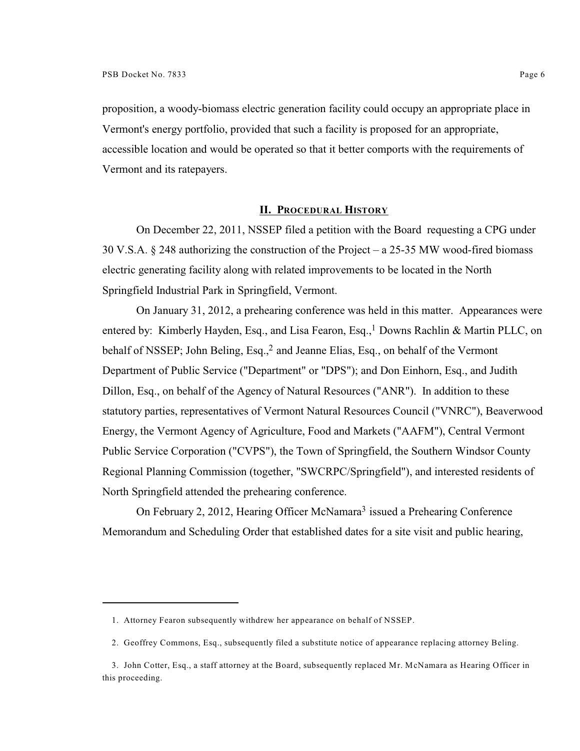proposition, a woody-biomass electric generation facility could occupy an appropriate place in Vermont's energy portfolio, provided that such a facility is proposed for an appropriate, accessible location and would be operated so that it better comports with the requirements of Vermont and its ratepayers.

### **II. PROCEDURAL HISTORY**

On December 22, 2011, NSSEP filed a petition with the Board requesting a CPG under 30 V.S.A. § 248 authorizing the construction of the Project – a 25-35 MW wood-fired biomass electric generating facility along with related improvements to be located in the North Springfield Industrial Park in Springfield, Vermont.

On January 31, 2012, a prehearing conference was held in this matter. Appearances were entered by: Kimberly Hayden, Esq., and Lisa Fearon, Esq.,<sup>1</sup> Downs Rachlin & Martin PLLC, on behalf of NSSEP; John Beling, Esq.,<sup>2</sup> and Jeanne Elias, Esq., on behalf of the Vermont Department of Public Service ("Department" or "DPS"); and Don Einhorn, Esq., and Judith Dillon, Esq., on behalf of the Agency of Natural Resources ("ANR"). In addition to these statutory parties, representatives of Vermont Natural Resources Council ("VNRC"), Beaverwood Energy, the Vermont Agency of Agriculture, Food and Markets ("AAFM"), Central Vermont Public Service Corporation ("CVPS"), the Town of Springfield, the Southern Windsor County Regional Planning Commission (together, "SWCRPC/Springfield"), and interested residents of North Springfield attended the prehearing conference.

On February 2, 2012, Hearing Officer McNamara<sup>3</sup> issued a Prehearing Conference Memorandum and Scheduling Order that established dates for a site visit and public hearing,

<sup>1.</sup> Attorney Fearon subsequently withdrew her appearance on behalf of NSSEP.

<sup>2.</sup> Geoffrey Commons, Esq., subsequently filed a substitute notice of appearance replacing attorney Beling.

<sup>3.</sup> John Cotter, Esq., a staff attorney at the Board, subsequently replaced Mr. McNamara as Hearing Officer in this proceeding.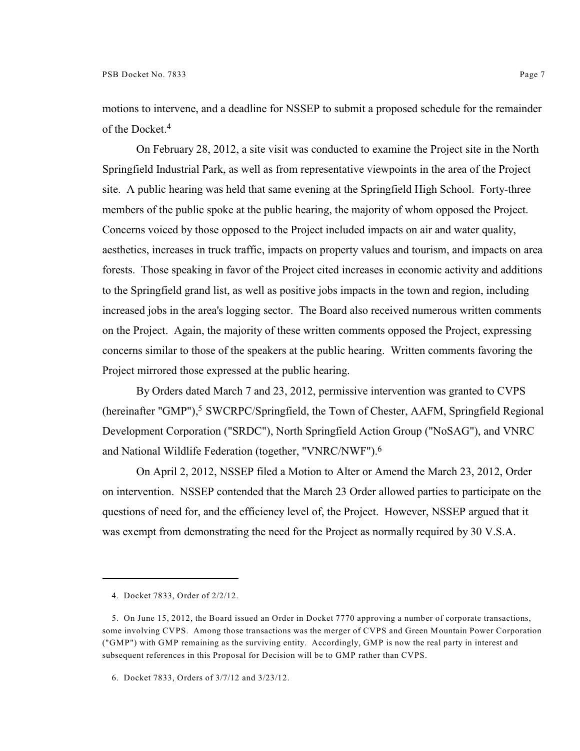motions to intervene, and a deadline for NSSEP to submit a proposed schedule for the remainder of the Docket.<sup>4</sup>

On February 28, 2012, a site visit was conducted to examine the Project site in the North Springfield Industrial Park, as well as from representative viewpoints in the area of the Project site. A public hearing was held that same evening at the Springfield High School. Forty-three members of the public spoke at the public hearing, the majority of whom opposed the Project. Concerns voiced by those opposed to the Project included impacts on air and water quality, aesthetics, increases in truck traffic, impacts on property values and tourism, and impacts on area forests. Those speaking in favor of the Project cited increases in economic activity and additions to the Springfield grand list, as well as positive jobs impacts in the town and region, including increased jobs in the area's logging sector. The Board also received numerous written comments on the Project. Again, the majority of these written comments opposed the Project, expressing concerns similar to those of the speakers at the public hearing. Written comments favoring the Project mirrored those expressed at the public hearing.

By Orders dated March 7 and 23, 2012, permissive intervention was granted to CVPS (hereinafter "GMP"),<sup>5</sup> SWCRPC/Springfield, the Town of Chester, AAFM, Springfield Regional Development Corporation ("SRDC"), North Springfield Action Group ("NoSAG"), and VNRC and National Wildlife Federation (together, "VNRC/NWF"). 6

On April 2, 2012, NSSEP filed a Motion to Alter or Amend the March 23, 2012, Order on intervention. NSSEP contended that the March 23 Order allowed parties to participate on the questions of need for, and the efficiency level of, the Project. However, NSSEP argued that it was exempt from demonstrating the need for the Project as normally required by 30 V.S.A.

<sup>4.</sup> Docket 7833, Order of 2/2/12.

<sup>5.</sup> On June 15, 2012, the Board issued an Order in Docket 7770 approving a number of corporate transactions, some involving CVPS. Among those transactions was the merger of CVPS and Green Mountain Power Corporation ("GMP") with GMP remaining as the surviving entity. Accordingly, GMP is now the real party in interest and subsequent references in this Proposal for Decision will be to GMP rather than CVPS.

<sup>6.</sup> Docket 7833, Orders of 3/7/12 and 3/23/12.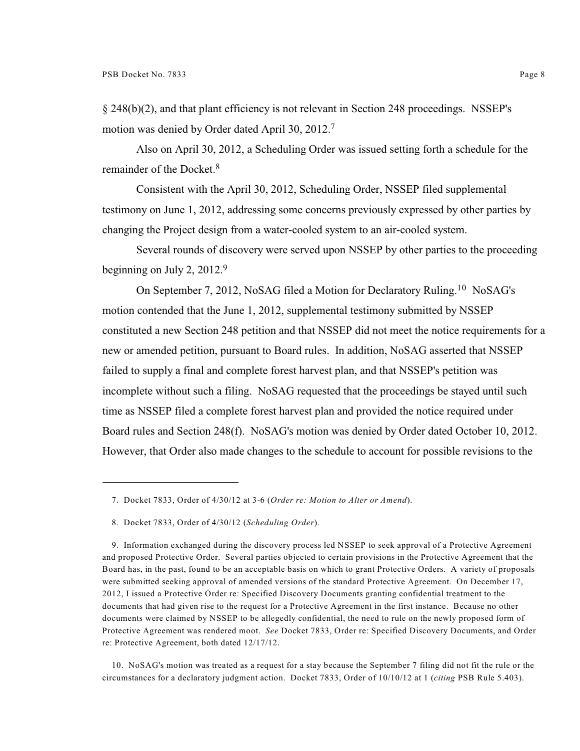§ 248(b)(2), and that plant efficiency is not relevant in Section 248 proceedings. NSSEP's motion was denied by Order dated April 30, 2012.<sup>7</sup>

Also on April 30, 2012, a Scheduling Order was issued setting forth a schedule for the remainder of the Docket.<sup>8</sup>

Consistent with the April 30, 2012, Scheduling Order, NSSEP filed supplemental testimony on June 1, 2012, addressing some concerns previously expressed by other parties by changing the Project design from a water-cooled system to an air-cooled system.

Several rounds of discovery were served upon NSSEP by other parties to the proceeding beginning on July 2, 2012.<sup>9</sup>

On September 7, 2012, NoSAG filed a Motion for Declaratory Ruling.<sup>10</sup> NoSAG's motion contended that the June 1, 2012, supplemental testimony submitted by NSSEP constituted a new Section 248 petition and that NSSEP did not meet the notice requirements for a new or amended petition, pursuant to Board rules. In addition, NoSAG asserted that NSSEP failed to supply a final and complete forest harvest plan, and that NSSEP's petition was incomplete without such a filing. NoSAG requested that the proceedings be stayed until such time as NSSEP filed a complete forest harvest plan and provided the notice required under Board rules and Section 248(f). NoSAG's motion was denied by Order dated October 10, 2012. However, that Order also made changes to the schedule to account for possible revisions to the

10. NoSAG's motion was treated as a request for a stay because the September 7 filing did not fit the rule or the circumstances for a declaratory judgment action. Docket 7833, Order of 10/10/12 at 1 (*citing* PSB Rule 5.403).

<sup>7.</sup> Docket 7833, Order of 4/30/12 at 3-6 (*Order re: Motion to Alter or Amend*).

<sup>8.</sup> Docket 7833, Order of 4/30/12 (*Scheduling Order*).

<sup>9.</sup> Information exchanged during the discovery process led NSSEP to seek approval of a Protective Agreement and proposed Protective Order. Several parties objected to certain provisions in the Protective Agreement that the Board has, in the past, found to be an acceptable basis on which to grant Protective Orders. A variety of proposals were submitted seeking approval of amended versions of the standard Protective Agreement. On December 17, 2012, I issued a Protective Order re: Specified Discovery Documents granting confidential treatment to the documents that had given rise to the request for a Protective Agreement in the first instance. Because no other documents were claimed by NSSEP to be allegedly confidential, the need to rule on the newly proposed form of Protective Agreement was rendered moot. *See* Docket 7833, Order re: Specified Discovery Documents, and Order re: Protective Agreement, both dated 12/17/12.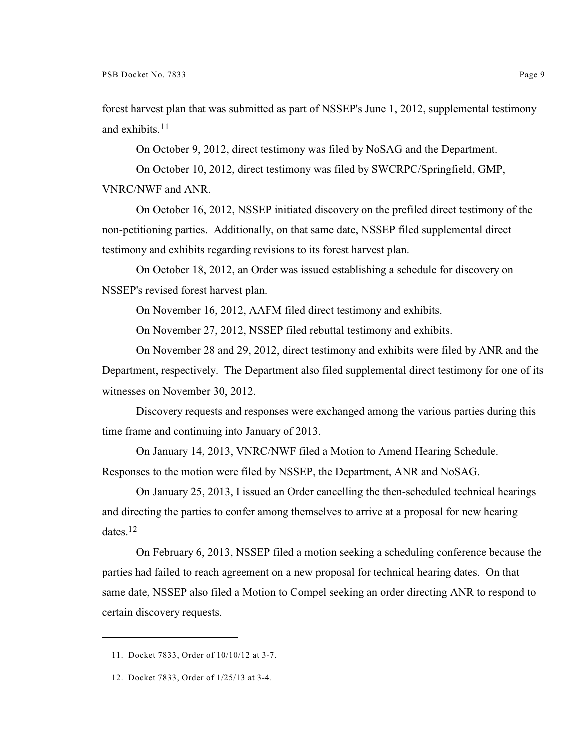forest harvest plan that was submitted as part of NSSEP's June 1, 2012, supplemental testimony and exhibits. 11

On October 9, 2012, direct testimony was filed by NoSAG and the Department.

On October 10, 2012, direct testimony was filed by SWCRPC/Springfield, GMP,

VNRC/NWF and ANR.

On October 16, 2012, NSSEP initiated discovery on the prefiled direct testimony of the non-petitioning parties. Additionally, on that same date, NSSEP filed supplemental direct testimony and exhibits regarding revisions to its forest harvest plan.

On October 18, 2012, an Order was issued establishing a schedule for discovery on NSSEP's revised forest harvest plan.

On November 16, 2012, AAFM filed direct testimony and exhibits.

On November 27, 2012, NSSEP filed rebuttal testimony and exhibits.

On November 28 and 29, 2012, direct testimony and exhibits were filed by ANR and the Department, respectively. The Department also filed supplemental direct testimony for one of its witnesses on November 30, 2012.

Discovery requests and responses were exchanged among the various parties during this time frame and continuing into January of 2013.

On January 14, 2013, VNRC/NWF filed a Motion to Amend Hearing Schedule. Responses to the motion were filed by NSSEP, the Department, ANR and NoSAG.

On January 25, 2013, I issued an Order cancelling the then-scheduled technical hearings and directing the parties to confer among themselves to arrive at a proposal for new hearing dates.<sup>12</sup>

On February 6, 2013, NSSEP filed a motion seeking a scheduling conference because the parties had failed to reach agreement on a new proposal for technical hearing dates. On that same date, NSSEP also filed a Motion to Compel seeking an order directing ANR to respond to certain discovery requests.

<sup>11.</sup> Docket 7833, Order of 10/10/12 at 3-7.

<sup>12.</sup> Docket 7833, Order of 1/25/13 at 3-4.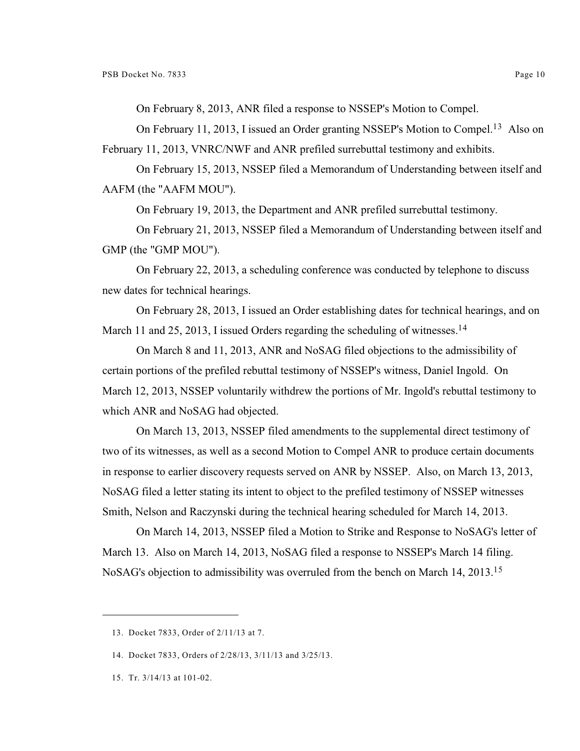On February 8, 2013, ANR filed a response to NSSEP's Motion to Compel.

On February 11, 2013, I issued an Order granting NSSEP's Motion to Compel.<sup>13</sup> Also on February 11, 2013, VNRC/NWF and ANR prefiled surrebuttal testimony and exhibits.

On February 15, 2013, NSSEP filed a Memorandum of Understanding between itself and AAFM (the "AAFM MOU").

On February 19, 2013, the Department and ANR prefiled surrebuttal testimony.

On February 21, 2013, NSSEP filed a Memorandum of Understanding between itself and GMP (the "GMP MOU").

On February 22, 2013, a scheduling conference was conducted by telephone to discuss new dates for technical hearings.

On February 28, 2013, I issued an Order establishing dates for technical hearings, and on March 11 and 25, 2013, I issued Orders regarding the scheduling of witnesses.<sup>14</sup>

On March 8 and 11, 2013, ANR and NoSAG filed objections to the admissibility of certain portions of the prefiled rebuttal testimony of NSSEP's witness, Daniel Ingold. On March 12, 2013, NSSEP voluntarily withdrew the portions of Mr. Ingold's rebuttal testimony to which ANR and NoSAG had objected.

On March 13, 2013, NSSEP filed amendments to the supplemental direct testimony of two of its witnesses, as well as a second Motion to Compel ANR to produce certain documents in response to earlier discovery requests served on ANR by NSSEP. Also, on March 13, 2013, NoSAG filed a letter stating its intent to object to the prefiled testimony of NSSEP witnesses Smith, Nelson and Raczynski during the technical hearing scheduled for March 14, 2013.

On March 14, 2013, NSSEP filed a Motion to Strike and Response to NoSAG's letter of March 13. Also on March 14, 2013, NoSAG filed a response to NSSEP's March 14 filing. NoSAG's objection to admissibility was overruled from the bench on March 14, 2013.<sup>15</sup>

15. Tr. 3/14/13 at 101-02.

<sup>13.</sup> Docket 7833, Order of 2/11/13 at 7.

<sup>14.</sup> Docket 7833, Orders of 2/28/13, 3/11/13 and 3/25/13.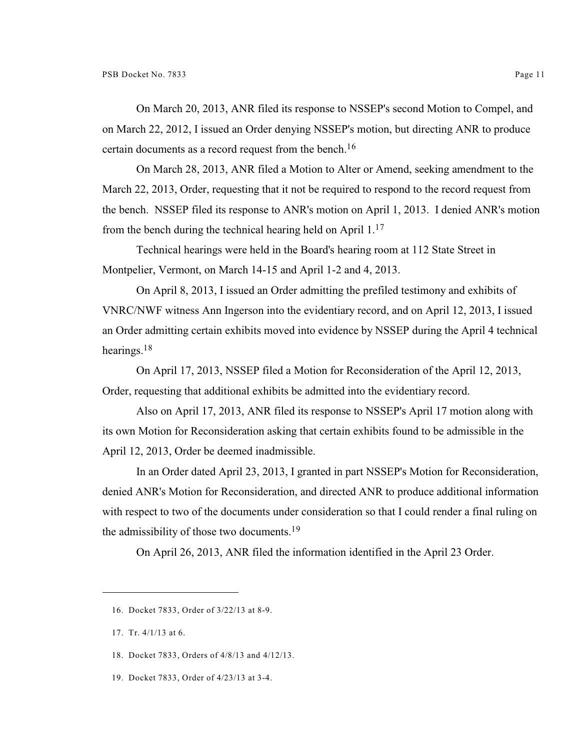On March 20, 2013, ANR filed its response to NSSEP's second Motion to Compel, and on March 22, 2012, I issued an Order denying NSSEP's motion, but directing ANR to produce certain documents as a record request from the bench.<sup>16</sup>

On March 28, 2013, ANR filed a Motion to Alter or Amend, seeking amendment to the March 22, 2013, Order, requesting that it not be required to respond to the record request from the bench. NSSEP filed its response to ANR's motion on April 1, 2013. I denied ANR's motion from the bench during the technical hearing held on April  $1<sup>17</sup>$ 

Technical hearings were held in the Board's hearing room at 112 State Street in Montpelier, Vermont, on March 14-15 and April 1-2 and 4, 2013.

On April 8, 2013, I issued an Order admitting the prefiled testimony and exhibits of VNRC/NWF witness Ann Ingerson into the evidentiary record, and on April 12, 2013, I issued an Order admitting certain exhibits moved into evidence by NSSEP during the April 4 technical hearings.<sup>18</sup>

On April 17, 2013, NSSEP filed a Motion for Reconsideration of the April 12, 2013, Order, requesting that additional exhibits be admitted into the evidentiary record.

Also on April 17, 2013, ANR filed its response to NSSEP's April 17 motion along with its own Motion for Reconsideration asking that certain exhibits found to be admissible in the April 12, 2013, Order be deemed inadmissible.

In an Order dated April 23, 2013, I granted in part NSSEP's Motion for Reconsideration, denied ANR's Motion for Reconsideration, and directed ANR to produce additional information with respect to two of the documents under consideration so that I could render a final ruling on the admissibility of those two documents.<sup>19</sup>

On April 26, 2013, ANR filed the information identified in the April 23 Order.

- 18. Docket 7833, Orders of 4/8/13 and 4/12/13.
- 19. Docket 7833, Order of 4/23/13 at 3-4.

<sup>16.</sup> Docket 7833, Order of 3/22/13 at 8-9.

<sup>17.</sup> Tr. 4/1/13 at 6.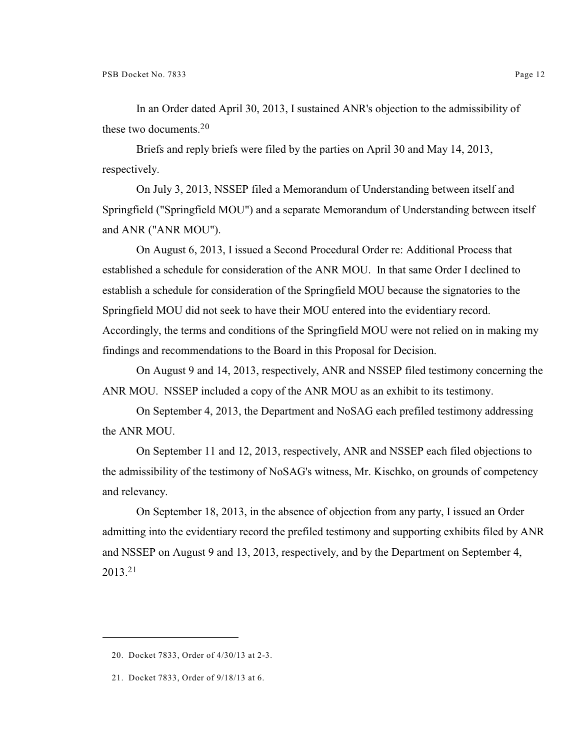In an Order dated April 30, 2013, I sustained ANR's objection to the admissibility of these two documents.<sup>20</sup>

Briefs and reply briefs were filed by the parties on April 30 and May 14, 2013, respectively.

On July 3, 2013, NSSEP filed a Memorandum of Understanding between itself and Springfield ("Springfield MOU") and a separate Memorandum of Understanding between itself and ANR ("ANR MOU").

On August 6, 2013, I issued a Second Procedural Order re: Additional Process that established a schedule for consideration of the ANR MOU. In that same Order I declined to establish a schedule for consideration of the Springfield MOU because the signatories to the Springfield MOU did not seek to have their MOU entered into the evidentiary record. Accordingly, the terms and conditions of the Springfield MOU were not relied on in making my findings and recommendations to the Board in this Proposal for Decision.

On August 9 and 14, 2013, respectively, ANR and NSSEP filed testimony concerning the ANR MOU. NSSEP included a copy of the ANR MOU as an exhibit to its testimony.

On September 4, 2013, the Department and NoSAG each prefiled testimony addressing the ANR MOU.

On September 11 and 12, 2013, respectively, ANR and NSSEP each filed objections to the admissibility of the testimony of NoSAG's witness, Mr. Kischko, on grounds of competency and relevancy.

On September 18, 2013, in the absence of objection from any party, I issued an Order admitting into the evidentiary record the prefiled testimony and supporting exhibits filed by ANR and NSSEP on August 9 and 13, 2013, respectively, and by the Department on September 4, 2013.<sup>21</sup>

<sup>20.</sup> Docket 7833, Order of 4/30/13 at 2-3.

<sup>21.</sup> Docket 7833, Order of 9/18/13 at 6.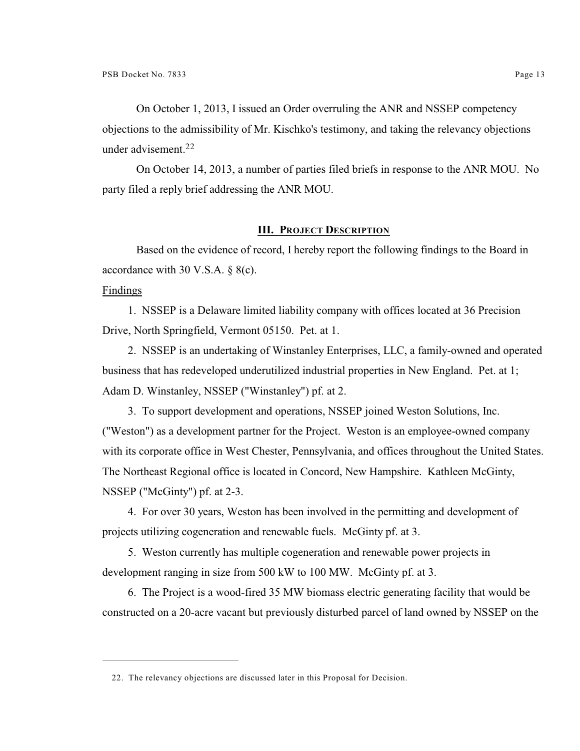On October 1, 2013, I issued an Order overruling the ANR and NSSEP competency objections to the admissibility of Mr. Kischko's testimony, and taking the relevancy objections under advisement.<sup>22</sup>

On October 14, 2013, a number of parties filed briefs in response to the ANR MOU. No party filed a reply brief addressing the ANR MOU.

## **III. PROJECT DESCRIPTION**

Based on the evidence of record, I hereby report the following findings to the Board in accordance with 30 V.S.A. § 8(c).

#### Findings

1. NSSEP is a Delaware limited liability company with offices located at 36 Precision Drive, North Springfield, Vermont 05150. Pet. at 1.

2. NSSEP is an undertaking of Winstanley Enterprises, LLC, a family-owned and operated business that has redeveloped underutilized industrial properties in New England. Pet. at 1; Adam D. Winstanley, NSSEP ("Winstanley") pf. at 2.

3. To support development and operations, NSSEP joined Weston Solutions, Inc. ("Weston") as a development partner for the Project. Weston is an employee-owned company with its corporate office in West Chester, Pennsylvania, and offices throughout the United States. The Northeast Regional office is located in Concord, New Hampshire. Kathleen McGinty, NSSEP ("McGinty") pf. at 2-3.

4. For over 30 years, Weston has been involved in the permitting and development of projects utilizing cogeneration and renewable fuels. McGinty pf. at 3.

5. Weston currently has multiple cogeneration and renewable power projects in development ranging in size from 500 kW to 100 MW. McGinty pf. at 3.

6. The Project is a wood-fired 35 MW biomass electric generating facility that would be constructed on a 20-acre vacant but previously disturbed parcel of land owned by NSSEP on the

<sup>22.</sup> The relevancy objections are discussed later in this Proposal for Decision.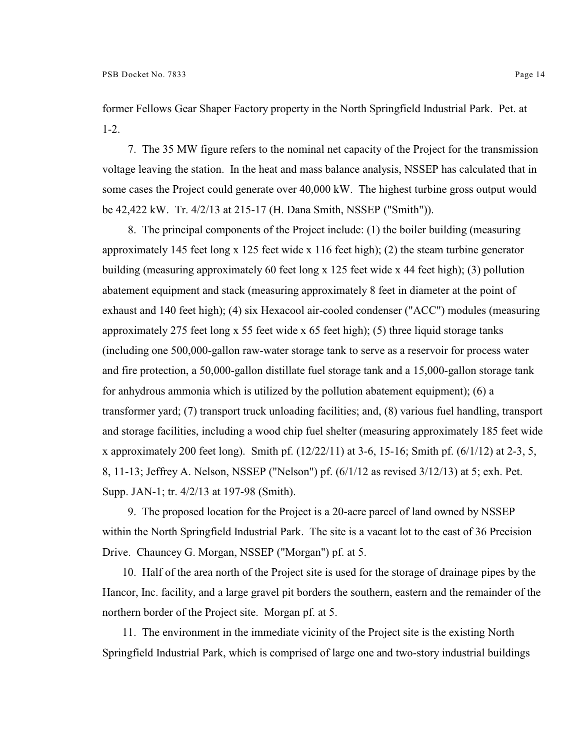former Fellows Gear Shaper Factory property in the North Springfield Industrial Park. Pet. at 1-2.

7. The 35 MW figure refers to the nominal net capacity of the Project for the transmission voltage leaving the station. In the heat and mass balance analysis, NSSEP has calculated that in some cases the Project could generate over 40,000 kW. The highest turbine gross output would be 42,422 kW. Tr. 4/2/13 at 215-17 (H. Dana Smith, NSSEP ("Smith")).

8. The principal components of the Project include: (1) the boiler building (measuring approximately 145 feet long x 125 feet wide x 116 feet high); (2) the steam turbine generator building (measuring approximately 60 feet long x 125 feet wide x 44 feet high); (3) pollution abatement equipment and stack (measuring approximately 8 feet in diameter at the point of exhaust and 140 feet high); (4) six Hexacool air-cooled condenser ("ACC") modules (measuring approximately 275 feet long x 55 feet wide x 65 feet high); (5) three liquid storage tanks (including one 500,000-gallon raw-water storage tank to serve as a reservoir for process water and fire protection, a 50,000-gallon distillate fuel storage tank and a 15,000-gallon storage tank for anhydrous ammonia which is utilized by the pollution abatement equipment); (6) a transformer yard; (7) transport truck unloading facilities; and, (8) various fuel handling, transport and storage facilities, including a wood chip fuel shelter (measuring approximately 185 feet wide x approximately 200 feet long). Smith pf. (12/22/11) at 3-6, 15-16; Smith pf. (6/1/12) at 2-3, 5, 8, 11-13; Jeffrey A. Nelson, NSSEP ("Nelson") pf. (6/1/12 as revised 3/12/13) at 5; exh. Pet. Supp. JAN-1; tr. 4/2/13 at 197-98 (Smith).

9. The proposed location for the Project is a 20-acre parcel of land owned by NSSEP within the North Springfield Industrial Park. The site is a vacant lot to the east of 36 Precision Drive. Chauncey G. Morgan, NSSEP ("Morgan") pf. at 5.

10. Half of the area north of the Project site is used for the storage of drainage pipes by the Hancor, Inc. facility, and a large gravel pit borders the southern, eastern and the remainder of the northern border of the Project site. Morgan pf. at 5.

11. The environment in the immediate vicinity of the Project site is the existing North Springfield Industrial Park, which is comprised of large one and two-story industrial buildings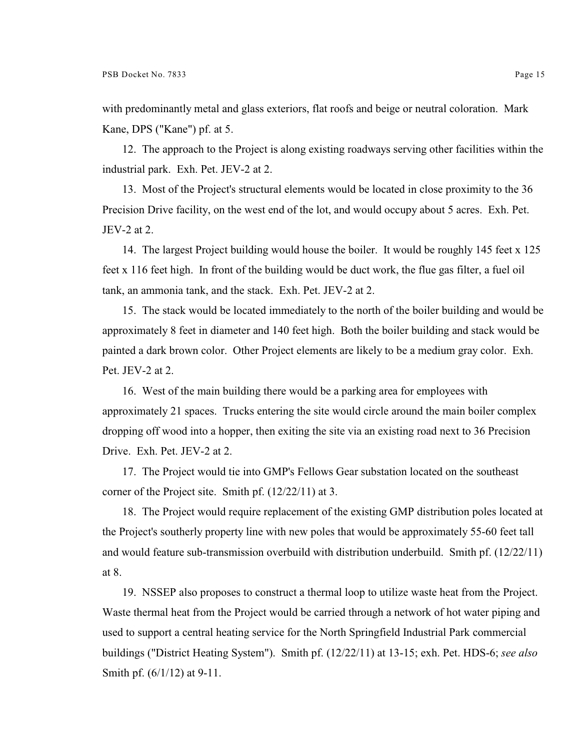with predominantly metal and glass exteriors, flat roofs and beige or neutral coloration. Mark Kane, DPS ("Kane") pf. at 5.

12. The approach to the Project is along existing roadways serving other facilities within the industrial park. Exh. Pet. JEV-2 at 2.

13. Most of the Project's structural elements would be located in close proximity to the 36 Precision Drive facility, on the west end of the lot, and would occupy about 5 acres. Exh. Pet. JEV-2 at 2.

14. The largest Project building would house the boiler. It would be roughly 145 feet x 125 feet x 116 feet high. In front of the building would be duct work, the flue gas filter, a fuel oil tank, an ammonia tank, and the stack. Exh. Pet. JEV-2 at 2.

15. The stack would be located immediately to the north of the boiler building and would be approximately 8 feet in diameter and 140 feet high. Both the boiler building and stack would be painted a dark brown color. Other Project elements are likely to be a medium gray color. Exh. Pet. JEV-2 at 2.

16. West of the main building there would be a parking area for employees with approximately 21 spaces. Trucks entering the site would circle around the main boiler complex dropping off wood into a hopper, then exiting the site via an existing road next to 36 Precision Drive. Exh. Pet. JEV-2 at 2.

17. The Project would tie into GMP's Fellows Gear substation located on the southeast corner of the Project site. Smith pf. (12/22/11) at 3.

18. The Project would require replacement of the existing GMP distribution poles located at the Project's southerly property line with new poles that would be approximately 55-60 feet tall and would feature sub-transmission overbuild with distribution underbuild. Smith pf. (12/22/11) at 8.

19. NSSEP also proposes to construct a thermal loop to utilize waste heat from the Project. Waste thermal heat from the Project would be carried through a network of hot water piping and used to support a central heating service for the North Springfield Industrial Park commercial buildings ("District Heating System"). Smith pf. (12/22/11) at 13-15; exh. Pet. HDS-6; *see also* Smith pf. (6/1/12) at 9-11.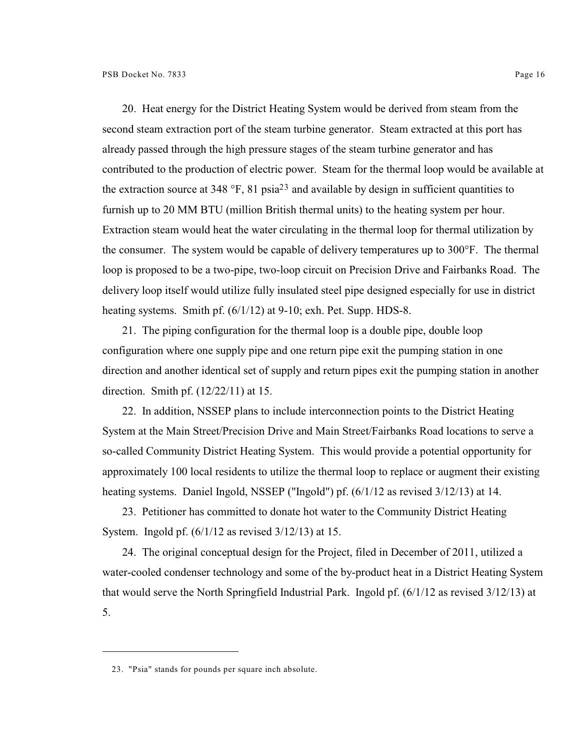20. Heat energy for the District Heating System would be derived from steam from the second steam extraction port of the steam turbine generator. Steam extracted at this port has already passed through the high pressure stages of the steam turbine generator and has contributed to the production of electric power. Steam for the thermal loop would be available at the extraction source at 348  $\degree$ F, 81 psia<sup>23</sup> and available by design in sufficient quantities to furnish up to 20 MM BTU (million British thermal units) to the heating system per hour. Extraction steam would heat the water circulating in the thermal loop for thermal utilization by the consumer. The system would be capable of delivery temperatures up to 300°F. The thermal loop is proposed to be a two-pipe, two-loop circuit on Precision Drive and Fairbanks Road. The delivery loop itself would utilize fully insulated steel pipe designed especially for use in district heating systems. Smith pf.  $(6/1/12)$  at 9-10; exh. Pet. Supp. HDS-8.

21. The piping configuration for the thermal loop is a double pipe, double loop configuration where one supply pipe and one return pipe exit the pumping station in one direction and another identical set of supply and return pipes exit the pumping station in another direction. Smith pf. (12/22/11) at 15.

22. In addition, NSSEP plans to include interconnection points to the District Heating System at the Main Street/Precision Drive and Main Street/Fairbanks Road locations to serve a so-called Community District Heating System. This would provide a potential opportunity for approximately 100 local residents to utilize the thermal loop to replace or augment their existing heating systems. Daniel Ingold, NSSEP ("Ingold") pf. (6/1/12 as revised 3/12/13) at 14.

23. Petitioner has committed to donate hot water to the Community District Heating System. Ingold pf. (6/1/12 as revised 3/12/13) at 15.

24. The original conceptual design for the Project, filed in December of 2011, utilized a water-cooled condenser technology and some of the by-product heat in a District Heating System that would serve the North Springfield Industrial Park. Ingold pf. (6/1/12 as revised 3/12/13) at 5.

<sup>23.</sup> "Psia" stands for pounds per square inch absolute.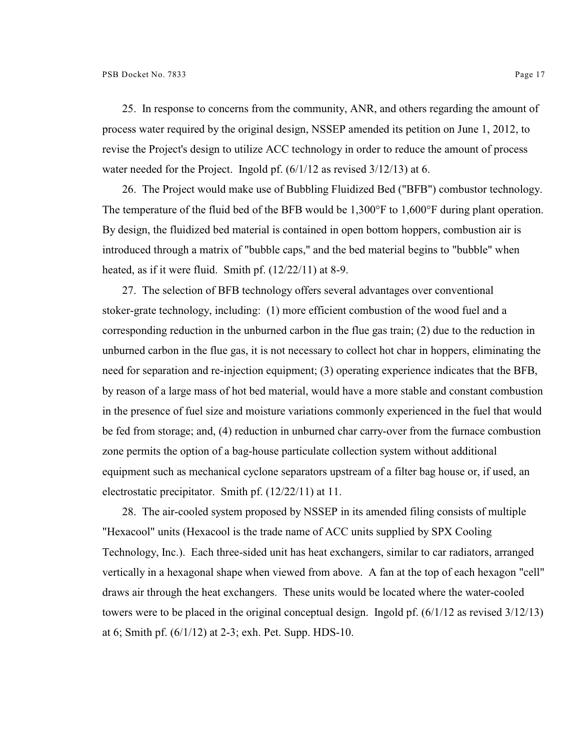25. In response to concerns from the community, ANR, and others regarding the amount of process water required by the original design, NSSEP amended its petition on June 1, 2012, to revise the Project's design to utilize ACC technology in order to reduce the amount of process water needed for the Project. Ingold pf.  $(6/1/12$  as revised 3/12/13) at 6.

26. The Project would make use of Bubbling Fluidized Bed ("BFB") combustor technology. The temperature of the fluid bed of the BFB would be 1,300°F to 1,600°F during plant operation. By design, the fluidized bed material is contained in open bottom hoppers, combustion air is introduced through a matrix of "bubble caps," and the bed material begins to "bubble" when heated, as if it were fluid. Smith pf. (12/22/11) at 8-9.

27. The selection of BFB technology offers several advantages over conventional stoker-grate technology, including: (1) more efficient combustion of the wood fuel and a corresponding reduction in the unburned carbon in the flue gas train; (2) due to the reduction in unburned carbon in the flue gas, it is not necessary to collect hot char in hoppers, eliminating the need for separation and re-injection equipment; (3) operating experience indicates that the BFB, by reason of a large mass of hot bed material, would have a more stable and constant combustion in the presence of fuel size and moisture variations commonly experienced in the fuel that would be fed from storage; and, (4) reduction in unburned char carry-over from the furnace combustion zone permits the option of a bag-house particulate collection system without additional equipment such as mechanical cyclone separators upstream of a filter bag house or, if used, an electrostatic precipitator. Smith pf. (12/22/11) at 11.

28. The air-cooled system proposed by NSSEP in its amended filing consists of multiple "Hexacool" units (Hexacool is the trade name of ACC units supplied by SPX Cooling Technology, Inc.). Each three-sided unit has heat exchangers, similar to car radiators, arranged vertically in a hexagonal shape when viewed from above. A fan at the top of each hexagon "cell" draws air through the heat exchangers. These units would be located where the water-cooled towers were to be placed in the original conceptual design. Ingold pf. (6/1/12 as revised 3/12/13) at 6; Smith pf. (6/1/12) at 2-3; exh. Pet. Supp. HDS-10.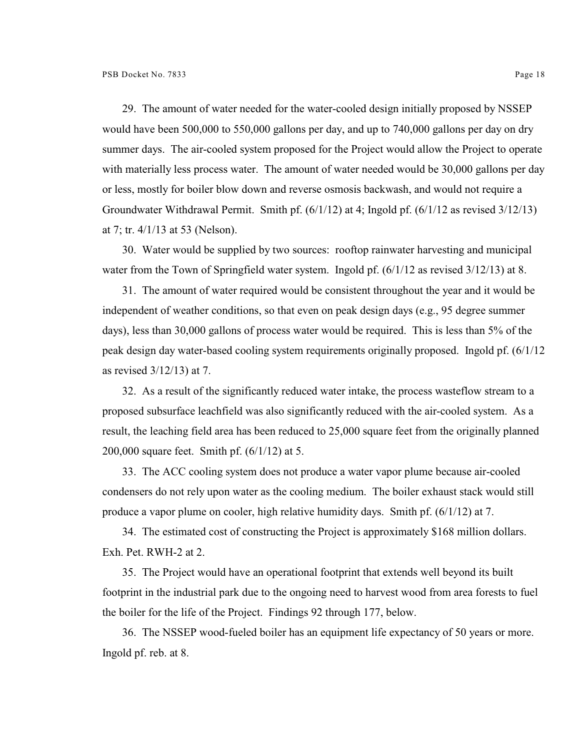29. The amount of water needed for the water-cooled design initially proposed by NSSEP would have been 500,000 to 550,000 gallons per day, and up to 740,000 gallons per day on dry summer days. The air-cooled system proposed for the Project would allow the Project to operate with materially less process water. The amount of water needed would be 30,000 gallons per day or less, mostly for boiler blow down and reverse osmosis backwash, and would not require a Groundwater Withdrawal Permit. Smith pf. (6/1/12) at 4; Ingold pf. (6/1/12 as revised 3/12/13) at 7; tr. 4/1/13 at 53 (Nelson).

30. Water would be supplied by two sources: rooftop rainwater harvesting and municipal water from the Town of Springfield water system. Ingold pf.  $(6/1/12$  as revised 3/12/13) at 8.

31. The amount of water required would be consistent throughout the year and it would be independent of weather conditions, so that even on peak design days (e.g., 95 degree summer days), less than 30,000 gallons of process water would be required. This is less than 5% of the peak design day water-based cooling system requirements originally proposed. Ingold pf. (6/1/12 as revised 3/12/13) at 7.

32. As a result of the significantly reduced water intake, the process wasteflow stream to a proposed subsurface leachfield was also significantly reduced with the air-cooled system. As a result, the leaching field area has been reduced to 25,000 square feet from the originally planned 200,000 square feet. Smith pf. (6/1/12) at 5.

33. The ACC cooling system does not produce a water vapor plume because air-cooled condensers do not rely upon water as the cooling medium. The boiler exhaust stack would still produce a vapor plume on cooler, high relative humidity days. Smith pf. (6/1/12) at 7.

34. The estimated cost of constructing the Project is approximately \$168 million dollars. Exh. Pet. RWH-2 at 2.

35. The Project would have an operational footprint that extends well beyond its built footprint in the industrial park due to the ongoing need to harvest wood from area forests to fuel the boiler for the life of the Project. Findings 92 through 177, below.

36. The NSSEP wood-fueled boiler has an equipment life expectancy of 50 years or more. Ingold pf. reb. at 8.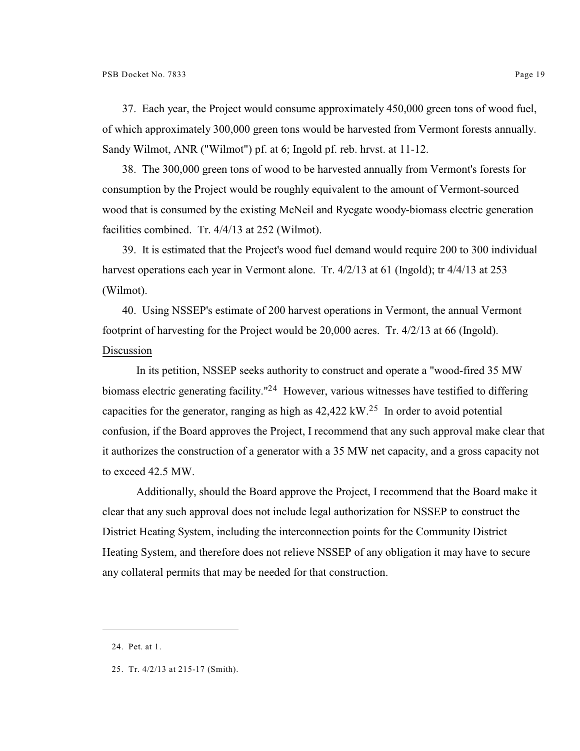37. Each year, the Project would consume approximately 450,000 green tons of wood fuel, of which approximately 300,000 green tons would be harvested from Vermont forests annually. Sandy Wilmot, ANR ("Wilmot") pf. at 6; Ingold pf. reb. hrvst. at 11-12.

38. The 300,000 green tons of wood to be harvested annually from Vermont's forests for consumption by the Project would be roughly equivalent to the amount of Vermont-sourced wood that is consumed by the existing McNeil and Ryegate woody-biomass electric generation facilities combined. Tr. 4/4/13 at 252 (Wilmot).

39. It is estimated that the Project's wood fuel demand would require 200 to 300 individual harvest operations each year in Vermont alone. Tr. 4/2/13 at 61 (Ingold); tr 4/4/13 at 253 (Wilmot).

40. Using NSSEP's estimate of 200 harvest operations in Vermont, the annual Vermont footprint of harvesting for the Project would be 20,000 acres. Tr. 4/2/13 at 66 (Ingold). Discussion

In its petition, NSSEP seeks authority to construct and operate a "wood-fired 35 MW biomass electric generating facility."<sup>24</sup> However, various witnesses have testified to differing capacities for the generator, ranging as high as  $42,422 \text{ kW}$ .<sup>25</sup> In order to avoid potential confusion, if the Board approves the Project, I recommend that any such approval make clear that it authorizes the construction of a generator with a 35 MW net capacity, and a gross capacity not to exceed 42.5 MW.

Additionally, should the Board approve the Project, I recommend that the Board make it clear that any such approval does not include legal authorization for NSSEP to construct the District Heating System, including the interconnection points for the Community District Heating System, and therefore does not relieve NSSEP of any obligation it may have to secure any collateral permits that may be needed for that construction.

<sup>24.</sup> Pet. at 1.

<sup>25.</sup> Tr. 4/2/13 at 215-17 (Smith).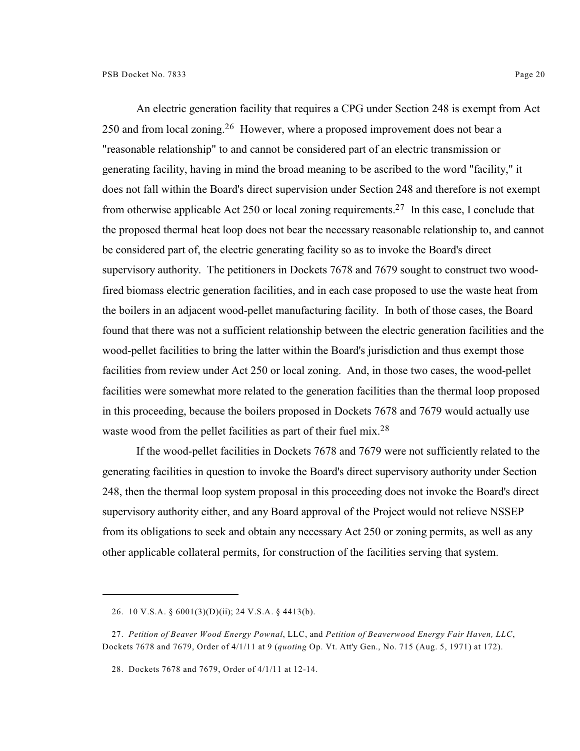An electric generation facility that requires a CPG under Section 248 is exempt from Act  $250$  and from local zoning.<sup>26</sup> However, where a proposed improvement does not bear a "reasonable relationship" to and cannot be considered part of an electric transmission or generating facility, having in mind the broad meaning to be ascribed to the word "facility," it does not fall within the Board's direct supervision under Section 248 and therefore is not exempt from otherwise applicable Act 250 or local zoning requirements.<sup>27</sup> In this case, I conclude that the proposed thermal heat loop does not bear the necessary reasonable relationship to, and cannot be considered part of, the electric generating facility so as to invoke the Board's direct supervisory authority. The petitioners in Dockets 7678 and 7679 sought to construct two woodfired biomass electric generation facilities, and in each case proposed to use the waste heat from the boilers in an adjacent wood-pellet manufacturing facility. In both of those cases, the Board found that there was not a sufficient relationship between the electric generation facilities and the wood-pellet facilities to bring the latter within the Board's jurisdiction and thus exempt those facilities from review under Act 250 or local zoning. And, in those two cases, the wood-pellet facilities were somewhat more related to the generation facilities than the thermal loop proposed in this proceeding, because the boilers proposed in Dockets 7678 and 7679 would actually use waste wood from the pellet facilities as part of their fuel mix.<sup>28</sup>

If the wood-pellet facilities in Dockets 7678 and 7679 were not sufficiently related to the generating facilities in question to invoke the Board's direct supervisory authority under Section 248, then the thermal loop system proposal in this proceeding does not invoke the Board's direct supervisory authority either, and any Board approval of the Project would not relieve NSSEP from its obligations to seek and obtain any necessary Act 250 or zoning permits, as well as any other applicable collateral permits, for construction of the facilities serving that system.

<sup>26.</sup> 10 V.S.A. § 6001(3)(D)(ii); 24 V.S.A. § 4413(b).

<sup>27.</sup> *Petition of Beaver Wood Energy Pownal*, LLC, and *Petition of Beaverwood Energy Fair Haven, LLC*, Dockets 7678 and 7679, Order of 4/1/11 at 9 (*quoting* Op. Vt. Att'y Gen., No. 715 (Aug. 5, 1971) at 172).

<sup>28.</sup> Dockets 7678 and 7679, Order of 4/1/11 at 12-14.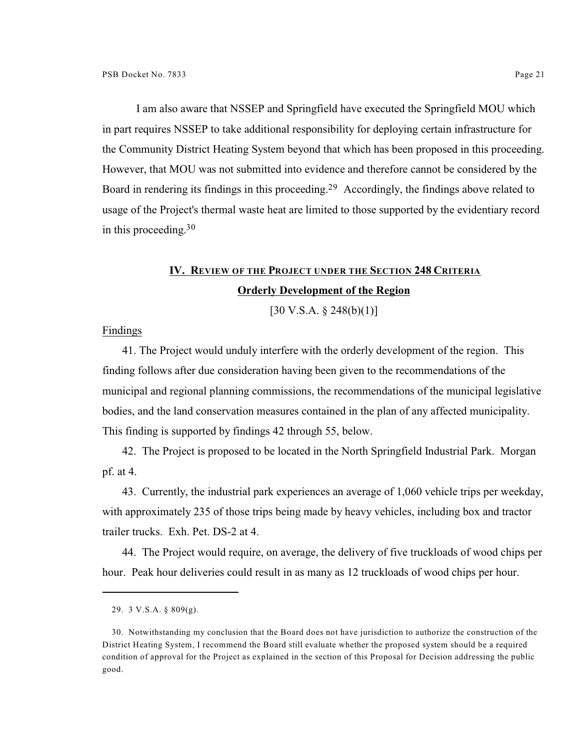I am also aware that NSSEP and Springfield have executed the Springfield MOU which in part requires NSSEP to take additional responsibility for deploying certain infrastructure for the Community District Heating System beyond that which has been proposed in this proceeding. However, that MOU was not submitted into evidence and therefore cannot be considered by the Board in rendering its findings in this proceeding.<sup>29</sup> Accordingly, the findings above related to usage of the Project's thermal waste heat are limited to those supported by the evidentiary record in this proceeding. 30

# **IV. REVIEW OF THE PROJECT UNDER THE SECTION 248 CRITERIA Orderly Development of the Region**

 $[30 \text{ V.S.A.} \$ \$ 248(b)(1)]

Findings

41. The Project would unduly interfere with the orderly development of the region. This finding follows after due consideration having been given to the recommendations of the municipal and regional planning commissions, the recommendations of the municipal legislative bodies, and the land conservation measures contained in the plan of any affected municipality. This finding is supported by findings 42 through 55, below.

42. The Project is proposed to be located in the North Springfield Industrial Park. Morgan pf. at 4.

43. Currently, the industrial park experiences an average of 1,060 vehicle trips per weekday, with approximately 235 of those trips being made by heavy vehicles, including box and tractor trailer trucks. Exh. Pet. DS-2 at 4.

44. The Project would require, on average, the delivery of five truckloads of wood chips per hour. Peak hour deliveries could result in as many as 12 truckloads of wood chips per hour.

<sup>29.</sup> 3 V.S.A. § 809(g).

<sup>30.</sup> Notwithstanding my conclusion that the Board does not have jurisdiction to authorize the construction of the District Heating System, I recommend the Board still evaluate whether the proposed system should be a required condition of approval for the Project as explained in the section of this Proposal for Decision addressing the public good.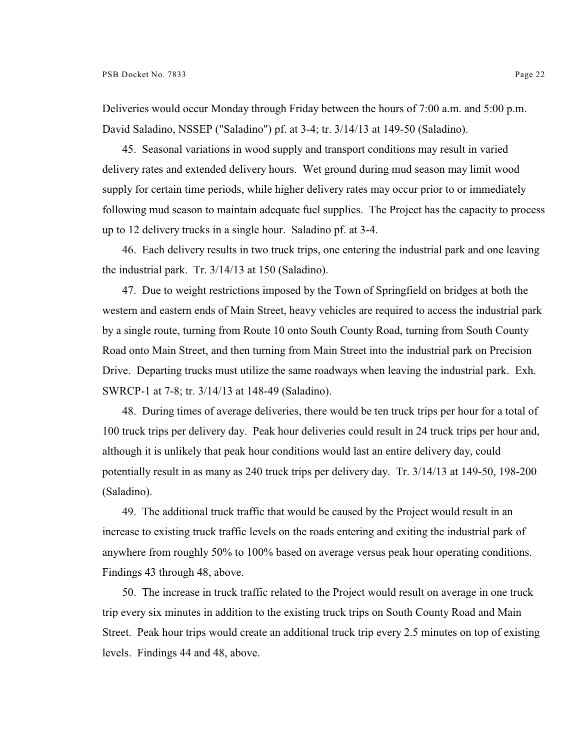Deliveries would occur Monday through Friday between the hours of 7:00 a.m. and 5:00 p.m. David Saladino, NSSEP ("Saladino") pf. at 3-4; tr. 3/14/13 at 149-50 (Saladino).

45. Seasonal variations in wood supply and transport conditions may result in varied delivery rates and extended delivery hours. Wet ground during mud season may limit wood supply for certain time periods, while higher delivery rates may occur prior to or immediately following mud season to maintain adequate fuel supplies. The Project has the capacity to process up to 12 delivery trucks in a single hour. Saladino pf. at 3-4.

46. Each delivery results in two truck trips, one entering the industrial park and one leaving the industrial park. Tr. 3/14/13 at 150 (Saladino).

47. Due to weight restrictions imposed by the Town of Springfield on bridges at both the western and eastern ends of Main Street, heavy vehicles are required to access the industrial park by a single route, turning from Route 10 onto South County Road, turning from South County Road onto Main Street, and then turning from Main Street into the industrial park on Precision Drive. Departing trucks must utilize the same roadways when leaving the industrial park. Exh. SWRCP-1 at 7-8; tr. 3/14/13 at 148-49 (Saladino).

48. During times of average deliveries, there would be ten truck trips per hour for a total of 100 truck trips per delivery day. Peak hour deliveries could result in 24 truck trips per hour and, although it is unlikely that peak hour conditions would last an entire delivery day, could potentially result in as many as 240 truck trips per delivery day. Tr. 3/14/13 at 149-50, 198-200 (Saladino).

49. The additional truck traffic that would be caused by the Project would result in an increase to existing truck traffic levels on the roads entering and exiting the industrial park of anywhere from roughly 50% to 100% based on average versus peak hour operating conditions. Findings 43 through 48, above.

50. The increase in truck traffic related to the Project would result on average in one truck trip every six minutes in addition to the existing truck trips on South County Road and Main Street. Peak hour trips would create an additional truck trip every 2.5 minutes on top of existing levels. Findings 44 and 48, above.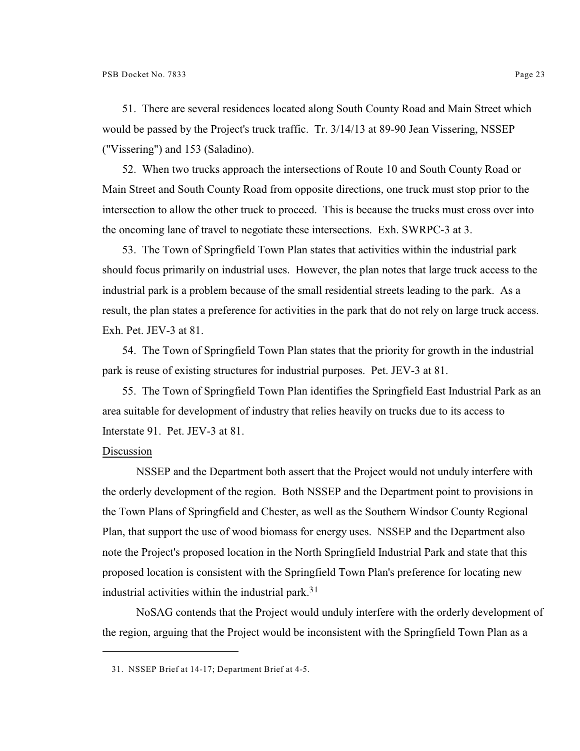51. There are several residences located along South County Road and Main Street which would be passed by the Project's truck traffic. Tr. 3/14/13 at 89-90 Jean Vissering, NSSEP ("Vissering") and 153 (Saladino).

52. When two trucks approach the intersections of Route 10 and South County Road or Main Street and South County Road from opposite directions, one truck must stop prior to the intersection to allow the other truck to proceed. This is because the trucks must cross over into the oncoming lane of travel to negotiate these intersections. Exh. SWRPC-3 at 3.

53. The Town of Springfield Town Plan states that activities within the industrial park should focus primarily on industrial uses. However, the plan notes that large truck access to the industrial park is a problem because of the small residential streets leading to the park. As a result, the plan states a preference for activities in the park that do not rely on large truck access. Exh. Pet. JEV-3 at 81.

54. The Town of Springfield Town Plan states that the priority for growth in the industrial park is reuse of existing structures for industrial purposes. Pet. JEV-3 at 81.

55. The Town of Springfield Town Plan identifies the Springfield East Industrial Park as an area suitable for development of industry that relies heavily on trucks due to its access to Interstate 91. Pet. JEV-3 at 81.

# Discussion

NSSEP and the Department both assert that the Project would not unduly interfere with the orderly development of the region. Both NSSEP and the Department point to provisions in the Town Plans of Springfield and Chester, as well as the Southern Windsor County Regional Plan, that support the use of wood biomass for energy uses. NSSEP and the Department also note the Project's proposed location in the North Springfield Industrial Park and state that this proposed location is consistent with the Springfield Town Plan's preference for locating new industrial activities within the industrial park.<sup>31</sup>

NoSAG contends that the Project would unduly interfere with the orderly development of the region, arguing that the Project would be inconsistent with the Springfield Town Plan as a

<sup>31.</sup> NSSEP Brief at 14-17; Department Brief at 4-5.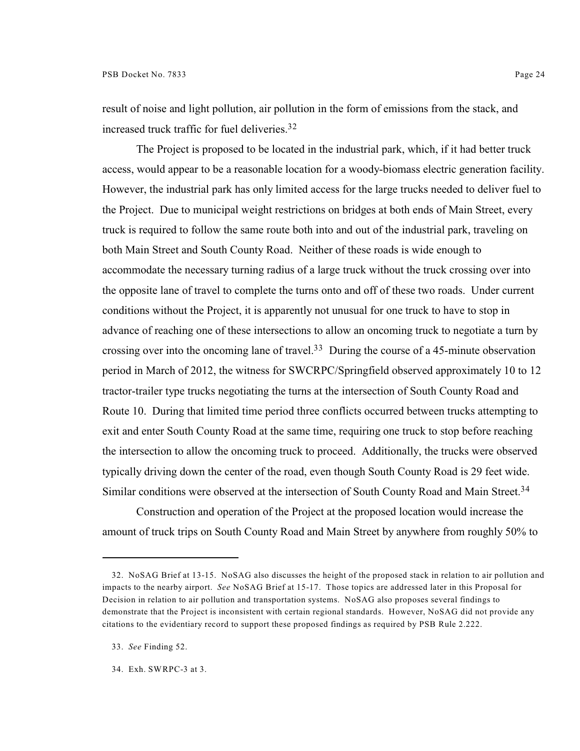result of noise and light pollution, air pollution in the form of emissions from the stack, and increased truck traffic for fuel deliveries.<sup>32</sup>

The Project is proposed to be located in the industrial park, which, if it had better truck access, would appear to be a reasonable location for a woody-biomass electric generation facility. However, the industrial park has only limited access for the large trucks needed to deliver fuel to the Project. Due to municipal weight restrictions on bridges at both ends of Main Street, every truck is required to follow the same route both into and out of the industrial park, traveling on both Main Street and South County Road. Neither of these roads is wide enough to accommodate the necessary turning radius of a large truck without the truck crossing over into the opposite lane of travel to complete the turns onto and off of these two roads. Under current conditions without the Project, it is apparently not unusual for one truck to have to stop in advance of reaching one of these intersections to allow an oncoming truck to negotiate a turn by crossing over into the oncoming lane of travel.<sup>33</sup> During the course of a 45-minute observation period in March of 2012, the witness for SWCRPC/Springfield observed approximately 10 to 12 tractor-trailer type trucks negotiating the turns at the intersection of South County Road and Route 10. During that limited time period three conflicts occurred between trucks attempting to exit and enter South County Road at the same time, requiring one truck to stop before reaching the intersection to allow the oncoming truck to proceed. Additionally, the trucks were observed typically driving down the center of the road, even though South County Road is 29 feet wide. Similar conditions were observed at the intersection of South County Road and Main Street.<sup>34</sup>

Construction and operation of the Project at the proposed location would increase the amount of truck trips on South County Road and Main Street by anywhere from roughly 50% to

<sup>32.</sup> NoSAG Brief at 13-15. NoSAG also discusses the height of the proposed stack in relation to air pollution and impacts to the nearby airport. *See* NoSAG Brief at 15-17. Those topics are addressed later in this Proposal for Decision in relation to air pollution and transportation systems. NoSAG also proposes several findings to demonstrate that the Project is inconsistent with certain regional standards. However, NoSAG did not provide any citations to the evidentiary record to support these proposed findings as required by PSB Rule 2.222.

<sup>33.</sup> *See* Finding 52.

<sup>34.</sup> Exh. SWRPC-3 at 3.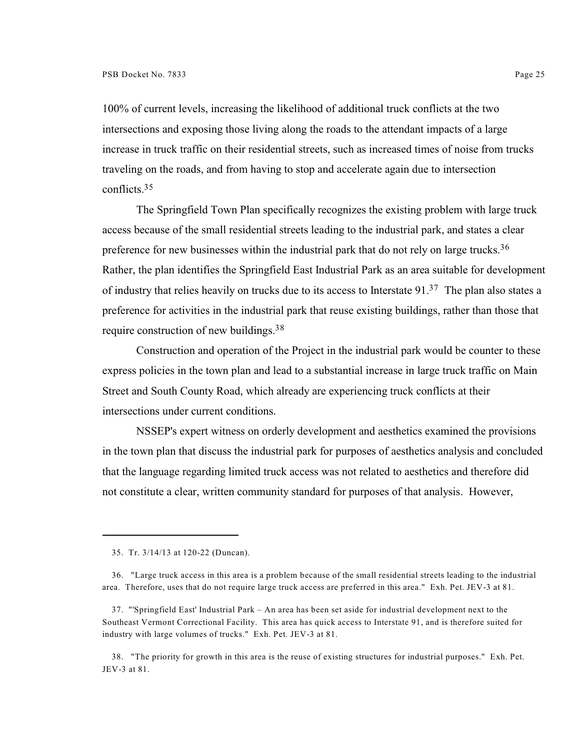100% of current levels, increasing the likelihood of additional truck conflicts at the two intersections and exposing those living along the roads to the attendant impacts of a large increase in truck traffic on their residential streets, such as increased times of noise from trucks traveling on the roads, and from having to stop and accelerate again due to intersection conflicts.<sup>35</sup>

The Springfield Town Plan specifically recognizes the existing problem with large truck access because of the small residential streets leading to the industrial park, and states a clear preference for new businesses within the industrial park that do not rely on large trucks.<sup>36</sup> Rather, the plan identifies the Springfield East Industrial Park as an area suitable for development of industry that relies heavily on trucks due to its access to Interstate 91.<sup>37</sup> The plan also states a preference for activities in the industrial park that reuse existing buildings, rather than those that require construction of new buildings.<sup>38</sup>

Construction and operation of the Project in the industrial park would be counter to these express policies in the town plan and lead to a substantial increase in large truck traffic on Main Street and South County Road, which already are experiencing truck conflicts at their intersections under current conditions.

NSSEP's expert witness on orderly development and aesthetics examined the provisions in the town plan that discuss the industrial park for purposes of aesthetics analysis and concluded that the language regarding limited truck access was not related to aesthetics and therefore did not constitute a clear, written community standard for purposes of that analysis. However,

38. "The priority for growth in this area is the reuse of existing structures for industrial purposes." Exh. Pet. JEV-3 at 81.

<sup>35.</sup> Tr. 3/14/13 at 120-22 (Duncan).

<sup>36.</sup> "Large truck access in this area is a problem because of the small residential streets leading to the industrial area. Therefore, uses that do not require large truck access are preferred in this area." Exh. Pet. JEV-3 at 81.

<sup>37.</sup> "'Springfield East' Industrial Park – An area has been set aside for industrial development next to the Southeast Vermont Correctional Facility. This area has quick access to Interstate 91, and is therefore suited for industry with large volumes of trucks." Exh. Pet. JEV-3 at 81.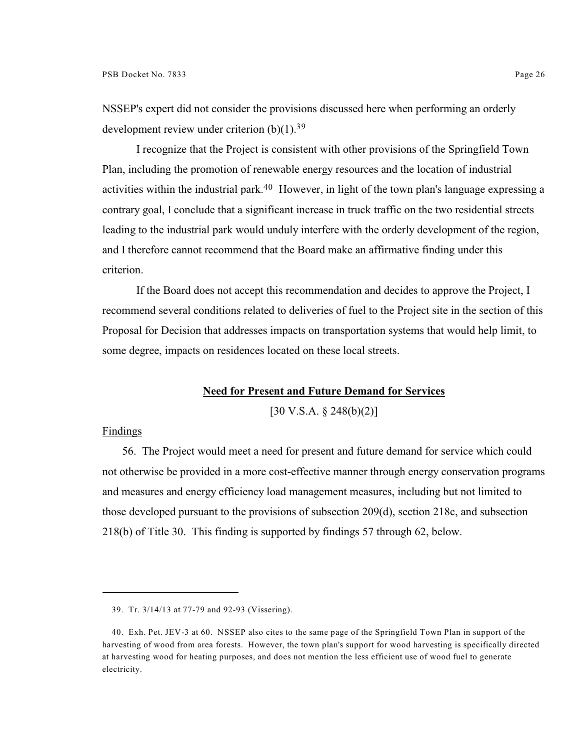NSSEP's expert did not consider the provisions discussed here when performing an orderly development review under criterion  $(b)(1)$ .<sup>39</sup>

I recognize that the Project is consistent with other provisions of the Springfield Town Plan, including the promotion of renewable energy resources and the location of industrial activities within the industrial park.<sup>40</sup> However, in light of the town plan's language expressing a contrary goal, I conclude that a significant increase in truck traffic on the two residential streets leading to the industrial park would unduly interfere with the orderly development of the region, and I therefore cannot recommend that the Board make an affirmative finding under this criterion.

If the Board does not accept this recommendation and decides to approve the Project, I recommend several conditions related to deliveries of fuel to the Project site in the section of this Proposal for Decision that addresses impacts on transportation systems that would help limit, to some degree, impacts on residences located on these local streets.

# **Need for Present and Future Demand for Services**

 $[30 \text{ V.S.A.} \S 248(b)(2)]$ 

#### Findings

56. The Project would meet a need for present and future demand for service which could not otherwise be provided in a more cost-effective manner through energy conservation programs and measures and energy efficiency load management measures, including but not limited to those developed pursuant to the provisions of subsection 209(d), section 218c, and subsection 218(b) of Title 30. This finding is supported by findings 57 through 62, below.

<sup>39.</sup> Tr. 3/14/13 at 77-79 and 92-93 (Vissering).

<sup>40.</sup> Exh. Pet. JEV-3 at 60. NSSEP also cites to the same page of the Springfield Town Plan in support of the harvesting of wood from area forests. However, the town plan's support for wood harvesting is specifically directed at harvesting wood for heating purposes, and does not mention the less efficient use of wood fuel to generate electricity.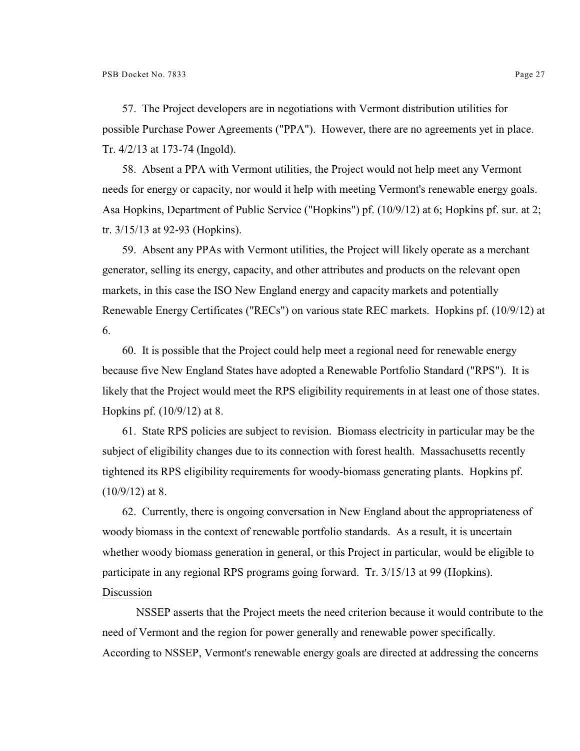57. The Project developers are in negotiations with Vermont distribution utilities for possible Purchase Power Agreements ("PPA"). However, there are no agreements yet in place. Tr. 4/2/13 at 173-74 (Ingold).

58. Absent a PPA with Vermont utilities, the Project would not help meet any Vermont needs for energy or capacity, nor would it help with meeting Vermont's renewable energy goals. Asa Hopkins, Department of Public Service ("Hopkins") pf. (10/9/12) at 6; Hopkins pf. sur. at 2; tr. 3/15/13 at 92-93 (Hopkins).

59. Absent any PPAs with Vermont utilities, the Project will likely operate as a merchant generator, selling its energy, capacity, and other attributes and products on the relevant open markets, in this case the ISO New England energy and capacity markets and potentially Renewable Energy Certificates ("RECs") on various state REC markets. Hopkins pf. (10/9/12) at 6.

60. It is possible that the Project could help meet a regional need for renewable energy because five New England States have adopted a Renewable Portfolio Standard ("RPS"). It is likely that the Project would meet the RPS eligibility requirements in at least one of those states. Hopkins pf. (10/9/12) at 8.

61. State RPS policies are subject to revision. Biomass electricity in particular may be the subject of eligibility changes due to its connection with forest health. Massachusetts recently tightened its RPS eligibility requirements for woody-biomass generating plants. Hopkins pf. (10/9/12) at 8.

62. Currently, there is ongoing conversation in New England about the appropriateness of woody biomass in the context of renewable portfolio standards. As a result, it is uncertain whether woody biomass generation in general, or this Project in particular, would be eligible to participate in any regional RPS programs going forward. Tr. 3/15/13 at 99 (Hopkins). Discussion

NSSEP asserts that the Project meets the need criterion because it would contribute to the need of Vermont and the region for power generally and renewable power specifically. According to NSSEP, Vermont's renewable energy goals are directed at addressing the concerns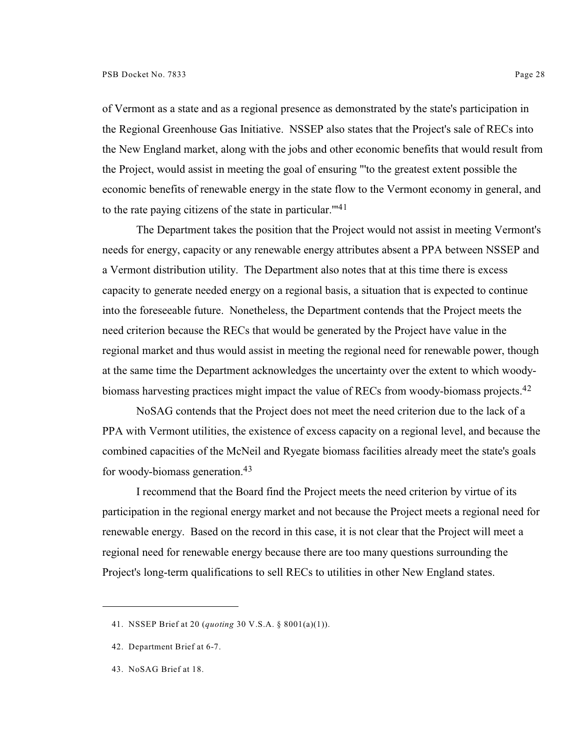of Vermont as a state and as a regional presence as demonstrated by the state's participation in the Regional Greenhouse Gas Initiative. NSSEP also states that the Project's sale of RECs into the New England market, along with the jobs and other economic benefits that would result from the Project, would assist in meeting the goal of ensuring "'to the greatest extent possible the economic benefits of renewable energy in the state flow to the Vermont economy in general, and to the rate paying citizens of the state in particular.<sup>1141</sup>

The Department takes the position that the Project would not assist in meeting Vermont's needs for energy, capacity or any renewable energy attributes absent a PPA between NSSEP and a Vermont distribution utility. The Department also notes that at this time there is excess capacity to generate needed energy on a regional basis, a situation that is expected to continue into the foreseeable future. Nonetheless, the Department contends that the Project meets the need criterion because the RECs that would be generated by the Project have value in the regional market and thus would assist in meeting the regional need for renewable power, though at the same time the Department acknowledges the uncertainty over the extent to which woodybiomass harvesting practices might impact the value of RECs from woody-biomass projects.<sup>42</sup>

NoSAG contends that the Project does not meet the need criterion due to the lack of a PPA with Vermont utilities, the existence of excess capacity on a regional level, and because the combined capacities of the McNeil and Ryegate biomass facilities already meet the state's goals for woody-biomass generation.<sup>43</sup>

I recommend that the Board find the Project meets the need criterion by virtue of its participation in the regional energy market and not because the Project meets a regional need for renewable energy. Based on the record in this case, it is not clear that the Project will meet a regional need for renewable energy because there are too many questions surrounding the Project's long-term qualifications to sell RECs to utilities in other New England states.

<sup>41.</sup> NSSEP Brief at 20 (*quoting* 30 V.S.A. § 8001(a)(1)).

<sup>42.</sup> Department Brief at 6-7.

<sup>43.</sup> NoSAG Brief at 18.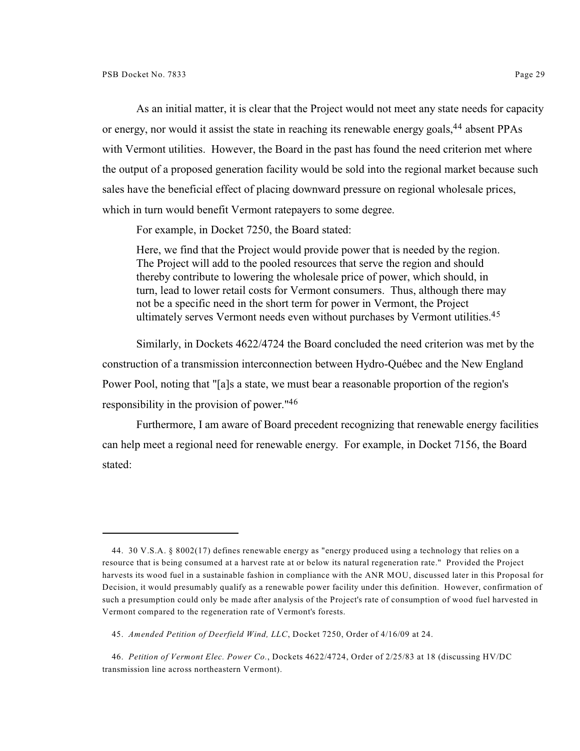As an initial matter, it is clear that the Project would not meet any state needs for capacity or energy, nor would it assist the state in reaching its renewable energy goals, <sup>44</sup> absent PPAs with Vermont utilities. However, the Board in the past has found the need criterion met where the output of a proposed generation facility would be sold into the regional market because such sales have the beneficial effect of placing downward pressure on regional wholesale prices, which in turn would benefit Vermont ratepayers to some degree.

For example, in Docket 7250, the Board stated:

Here, we find that the Project would provide power that is needed by the region. The Project will add to the pooled resources that serve the region and should thereby contribute to lowering the wholesale price of power, which should, in turn, lead to lower retail costs for Vermont consumers. Thus, although there may not be a specific need in the short term for power in Vermont, the Project ultimately serves Vermont needs even without purchases by Vermont utilities.<sup>45</sup>

Similarly, in Dockets 4622/4724 the Board concluded the need criterion was met by the construction of a transmission interconnection between Hydro-Québec and the New England Power Pool, noting that "[a]s a state, we must bear a reasonable proportion of the region's responsibility in the provision of power."<sup>46</sup>

Furthermore, I am aware of Board precedent recognizing that renewable energy facilities can help meet a regional need for renewable energy. For example, in Docket 7156, the Board stated:

<sup>44.</sup> 30 V.S.A. § 8002(17) defines renewable energy as "energy produced using a technology that relies on a resource that is being consumed at a harvest rate at or below its natural regeneration rate." Provided the Project harvests its wood fuel in a sustainable fashion in compliance with the ANR MOU, discussed later in this Proposal for Decision, it would presumably qualify as a renewable power facility under this definition. However, confirmation of such a presumption could only be made after analysis of the Project's rate of consumption of wood fuel harvested in Vermont compared to the regeneration rate of Vermont's forests.

<sup>45.</sup> *Amended Petition of Deerfield Wind, LLC*, Docket 7250, Order of 4/16/09 at 24.

<sup>46.</sup> *Petition of Vermont Elec. Power Co.*, Dockets 4622/4724, Order of 2/25/83 at 18 (discussing HV/DC transmission line across northeastern Vermont).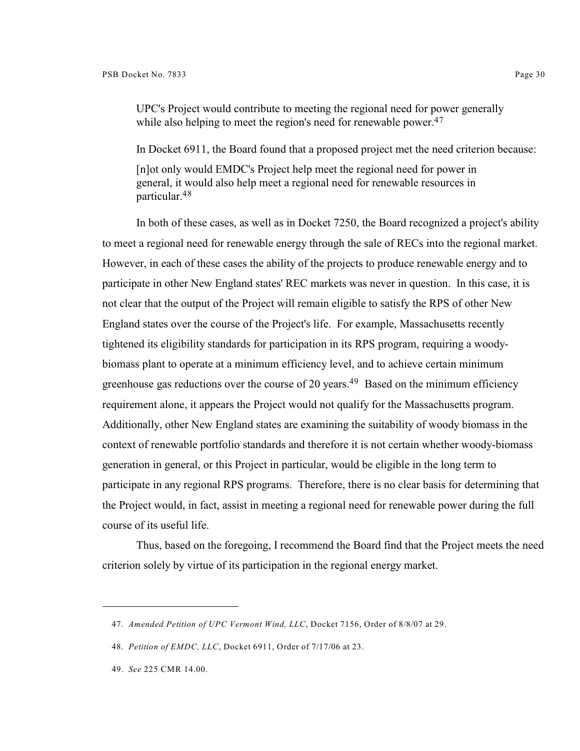UPC's Project would contribute to meeting the regional need for power generally while also helping to meet the region's need for renewable power.<sup>47</sup>

In Docket 6911, the Board found that a proposed project met the need criterion because:

[n]ot only would EMDC's Project help meet the regional need for power in general, it would also help meet a regional need for renewable resources in particular.<sup>48</sup>

In both of these cases, as well as in Docket 7250, the Board recognized a project's ability to meet a regional need for renewable energy through the sale of RECs into the regional market. However, in each of these cases the ability of the projects to produce renewable energy and to participate in other New England states' REC markets was never in question. In this case, it is not clear that the output of the Project will remain eligible to satisfy the RPS of other New England states over the course of the Project's life. For example, Massachusetts recently tightened its eligibility standards for participation in its RPS program, requiring a woodybiomass plant to operate at a minimum efficiency level, and to achieve certain minimum greenhouse gas reductions over the course of 20 years.<sup>49</sup> Based on the minimum efficiency requirement alone, it appears the Project would not qualify for the Massachusetts program. Additionally, other New England states are examining the suitability of woody biomass in the context of renewable portfolio standards and therefore it is not certain whether woody-biomass generation in general, or this Project in particular, would be eligible in the long term to participate in any regional RPS programs. Therefore, there is no clear basis for determining that the Project would, in fact, assist in meeting a regional need for renewable power during the full course of its useful life.

Thus, based on the foregoing, I recommend the Board find that the Project meets the need criterion solely by virtue of its participation in the regional energy market.

<sup>47.</sup> *Amended Petition of UPC Vermont Wind, LLC*, Docket 7156, Order of 8/8/07 at 29.

<sup>48.</sup> *Petition of EMDC, LLC*, Docket 6911, Order of 7/17/06 at 23.

<sup>49.</sup> *See* 225 CMR 14.00.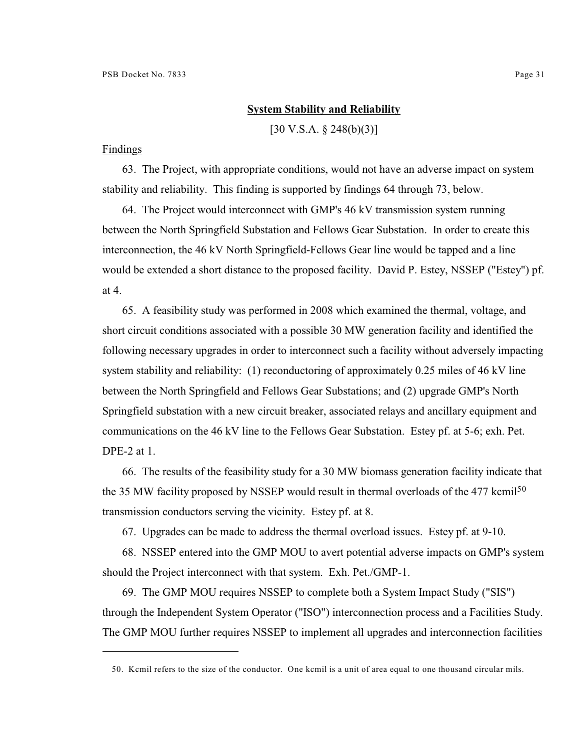# **System Stability and Reliability**

[30 V.S.A. § 248(b)(3)]

#### Findings

63. The Project, with appropriate conditions, would not have an adverse impact on system stability and reliability. This finding is supported by findings 64 through 73, below.

64. The Project would interconnect with GMP's 46 kV transmission system running between the North Springfield Substation and Fellows Gear Substation. In order to create this interconnection, the 46 kV North Springfield-Fellows Gear line would be tapped and a line would be extended a short distance to the proposed facility. David P. Estey, NSSEP ("Estey") pf. at 4.

65. A feasibility study was performed in 2008 which examined the thermal, voltage, and short circuit conditions associated with a possible 30 MW generation facility and identified the following necessary upgrades in order to interconnect such a facility without adversely impacting system stability and reliability: (1) reconductoring of approximately 0.25 miles of 46 kV line between the North Springfield and Fellows Gear Substations; and (2) upgrade GMP's North Springfield substation with a new circuit breaker, associated relays and ancillary equipment and communications on the 46 kV line to the Fellows Gear Substation. Estey pf. at 5-6; exh. Pet. DPE-2 at 1.

66. The results of the feasibility study for a 30 MW biomass generation facility indicate that the 35 MW facility proposed by NSSEP would result in thermal overloads of the 477 kcmil<sup>50</sup> transmission conductors serving the vicinity. Estey pf. at 8.

67. Upgrades can be made to address the thermal overload issues. Estey pf. at 9-10.

68. NSSEP entered into the GMP MOU to avert potential adverse impacts on GMP's system should the Project interconnect with that system. Exh. Pet./GMP-1.

69. The GMP MOU requires NSSEP to complete both a System Impact Study ("SIS") through the Independent System Operator ("ISO") interconnection process and a Facilities Study. The GMP MOU further requires NSSEP to implement all upgrades and interconnection facilities

<sup>50.</sup> Kcmil refers to the size of the conductor. One kcmil is a unit of area equal to one thousand circular mils.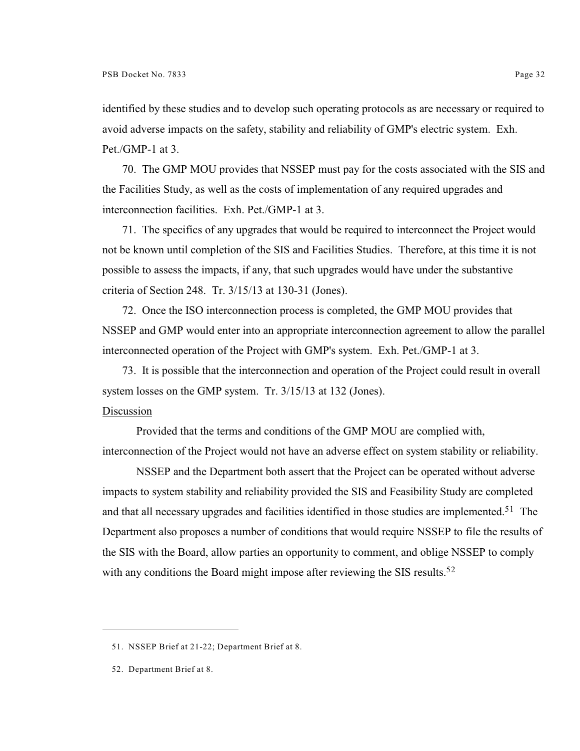identified by these studies and to develop such operating protocols as are necessary or required to avoid adverse impacts on the safety, stability and reliability of GMP's electric system. Exh. Pet./GMP-1 at 3.

70. The GMP MOU provides that NSSEP must pay for the costs associated with the SIS and the Facilities Study, as well as the costs of implementation of any required upgrades and interconnection facilities. Exh. Pet./GMP-1 at 3.

71. The specifics of any upgrades that would be required to interconnect the Project would not be known until completion of the SIS and Facilities Studies. Therefore, at this time it is not possible to assess the impacts, if any, that such upgrades would have under the substantive criteria of Section 248. Tr. 3/15/13 at 130-31 (Jones).

72. Once the ISO interconnection process is completed, the GMP MOU provides that NSSEP and GMP would enter into an appropriate interconnection agreement to allow the parallel interconnected operation of the Project with GMP's system. Exh. Pet./GMP-1 at 3.

73. It is possible that the interconnection and operation of the Project could result in overall system losses on the GMP system. Tr. 3/15/13 at 132 (Jones).

#### Discussion

Provided that the terms and conditions of the GMP MOU are complied with, interconnection of the Project would not have an adverse effect on system stability or reliability.

NSSEP and the Department both assert that the Project can be operated without adverse impacts to system stability and reliability provided the SIS and Feasibility Study are completed and that all necessary upgrades and facilities identified in those studies are implemented.<sup>51</sup> The Department also proposes a number of conditions that would require NSSEP to file the results of the SIS with the Board, allow parties an opportunity to comment, and oblige NSSEP to comply with any conditions the Board might impose after reviewing the SIS results.<sup>52</sup>

<sup>51.</sup> NSSEP Brief at 21-22; Department Brief at 8.

<sup>52.</sup> Department Brief at 8.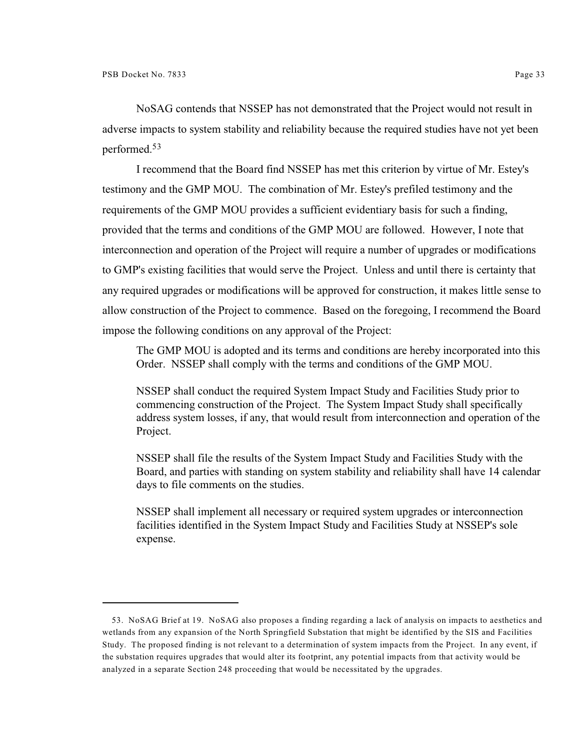NoSAG contends that NSSEP has not demonstrated that the Project would not result in adverse impacts to system stability and reliability because the required studies have not yet been performed.<sup>53</sup>

I recommend that the Board find NSSEP has met this criterion by virtue of Mr. Estey's testimony and the GMP MOU. The combination of Mr. Estey's prefiled testimony and the requirements of the GMP MOU provides a sufficient evidentiary basis for such a finding, provided that the terms and conditions of the GMP MOU are followed. However, I note that interconnection and operation of the Project will require a number of upgrades or modifications to GMP's existing facilities that would serve the Project. Unless and until there is certainty that any required upgrades or modifications will be approved for construction, it makes little sense to allow construction of the Project to commence. Based on the foregoing, I recommend the Board impose the following conditions on any approval of the Project:

The GMP MOU is adopted and its terms and conditions are hereby incorporated into this Order. NSSEP shall comply with the terms and conditions of the GMP MOU.

NSSEP shall conduct the required System Impact Study and Facilities Study prior to commencing construction of the Project. The System Impact Study shall specifically address system losses, if any, that would result from interconnection and operation of the Project.

NSSEP shall file the results of the System Impact Study and Facilities Study with the Board, and parties with standing on system stability and reliability shall have 14 calendar days to file comments on the studies.

NSSEP shall implement all necessary or required system upgrades or interconnection facilities identified in the System Impact Study and Facilities Study at NSSEP's sole expense.

<sup>53.</sup> NoSAG Brief at 19. NoSAG also proposes a finding regarding a lack of analysis on impacts to aesthetics and wetlands from any expansion of the North Springfield Substation that might be identified by the SIS and Facilities Study. The proposed finding is not relevant to a determination of system impacts from the Project. In any event, if the substation requires upgrades that would alter its footprint, any potential impacts from that activity would be analyzed in a separate Section 248 proceeding that would be necessitated by the upgrades.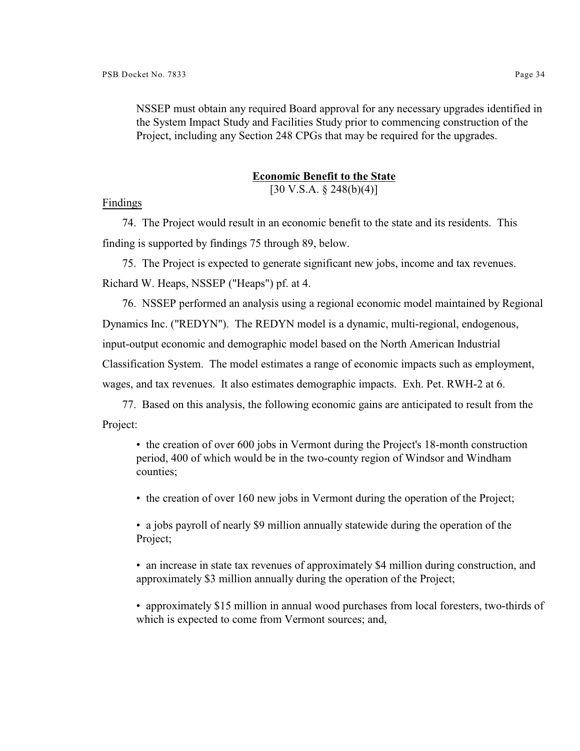NSSEP must obtain any required Board approval for any necessary upgrades identified in the System Impact Study and Facilities Study prior to commencing construction of the Project, including any Section 248 CPGs that may be required for the upgrades.

#### **Economic Benefit to the State**

 $[30 \text{ V.S.A.} \$   $248(b)(4)]$ 

Findings

74. The Project would result in an economic benefit to the state and its residents. This finding is supported by findings 75 through 89, below.

75. The Project is expected to generate significant new jobs, income and tax revenues. Richard W. Heaps, NSSEP ("Heaps") pf. at 4.

76. NSSEP performed an analysis using a regional economic model maintained by Regional Dynamics Inc. ("REDYN"). The REDYN model is a dynamic, multi-regional, endogenous, input-output economic and demographic model based on the North American Industrial Classification System. The model estimates a range of economic impacts such as employment, wages, and tax revenues. It also estimates demographic impacts. Exh. Pet. RWH-2 at 6.

77. Based on this analysis, the following economic gains are anticipated to result from the Project:

• the creation of over 600 jobs in Vermont during the Project's 18-month construction period, 400 of which would be in the two-county region of Windsor and Windham counties;

• the creation of over 160 new jobs in Vermont during the operation of the Project;

• a jobs payroll of nearly \$9 million annually statewide during the operation of the Project;

• an increase in state tax revenues of approximately \$4 million during construction, and approximately \$3 million annually during the operation of the Project;

• approximately \$15 million in annual wood purchases from local foresters, two-thirds of which is expected to come from Vermont sources; and,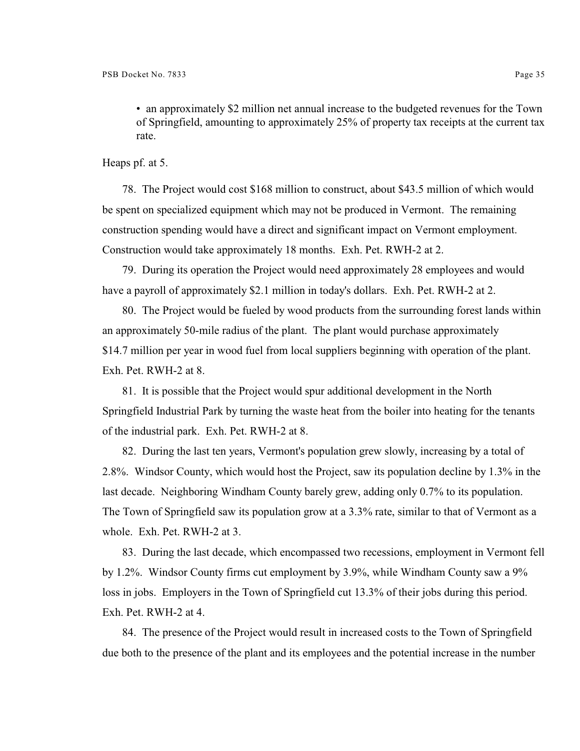• an approximately \$2 million net annual increase to the budgeted revenues for the Town of Springfield, amounting to approximately 25% of property tax receipts at the current tax rate.

Heaps pf. at 5.

78. The Project would cost \$168 million to construct, about \$43.5 million of which would be spent on specialized equipment which may not be produced in Vermont. The remaining construction spending would have a direct and significant impact on Vermont employment. Construction would take approximately 18 months. Exh. Pet. RWH-2 at 2.

79. During its operation the Project would need approximately 28 employees and would have a payroll of approximately \$2.1 million in today's dollars. Exh. Pet. RWH-2 at 2.

80. The Project would be fueled by wood products from the surrounding forest lands within an approximately 50-mile radius of the plant. The plant would purchase approximately \$14.7 million per year in wood fuel from local suppliers beginning with operation of the plant. Exh. Pet. RWH-2 at 8.

81. It is possible that the Project would spur additional development in the North Springfield Industrial Park by turning the waste heat from the boiler into heating for the tenants of the industrial park. Exh. Pet. RWH-2 at 8.

82. During the last ten years, Vermont's population grew slowly, increasing by a total of 2.8%. Windsor County, which would host the Project, saw its population decline by 1.3% in the last decade. Neighboring Windham County barely grew, adding only 0.7% to its population. The Town of Springfield saw its population grow at a 3.3% rate, similar to that of Vermont as a whole. Exh. Pet. RWH-2 at 3.

83. During the last decade, which encompassed two recessions, employment in Vermont fell by 1.2%. Windsor County firms cut employment by 3.9%, while Windham County saw a 9% loss in jobs. Employers in the Town of Springfield cut 13.3% of their jobs during this period. Exh. Pet. RWH-2 at 4.

84. The presence of the Project would result in increased costs to the Town of Springfield due both to the presence of the plant and its employees and the potential increase in the number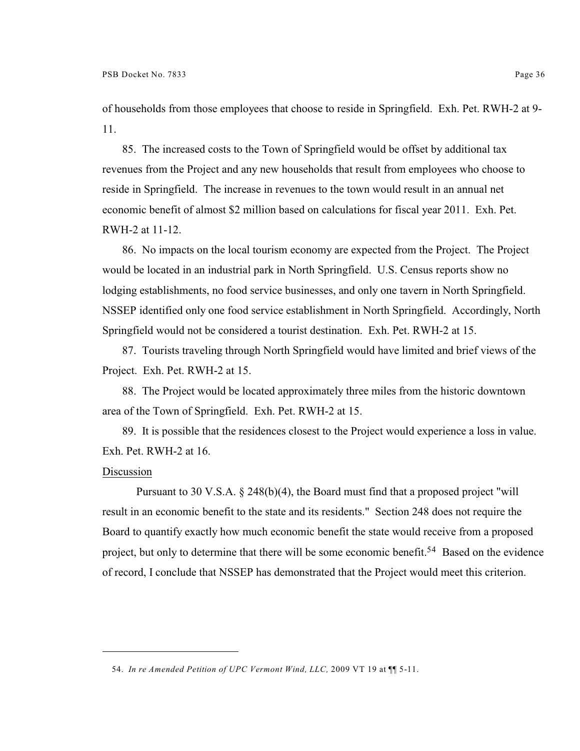of households from those employees that choose to reside in Springfield. Exh. Pet. RWH-2 at 9- 11.

85. The increased costs to the Town of Springfield would be offset by additional tax revenues from the Project and any new households that result from employees who choose to reside in Springfield. The increase in revenues to the town would result in an annual net economic benefit of almost \$2 million based on calculations for fiscal year 2011. Exh. Pet. RWH-2 at 11-12.

86. No impacts on the local tourism economy are expected from the Project. The Project would be located in an industrial park in North Springfield. U.S. Census reports show no lodging establishments, no food service businesses, and only one tavern in North Springfield. NSSEP identified only one food service establishment in North Springfield. Accordingly, North Springfield would not be considered a tourist destination. Exh. Pet. RWH-2 at 15.

87. Tourists traveling through North Springfield would have limited and brief views of the Project. Exh. Pet. RWH-2 at 15.

88. The Project would be located approximately three miles from the historic downtown area of the Town of Springfield. Exh. Pet. RWH-2 at 15.

89. It is possible that the residences closest to the Project would experience a loss in value. Exh. Pet. RWH-2 at 16.

# Discussion

Pursuant to 30 V.S.A. § 248(b)(4), the Board must find that a proposed project "will result in an economic benefit to the state and its residents." Section 248 does not require the Board to quantify exactly how much economic benefit the state would receive from a proposed project, but only to determine that there will be some economic benefit.<sup>54</sup> Based on the evidence of record, I conclude that NSSEP has demonstrated that the Project would meet this criterion.

<sup>54.</sup> *In re Amended Petition of UPC Vermont Wind, LLC,* 2009 VT 19 at ¶¶ 5-11.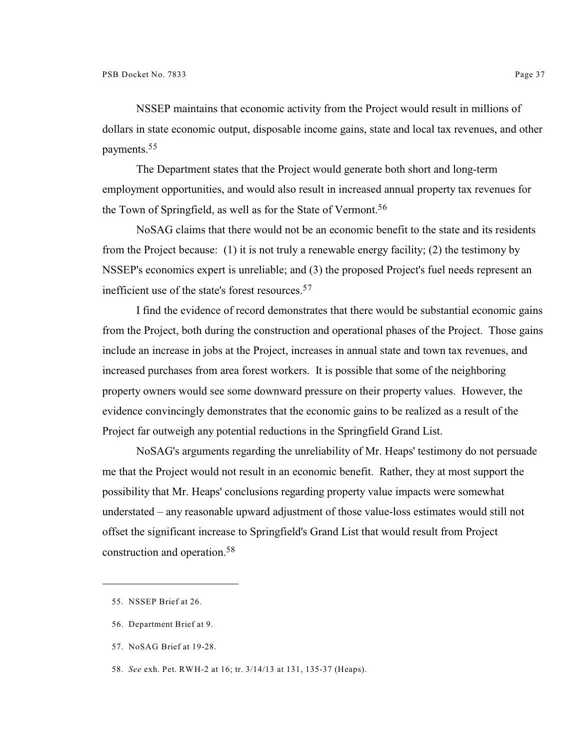NSSEP maintains that economic activity from the Project would result in millions of dollars in state economic output, disposable income gains, state and local tax revenues, and other payments.<sup>55</sup>

The Department states that the Project would generate both short and long-term employment opportunities, and would also result in increased annual property tax revenues for the Town of Springfield, as well as for the State of Vermont.<sup>56</sup>

NoSAG claims that there would not be an economic benefit to the state and its residents from the Project because: (1) it is not truly a renewable energy facility; (2) the testimony by NSSEP's economics expert is unreliable; and (3) the proposed Project's fuel needs represent an inefficient use of the state's forest resources.<sup>57</sup>

I find the evidence of record demonstrates that there would be substantial economic gains from the Project, both during the construction and operational phases of the Project. Those gains include an increase in jobs at the Project, increases in annual state and town tax revenues, and increased purchases from area forest workers. It is possible that some of the neighboring property owners would see some downward pressure on their property values. However, the evidence convincingly demonstrates that the economic gains to be realized as a result of the Project far outweigh any potential reductions in the Springfield Grand List.

NoSAG's arguments regarding the unreliability of Mr. Heaps' testimony do not persuade me that the Project would not result in an economic benefit. Rather, they at most support the possibility that Mr. Heaps' conclusions regarding property value impacts were somewhat understated – any reasonable upward adjustment of those value-loss estimates would still not offset the significant increase to Springfield's Grand List that would result from Project construction and operation.<sup>58</sup>

- 57. NoSAG Brief at 19-28.
- 58. *See* exh. Pet. RWH-2 at 16; tr. 3/14/13 at 131, 135-37 (Heaps).

<sup>55.</sup> NSSEP Brief at 26.

<sup>56.</sup> Department Brief at 9.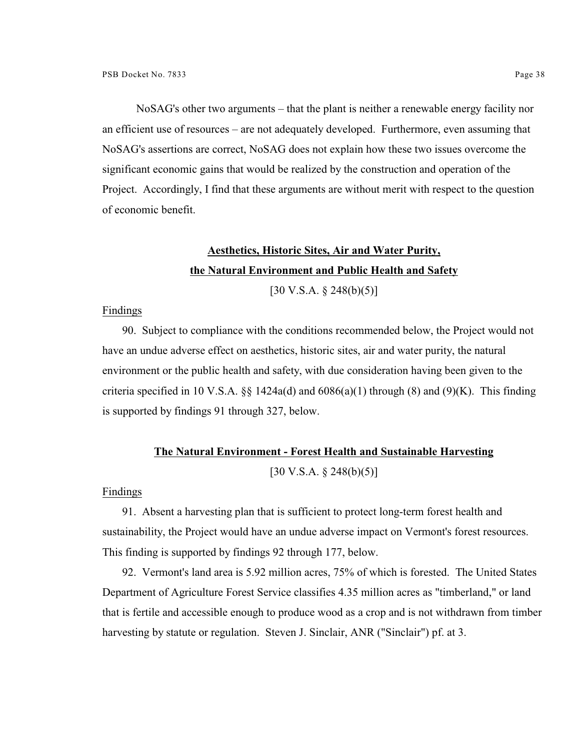NoSAG's other two arguments – that the plant is neither a renewable energy facility nor an efficient use of resources – are not adequately developed. Furthermore, even assuming that NoSAG's assertions are correct, NoSAG does not explain how these two issues overcome the significant economic gains that would be realized by the construction and operation of the Project. Accordingly, I find that these arguments are without merit with respect to the question of economic benefit.

# **Aesthetics, Historic Sites, Air and Water Purity, the Natural Environment and Public Health and Safety**

 $[30 \text{ V.S.A.} \& 248(b)(5)]$ 

#### Findings

90. Subject to compliance with the conditions recommended below, the Project would not have an undue adverse effect on aesthetics, historic sites, air and water purity, the natural environment or the public health and safety, with due consideration having been given to the criteria specified in 10 V.S.A. §§ 1424a(d) and  $6086(a)(1)$  through (8) and (9)(K). This finding is supported by findings 91 through 327, below.

## **The Natural Environment - Forest Health and Sustainable Harvesting**  $[30 \text{ V.S.A.} \& 248(b)(5)]$

#### Findings

91. Absent a harvesting plan that is sufficient to protect long-term forest health and sustainability, the Project would have an undue adverse impact on Vermont's forest resources. This finding is supported by findings 92 through 177, below.

92. Vermont's land area is 5.92 million acres, 75% of which is forested. The United States Department of Agriculture Forest Service classifies 4.35 million acres as "timberland," or land that is fertile and accessible enough to produce wood as a crop and is not withdrawn from timber harvesting by statute or regulation. Steven J. Sinclair, ANR ("Sinclair") pf. at 3.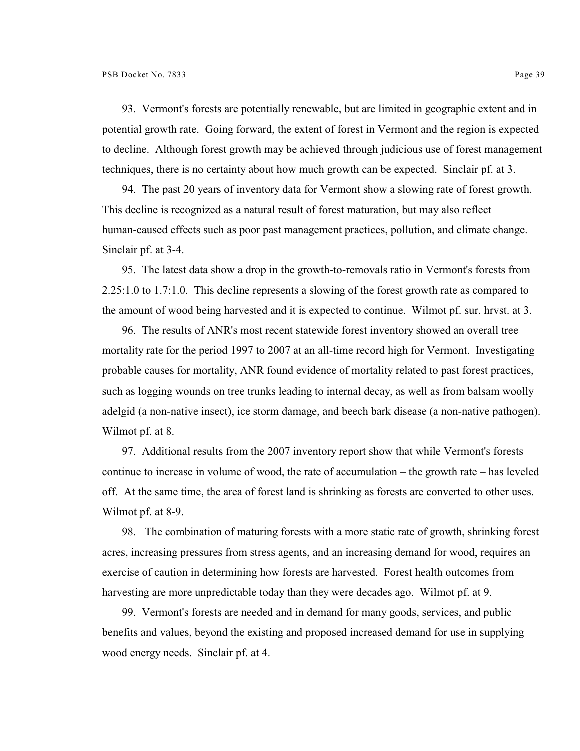93. Vermont's forests are potentially renewable, but are limited in geographic extent and in potential growth rate. Going forward, the extent of forest in Vermont and the region is expected to decline. Although forest growth may be achieved through judicious use of forest management techniques, there is no certainty about how much growth can be expected. Sinclair pf. at 3.

94. The past 20 years of inventory data for Vermont show a slowing rate of forest growth. This decline is recognized as a natural result of forest maturation, but may also reflect human-caused effects such as poor past management practices, pollution, and climate change. Sinclair pf. at 3-4.

95. The latest data show a drop in the growth-to-removals ratio in Vermont's forests from 2.25:1.0 to 1.7:1.0. This decline represents a slowing of the forest growth rate as compared to the amount of wood being harvested and it is expected to continue. Wilmot pf. sur. hrvst. at 3.

96. The results of ANR's most recent statewide forest inventory showed an overall tree mortality rate for the period 1997 to 2007 at an all-time record high for Vermont. Investigating probable causes for mortality, ANR found evidence of mortality related to past forest practices, such as logging wounds on tree trunks leading to internal decay, as well as from balsam woolly adelgid (a non-native insect), ice storm damage, and beech bark disease (a non-native pathogen). Wilmot pf. at 8.

97. Additional results from the 2007 inventory report show that while Vermont's forests continue to increase in volume of wood, the rate of accumulation – the growth rate – has leveled off. At the same time, the area of forest land is shrinking as forests are converted to other uses. Wilmot pf. at 8-9.

98. The combination of maturing forests with a more static rate of growth, shrinking forest acres, increasing pressures from stress agents, and an increasing demand for wood, requires an exercise of caution in determining how forests are harvested. Forest health outcomes from harvesting are more unpredictable today than they were decades ago. Wilmot pf. at 9.

99. Vermont's forests are needed and in demand for many goods, services, and public benefits and values, beyond the existing and proposed increased demand for use in supplying wood energy needs. Sinclair pf. at 4.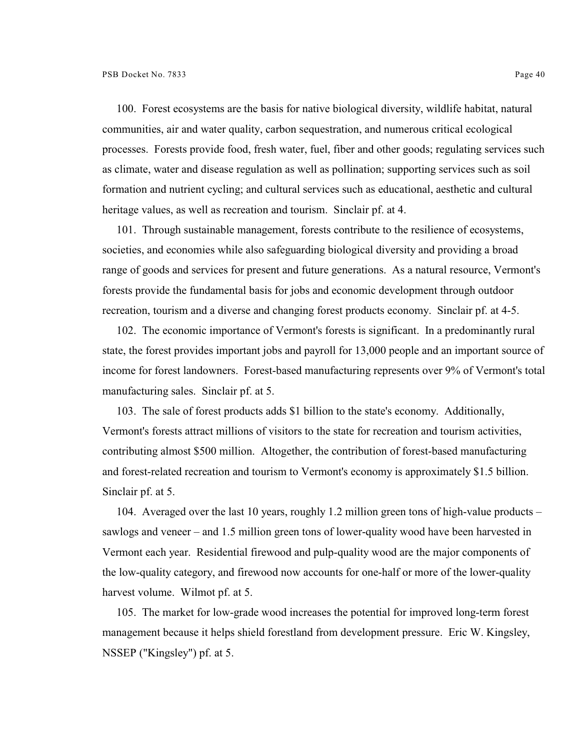100. Forest ecosystems are the basis for native biological diversity, wildlife habitat, natural communities, air and water quality, carbon sequestration, and numerous critical ecological processes. Forests provide food, fresh water, fuel, fiber and other goods; regulating services such as climate, water and disease regulation as well as pollination; supporting services such as soil formation and nutrient cycling; and cultural services such as educational, aesthetic and cultural heritage values, as well as recreation and tourism. Sinclair pf. at 4.

101. Through sustainable management, forests contribute to the resilience of ecosystems, societies, and economies while also safeguarding biological diversity and providing a broad range of goods and services for present and future generations. As a natural resource, Vermont's forests provide the fundamental basis for jobs and economic development through outdoor recreation, tourism and a diverse and changing forest products economy. Sinclair pf. at 4-5.

102. The economic importance of Vermont's forests is significant. In a predominantly rural state, the forest provides important jobs and payroll for 13,000 people and an important source of income for forest landowners. Forest-based manufacturing represents over 9% of Vermont's total manufacturing sales. Sinclair pf. at 5.

103. The sale of forest products adds \$1 billion to the state's economy. Additionally, Vermont's forests attract millions of visitors to the state for recreation and tourism activities, contributing almost \$500 million. Altogether, the contribution of forest-based manufacturing and forest-related recreation and tourism to Vermont's economy is approximately \$1.5 billion. Sinclair pf. at 5.

104. Averaged over the last 10 years, roughly 1.2 million green tons of high-value products – sawlogs and veneer – and 1.5 million green tons of lower-quality wood have been harvested in Vermont each year. Residential firewood and pulp-quality wood are the major components of the low-quality category, and firewood now accounts for one-half or more of the lower-quality harvest volume. Wilmot pf. at 5.

105. The market for low-grade wood increases the potential for improved long-term forest management because it helps shield forestland from development pressure. Eric W. Kingsley, NSSEP ("Kingsley") pf. at 5.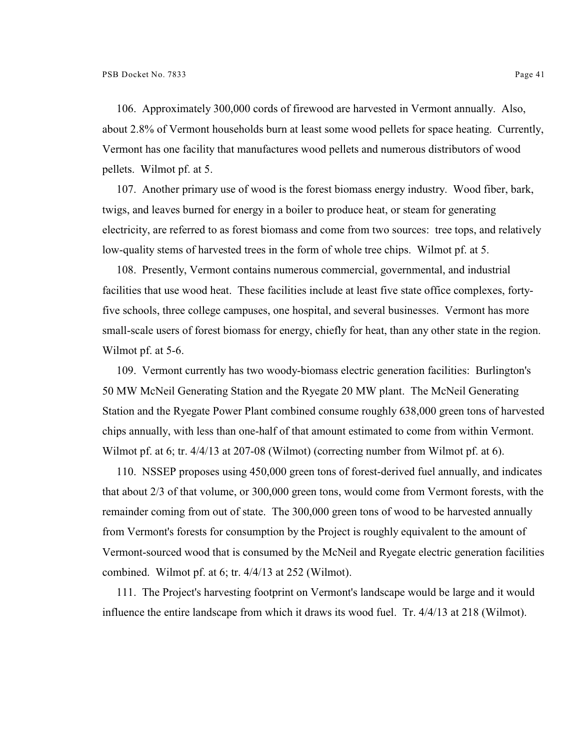106. Approximately 300,000 cords of firewood are harvested in Vermont annually. Also, about 2.8% of Vermont households burn at least some wood pellets for space heating. Currently, Vermont has one facility that manufactures wood pellets and numerous distributors of wood pellets. Wilmot pf. at 5.

107. Another primary use of wood is the forest biomass energy industry. Wood fiber, bark, twigs, and leaves burned for energy in a boiler to produce heat, or steam for generating electricity, are referred to as forest biomass and come from two sources: tree tops, and relatively low-quality stems of harvested trees in the form of whole tree chips. Wilmot pf. at 5.

108. Presently, Vermont contains numerous commercial, governmental, and industrial facilities that use wood heat. These facilities include at least five state office complexes, fortyfive schools, three college campuses, one hospital, and several businesses. Vermont has more small-scale users of forest biomass for energy, chiefly for heat, than any other state in the region. Wilmot pf. at 5-6.

109. Vermont currently has two woody-biomass electric generation facilities: Burlington's 50 MW McNeil Generating Station and the Ryegate 20 MW plant. The McNeil Generating Station and the Ryegate Power Plant combined consume roughly 638,000 green tons of harvested chips annually, with less than one-half of that amount estimated to come from within Vermont. Wilmot pf. at 6; tr. 4/4/13 at 207-08 (Wilmot) (correcting number from Wilmot pf. at 6).

110. NSSEP proposes using 450,000 green tons of forest-derived fuel annually, and indicates that about 2/3 of that volume, or 300,000 green tons, would come from Vermont forests, with the remainder coming from out of state. The 300,000 green tons of wood to be harvested annually from Vermont's forests for consumption by the Project is roughly equivalent to the amount of Vermont-sourced wood that is consumed by the McNeil and Ryegate electric generation facilities combined. Wilmot pf. at 6; tr. 4/4/13 at 252 (Wilmot).

111. The Project's harvesting footprint on Vermont's landscape would be large and it would influence the entire landscape from which it draws its wood fuel. Tr. 4/4/13 at 218 (Wilmot).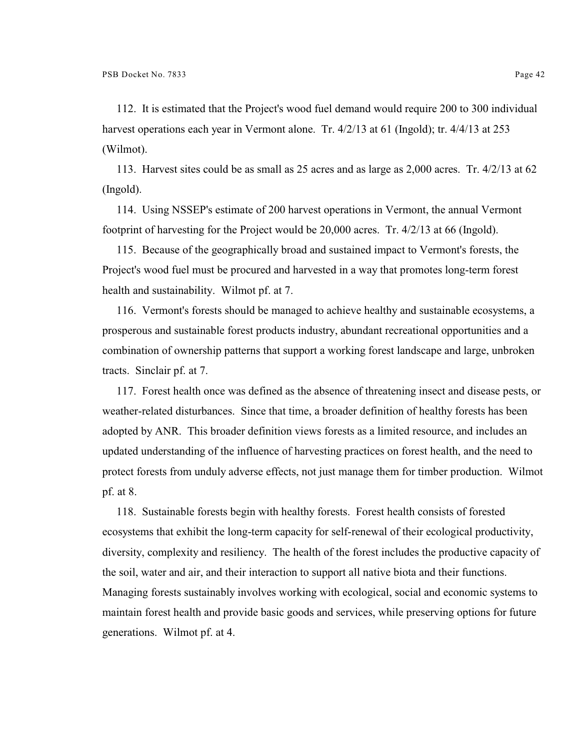112. It is estimated that the Project's wood fuel demand would require 200 to 300 individual harvest operations each year in Vermont alone. Tr. 4/2/13 at 61 (Ingold); tr. 4/4/13 at 253 (Wilmot).

113. Harvest sites could be as small as 25 acres and as large as 2,000 acres. Tr. 4/2/13 at 62 (Ingold).

114. Using NSSEP's estimate of 200 harvest operations in Vermont, the annual Vermont footprint of harvesting for the Project would be 20,000 acres. Tr. 4/2/13 at 66 (Ingold).

115. Because of the geographically broad and sustained impact to Vermont's forests, the Project's wood fuel must be procured and harvested in a way that promotes long-term forest health and sustainability. Wilmot pf. at 7.

116. Vermont's forests should be managed to achieve healthy and sustainable ecosystems, a prosperous and sustainable forest products industry, abundant recreational opportunities and a combination of ownership patterns that support a working forest landscape and large, unbroken tracts. Sinclair pf. at 7.

117. Forest health once was defined as the absence of threatening insect and disease pests, or weather-related disturbances. Since that time, a broader definition of healthy forests has been adopted by ANR. This broader definition views forests as a limited resource, and includes an updated understanding of the influence of harvesting practices on forest health, and the need to protect forests from unduly adverse effects, not just manage them for timber production. Wilmot pf. at 8.

118. Sustainable forests begin with healthy forests. Forest health consists of forested ecosystems that exhibit the long-term capacity for self-renewal of their ecological productivity, diversity, complexity and resiliency. The health of the forest includes the productive capacity of the soil, water and air, and their interaction to support all native biota and their functions. Managing forests sustainably involves working with ecological, social and economic systems to maintain forest health and provide basic goods and services, while preserving options for future generations. Wilmot pf. at 4.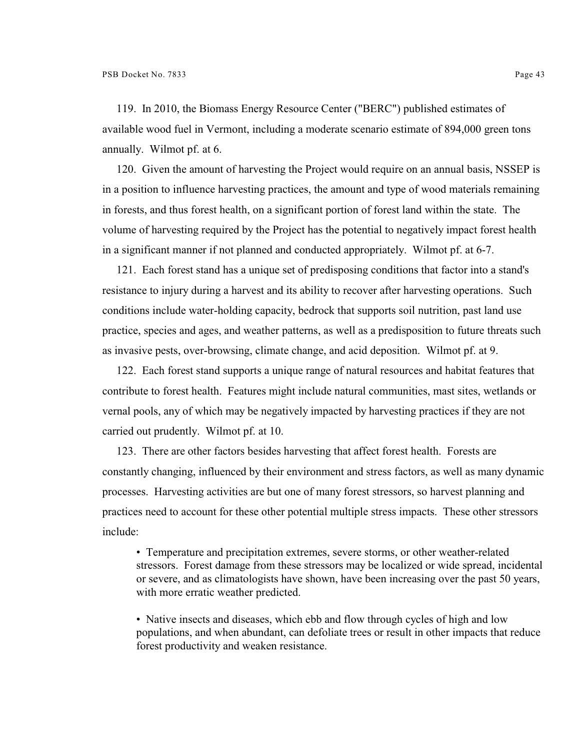119. In 2010, the Biomass Energy Resource Center ("BERC") published estimates of available wood fuel in Vermont, including a moderate scenario estimate of 894,000 green tons annually. Wilmot pf. at 6.

120. Given the amount of harvesting the Project would require on an annual basis, NSSEP is in a position to influence harvesting practices, the amount and type of wood materials remaining in forests, and thus forest health, on a significant portion of forest land within the state. The volume of harvesting required by the Project has the potential to negatively impact forest health in a significant manner if not planned and conducted appropriately. Wilmot pf. at 6-7.

121. Each forest stand has a unique set of predisposing conditions that factor into a stand's resistance to injury during a harvest and its ability to recover after harvesting operations. Such conditions include water-holding capacity, bedrock that supports soil nutrition, past land use practice, species and ages, and weather patterns, as well as a predisposition to future threats such as invasive pests, over-browsing, climate change, and acid deposition. Wilmot pf. at 9.

122. Each forest stand supports a unique range of natural resources and habitat features that contribute to forest health. Features might include natural communities, mast sites, wetlands or vernal pools, any of which may be negatively impacted by harvesting practices if they are not carried out prudently. Wilmot pf. at 10.

123. There are other factors besides harvesting that affect forest health. Forests are constantly changing, influenced by their environment and stress factors, as well as many dynamic processes. Harvesting activities are but one of many forest stressors, so harvest planning and practices need to account for these other potential multiple stress impacts. These other stressors include:

• Temperature and precipitation extremes, severe storms, or other weather-related stressors. Forest damage from these stressors may be localized or wide spread, incidental or severe, and as climatologists have shown, have been increasing over the past 50 years, with more erratic weather predicted.

• Native insects and diseases, which ebb and flow through cycles of high and low populations, and when abundant, can defoliate trees or result in other impacts that reduce forest productivity and weaken resistance.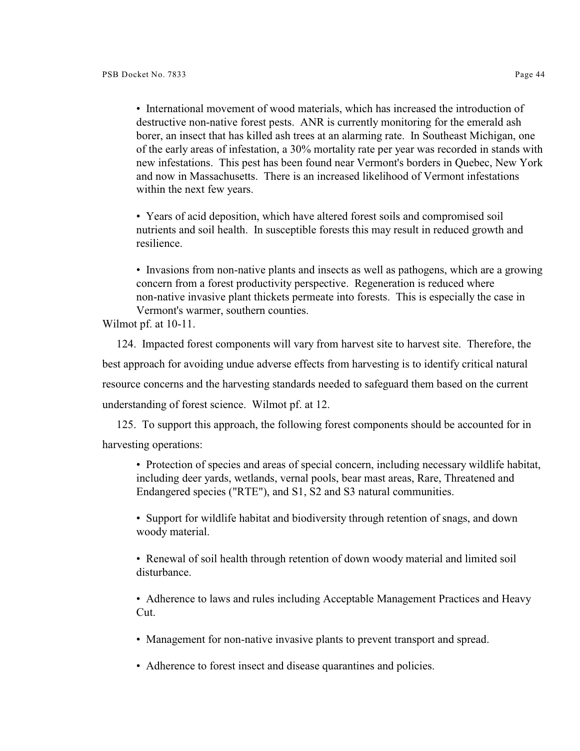• International movement of wood materials, which has increased the introduction of destructive non-native forest pests. ANR is currently monitoring for the emerald ash borer, an insect that has killed ash trees at an alarming rate. In Southeast Michigan, one of the early areas of infestation, a 30% mortality rate per year was recorded in stands with new infestations. This pest has been found near Vermont's borders in Quebec, New York and now in Massachusetts. There is an increased likelihood of Vermont infestations within the next few years.

• Years of acid deposition, which have altered forest soils and compromised soil nutrients and soil health. In susceptible forests this may result in reduced growth and resilience.

• Invasions from non-native plants and insects as well as pathogens, which are a growing concern from a forest productivity perspective. Regeneration is reduced where non-native invasive plant thickets permeate into forests. This is especially the case in Vermont's warmer, southern counties.

Wilmot pf. at 10-11.

124. Impacted forest components will vary from harvest site to harvest site. Therefore, the best approach for avoiding undue adverse effects from harvesting is to identify critical natural resource concerns and the harvesting standards needed to safeguard them based on the current understanding of forest science. Wilmot pf. at 12.

125. To support this approach, the following forest components should be accounted for in harvesting operations:

• Protection of species and areas of special concern, including necessary wildlife habitat, including deer yards, wetlands, vernal pools, bear mast areas, Rare, Threatened and Endangered species ("RTE"), and S1, S2 and S3 natural communities.

• Support for wildlife habitat and biodiversity through retention of snags, and down woody material.

• Renewal of soil health through retention of down woody material and limited soil disturbance.

• Adherence to laws and rules including Acceptable Management Practices and Heavy Cut.

• Management for non-native invasive plants to prevent transport and spread.

• Adherence to forest insect and disease quarantines and policies.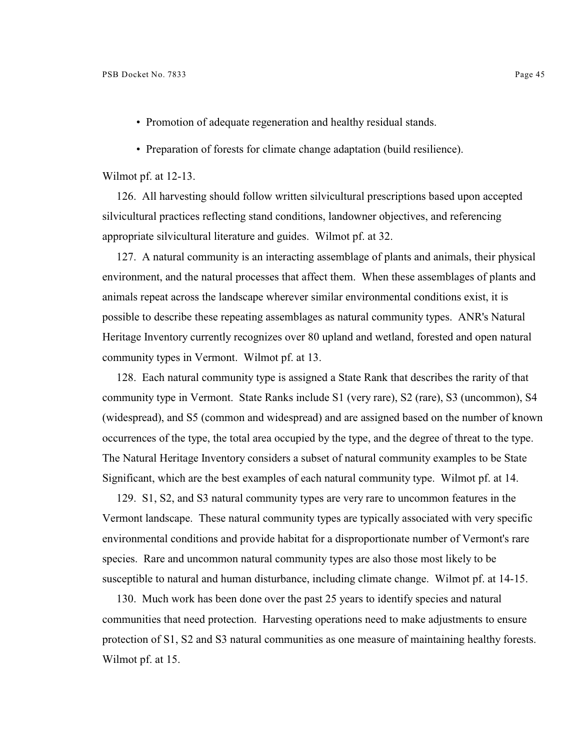- Promotion of adequate regeneration and healthy residual stands.
- Preparation of forests for climate change adaptation (build resilience).

Wilmot pf. at 12-13.

126. All harvesting should follow written silvicultural prescriptions based upon accepted silvicultural practices reflecting stand conditions, landowner objectives, and referencing appropriate silvicultural literature and guides. Wilmot pf. at 32.

127. A natural community is an interacting assemblage of plants and animals, their physical environment, and the natural processes that affect them. When these assemblages of plants and animals repeat across the landscape wherever similar environmental conditions exist, it is possible to describe these repeating assemblages as natural community types. ANR's Natural Heritage Inventory currently recognizes over 80 upland and wetland, forested and open natural community types in Vermont. Wilmot pf. at 13.

128. Each natural community type is assigned a State Rank that describes the rarity of that community type in Vermont. State Ranks include S1 (very rare), S2 (rare), S3 (uncommon), S4 (widespread), and S5 (common and widespread) and are assigned based on the number of known occurrences of the type, the total area occupied by the type, and the degree of threat to the type. The Natural Heritage Inventory considers a subset of natural community examples to be State Significant, which are the best examples of each natural community type. Wilmot pf. at 14.

129. S1, S2, and S3 natural community types are very rare to uncommon features in the Vermont landscape. These natural community types are typically associated with very specific environmental conditions and provide habitat for a disproportionate number of Vermont's rare species. Rare and uncommon natural community types are also those most likely to be susceptible to natural and human disturbance, including climate change. Wilmot pf. at 14-15.

130. Much work has been done over the past 25 years to identify species and natural communities that need protection. Harvesting operations need to make adjustments to ensure protection of S1, S2 and S3 natural communities as one measure of maintaining healthy forests. Wilmot pf. at 15.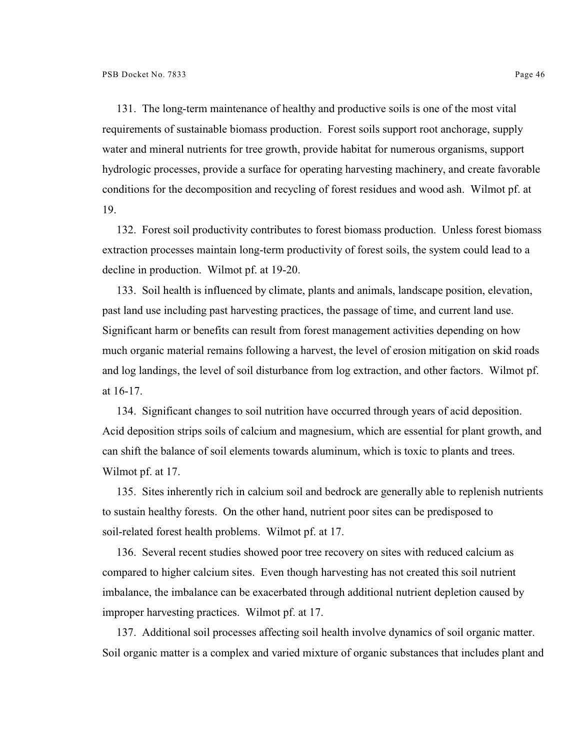131. The long-term maintenance of healthy and productive soils is one of the most vital requirements of sustainable biomass production. Forest soils support root anchorage, supply water and mineral nutrients for tree growth, provide habitat for numerous organisms, support hydrologic processes, provide a surface for operating harvesting machinery, and create favorable conditions for the decomposition and recycling of forest residues and wood ash. Wilmot pf. at 19.

132. Forest soil productivity contributes to forest biomass production. Unless forest biomass extraction processes maintain long-term productivity of forest soils, the system could lead to a decline in production. Wilmot pf. at 19-20.

133. Soil health is influenced by climate, plants and animals, landscape position, elevation, past land use including past harvesting practices, the passage of time, and current land use. Significant harm or benefits can result from forest management activities depending on how much organic material remains following a harvest, the level of erosion mitigation on skid roads and log landings, the level of soil disturbance from log extraction, and other factors. Wilmot pf. at 16-17.

134. Significant changes to soil nutrition have occurred through years of acid deposition. Acid deposition strips soils of calcium and magnesium, which are essential for plant growth, and can shift the balance of soil elements towards aluminum, which is toxic to plants and trees. Wilmot pf. at 17.

135. Sites inherently rich in calcium soil and bedrock are generally able to replenish nutrients to sustain healthy forests. On the other hand, nutrient poor sites can be predisposed to soil-related forest health problems. Wilmot pf. at 17.

136. Several recent studies showed poor tree recovery on sites with reduced calcium as compared to higher calcium sites. Even though harvesting has not created this soil nutrient imbalance, the imbalance can be exacerbated through additional nutrient depletion caused by improper harvesting practices. Wilmot pf. at 17.

137. Additional soil processes affecting soil health involve dynamics of soil organic matter. Soil organic matter is a complex and varied mixture of organic substances that includes plant and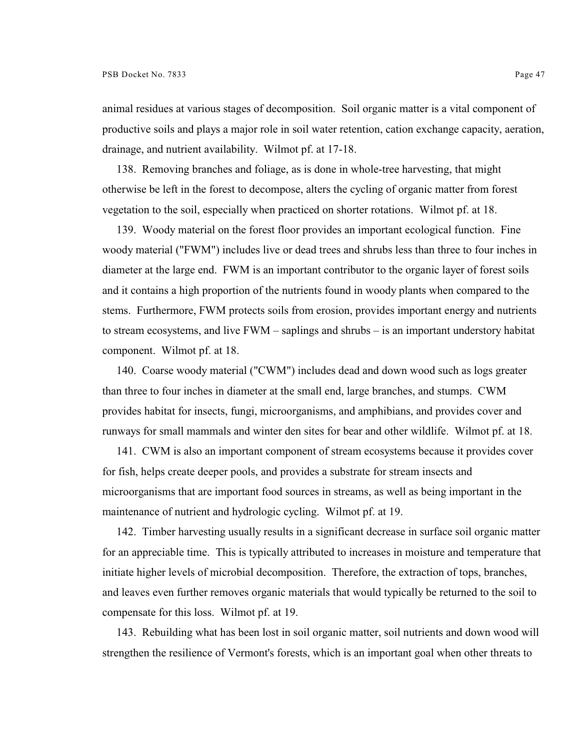animal residues at various stages of decomposition. Soil organic matter is a vital component of productive soils and plays a major role in soil water retention, cation exchange capacity, aeration, drainage, and nutrient availability. Wilmot pf. at 17-18.

138. Removing branches and foliage, as is done in whole-tree harvesting, that might otherwise be left in the forest to decompose, alters the cycling of organic matter from forest vegetation to the soil, especially when practiced on shorter rotations. Wilmot pf. at 18.

139. Woody material on the forest floor provides an important ecological function. Fine woody material ("FWM") includes live or dead trees and shrubs less than three to four inches in diameter at the large end. FWM is an important contributor to the organic layer of forest soils and it contains a high proportion of the nutrients found in woody plants when compared to the stems. Furthermore, FWM protects soils from erosion, provides important energy and nutrients to stream ecosystems, and live FWM – saplings and shrubs – is an important understory habitat component. Wilmot pf. at 18.

140. Coarse woody material ("CWM") includes dead and down wood such as logs greater than three to four inches in diameter at the small end, large branches, and stumps. CWM provides habitat for insects, fungi, microorganisms, and amphibians, and provides cover and runways for small mammals and winter den sites for bear and other wildlife. Wilmot pf. at 18.

141. CWM is also an important component of stream ecosystems because it provides cover for fish, helps create deeper pools, and provides a substrate for stream insects and microorganisms that are important food sources in streams, as well as being important in the maintenance of nutrient and hydrologic cycling. Wilmot pf. at 19.

142. Timber harvesting usually results in a significant decrease in surface soil organic matter for an appreciable time. This is typically attributed to increases in moisture and temperature that initiate higher levels of microbial decomposition. Therefore, the extraction of tops, branches, and leaves even further removes organic materials that would typically be returned to the soil to compensate for this loss. Wilmot pf. at 19.

143. Rebuilding what has been lost in soil organic matter, soil nutrients and down wood will strengthen the resilience of Vermont's forests, which is an important goal when other threats to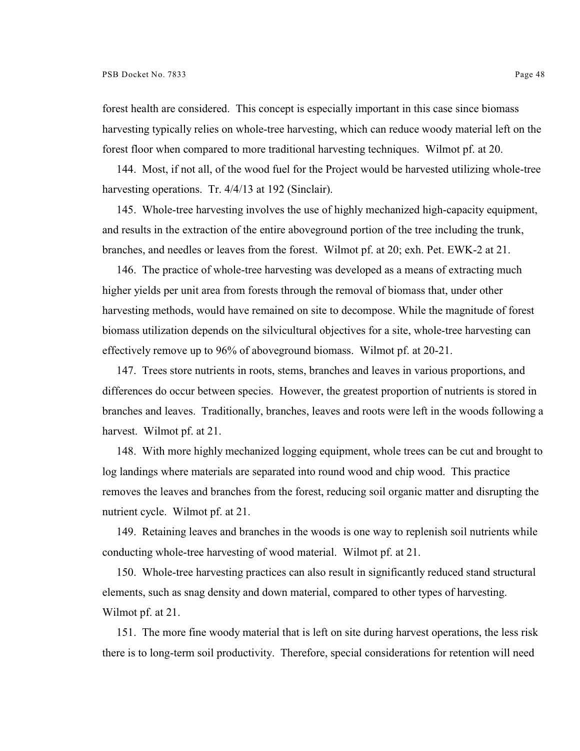forest health are considered. This concept is especially important in this case since biomass harvesting typically relies on whole-tree harvesting, which can reduce woody material left on the forest floor when compared to more traditional harvesting techniques. Wilmot pf. at 20.

144. Most, if not all, of the wood fuel for the Project would be harvested utilizing whole-tree harvesting operations. Tr. 4/4/13 at 192 (Sinclair).

145. Whole-tree harvesting involves the use of highly mechanized high-capacity equipment, and results in the extraction of the entire aboveground portion of the tree including the trunk, branches, and needles or leaves from the forest. Wilmot pf. at 20; exh. Pet. EWK-2 at 21.

146. The practice of whole-tree harvesting was developed as a means of extracting much higher yields per unit area from forests through the removal of biomass that, under other harvesting methods, would have remained on site to decompose. While the magnitude of forest biomass utilization depends on the silvicultural objectives for a site, whole-tree harvesting can effectively remove up to 96% of aboveground biomass. Wilmot pf. at 20-21.

147. Trees store nutrients in roots, stems, branches and leaves in various proportions, and differences do occur between species. However, the greatest proportion of nutrients is stored in branches and leaves. Traditionally, branches, leaves and roots were left in the woods following a harvest. Wilmot pf. at 21.

148. With more highly mechanized logging equipment, whole trees can be cut and brought to log landings where materials are separated into round wood and chip wood. This practice removes the leaves and branches from the forest, reducing soil organic matter and disrupting the nutrient cycle. Wilmot pf. at 21.

149. Retaining leaves and branches in the woods is one way to replenish soil nutrients while conducting whole-tree harvesting of wood material. Wilmot pf. at 21.

150. Whole-tree harvesting practices can also result in significantly reduced stand structural elements, such as snag density and down material, compared to other types of harvesting. Wilmot pf. at 21.

151. The more fine woody material that is left on site during harvest operations, the less risk there is to long-term soil productivity. Therefore, special considerations for retention will need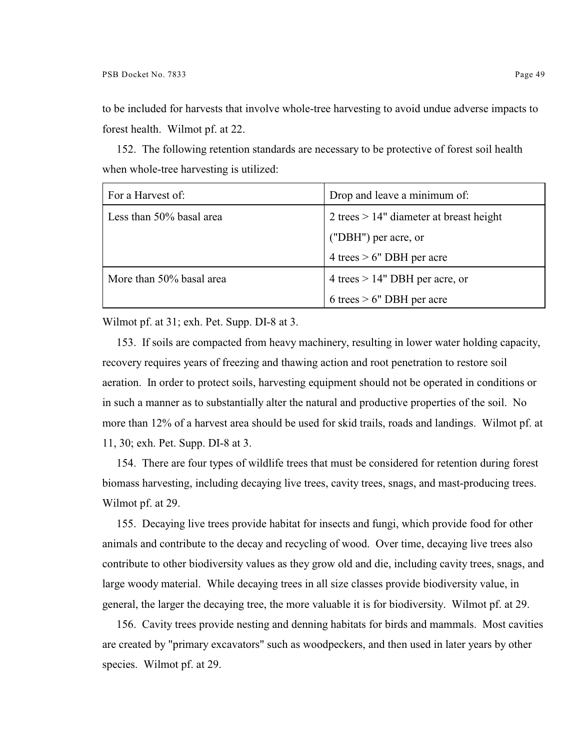to be included for harvests that involve whole-tree harvesting to avoid undue adverse impacts to forest health. Wilmot pf. at 22.

152. The following retention standards are necessary to be protective of forest soil health when whole-tree harvesting is utilized:

| For a Harvest of:        | Drop and leave a minimum of:               |
|--------------------------|--------------------------------------------|
| Less than 50% basal area | 2 trees $> 14$ " diameter at breast height |
|                          | ("DBH") per acre, or                       |
|                          | 4 trees $> 6$ " DBH per acre               |
| More than 50% basal area | 4 trees $> 14$ " DBH per acre, or          |
|                          | 6 trees $> 6$ " DBH per acre               |

Wilmot pf. at 31; exh. Pet. Supp. DI-8 at 3.

153. If soils are compacted from heavy machinery, resulting in lower water holding capacity, recovery requires years of freezing and thawing action and root penetration to restore soil aeration. In order to protect soils, harvesting equipment should not be operated in conditions or in such a manner as to substantially alter the natural and productive properties of the soil. No more than 12% of a harvest area should be used for skid trails, roads and landings. Wilmot pf. at 11, 30; exh. Pet. Supp. DI-8 at 3.

154. There are four types of wildlife trees that must be considered for retention during forest biomass harvesting, including decaying live trees, cavity trees, snags, and mast-producing trees. Wilmot pf. at 29.

155. Decaying live trees provide habitat for insects and fungi, which provide food for other animals and contribute to the decay and recycling of wood. Over time, decaying live trees also contribute to other biodiversity values as they grow old and die, including cavity trees, snags, and large woody material. While decaying trees in all size classes provide biodiversity value, in general, the larger the decaying tree, the more valuable it is for biodiversity. Wilmot pf. at 29.

156. Cavity trees provide nesting and denning habitats for birds and mammals. Most cavities are created by "primary excavators" such as woodpeckers, and then used in later years by other species. Wilmot pf. at 29.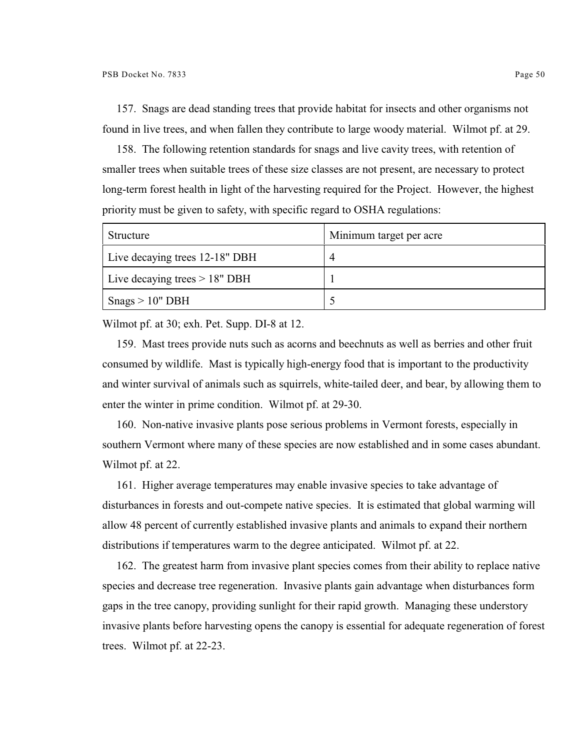157. Snags are dead standing trees that provide habitat for insects and other organisms not found in live trees, and when fallen they contribute to large woody material. Wilmot pf. at 29.

158. The following retention standards for snags and live cavity trees, with retention of smaller trees when suitable trees of these size classes are not present, are necessary to protect long-term forest health in light of the harvesting required for the Project. However, the highest priority must be given to safety, with specific regard to OSHA regulations:

| Structure                       | Minimum target per acre |
|---------------------------------|-------------------------|
| Live decaying trees 12-18" DBH  | $\overline{4}$          |
| Live decaying trees $> 18"$ DBH |                         |
| $\text{Snags} > 10$ " DBH       |                         |

Wilmot pf. at 30; exh. Pet. Supp. DI-8 at 12.

159. Mast trees provide nuts such as acorns and beechnuts as well as berries and other fruit consumed by wildlife. Mast is typically high-energy food that is important to the productivity and winter survival of animals such as squirrels, white-tailed deer, and bear, by allowing them to enter the winter in prime condition. Wilmot pf. at 29-30.

160. Non-native invasive plants pose serious problems in Vermont forests, especially in southern Vermont where many of these species are now established and in some cases abundant. Wilmot pf. at 22.

161. Higher average temperatures may enable invasive species to take advantage of disturbances in forests and out-compete native species. It is estimated that global warming will allow 48 percent of currently established invasive plants and animals to expand their northern distributions if temperatures warm to the degree anticipated. Wilmot pf. at 22.

162. The greatest harm from invasive plant species comes from their ability to replace native species and decrease tree regeneration. Invasive plants gain advantage when disturbances form gaps in the tree canopy, providing sunlight for their rapid growth. Managing these understory invasive plants before harvesting opens the canopy is essential for adequate regeneration of forest trees. Wilmot pf. at 22-23.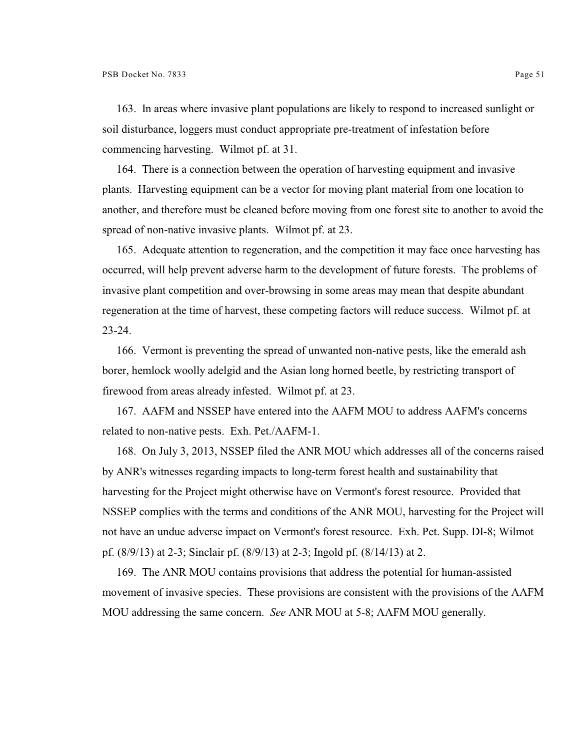163. In areas where invasive plant populations are likely to respond to increased sunlight or soil disturbance, loggers must conduct appropriate pre-treatment of infestation before commencing harvesting. Wilmot pf. at 31.

164. There is a connection between the operation of harvesting equipment and invasive plants. Harvesting equipment can be a vector for moving plant material from one location to another, and therefore must be cleaned before moving from one forest site to another to avoid the spread of non-native invasive plants. Wilmot pf. at 23.

165. Adequate attention to regeneration, and the competition it may face once harvesting has occurred, will help prevent adverse harm to the development of future forests. The problems of invasive plant competition and over-browsing in some areas may mean that despite abundant regeneration at the time of harvest, these competing factors will reduce success. Wilmot pf. at 23-24.

166. Vermont is preventing the spread of unwanted non-native pests, like the emerald ash borer, hemlock woolly adelgid and the Asian long horned beetle, by restricting transport of firewood from areas already infested. Wilmot pf. at 23.

167. AAFM and NSSEP have entered into the AAFM MOU to address AAFM's concerns related to non-native pests. Exh. Pet./AAFM-1.

168. On July 3, 2013, NSSEP filed the ANR MOU which addresses all of the concerns raised by ANR's witnesses regarding impacts to long-term forest health and sustainability that harvesting for the Project might otherwise have on Vermont's forest resource. Provided that NSSEP complies with the terms and conditions of the ANR MOU, harvesting for the Project will not have an undue adverse impact on Vermont's forest resource. Exh. Pet. Supp. DI-8; Wilmot pf. (8/9/13) at 2-3; Sinclair pf. (8/9/13) at 2-3; Ingold pf. (8/14/13) at 2.

169. The ANR MOU contains provisions that address the potential for human-assisted movement of invasive species. These provisions are consistent with the provisions of the AAFM MOU addressing the same concern. *See* ANR MOU at 5-8; AAFM MOU generally.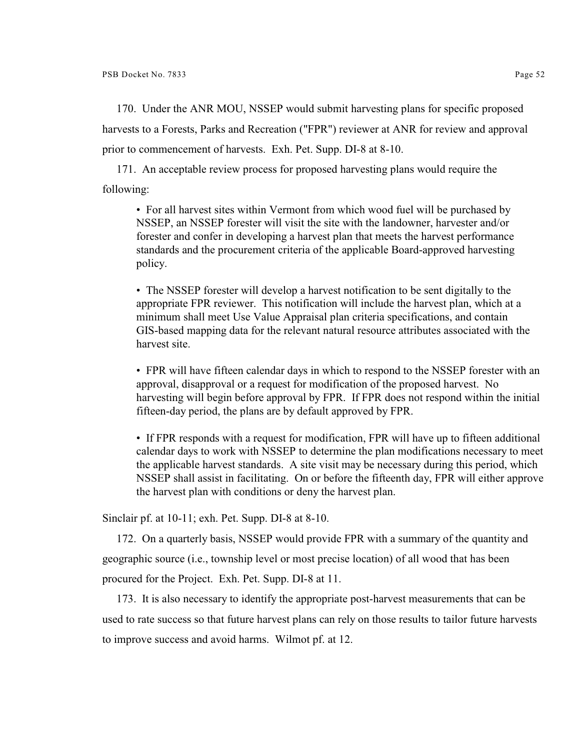170. Under the ANR MOU, NSSEP would submit harvesting plans for specific proposed harvests to a Forests, Parks and Recreation ("FPR") reviewer at ANR for review and approval prior to commencement of harvests. Exh. Pet. Supp. DI-8 at 8-10.

171. An acceptable review process for proposed harvesting plans would require the following:

• For all harvest sites within Vermont from which wood fuel will be purchased by NSSEP, an NSSEP forester will visit the site with the landowner, harvester and/or forester and confer in developing a harvest plan that meets the harvest performance standards and the procurement criteria of the applicable Board-approved harvesting policy.

• The NSSEP forester will develop a harvest notification to be sent digitally to the appropriate FPR reviewer. This notification will include the harvest plan, which at a minimum shall meet Use Value Appraisal plan criteria specifications, and contain GIS-based mapping data for the relevant natural resource attributes associated with the harvest site.

• FPR will have fifteen calendar days in which to respond to the NSSEP forester with an approval, disapproval or a request for modification of the proposed harvest. No harvesting will begin before approval by FPR. If FPR does not respond within the initial fifteen-day period, the plans are by default approved by FPR.

• If FPR responds with a request for modification, FPR will have up to fifteen additional calendar days to work with NSSEP to determine the plan modifications necessary to meet the applicable harvest standards. A site visit may be necessary during this period, which NSSEP shall assist in facilitating. On or before the fifteenth day, FPR will either approve the harvest plan with conditions or deny the harvest plan.

Sinclair pf. at 10-11; exh. Pet. Supp. DI-8 at 8-10.

172. On a quarterly basis, NSSEP would provide FPR with a summary of the quantity and geographic source (i.e., township level or most precise location) of all wood that has been procured for the Project. Exh. Pet. Supp. DI-8 at 11.

173. It is also necessary to identify the appropriate post-harvest measurements that can be used to rate success so that future harvest plans can rely on those results to tailor future harvests to improve success and avoid harms. Wilmot pf. at 12.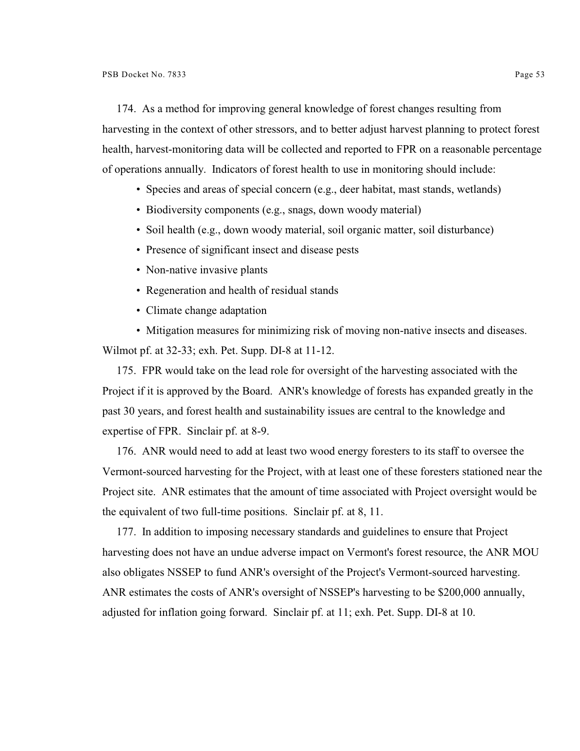174. As a method for improving general knowledge of forest changes resulting from harvesting in the context of other stressors, and to better adjust harvest planning to protect forest health, harvest-monitoring data will be collected and reported to FPR on a reasonable percentage of operations annually. Indicators of forest health to use in monitoring should include:

- Species and areas of special concern (e.g., deer habitat, mast stands, wetlands)
- Biodiversity components (e.g., snags, down woody material)
- Soil health (e.g., down woody material, soil organic matter, soil disturbance)
- Presence of significant insect and disease pests
- Non-native invasive plants
- Regeneration and health of residual stands
- Climate change adaptation

• Mitigation measures for minimizing risk of moving non-native insects and diseases. Wilmot pf. at 32-33; exh. Pet. Supp. DI-8 at 11-12.

175. FPR would take on the lead role for oversight of the harvesting associated with the Project if it is approved by the Board. ANR's knowledge of forests has expanded greatly in the past 30 years, and forest health and sustainability issues are central to the knowledge and expertise of FPR. Sinclair pf. at 8-9.

176. ANR would need to add at least two wood energy foresters to its staff to oversee the Vermont-sourced harvesting for the Project, with at least one of these foresters stationed near the Project site. ANR estimates that the amount of time associated with Project oversight would be the equivalent of two full-time positions. Sinclair pf. at 8, 11.

177. In addition to imposing necessary standards and guidelines to ensure that Project harvesting does not have an undue adverse impact on Vermont's forest resource, the ANR MOU also obligates NSSEP to fund ANR's oversight of the Project's Vermont-sourced harvesting. ANR estimates the costs of ANR's oversight of NSSEP's harvesting to be \$200,000 annually, adjusted for inflation going forward. Sinclair pf. at 11; exh. Pet. Supp. DI-8 at 10.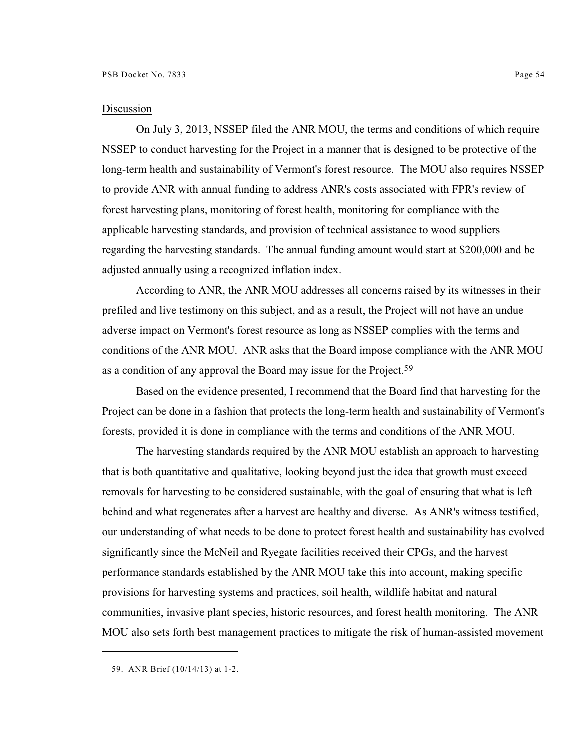## Discussion

On July 3, 2013, NSSEP filed the ANR MOU, the terms and conditions of which require NSSEP to conduct harvesting for the Project in a manner that is designed to be protective of the long-term health and sustainability of Vermont's forest resource. The MOU also requires NSSEP to provide ANR with annual funding to address ANR's costs associated with FPR's review of forest harvesting plans, monitoring of forest health, monitoring for compliance with the applicable harvesting standards, and provision of technical assistance to wood suppliers regarding the harvesting standards. The annual funding amount would start at \$200,000 and be adjusted annually using a recognized inflation index.

According to ANR, the ANR MOU addresses all concerns raised by its witnesses in their prefiled and live testimony on this subject, and as a result, the Project will not have an undue adverse impact on Vermont's forest resource as long as NSSEP complies with the terms and conditions of the ANR MOU. ANR asks that the Board impose compliance with the ANR MOU as a condition of any approval the Board may issue for the Project.<sup>59</sup>

Based on the evidence presented, I recommend that the Board find that harvesting for the Project can be done in a fashion that protects the long-term health and sustainability of Vermont's forests, provided it is done in compliance with the terms and conditions of the ANR MOU.

The harvesting standards required by the ANR MOU establish an approach to harvesting that is both quantitative and qualitative, looking beyond just the idea that growth must exceed removals for harvesting to be considered sustainable, with the goal of ensuring that what is left behind and what regenerates after a harvest are healthy and diverse. As ANR's witness testified, our understanding of what needs to be done to protect forest health and sustainability has evolved significantly since the McNeil and Ryegate facilities received their CPGs, and the harvest performance standards established by the ANR MOU take this into account, making specific provisions for harvesting systems and practices, soil health, wildlife habitat and natural communities, invasive plant species, historic resources, and forest health monitoring. The ANR MOU also sets forth best management practices to mitigate the risk of human-assisted movement

<sup>59.</sup> ANR Brief (10/14/13) at 1-2.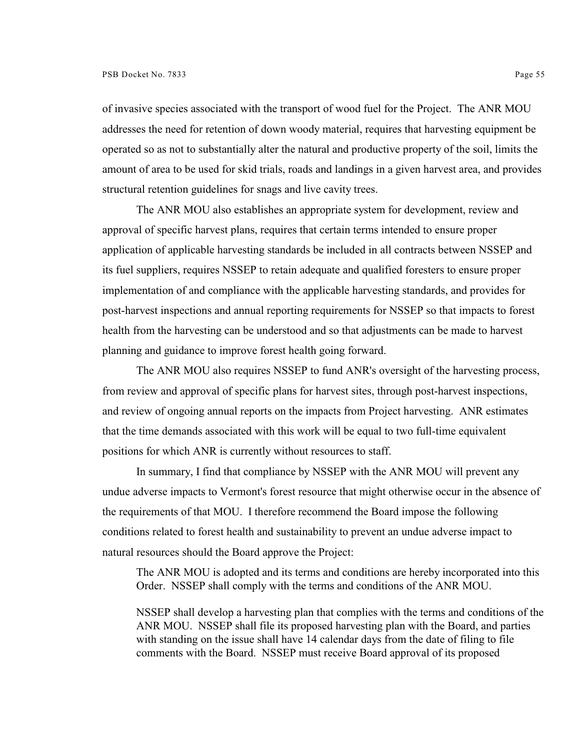of invasive species associated with the transport of wood fuel for the Project. The ANR MOU addresses the need for retention of down woody material, requires that harvesting equipment be operated so as not to substantially alter the natural and productive property of the soil, limits the amount of area to be used for skid trials, roads and landings in a given harvest area, and provides structural retention guidelines for snags and live cavity trees.

The ANR MOU also establishes an appropriate system for development, review and approval of specific harvest plans, requires that certain terms intended to ensure proper application of applicable harvesting standards be included in all contracts between NSSEP and its fuel suppliers, requires NSSEP to retain adequate and qualified foresters to ensure proper implementation of and compliance with the applicable harvesting standards, and provides for post-harvest inspections and annual reporting requirements for NSSEP so that impacts to forest health from the harvesting can be understood and so that adjustments can be made to harvest planning and guidance to improve forest health going forward.

The ANR MOU also requires NSSEP to fund ANR's oversight of the harvesting process, from review and approval of specific plans for harvest sites, through post-harvest inspections, and review of ongoing annual reports on the impacts from Project harvesting. ANR estimates that the time demands associated with this work will be equal to two full-time equivalent positions for which ANR is currently without resources to staff.

In summary, I find that compliance by NSSEP with the ANR MOU will prevent any undue adverse impacts to Vermont's forest resource that might otherwise occur in the absence of the requirements of that MOU. I therefore recommend the Board impose the following conditions related to forest health and sustainability to prevent an undue adverse impact to natural resources should the Board approve the Project:

The ANR MOU is adopted and its terms and conditions are hereby incorporated into this Order. NSSEP shall comply with the terms and conditions of the ANR MOU.

NSSEP shall develop a harvesting plan that complies with the terms and conditions of the ANR MOU. NSSEP shall file its proposed harvesting plan with the Board, and parties with standing on the issue shall have 14 calendar days from the date of filing to file comments with the Board. NSSEP must receive Board approval of its proposed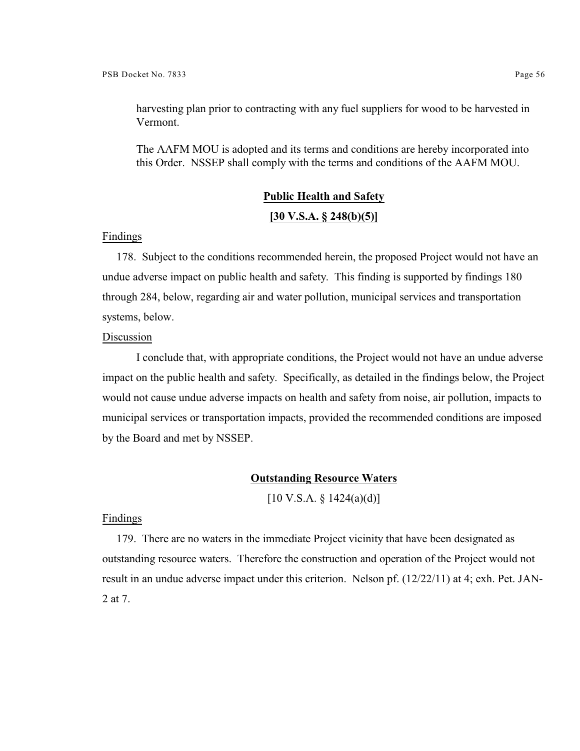harvesting plan prior to contracting with any fuel suppliers for wood to be harvested in Vermont.

The AAFM MOU is adopted and its terms and conditions are hereby incorporated into this Order. NSSEP shall comply with the terms and conditions of the AAFM MOU.

## **Public Health and Safety**

## **[30 V.S.A. § 248(b)(5)]**

#### Findings

178. Subject to the conditions recommended herein, the proposed Project would not have an undue adverse impact on public health and safety. This finding is supported by findings 180 through 284, below, regarding air and water pollution, municipal services and transportation systems, below.

#### Discussion

I conclude that, with appropriate conditions, the Project would not have an undue adverse impact on the public health and safety. Specifically, as detailed in the findings below, the Project would not cause undue adverse impacts on health and safety from noise, air pollution, impacts to municipal services or transportation impacts, provided the recommended conditions are imposed by the Board and met by NSSEP.

#### **Outstanding Resource Waters**

 $[10 \text{ V.S.A. } § 1424(a)(d)]$ 

#### Findings

179. There are no waters in the immediate Project vicinity that have been designated as outstanding resource waters. Therefore the construction and operation of the Project would not result in an undue adverse impact under this criterion. Nelson pf. (12/22/11) at 4; exh. Pet. JAN-2 at 7.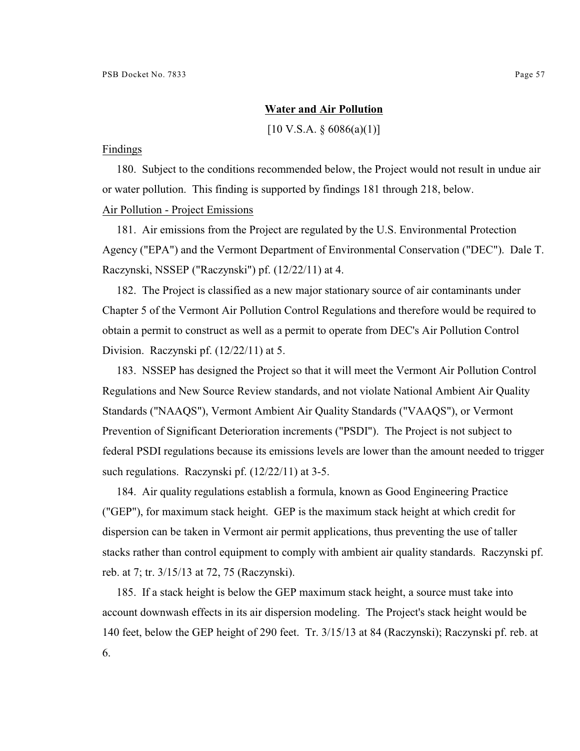## **Water and Air Pollution**

 $[10 \text{ V.S.A. } \S 6086(a)(1)]$ 

#### Findings

180. Subject to the conditions recommended below, the Project would not result in undue air or water pollution. This finding is supported by findings 181 through 218, below. Air Pollution - Project Emissions

181. Air emissions from the Project are regulated by the U.S. Environmental Protection Agency ("EPA") and the Vermont Department of Environmental Conservation ("DEC"). Dale T. Raczynski, NSSEP ("Raczynski") pf. (12/22/11) at 4.

182. The Project is classified as a new major stationary source of air contaminants under Chapter 5 of the Vermont Air Pollution Control Regulations and therefore would be required to obtain a permit to construct as well as a permit to operate from DEC's Air Pollution Control Division. Raczynski pf. (12/22/11) at 5.

183. NSSEP has designed the Project so that it will meet the Vermont Air Pollution Control Regulations and New Source Review standards, and not violate National Ambient Air Quality Standards ("NAAQS"), Vermont Ambient Air Quality Standards ("VAAQS"), or Vermont Prevention of Significant Deterioration increments ("PSDI"). The Project is not subject to federal PSDI regulations because its emissions levels are lower than the amount needed to trigger such regulations. Raczynski pf. (12/22/11) at 3-5.

184. Air quality regulations establish a formula, known as Good Engineering Practice ("GEP"), for maximum stack height. GEP is the maximum stack height at which credit for dispersion can be taken in Vermont air permit applications, thus preventing the use of taller stacks rather than control equipment to comply with ambient air quality standards. Raczynski pf. reb. at 7; tr. 3/15/13 at 72, 75 (Raczynski).

185. If a stack height is below the GEP maximum stack height, a source must take into account downwash effects in its air dispersion modeling. The Project's stack height would be 140 feet, below the GEP height of 290 feet. Tr. 3/15/13 at 84 (Raczynski); Raczynski pf. reb. at 6.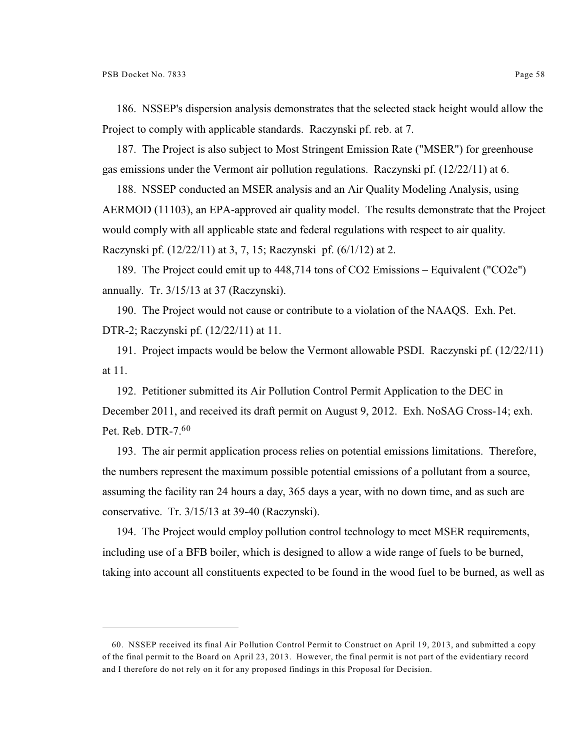186. NSSEP's dispersion analysis demonstrates that the selected stack height would allow the Project to comply with applicable standards. Raczynski pf. reb. at 7.

187. The Project is also subject to Most Stringent Emission Rate ("MSER") for greenhouse gas emissions under the Vermont air pollution regulations. Raczynski pf. (12/22/11) at 6.

188. NSSEP conducted an MSER analysis and an Air Quality Modeling Analysis, using AERMOD (11103), an EPA-approved air quality model. The results demonstrate that the Project would comply with all applicable state and federal regulations with respect to air quality. Raczynski pf. (12/22/11) at 3, 7, 15; Raczynski pf. (6/1/12) at 2.

189. The Project could emit up to 448,714 tons of CO2 Emissions – Equivalent ("CO2e") annually. Tr. 3/15/13 at 37 (Raczynski).

190. The Project would not cause or contribute to a violation of the NAAQS. Exh. Pet. DTR-2; Raczynski pf. (12/22/11) at 11.

191. Project impacts would be below the Vermont allowable PSDI. Raczynski pf. (12/22/11) at 11.

192. Petitioner submitted its Air Pollution Control Permit Application to the DEC in December 2011, and received its draft permit on August 9, 2012. Exh. NoSAG Cross-14; exh. Pet. Reb. DTR-7.<sup>60</sup>

193. The air permit application process relies on potential emissions limitations. Therefore, the numbers represent the maximum possible potential emissions of a pollutant from a source, assuming the facility ran 24 hours a day, 365 days a year, with no down time, and as such are conservative. Tr. 3/15/13 at 39-40 (Raczynski).

194. The Project would employ pollution control technology to meet MSER requirements, including use of a BFB boiler, which is designed to allow a wide range of fuels to be burned, taking into account all constituents expected to be found in the wood fuel to be burned, as well as

<sup>60.</sup> NSSEP received its final Air Pollution Control Permit to Construct on April 19, 2013, and submitted a copy of the final permit to the Board on April 23, 2013. However, the final permit is not part of the evidentiary record and I therefore do not rely on it for any proposed findings in this Proposal for Decision.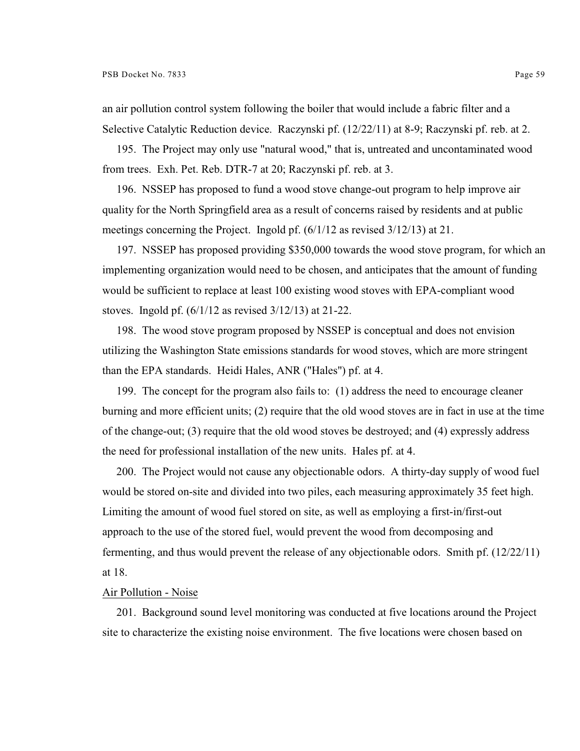an air pollution control system following the boiler that would include a fabric filter and a Selective Catalytic Reduction device. Raczynski pf. (12/22/11) at 8-9; Raczynski pf. reb. at 2.

195. The Project may only use "natural wood," that is, untreated and uncontaminated wood from trees. Exh. Pet. Reb. DTR-7 at 20; Raczynski pf. reb. at 3.

196. NSSEP has proposed to fund a wood stove change-out program to help improve air quality for the North Springfield area as a result of concerns raised by residents and at public meetings concerning the Project. Ingold pf. (6/1/12 as revised 3/12/13) at 21.

197. NSSEP has proposed providing \$350,000 towards the wood stove program, for which an implementing organization would need to be chosen, and anticipates that the amount of funding would be sufficient to replace at least 100 existing wood stoves with EPA-compliant wood stoves. Ingold pf. (6/1/12 as revised 3/12/13) at 21-22.

198. The wood stove program proposed by NSSEP is conceptual and does not envision utilizing the Washington State emissions standards for wood stoves, which are more stringent than the EPA standards. Heidi Hales, ANR ("Hales") pf. at 4.

199. The concept for the program also fails to: (1) address the need to encourage cleaner burning and more efficient units; (2) require that the old wood stoves are in fact in use at the time of the change-out; (3) require that the old wood stoves be destroyed; and (4) expressly address the need for professional installation of the new units. Hales pf. at 4.

200. The Project would not cause any objectionable odors. A thirty-day supply of wood fuel would be stored on-site and divided into two piles, each measuring approximately 35 feet high. Limiting the amount of wood fuel stored on site, as well as employing a first-in/first-out approach to the use of the stored fuel, would prevent the wood from decomposing and fermenting, and thus would prevent the release of any objectionable odors. Smith pf. (12/22/11) at 18.

#### Air Pollution - Noise

201. Background sound level monitoring was conducted at five locations around the Project site to characterize the existing noise environment. The five locations were chosen based on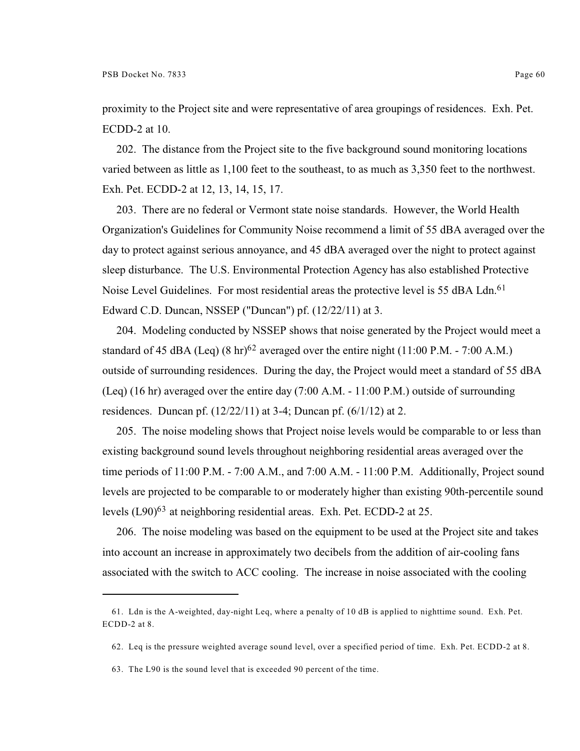proximity to the Project site and were representative of area groupings of residences. Exh. Pet. ECDD-2 at 10.

202. The distance from the Project site to the five background sound monitoring locations varied between as little as 1,100 feet to the southeast, to as much as 3,350 feet to the northwest. Exh. Pet. ECDD-2 at 12, 13, 14, 15, 17.

203. There are no federal or Vermont state noise standards. However, the World Health Organization's Guidelines for Community Noise recommend a limit of 55 dBA averaged over the day to protect against serious annoyance, and 45 dBA averaged over the night to protect against sleep disturbance. The U.S. Environmental Protection Agency has also established Protective Noise Level Guidelines. For most residential areas the protective level is 55 dBA Ldn.<sup>61</sup> Edward C.D. Duncan, NSSEP ("Duncan") pf. (12/22/11) at 3.

204. Modeling conducted by NSSEP shows that noise generated by the Project would meet a standard of 45 dBA (Leq)  $(8 \text{ hr})^{62}$  averaged over the entire night (11:00 P.M. - 7:00 A.M.) outside of surrounding residences. During the day, the Project would meet a standard of 55 dBA (Leq) (16 hr) averaged over the entire day (7:00 A.M. - 11:00 P.M.) outside of surrounding residences. Duncan pf.  $(12/22/11)$  at 3-4; Duncan pf.  $(6/1/12)$  at 2.

205. The noise modeling shows that Project noise levels would be comparable to or less than existing background sound levels throughout neighboring residential areas averaged over the time periods of 11:00 P.M. - 7:00 A.M., and 7:00 A.M. - 11:00 P.M. Additionally, Project sound levels are projected to be comparable to or moderately higher than existing 90th-percentile sound levels  $(L90)^{63}$  at neighboring residential areas. Exh. Pet. ECDD-2 at 25.

206. The noise modeling was based on the equipment to be used at the Project site and takes into account an increase in approximately two decibels from the addition of air-cooling fans associated with the switch to ACC cooling. The increase in noise associated with the cooling

<sup>61.</sup> Ldn is the A-weighted, day-night Leq, where a penalty of 10 dB is applied to nighttime sound. Exh. Pet. ECDD-2 at 8.

<sup>62.</sup> Leq is the pressure weighted average sound level, over a specified period of time. Exh. Pet. ECDD-2 at 8.

<sup>63.</sup> The L90 is the sound level that is exceeded 90 percent of the time.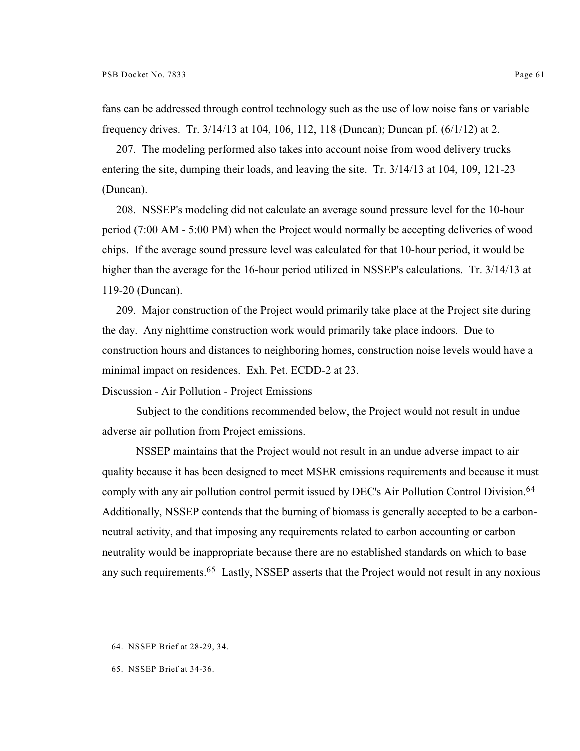fans can be addressed through control technology such as the use of low noise fans or variable frequency drives. Tr. 3/14/13 at 104, 106, 112, 118 (Duncan); Duncan pf. (6/1/12) at 2.

207. The modeling performed also takes into account noise from wood delivery trucks entering the site, dumping their loads, and leaving the site. Tr. 3/14/13 at 104, 109, 121-23 (Duncan).

208. NSSEP's modeling did not calculate an average sound pressure level for the 10-hour period (7:00 AM - 5:00 PM) when the Project would normally be accepting deliveries of wood chips. If the average sound pressure level was calculated for that 10-hour period, it would be higher than the average for the 16-hour period utilized in NSSEP's calculations. Tr. 3/14/13 at 119-20 (Duncan).

209. Major construction of the Project would primarily take place at the Project site during the day. Any nighttime construction work would primarily take place indoors. Due to construction hours and distances to neighboring homes, construction noise levels would have a minimal impact on residences. Exh. Pet. ECDD-2 at 23.

## Discussion - Air Pollution - Project Emissions

Subject to the conditions recommended below, the Project would not result in undue adverse air pollution from Project emissions.

NSSEP maintains that the Project would not result in an undue adverse impact to air quality because it has been designed to meet MSER emissions requirements and because it must comply with any air pollution control permit issued by DEC's Air Pollution Control Division.<sup>64</sup> Additionally, NSSEP contends that the burning of biomass is generally accepted to be a carbonneutral activity, and that imposing any requirements related to carbon accounting or carbon neutrality would be inappropriate because there are no established standards on which to base any such requirements.<sup>65</sup> Lastly, NSSEP asserts that the Project would not result in any noxious

<sup>64.</sup> NSSEP Brief at 28-29, 34.

<sup>65.</sup> NSSEP Brief at 34-36.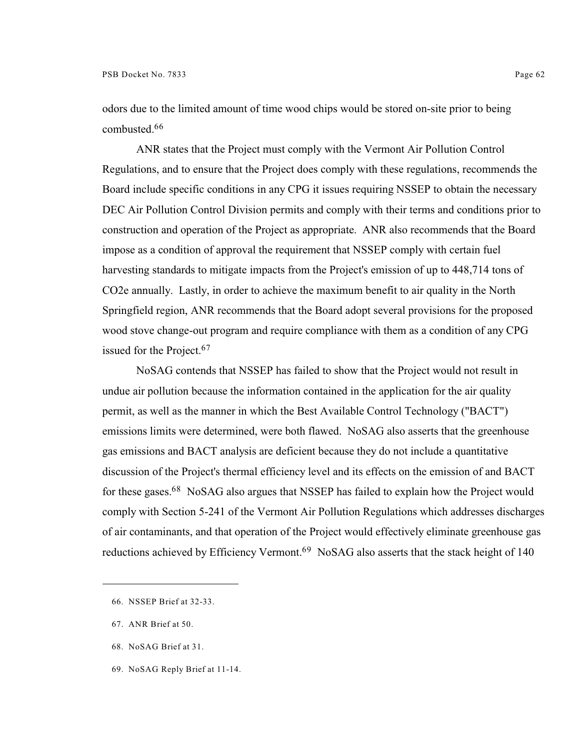odors due to the limited amount of time wood chips would be stored on-site prior to being combusted.<sup>66</sup>

ANR states that the Project must comply with the Vermont Air Pollution Control Regulations, and to ensure that the Project does comply with these regulations, recommends the Board include specific conditions in any CPG it issues requiring NSSEP to obtain the necessary DEC Air Pollution Control Division permits and comply with their terms and conditions prior to construction and operation of the Project as appropriate. ANR also recommends that the Board impose as a condition of approval the requirement that NSSEP comply with certain fuel harvesting standards to mitigate impacts from the Project's emission of up to 448,714 tons of CO2e annually. Lastly, in order to achieve the maximum benefit to air quality in the North Springfield region, ANR recommends that the Board adopt several provisions for the proposed wood stove change-out program and require compliance with them as a condition of any CPG issued for the Project.<sup>67</sup>

NoSAG contends that NSSEP has failed to show that the Project would not result in undue air pollution because the information contained in the application for the air quality permit, as well as the manner in which the Best Available Control Technology ("BACT") emissions limits were determined, were both flawed. NoSAG also asserts that the greenhouse gas emissions and BACT analysis are deficient because they do not include a quantitative discussion of the Project's thermal efficiency level and its effects on the emission of and BACT for these gases.  $68$  NoSAG also argues that NSSEP has failed to explain how the Project would comply with Section 5-241 of the Vermont Air Pollution Regulations which addresses discharges of air contaminants, and that operation of the Project would effectively eliminate greenhouse gas reductions achieved by Efficiency Vermont.<sup>69</sup> NoSAG also asserts that the stack height of 140

- 68. NoSAG Brief at 31.
- 69. NoSAG Reply Brief at 11-14.

<sup>66.</sup> NSSEP Brief at 32-33.

<sup>67.</sup> ANR Brief at 50.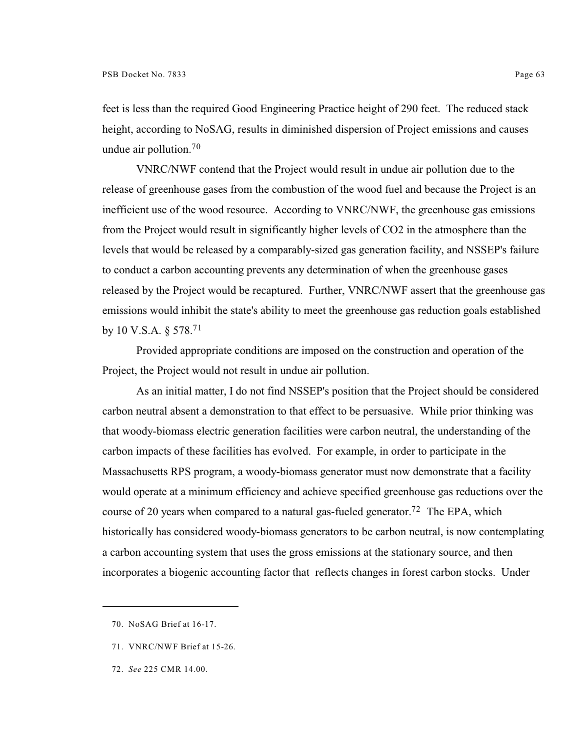feet is less than the required Good Engineering Practice height of 290 feet. The reduced stack height, according to NoSAG, results in diminished dispersion of Project emissions and causes undue air pollution.<sup>70</sup>

VNRC/NWF contend that the Project would result in undue air pollution due to the release of greenhouse gases from the combustion of the wood fuel and because the Project is an inefficient use of the wood resource. According to VNRC/NWF, the greenhouse gas emissions from the Project would result in significantly higher levels of CO2 in the atmosphere than the levels that would be released by a comparably-sized gas generation facility, and NSSEP's failure to conduct a carbon accounting prevents any determination of when the greenhouse gases released by the Project would be recaptured. Further, VNRC/NWF assert that the greenhouse gas emissions would inhibit the state's ability to meet the greenhouse gas reduction goals established by 10 V.S.A. § 578.<sup>71</sup>

Provided appropriate conditions are imposed on the construction and operation of the Project, the Project would not result in undue air pollution.

As an initial matter, I do not find NSSEP's position that the Project should be considered carbon neutral absent a demonstration to that effect to be persuasive. While prior thinking was that woody-biomass electric generation facilities were carbon neutral, the understanding of the carbon impacts of these facilities has evolved. For example, in order to participate in the Massachusetts RPS program, a woody-biomass generator must now demonstrate that a facility would operate at a minimum efficiency and achieve specified greenhouse gas reductions over the course of 20 years when compared to a natural gas-fueled generator.<sup>72</sup> The EPA, which historically has considered woody-biomass generators to be carbon neutral, is now contemplating a carbon accounting system that uses the gross emissions at the stationary source, and then incorporates a biogenic accounting factor that reflects changes in forest carbon stocks. Under

- 71. VNRC/NWF Brief at 15-26.
- 72. *See* 225 CMR 14.00.

<sup>70.</sup> NoSAG Brief at 16-17.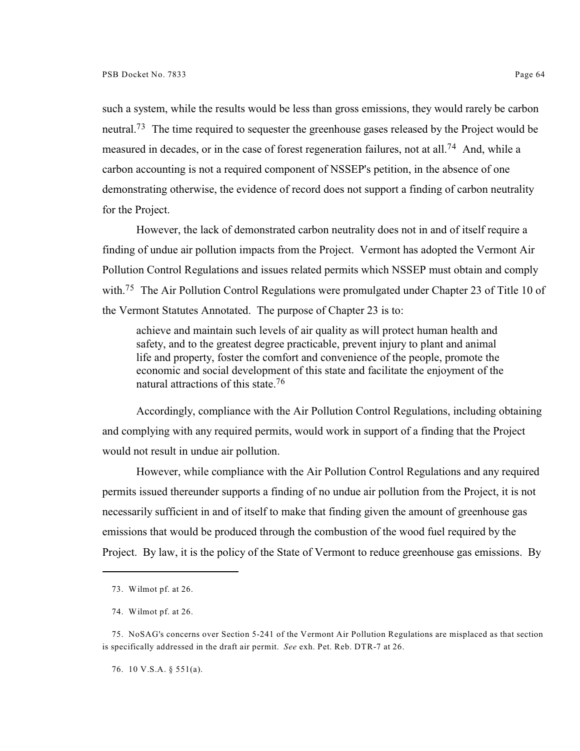such a system, while the results would be less than gross emissions, they would rarely be carbon neutral.<sup>73</sup> The time required to sequester the greenhouse gases released by the Project would be measured in decades, or in the case of forest regeneration failures, not at all.<sup>74</sup> And, while a carbon accounting is not a required component of NSSEP's petition, in the absence of one demonstrating otherwise, the evidence of record does not support a finding of carbon neutrality for the Project.

However, the lack of demonstrated carbon neutrality does not in and of itself require a finding of undue air pollution impacts from the Project. Vermont has adopted the Vermont Air Pollution Control Regulations and issues related permits which NSSEP must obtain and comply with.<sup>75</sup> The Air Pollution Control Regulations were promulgated under Chapter 23 of Title 10 of the Vermont Statutes Annotated. The purpose of Chapter 23 is to:

achieve and maintain such levels of air quality as will protect human health and safety, and to the greatest degree practicable, prevent injury to plant and animal life and property, foster the comfort and convenience of the people, promote the economic and social development of this state and facilitate the enjoyment of the natural attractions of this state.<sup>76</sup>

Accordingly, compliance with the Air Pollution Control Regulations, including obtaining and complying with any required permits, would work in support of a finding that the Project would not result in undue air pollution.

However, while compliance with the Air Pollution Control Regulations and any required permits issued thereunder supports a finding of no undue air pollution from the Project, it is not necessarily sufficient in and of itself to make that finding given the amount of greenhouse gas emissions that would be produced through the combustion of the wood fuel required by the Project. By law, it is the policy of the State of Vermont to reduce greenhouse gas emissions. By

76. 10 V.S.A. § 551(a).

<sup>73.</sup> Wilmot pf. at 26.

<sup>74.</sup> Wilmot pf. at 26.

<sup>75.</sup> NoSAG's concerns over Section 5-241 of the Vermont Air Pollution Regulations are misplaced as that section is specifically addressed in the draft air permit. *See* exh. Pet. Reb. DTR-7 at 26.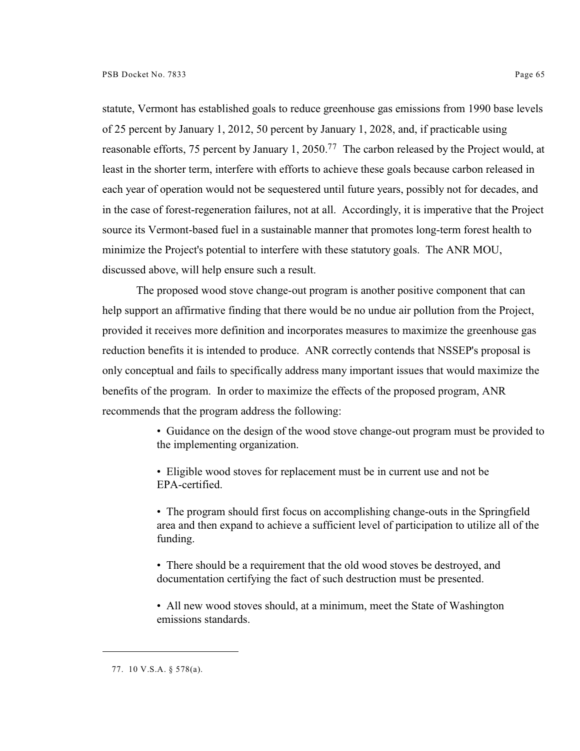statute, Vermont has established goals to reduce greenhouse gas emissions from 1990 base levels of 25 percent by January 1, 2012, 50 percent by January 1, 2028, and, if practicable using reasonable efforts, 75 percent by January 1, 2050.<sup>77</sup> The carbon released by the Project would, at least in the shorter term, interfere with efforts to achieve these goals because carbon released in each year of operation would not be sequestered until future years, possibly not for decades, and in the case of forest-regeneration failures, not at all. Accordingly, it is imperative that the Project source its Vermont-based fuel in a sustainable manner that promotes long-term forest health to minimize the Project's potential to interfere with these statutory goals. The ANR MOU, discussed above, will help ensure such a result.

The proposed wood stove change-out program is another positive component that can help support an affirmative finding that there would be no undue air pollution from the Project, provided it receives more definition and incorporates measures to maximize the greenhouse gas reduction benefits it is intended to produce. ANR correctly contends that NSSEP's proposal is only conceptual and fails to specifically address many important issues that would maximize the benefits of the program. In order to maximize the effects of the proposed program, ANR recommends that the program address the following:

> • Guidance on the design of the wood stove change-out program must be provided to the implementing organization.

• Eligible wood stoves for replacement must be in current use and not be EPA-certified.

• The program should first focus on accomplishing change-outs in the Springfield area and then expand to achieve a sufficient level of participation to utilize all of the funding.

• There should be a requirement that the old wood stoves be destroyed, and documentation certifying the fact of such destruction must be presented.

• All new wood stoves should, at a minimum, meet the State of Washington emissions standards.

<sup>77.</sup> 10 V.S.A. § 578(a).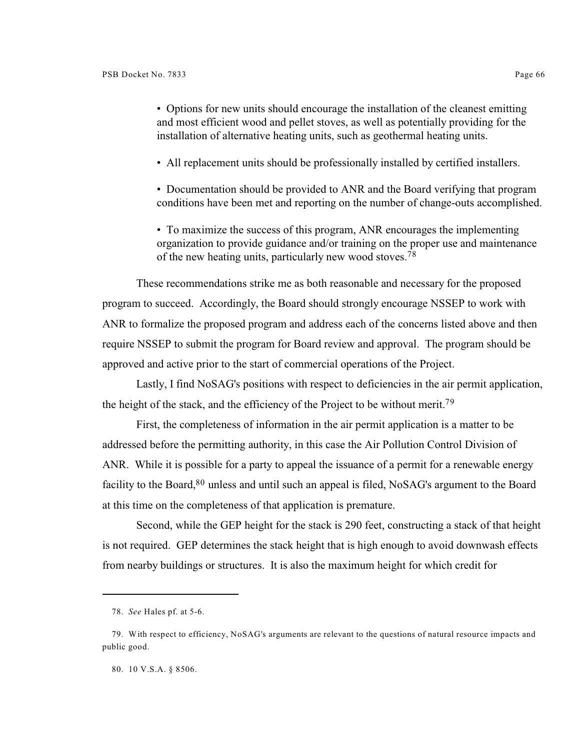• Options for new units should encourage the installation of the cleanest emitting and most efficient wood and pellet stoves, as well as potentially providing for the installation of alternative heating units, such as geothermal heating units.

• All replacement units should be professionally installed by certified installers.

• Documentation should be provided to ANR and the Board verifying that program conditions have been met and reporting on the number of change-outs accomplished.

• To maximize the success of this program, ANR encourages the implementing organization to provide guidance and/or training on the proper use and maintenance of the new heating units, particularly new wood stoves.<sup>78</sup>

These recommendations strike me as both reasonable and necessary for the proposed program to succeed. Accordingly, the Board should strongly encourage NSSEP to work with ANR to formalize the proposed program and address each of the concerns listed above and then require NSSEP to submit the program for Board review and approval. The program should be approved and active prior to the start of commercial operations of the Project.

Lastly, I find NoSAG's positions with respect to deficiencies in the air permit application, the height of the stack, and the efficiency of the Project to be without merit.<sup>79</sup>

First, the completeness of information in the air permit application is a matter to be addressed before the permitting authority, in this case the Air Pollution Control Division of ANR. While it is possible for a party to appeal the issuance of a permit for a renewable energy facility to the Board,  $80$  unless and until such an appeal is filed, NoSAG's argument to the Board at this time on the completeness of that application is premature.

Second, while the GEP height for the stack is 290 feet, constructing a stack of that height is not required. GEP determines the stack height that is high enough to avoid downwash effects from nearby buildings or structures. It is also the maximum height for which credit for

80. 10 V.S.A. § 8506.

<sup>78.</sup> *See* Hales pf. at 5-6.

<sup>79.</sup> With respect to efficiency, NoSAG's arguments are relevant to the questions of natural resource impacts and public good.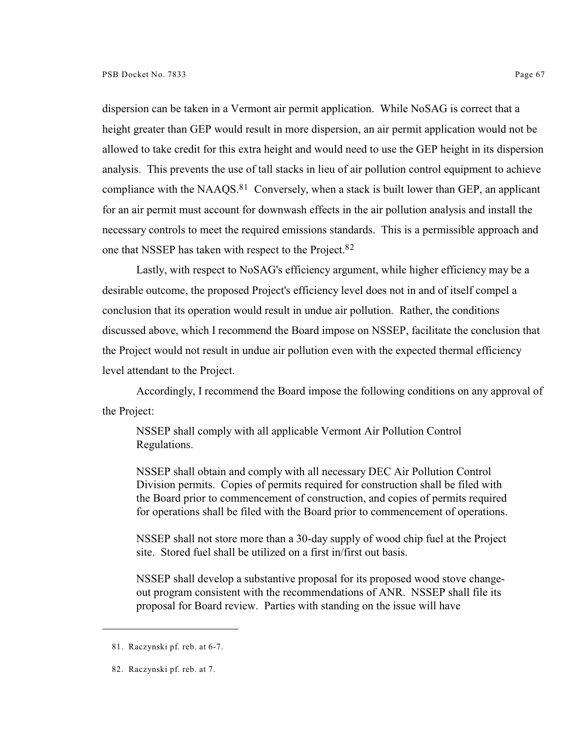dispersion can be taken in a Vermont air permit application. While NoSAG is correct that a height greater than GEP would result in more dispersion, an air permit application would not be allowed to take credit for this extra height and would need to use the GEP height in its dispersion analysis. This prevents the use of tall stacks in lieu of air pollution control equipment to achieve compliance with the NAAQS. $81$  Conversely, when a stack is built lower than GEP, an applicant for an air permit must account for downwash effects in the air pollution analysis and install the necessary controls to meet the required emissions standards. This is a permissible approach and one that NSSEP has taken with respect to the Project.<sup>82</sup>

Lastly, with respect to NoSAG's efficiency argument, while higher efficiency may be a desirable outcome, the proposed Project's efficiency level does not in and of itself compel a conclusion that its operation would result in undue air pollution. Rather, the conditions discussed above, which I recommend the Board impose on NSSEP, facilitate the conclusion that the Project would not result in undue air pollution even with the expected thermal efficiency level attendant to the Project.

Accordingly, I recommend the Board impose the following conditions on any approval of the Project:

NSSEP shall comply with all applicable Vermont Air Pollution Control Regulations.

NSSEP shall obtain and comply with all necessary DEC Air Pollution Control Division permits. Copies of permits required for construction shall be filed with the Board prior to commencement of construction, and copies of permits required for operations shall be filed with the Board prior to commencement of operations.

NSSEP shall not store more than a 30-day supply of wood chip fuel at the Project site. Stored fuel shall be utilized on a first in/first out basis.

NSSEP shall develop a substantive proposal for its proposed wood stove changeout program consistent with the recommendations of ANR. NSSEP shall file its proposal for Board review. Parties with standing on the issue will have

<sup>81.</sup> Raczynski pf. reb. at 6-7.

<sup>82.</sup> Raczynski pf. reb. at 7.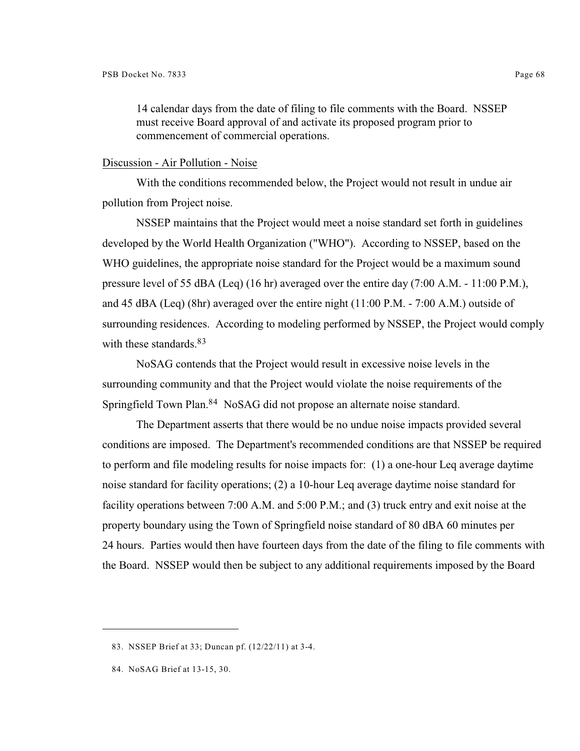14 calendar days from the date of filing to file comments with the Board. NSSEP must receive Board approval of and activate its proposed program prior to commencement of commercial operations.

#### Discussion - Air Pollution - Noise

With the conditions recommended below, the Project would not result in undue air pollution from Project noise.

NSSEP maintains that the Project would meet a noise standard set forth in guidelines developed by the World Health Organization ("WHO"). According to NSSEP, based on the WHO guidelines, the appropriate noise standard for the Project would be a maximum sound pressure level of 55 dBA (Leq) (16 hr) averaged over the entire day (7:00 A.M. - 11:00 P.M.), and 45 dBA (Leq) (8hr) averaged over the entire night (11:00 P.M. - 7:00 A.M.) outside of surrounding residences. According to modeling performed by NSSEP, the Project would comply with these standards.<sup>83</sup>

NoSAG contends that the Project would result in excessive noise levels in the surrounding community and that the Project would violate the noise requirements of the Springfield Town Plan.<sup>84</sup> NoSAG did not propose an alternate noise standard.

The Department asserts that there would be no undue noise impacts provided several conditions are imposed. The Department's recommended conditions are that NSSEP be required to perform and file modeling results for noise impacts for: (1) a one-hour Leq average daytime noise standard for facility operations; (2) a 10-hour Leq average daytime noise standard for facility operations between 7:00 A.M. and 5:00 P.M.; and (3) truck entry and exit noise at the property boundary using the Town of Springfield noise standard of 80 dBA 60 minutes per 24 hours. Parties would then have fourteen days from the date of the filing to file comments with the Board. NSSEP would then be subject to any additional requirements imposed by the Board

<sup>83.</sup> NSSEP Brief at 33; Duncan pf. (12/22/11) at 3-4.

<sup>84.</sup> NoSAG Brief at 13-15, 30.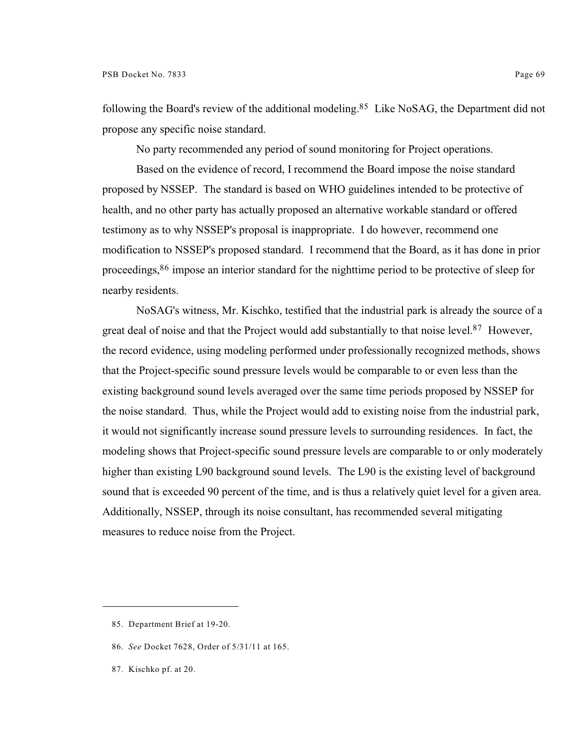following the Board's review of the additional modeling.<sup>85</sup> Like NoSAG, the Department did not propose any specific noise standard.

No party recommended any period of sound monitoring for Project operations.

Based on the evidence of record, I recommend the Board impose the noise standard proposed by NSSEP. The standard is based on WHO guidelines intended to be protective of health, and no other party has actually proposed an alternative workable standard or offered testimony as to why NSSEP's proposal is inappropriate. I do however, recommend one modification to NSSEP's proposed standard. I recommend that the Board, as it has done in prior proceedings, <sup>86</sup> impose an interior standard for the nighttime period to be protective of sleep for nearby residents.

NoSAG's witness, Mr. Kischko, testified that the industrial park is already the source of a great deal of noise and that the Project would add substantially to that noise level.<sup>87</sup> However, the record evidence, using modeling performed under professionally recognized methods, shows that the Project-specific sound pressure levels would be comparable to or even less than the existing background sound levels averaged over the same time periods proposed by NSSEP for the noise standard. Thus, while the Project would add to existing noise from the industrial park, it would not significantly increase sound pressure levels to surrounding residences. In fact, the modeling shows that Project-specific sound pressure levels are comparable to or only moderately higher than existing L90 background sound levels. The L90 is the existing level of background sound that is exceeded 90 percent of the time, and is thus a relatively quiet level for a given area. Additionally, NSSEP, through its noise consultant, has recommended several mitigating measures to reduce noise from the Project.

87. Kischko pf. at 20.

<sup>85.</sup> Department Brief at 19-20.

<sup>86.</sup> *See* Docket 7628, Order of 5/31/11 at 165.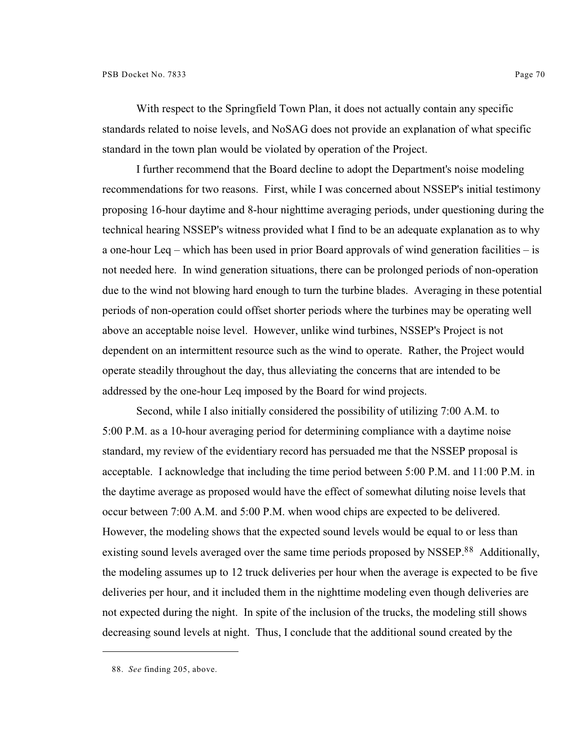With respect to the Springfield Town Plan, it does not actually contain any specific standards related to noise levels, and NoSAG does not provide an explanation of what specific standard in the town plan would be violated by operation of the Project.

I further recommend that the Board decline to adopt the Department's noise modeling recommendations for two reasons. First, while I was concerned about NSSEP's initial testimony proposing 16-hour daytime and 8-hour nighttime averaging periods, under questioning during the technical hearing NSSEP's witness provided what I find to be an adequate explanation as to why a one-hour Leq – which has been used in prior Board approvals of wind generation facilities – is not needed here. In wind generation situations, there can be prolonged periods of non-operation due to the wind not blowing hard enough to turn the turbine blades. Averaging in these potential periods of non-operation could offset shorter periods where the turbines may be operating well above an acceptable noise level. However, unlike wind turbines, NSSEP's Project is not dependent on an intermittent resource such as the wind to operate. Rather, the Project would operate steadily throughout the day, thus alleviating the concerns that are intended to be addressed by the one-hour Leq imposed by the Board for wind projects.

Second, while I also initially considered the possibility of utilizing 7:00 A.M. to 5:00 P.M. as a 10-hour averaging period for determining compliance with a daytime noise standard, my review of the evidentiary record has persuaded me that the NSSEP proposal is acceptable. I acknowledge that including the time period between 5:00 P.M. and 11:00 P.M. in the daytime average as proposed would have the effect of somewhat diluting noise levels that occur between 7:00 A.M. and 5:00 P.M. when wood chips are expected to be delivered. However, the modeling shows that the expected sound levels would be equal to or less than existing sound levels averaged over the same time periods proposed by NSSEP.<sup>88</sup> Additionally, the modeling assumes up to 12 truck deliveries per hour when the average is expected to be five deliveries per hour, and it included them in the nighttime modeling even though deliveries are not expected during the night. In spite of the inclusion of the trucks, the modeling still shows decreasing sound levels at night. Thus, I conclude that the additional sound created by the

<sup>88.</sup> *See* finding 205, above.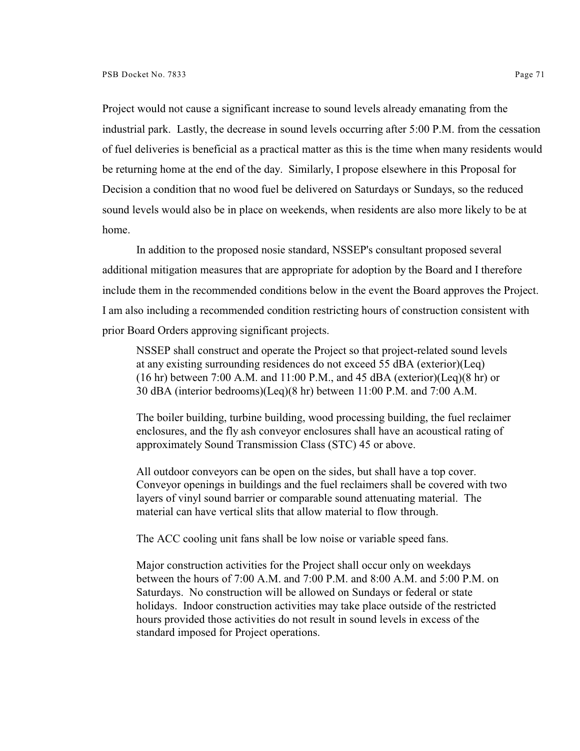Project would not cause a significant increase to sound levels already emanating from the industrial park. Lastly, the decrease in sound levels occurring after 5:00 P.M. from the cessation of fuel deliveries is beneficial as a practical matter as this is the time when many residents would be returning home at the end of the day. Similarly, I propose elsewhere in this Proposal for Decision a condition that no wood fuel be delivered on Saturdays or Sundays, so the reduced sound levels would also be in place on weekends, when residents are also more likely to be at home.

In addition to the proposed nosie standard, NSSEP's consultant proposed several additional mitigation measures that are appropriate for adoption by the Board and I therefore include them in the recommended conditions below in the event the Board approves the Project. I am also including a recommended condition restricting hours of construction consistent with prior Board Orders approving significant projects.

NSSEP shall construct and operate the Project so that project-related sound levels at any existing surrounding residences do not exceed 55 dBA (exterior)(Leq)  $(16 \text{ hr})$  between 7:00 A.M. and 11:00 P.M., and 45 dBA (exterior)(Leq)(8 hr) or 30 dBA (interior bedrooms)(Leq)(8 hr) between 11:00 P.M. and 7:00 A.M.

The boiler building, turbine building, wood processing building, the fuel reclaimer enclosures, and the fly ash conveyor enclosures shall have an acoustical rating of approximately Sound Transmission Class (STC) 45 or above.

All outdoor conveyors can be open on the sides, but shall have a top cover. Conveyor openings in buildings and the fuel reclaimers shall be covered with two layers of vinyl sound barrier or comparable sound attenuating material. The material can have vertical slits that allow material to flow through.

The ACC cooling unit fans shall be low noise or variable speed fans.

Major construction activities for the Project shall occur only on weekdays between the hours of 7:00 A.M. and 7:00 P.M. and 8:00 A.M. and 5:00 P.M. on Saturdays. No construction will be allowed on Sundays or federal or state holidays. Indoor construction activities may take place outside of the restricted hours provided those activities do not result in sound levels in excess of the standard imposed for Project operations.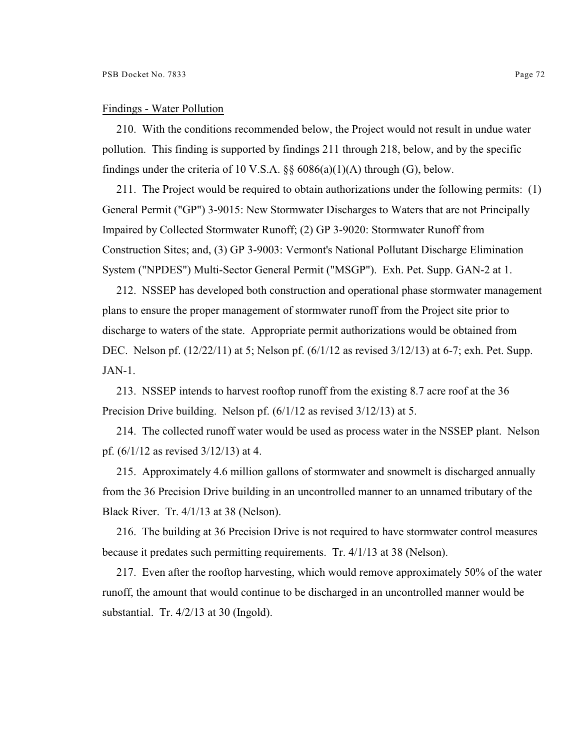#### Findings - Water Pollution

210. With the conditions recommended below, the Project would not result in undue water pollution. This finding is supported by findings 211 through 218, below, and by the specific findings under the criteria of 10 V.S.A.  $\S$ § 6086(a)(1)(A) through (G), below.

211. The Project would be required to obtain authorizations under the following permits: (1) General Permit ("GP") 3-9015: New Stormwater Discharges to Waters that are not Principally Impaired by Collected Stormwater Runoff; (2) GP 3-9020: Stormwater Runoff from Construction Sites; and, (3) GP 3-9003: Vermont's National Pollutant Discharge Elimination System ("NPDES") Multi-Sector General Permit ("MSGP"). Exh. Pet. Supp. GAN-2 at 1.

212. NSSEP has developed both construction and operational phase stormwater management plans to ensure the proper management of stormwater runoff from the Project site prior to discharge to waters of the state. Appropriate permit authorizations would be obtained from DEC. Nelson pf. (12/22/11) at 5; Nelson pf. (6/1/12 as revised 3/12/13) at 6-7; exh. Pet. Supp. JAN-1.

213. NSSEP intends to harvest rooftop runoff from the existing 8.7 acre roof at the 36 Precision Drive building. Nelson pf. (6/1/12 as revised 3/12/13) at 5.

214. The collected runoff water would be used as process water in the NSSEP plant. Nelson pf. (6/1/12 as revised 3/12/13) at 4.

215. Approximately 4.6 million gallons of stormwater and snowmelt is discharged annually from the 36 Precision Drive building in an uncontrolled manner to an unnamed tributary of the Black River. Tr. 4/1/13 at 38 (Nelson).

216. The building at 36 Precision Drive is not required to have stormwater control measures because it predates such permitting requirements. Tr. 4/1/13 at 38 (Nelson).

217. Even after the rooftop harvesting, which would remove approximately 50% of the water runoff, the amount that would continue to be discharged in an uncontrolled manner would be substantial. Tr. 4/2/13 at 30 (Ingold).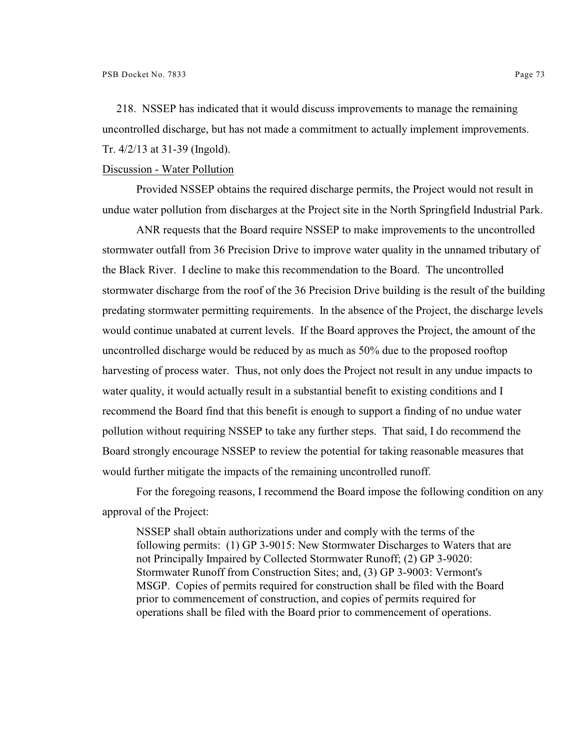218. NSSEP has indicated that it would discuss improvements to manage the remaining uncontrolled discharge, but has not made a commitment to actually implement improvements. Tr. 4/2/13 at 31-39 (Ingold).

# Discussion - Water Pollution

Provided NSSEP obtains the required discharge permits, the Project would not result in undue water pollution from discharges at the Project site in the North Springfield Industrial Park.

ANR requests that the Board require NSSEP to make improvements to the uncontrolled stormwater outfall from 36 Precision Drive to improve water quality in the unnamed tributary of the Black River. I decline to make this recommendation to the Board. The uncontrolled stormwater discharge from the roof of the 36 Precision Drive building is the result of the building predating stormwater permitting requirements. In the absence of the Project, the discharge levels would continue unabated at current levels. If the Board approves the Project, the amount of the uncontrolled discharge would be reduced by as much as 50% due to the proposed rooftop harvesting of process water. Thus, not only does the Project not result in any undue impacts to water quality, it would actually result in a substantial benefit to existing conditions and I recommend the Board find that this benefit is enough to support a finding of no undue water pollution without requiring NSSEP to take any further steps. That said, I do recommend the Board strongly encourage NSSEP to review the potential for taking reasonable measures that would further mitigate the impacts of the remaining uncontrolled runoff.

For the foregoing reasons, I recommend the Board impose the following condition on any approval of the Project:

NSSEP shall obtain authorizations under and comply with the terms of the following permits: (1) GP 3-9015: New Stormwater Discharges to Waters that are not Principally Impaired by Collected Stormwater Runoff; (2) GP 3-9020: Stormwater Runoff from Construction Sites; and, (3) GP 3-9003: Vermont's MSGP. Copies of permits required for construction shall be filed with the Board prior to commencement of construction, and copies of permits required for operations shall be filed with the Board prior to commencement of operations.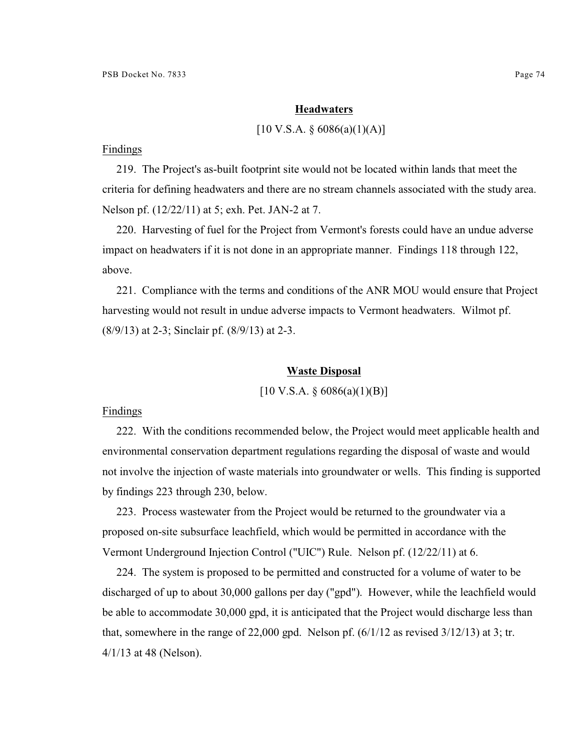#### **Headwaters**

### $[10 \text{ V.S.A. } § 6086(a)(1)(A)]$

Findings

219. The Project's as-built footprint site would not be located within lands that meet the criteria for defining headwaters and there are no stream channels associated with the study area. Nelson pf. (12/22/11) at 5; exh. Pet. JAN-2 at 7.

220. Harvesting of fuel for the Project from Vermont's forests could have an undue adverse impact on headwaters if it is not done in an appropriate manner. Findings 118 through 122, above.

221. Compliance with the terms and conditions of the ANR MOU would ensure that Project harvesting would not result in undue adverse impacts to Vermont headwaters. Wilmot pf. (8/9/13) at 2-3; Sinclair pf. (8/9/13) at 2-3.

### **Waste Disposal**

 $[10 \text{ V.S.A.} \$   $6086(a)(1)(B)]$ 

# Findings

222. With the conditions recommended below, the Project would meet applicable health and environmental conservation department regulations regarding the disposal of waste and would not involve the injection of waste materials into groundwater or wells. This finding is supported by findings 223 through 230, below.

223. Process wastewater from the Project would be returned to the groundwater via a proposed on-site subsurface leachfield, which would be permitted in accordance with the Vermont Underground Injection Control ("UIC") Rule. Nelson pf. (12/22/11) at 6.

224. The system is proposed to be permitted and constructed for a volume of water to be discharged of up to about 30,000 gallons per day ("gpd"). However, while the leachfield would be able to accommodate 30,000 gpd, it is anticipated that the Project would discharge less than that, somewhere in the range of 22,000 gpd. Nelson pf.  $(6/1/12$  as revised  $3/12/13$ ) at 3; tr. 4/1/13 at 48 (Nelson).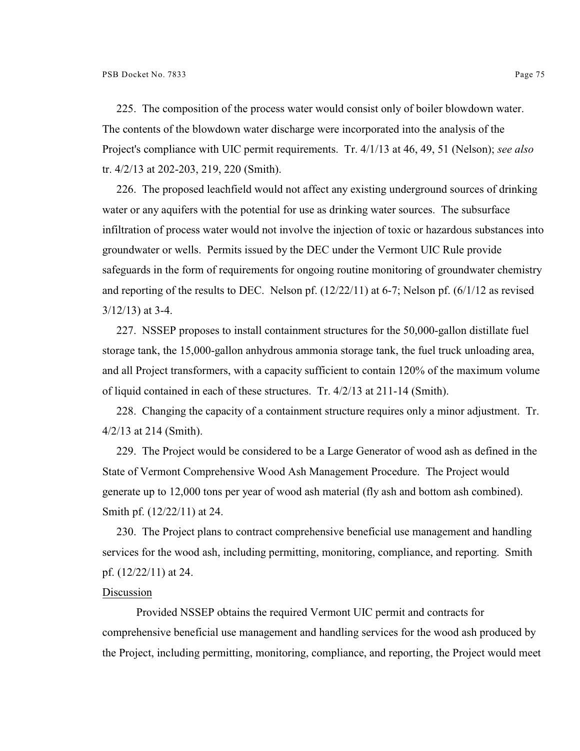225. The composition of the process water would consist only of boiler blowdown water. The contents of the blowdown water discharge were incorporated into the analysis of the Project's compliance with UIC permit requirements. Tr. 4/1/13 at 46, 49, 51 (Nelson); *see also* tr. 4/2/13 at 202-203, 219, 220 (Smith).

226. The proposed leachfield would not affect any existing underground sources of drinking water or any aquifers with the potential for use as drinking water sources. The subsurface infiltration of process water would not involve the injection of toxic or hazardous substances into groundwater or wells. Permits issued by the DEC under the Vermont UIC Rule provide safeguards in the form of requirements for ongoing routine monitoring of groundwater chemistry and reporting of the results to DEC. Nelson pf. (12/22/11) at 6-7; Nelson pf. (6/1/12 as revised  $3/12/13$ ) at 3-4.

227. NSSEP proposes to install containment structures for the 50,000-gallon distillate fuel storage tank, the 15,000-gallon anhydrous ammonia storage tank, the fuel truck unloading area, and all Project transformers, with a capacity sufficient to contain 120% of the maximum volume of liquid contained in each of these structures. Tr. 4/2/13 at 211-14 (Smith).

228. Changing the capacity of a containment structure requires only a minor adjustment. Tr. 4/2/13 at 214 (Smith).

229. The Project would be considered to be a Large Generator of wood ash as defined in the State of Vermont Comprehensive Wood Ash Management Procedure. The Project would generate up to 12,000 tons per year of wood ash material (fly ash and bottom ash combined). Smith pf. (12/22/11) at 24.

230. The Project plans to contract comprehensive beneficial use management and handling services for the wood ash, including permitting, monitoring, compliance, and reporting. Smith pf. (12/22/11) at 24.

#### Discussion

Provided NSSEP obtains the required Vermont UIC permit and contracts for comprehensive beneficial use management and handling services for the wood ash produced by the Project, including permitting, monitoring, compliance, and reporting, the Project would meet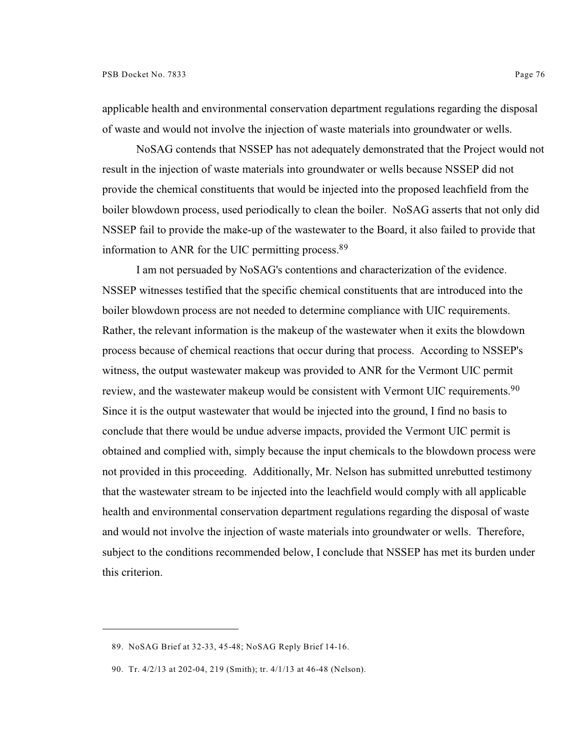applicable health and environmental conservation department regulations regarding the disposal of waste and would not involve the injection of waste materials into groundwater or wells.

NoSAG contends that NSSEP has not adequately demonstrated that the Project would not result in the injection of waste materials into groundwater or wells because NSSEP did not provide the chemical constituents that would be injected into the proposed leachfield from the boiler blowdown process, used periodically to clean the boiler. NoSAG asserts that not only did NSSEP fail to provide the make-up of the wastewater to the Board, it also failed to provide that information to ANR for the UIC permitting process.<sup>89</sup>

I am not persuaded by NoSAG's contentions and characterization of the evidence. NSSEP witnesses testified that the specific chemical constituents that are introduced into the boiler blowdown process are not needed to determine compliance with UIC requirements. Rather, the relevant information is the makeup of the wastewater when it exits the blowdown process because of chemical reactions that occur during that process. According to NSSEP's witness, the output wastewater makeup was provided to ANR for the Vermont UIC permit review, and the wastewater makeup would be consistent with Vermont UIC requirements.<sup>90</sup> Since it is the output wastewater that would be injected into the ground, I find no basis to conclude that there would be undue adverse impacts, provided the Vermont UIC permit is obtained and complied with, simply because the input chemicals to the blowdown process were not provided in this proceeding. Additionally, Mr. Nelson has submitted unrebutted testimony that the wastewater stream to be injected into the leachfield would comply with all applicable health and environmental conservation department regulations regarding the disposal of waste and would not involve the injection of waste materials into groundwater or wells. Therefore, subject to the conditions recommended below, I conclude that NSSEP has met its burden under this criterion.

<sup>89.</sup> NoSAG Brief at 32-33, 45-48; NoSAG Reply Brief 14-16.

<sup>90.</sup> Tr. 4/2/13 at 202-04, 219 (Smith); tr. 4/1/13 at 46-48 (Nelson).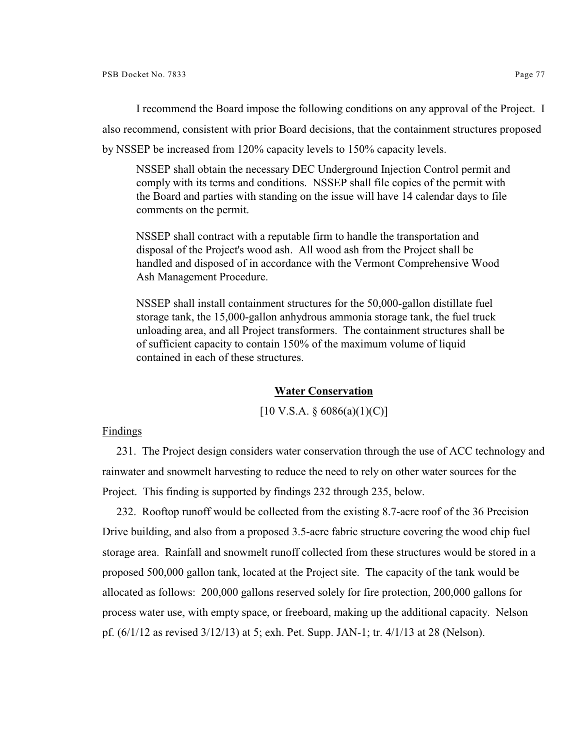I recommend the Board impose the following conditions on any approval of the Project. I also recommend, consistent with prior Board decisions, that the containment structures proposed by NSSEP be increased from 120% capacity levels to 150% capacity levels.

NSSEP shall obtain the necessary DEC Underground Injection Control permit and comply with its terms and conditions. NSSEP shall file copies of the permit with the Board and parties with standing on the issue will have 14 calendar days to file comments on the permit.

NSSEP shall contract with a reputable firm to handle the transportation and disposal of the Project's wood ash. All wood ash from the Project shall be handled and disposed of in accordance with the Vermont Comprehensive Wood Ash Management Procedure.

NSSEP shall install containment structures for the 50,000-gallon distillate fuel storage tank, the 15,000-gallon anhydrous ammonia storage tank, the fuel truck unloading area, and all Project transformers. The containment structures shall be of sufficient capacity to contain 150% of the maximum volume of liquid contained in each of these structures.

### **Water Conservation**

 $[10 \text{ V.S.A.} \$   $6086(a)(1)(C)]$ 

Findings

231. The Project design considers water conservation through the use of ACC technology and rainwater and snowmelt harvesting to reduce the need to rely on other water sources for the Project. This finding is supported by findings 232 through 235, below.

232. Rooftop runoff would be collected from the existing 8.7-acre roof of the 36 Precision Drive building, and also from a proposed 3.5-acre fabric structure covering the wood chip fuel storage area. Rainfall and snowmelt runoff collected from these structures would be stored in a proposed 500,000 gallon tank, located at the Project site. The capacity of the tank would be allocated as follows: 200,000 gallons reserved solely for fire protection, 200,000 gallons for process water use, with empty space, or freeboard, making up the additional capacity. Nelson pf. (6/1/12 as revised 3/12/13) at 5; exh. Pet. Supp. JAN-1; tr. 4/1/13 at 28 (Nelson).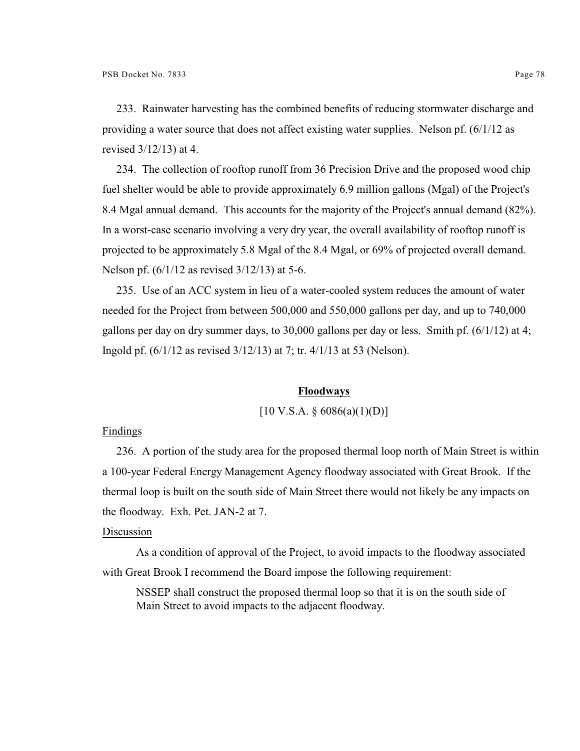233. Rainwater harvesting has the combined benefits of reducing stormwater discharge and providing a water source that does not affect existing water supplies. Nelson pf. (6/1/12 as revised 3/12/13) at 4.

234. The collection of rooftop runoff from 36 Precision Drive and the proposed wood chip fuel shelter would be able to provide approximately 6.9 million gallons (Mgal) of the Project's 8.4 Mgal annual demand. This accounts for the majority of the Project's annual demand (82%). In a worst-case scenario involving a very dry year, the overall availability of rooftop runoff is projected to be approximately 5.8 Mgal of the 8.4 Mgal, or 69% of projected overall demand. Nelson pf. (6/1/12 as revised 3/12/13) at 5-6.

235. Use of an ACC system in lieu of a water-cooled system reduces the amount of water needed for the Project from between 500,000 and 550,000 gallons per day, and up to 740,000 gallons per day on dry summer days, to 30,000 gallons per day or less. Smith pf. (6/1/12) at 4; Ingold pf. (6/1/12 as revised 3/12/13) at 7; tr. 4/1/13 at 53 (Nelson).

### **Floodways**

 $[10 \text{ V.S.A.} \$   $6086(a)(1)(D)]$ 

#### Findings

236. A portion of the study area for the proposed thermal loop north of Main Street is within a 100-year Federal Energy Management Agency floodway associated with Great Brook. If the thermal loop is built on the south side of Main Street there would not likely be any impacts on the floodway. Exh. Pet. JAN-2 at 7.

# Discussion

As a condition of approval of the Project, to avoid impacts to the floodway associated with Great Brook I recommend the Board impose the following requirement:

NSSEP shall construct the proposed thermal loop so that it is on the south side of Main Street to avoid impacts to the adjacent floodway.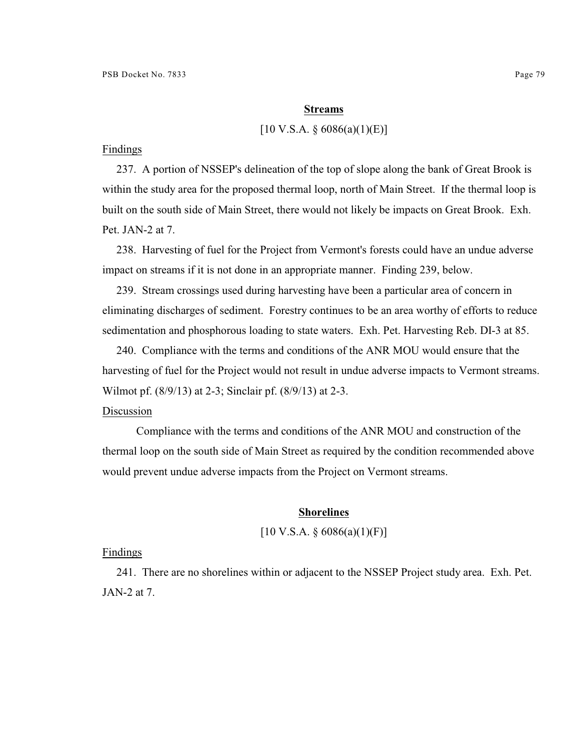#### **Streams**

### $[10 \text{ V.S.A. } § 6086(a)(1)(E)]$

### Findings

237. A portion of NSSEP's delineation of the top of slope along the bank of Great Brook is within the study area for the proposed thermal loop, north of Main Street. If the thermal loop is built on the south side of Main Street, there would not likely be impacts on Great Brook. Exh. Pet. JAN-2 at 7.

238. Harvesting of fuel for the Project from Vermont's forests could have an undue adverse impact on streams if it is not done in an appropriate manner. Finding 239, below.

239. Stream crossings used during harvesting have been a particular area of concern in eliminating discharges of sediment. Forestry continues to be an area worthy of efforts to reduce sedimentation and phosphorous loading to state waters. Exh. Pet. Harvesting Reb. DI-3 at 85.

240. Compliance with the terms and conditions of the ANR MOU would ensure that the harvesting of fuel for the Project would not result in undue adverse impacts to Vermont streams. Wilmot pf. (8/9/13) at 2-3; Sinclair pf. (8/9/13) at 2-3.

#### Discussion

Compliance with the terms and conditions of the ANR MOU and construction of the thermal loop on the south side of Main Street as required by the condition recommended above would prevent undue adverse impacts from the Project on Vermont streams.

### **Shorelines**

# $[10 \text{ V.S.A. } § 6086(a)(1)(F)]$

#### Findings

241. There are no shorelines within or adjacent to the NSSEP Project study area. Exh. Pet. JAN-2 at 7.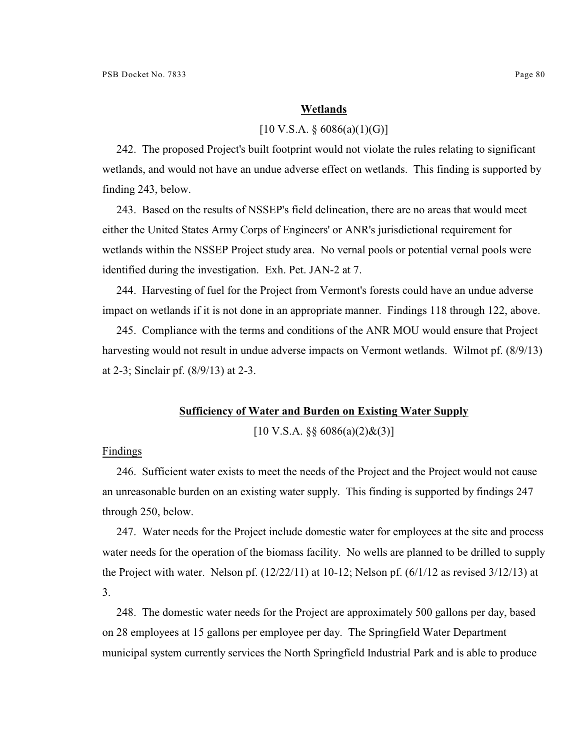#### **Wetlands**

### $[10 \text{ V.S.A.} \$  6086(a)(1)(G)]

242. The proposed Project's built footprint would not violate the rules relating to significant wetlands, and would not have an undue adverse effect on wetlands. This finding is supported by finding 243, below.

243. Based on the results of NSSEP's field delineation, there are no areas that would meet either the United States Army Corps of Engineers' or ANR's jurisdictional requirement for wetlands within the NSSEP Project study area. No vernal pools or potential vernal pools were identified during the investigation. Exh. Pet. JAN-2 at 7.

244. Harvesting of fuel for the Project from Vermont's forests could have an undue adverse impact on wetlands if it is not done in an appropriate manner. Findings 118 through 122, above.

245. Compliance with the terms and conditions of the ANR MOU would ensure that Project harvesting would not result in undue adverse impacts on Vermont wetlands. Wilmot pf. (8/9/13) at 2-3; Sinclair pf. (8/9/13) at 2-3.

# **Sufficiency of Water and Burden on Existing Water Supply**

 $[10 \text{ V.S.A. } \S \S 6086(a)(2) \& (3)]$ 

#### Findings

246. Sufficient water exists to meet the needs of the Project and the Project would not cause an unreasonable burden on an existing water supply. This finding is supported by findings 247 through 250, below.

247. Water needs for the Project include domestic water for employees at the site and process water needs for the operation of the biomass facility. No wells are planned to be drilled to supply the Project with water. Nelson pf.  $(12/22/11)$  at 10-12; Nelson pf.  $(6/1/12)$  as revised  $3/12/13$ ) at 3.

248. The domestic water needs for the Project are approximately 500 gallons per day, based on 28 employees at 15 gallons per employee per day. The Springfield Water Department municipal system currently services the North Springfield Industrial Park and is able to produce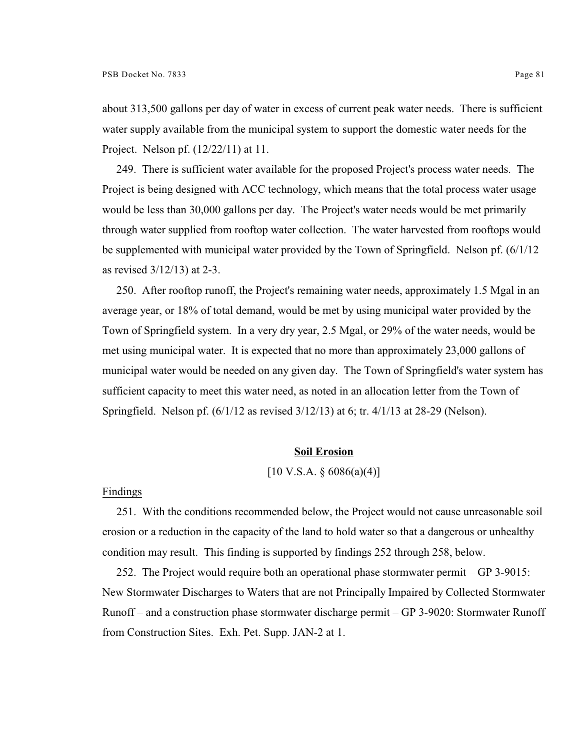about 313,500 gallons per day of water in excess of current peak water needs. There is sufficient water supply available from the municipal system to support the domestic water needs for the Project. Nelson pf. (12/22/11) at 11.

249. There is sufficient water available for the proposed Project's process water needs. The Project is being designed with ACC technology, which means that the total process water usage would be less than 30,000 gallons per day. The Project's water needs would be met primarily through water supplied from rooftop water collection. The water harvested from rooftops would be supplemented with municipal water provided by the Town of Springfield. Nelson pf. (6/1/12 as revised 3/12/13) at 2-3.

250. After rooftop runoff, the Project's remaining water needs, approximately 1.5 Mgal in an average year, or 18% of total demand, would be met by using municipal water provided by the Town of Springfield system. In a very dry year, 2.5 Mgal, or 29% of the water needs, would be met using municipal water. It is expected that no more than approximately 23,000 gallons of municipal water would be needed on any given day. The Town of Springfield's water system has sufficient capacity to meet this water need, as noted in an allocation letter from the Town of Springfield. Nelson pf. (6/1/12 as revised 3/12/13) at 6; tr. 4/1/13 at 28-29 (Nelson).

## **Soil Erosion**

# $[10 \text{ V.S.A.} \$  6086(a)(4)]

#### Findings

251. With the conditions recommended below, the Project would not cause unreasonable soil erosion or a reduction in the capacity of the land to hold water so that a dangerous or unhealthy condition may result. This finding is supported by findings 252 through 258, below.

252. The Project would require both an operational phase stormwater permit – GP 3-9015: New Stormwater Discharges to Waters that are not Principally Impaired by Collected Stormwater Runoff – and a construction phase stormwater discharge permit – GP 3-9020: Stormwater Runoff from Construction Sites. Exh. Pet. Supp. JAN-2 at 1.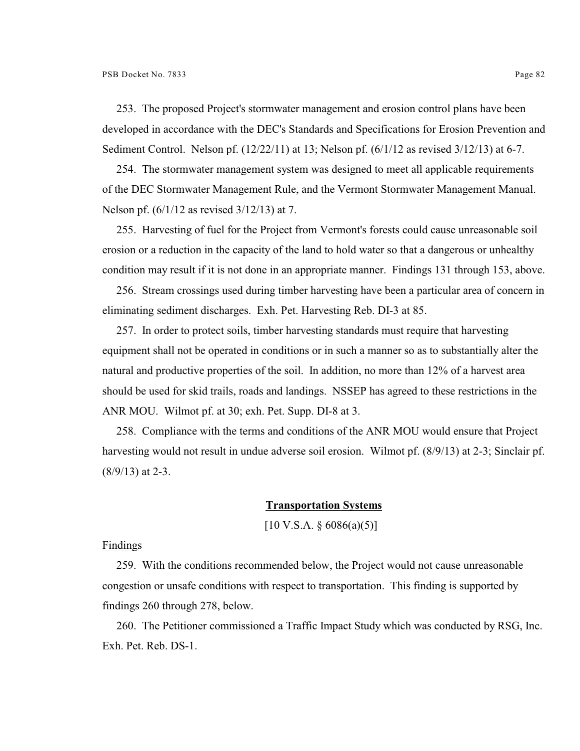253. The proposed Project's stormwater management and erosion control plans have been developed in accordance with the DEC's Standards and Specifications for Erosion Prevention and Sediment Control. Nelson pf. (12/22/11) at 13; Nelson pf. (6/1/12 as revised 3/12/13) at 6-7.

254. The stormwater management system was designed to meet all applicable requirements of the DEC Stormwater Management Rule, and the Vermont Stormwater Management Manual. Nelson pf. (6/1/12 as revised 3/12/13) at 7.

255. Harvesting of fuel for the Project from Vermont's forests could cause unreasonable soil erosion or a reduction in the capacity of the land to hold water so that a dangerous or unhealthy condition may result if it is not done in an appropriate manner. Findings 131 through 153, above.

256. Stream crossings used during timber harvesting have been a particular area of concern in eliminating sediment discharges. Exh. Pet. Harvesting Reb. DI-3 at 85.

257. In order to protect soils, timber harvesting standards must require that harvesting equipment shall not be operated in conditions or in such a manner so as to substantially alter the natural and productive properties of the soil. In addition, no more than 12% of a harvest area should be used for skid trails, roads and landings. NSSEP has agreed to these restrictions in the ANR MOU. Wilmot pf. at 30; exh. Pet. Supp. DI-8 at 3.

258. Compliance with the terms and conditions of the ANR MOU would ensure that Project harvesting would not result in undue adverse soil erosion. Wilmot pf. (8/9/13) at 2-3; Sinclair pf.  $(8/9/13)$  at 2-3.

### **Transportation Systems**

 $[10 \text{ V.S.A. } \S 6086(a)(5)]$ 

Findings

259. With the conditions recommended below, the Project would not cause unreasonable congestion or unsafe conditions with respect to transportation. This finding is supported by findings 260 through 278, below.

260. The Petitioner commissioned a Traffic Impact Study which was conducted by RSG, Inc. Exh. Pet. Reb. DS-1.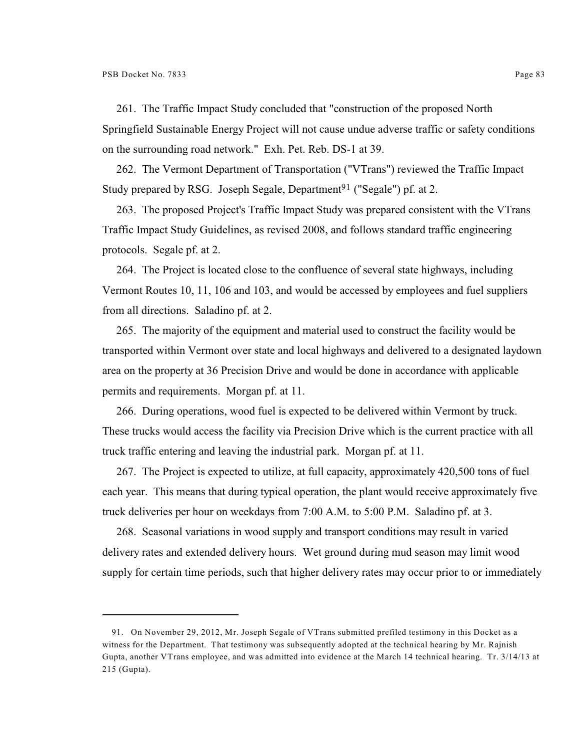261. The Traffic Impact Study concluded that "construction of the proposed North Springfield Sustainable Energy Project will not cause undue adverse traffic or safety conditions on the surrounding road network." Exh. Pet. Reb. DS-1 at 39.

262. The Vermont Department of Transportation ("VTrans") reviewed the Traffic Impact Study prepared by RSG. Joseph Segale, Department<sup>91</sup> ("Segale") pf. at 2.

263. The proposed Project's Traffic Impact Study was prepared consistent with the VTrans Traffic Impact Study Guidelines, as revised 2008, and follows standard traffic engineering protocols. Segale pf. at 2.

264. The Project is located close to the confluence of several state highways, including Vermont Routes 10, 11, 106 and 103, and would be accessed by employees and fuel suppliers from all directions. Saladino pf. at 2.

265. The majority of the equipment and material used to construct the facility would be transported within Vermont over state and local highways and delivered to a designated laydown area on the property at 36 Precision Drive and would be done in accordance with applicable permits and requirements. Morgan pf. at 11.

266. During operations, wood fuel is expected to be delivered within Vermont by truck. These trucks would access the facility via Precision Drive which is the current practice with all truck traffic entering and leaving the industrial park. Morgan pf. at 11.

267. The Project is expected to utilize, at full capacity, approximately 420,500 tons of fuel each year. This means that during typical operation, the plant would receive approximately five truck deliveries per hour on weekdays from 7:00 A.M. to 5:00 P.M. Saladino pf. at 3.

268. Seasonal variations in wood supply and transport conditions may result in varied delivery rates and extended delivery hours. Wet ground during mud season may limit wood supply for certain time periods, such that higher delivery rates may occur prior to or immediately

<sup>91.</sup> On November 29, 2012, Mr. Joseph Segale of VTrans submitted prefiled testimony in this Docket as a witness for the Department. That testimony was subsequently adopted at the technical hearing by Mr. Rajnish Gupta, another VTrans employee, and was admitted into evidence at the March 14 technical hearing. Tr. 3/14/13 at 215 (Gupta).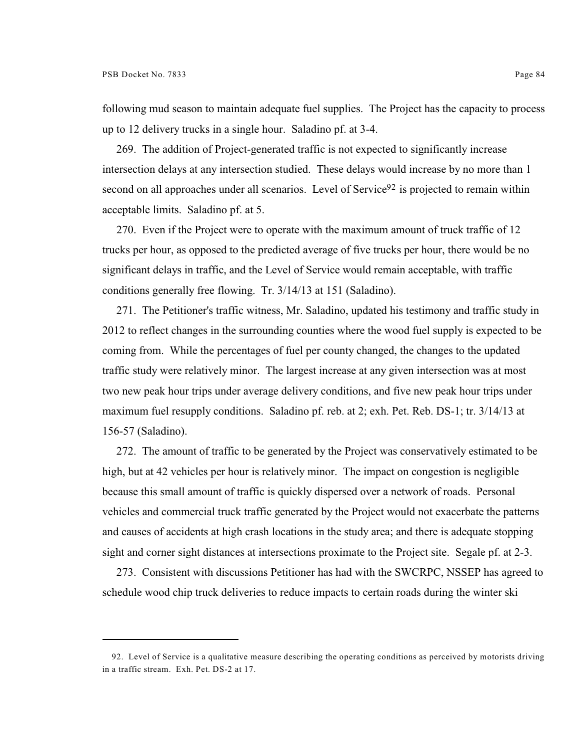following mud season to maintain adequate fuel supplies. The Project has the capacity to process up to 12 delivery trucks in a single hour. Saladino pf. at 3-4.

269. The addition of Project-generated traffic is not expected to significantly increase intersection delays at any intersection studied. These delays would increase by no more than 1 second on all approaches under all scenarios. Level of Service<sup>92</sup> is projected to remain within acceptable limits. Saladino pf. at 5.

270. Even if the Project were to operate with the maximum amount of truck traffic of 12 trucks per hour, as opposed to the predicted average of five trucks per hour, there would be no significant delays in traffic, and the Level of Service would remain acceptable, with traffic conditions generally free flowing. Tr. 3/14/13 at 151 (Saladino).

271. The Petitioner's traffic witness, Mr. Saladino, updated his testimony and traffic study in 2012 to reflect changes in the surrounding counties where the wood fuel supply is expected to be coming from. While the percentages of fuel per county changed, the changes to the updated traffic study were relatively minor. The largest increase at any given intersection was at most two new peak hour trips under average delivery conditions, and five new peak hour trips under maximum fuel resupply conditions. Saladino pf. reb. at 2; exh. Pet. Reb. DS-1; tr. 3/14/13 at 156-57 (Saladino).

272. The amount of traffic to be generated by the Project was conservatively estimated to be high, but at 42 vehicles per hour is relatively minor. The impact on congestion is negligible because this small amount of traffic is quickly dispersed over a network of roads. Personal vehicles and commercial truck traffic generated by the Project would not exacerbate the patterns and causes of accidents at high crash locations in the study area; and there is adequate stopping sight and corner sight distances at intersections proximate to the Project site. Segale pf. at 2-3.

273. Consistent with discussions Petitioner has had with the SWCRPC, NSSEP has agreed to schedule wood chip truck deliveries to reduce impacts to certain roads during the winter ski

<sup>92.</sup> Level of Service is a qualitative measure describing the operating conditions as perceived by motorists driving in a traffic stream. Exh. Pet. DS-2 at 17.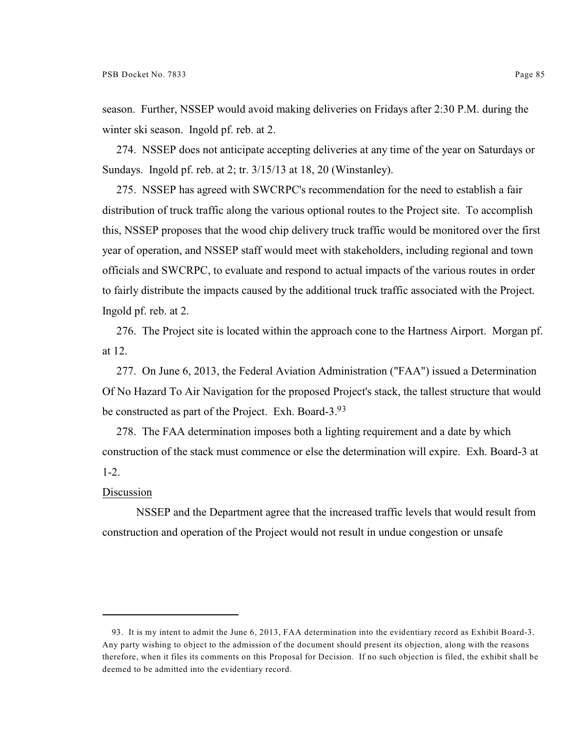season. Further, NSSEP would avoid making deliveries on Fridays after 2:30 P.M. during the winter ski season. Ingold pf. reb. at 2.

274. NSSEP does not anticipate accepting deliveries at any time of the year on Saturdays or Sundays. Ingold pf. reb. at 2; tr. 3/15/13 at 18, 20 (Winstanley).

275. NSSEP has agreed with SWCRPC's recommendation for the need to establish a fair distribution of truck traffic along the various optional routes to the Project site. To accomplish this, NSSEP proposes that the wood chip delivery truck traffic would be monitored over the first year of operation, and NSSEP staff would meet with stakeholders, including regional and town officials and SWCRPC, to evaluate and respond to actual impacts of the various routes in order to fairly distribute the impacts caused by the additional truck traffic associated with the Project. Ingold pf. reb. at 2.

276. The Project site is located within the approach cone to the Hartness Airport. Morgan pf. at 12.

277. On June 6, 2013, the Federal Aviation Administration ("FAA") issued a Determination Of No Hazard To Air Navigation for the proposed Project's stack, the tallest structure that would be constructed as part of the Project. Exh. Board-3.<sup>93</sup>

278. The FAA determination imposes both a lighting requirement and a date by which construction of the stack must commence or else the determination will expire. Exh. Board-3 at 1-2.

### Discussion

NSSEP and the Department agree that the increased traffic levels that would result from construction and operation of the Project would not result in undue congestion or unsafe

<sup>93.</sup> It is my intent to admit the June 6, 2013, FAA determination into the evidentiary record as Exhibit Board-3. Any party wishing to object to the admission of the document should present its objection, along with the reasons therefore, when it files its comments on this Proposal for Decision. If no such objection is filed, the exhibit shall be deemed to be admitted into the evidentiary record.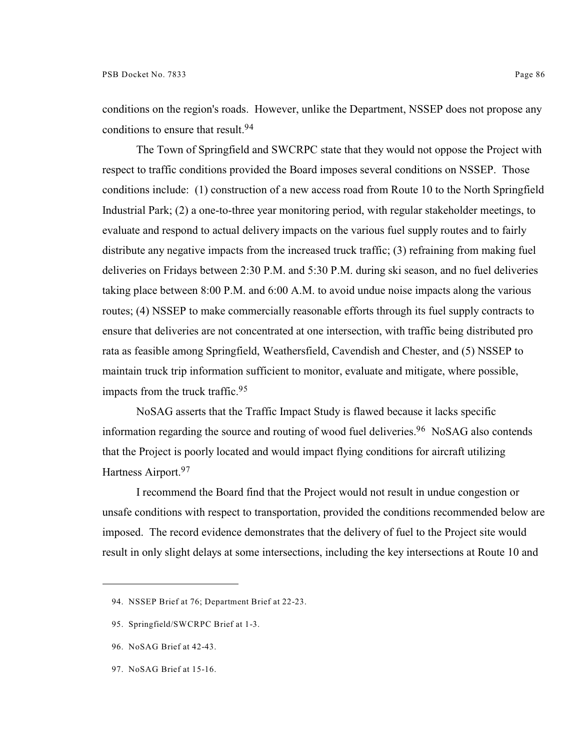conditions on the region's roads. However, unlike the Department, NSSEP does not propose any conditions to ensure that result.<sup>94</sup>

The Town of Springfield and SWCRPC state that they would not oppose the Project with respect to traffic conditions provided the Board imposes several conditions on NSSEP. Those conditions include: (1) construction of a new access road from Route 10 to the North Springfield Industrial Park; (2) a one-to-three year monitoring period, with regular stakeholder meetings, to evaluate and respond to actual delivery impacts on the various fuel supply routes and to fairly distribute any negative impacts from the increased truck traffic; (3) refraining from making fuel deliveries on Fridays between 2:30 P.M. and 5:30 P.M. during ski season, and no fuel deliveries taking place between 8:00 P.M. and 6:00 A.M. to avoid undue noise impacts along the various routes; (4) NSSEP to make commercially reasonable efforts through its fuel supply contracts to ensure that deliveries are not concentrated at one intersection, with traffic being distributed pro rata as feasible among Springfield, Weathersfield, Cavendish and Chester, and (5) NSSEP to maintain truck trip information sufficient to monitor, evaluate and mitigate, where possible, impacts from the truck traffic.<sup>95</sup>

NoSAG asserts that the Traffic Impact Study is flawed because it lacks specific information regarding the source and routing of wood fuel deliveries.<sup>96</sup> NoSAG also contends that the Project is poorly located and would impact flying conditions for aircraft utilizing Hartness Airport.<sup>97</sup>

I recommend the Board find that the Project would not result in undue congestion or unsafe conditions with respect to transportation, provided the conditions recommended below are imposed. The record evidence demonstrates that the delivery of fuel to the Project site would result in only slight delays at some intersections, including the key intersections at Route 10 and

- 96. NoSAG Brief at 42-43.
- 97. NoSAG Brief at 15-16.

<sup>94.</sup> NSSEP Brief at 76; Department Brief at 22-23.

<sup>95.</sup> Springfield/SWCRPC Brief at 1-3.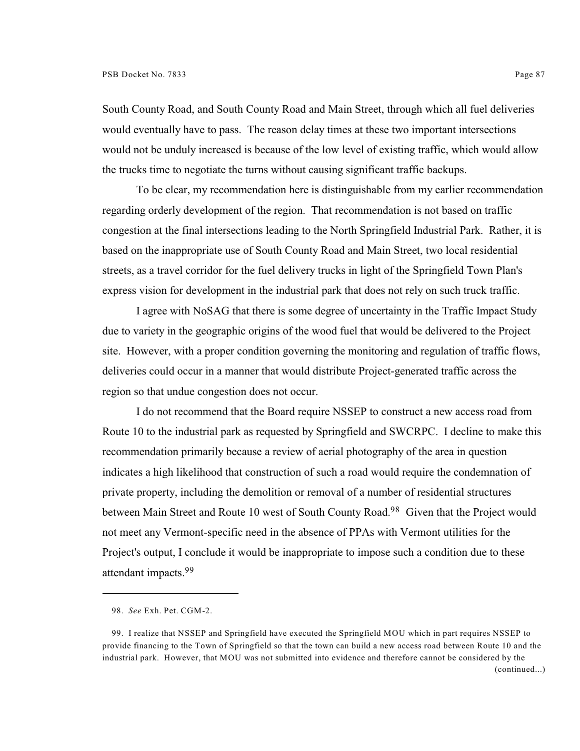South County Road, and South County Road and Main Street, through which all fuel deliveries would eventually have to pass. The reason delay times at these two important intersections would not be unduly increased is because of the low level of existing traffic, which would allow the trucks time to negotiate the turns without causing significant traffic backups.

To be clear, my recommendation here is distinguishable from my earlier recommendation regarding orderly development of the region. That recommendation is not based on traffic congestion at the final intersections leading to the North Springfield Industrial Park. Rather, it is based on the inappropriate use of South County Road and Main Street, two local residential streets, as a travel corridor for the fuel delivery trucks in light of the Springfield Town Plan's express vision for development in the industrial park that does not rely on such truck traffic.

I agree with NoSAG that there is some degree of uncertainty in the Traffic Impact Study due to variety in the geographic origins of the wood fuel that would be delivered to the Project site. However, with a proper condition governing the monitoring and regulation of traffic flows, deliveries could occur in a manner that would distribute Project-generated traffic across the region so that undue congestion does not occur.

I do not recommend that the Board require NSSEP to construct a new access road from Route 10 to the industrial park as requested by Springfield and SWCRPC. I decline to make this recommendation primarily because a review of aerial photography of the area in question indicates a high likelihood that construction of such a road would require the condemnation of private property, including the demolition or removal of a number of residential structures between Main Street and Route 10 west of South County Road.<sup>98</sup> Given that the Project would not meet any Vermont-specific need in the absence of PPAs with Vermont utilities for the Project's output, I conclude it would be inappropriate to impose such a condition due to these attendant impacts.<sup>99</sup>

<sup>98.</sup> *See* Exh. Pet. CGM-2.

<sup>99.</sup> I realize that NSSEP and Springfield have executed the Springfield MOU which in part requires NSSEP to provide financing to the Town of Springfield so that the town can build a new access road between Route 10 and the industrial park. However, that MOU was not submitted into evidence and therefore cannot be considered by the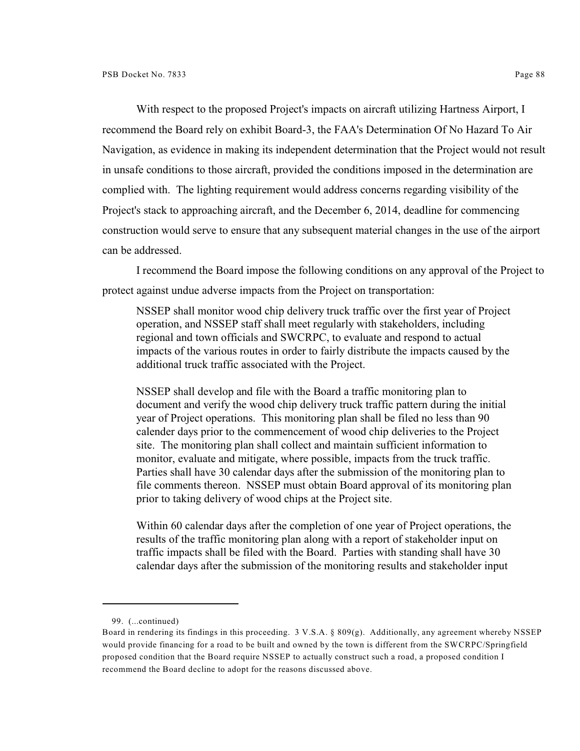With respect to the proposed Project's impacts on aircraft utilizing Hartness Airport, I recommend the Board rely on exhibit Board-3, the FAA's Determination Of No Hazard To Air Navigation, as evidence in making its independent determination that the Project would not result in unsafe conditions to those aircraft, provided the conditions imposed in the determination are complied with. The lighting requirement would address concerns regarding visibility of the Project's stack to approaching aircraft, and the December 6, 2014, deadline for commencing construction would serve to ensure that any subsequent material changes in the use of the airport can be addressed.

I recommend the Board impose the following conditions on any approval of the Project to protect against undue adverse impacts from the Project on transportation:

NSSEP shall monitor wood chip delivery truck traffic over the first year of Project operation, and NSSEP staff shall meet regularly with stakeholders, including regional and town officials and SWCRPC, to evaluate and respond to actual impacts of the various routes in order to fairly distribute the impacts caused by the additional truck traffic associated with the Project.

NSSEP shall develop and file with the Board a traffic monitoring plan to document and verify the wood chip delivery truck traffic pattern during the initial year of Project operations. This monitoring plan shall be filed no less than 90 calender days prior to the commencement of wood chip deliveries to the Project site. The monitoring plan shall collect and maintain sufficient information to monitor, evaluate and mitigate, where possible, impacts from the truck traffic. Parties shall have 30 calendar days after the submission of the monitoring plan to file comments thereon. NSSEP must obtain Board approval of its monitoring plan prior to taking delivery of wood chips at the Project site.

Within 60 calendar days after the completion of one year of Project operations, the results of the traffic monitoring plan along with a report of stakeholder input on traffic impacts shall be filed with the Board. Parties with standing shall have 30 calendar days after the submission of the monitoring results and stakeholder input

<sup>99.</sup> (...continued)

Board in rendering its findings in this proceeding. 3 V.S.A. § 809(g). Additionally, any agreement whereby NSSEP would provide financing for a road to be built and owned by the town is different from the SWCRPC/Springfield proposed condition that the Board require NSSEP to actually construct such a road, a proposed condition I recommend the Board decline to adopt for the reasons discussed above.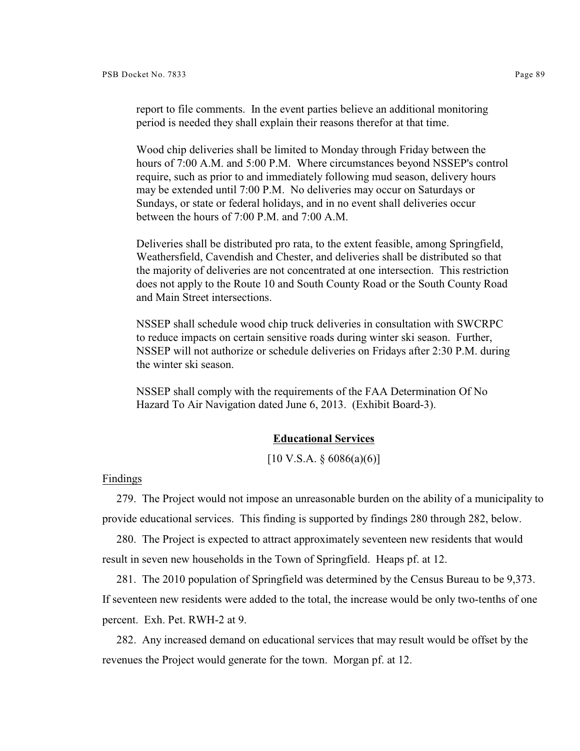report to file comments. In the event parties believe an additional monitoring period is needed they shall explain their reasons therefor at that time.

Wood chip deliveries shall be limited to Monday through Friday between the hours of 7:00 A.M. and 5:00 P.M. Where circumstances beyond NSSEP's control require, such as prior to and immediately following mud season, delivery hours may be extended until 7:00 P.M. No deliveries may occur on Saturdays or Sundays, or state or federal holidays, and in no event shall deliveries occur between the hours of 7:00 P.M. and 7:00 A.M.

Deliveries shall be distributed pro rata, to the extent feasible, among Springfield, Weathersfield, Cavendish and Chester, and deliveries shall be distributed so that the majority of deliveries are not concentrated at one intersection. This restriction does not apply to the Route 10 and South County Road or the South County Road and Main Street intersections.

NSSEP shall schedule wood chip truck deliveries in consultation with SWCRPC to reduce impacts on certain sensitive roads during winter ski season. Further, NSSEP will not authorize or schedule deliveries on Fridays after 2:30 P.M. during the winter ski season.

NSSEP shall comply with the requirements of the FAA Determination Of No Hazard To Air Navigation dated June 6, 2013. (Exhibit Board-3).

### **Educational Services**

 $[10 \text{ V.S.A.} \S 6086(a)(6)]$ 

Findings

279. The Project would not impose an unreasonable burden on the ability of a municipality to provide educational services. This finding is supported by findings 280 through 282, below.

280. The Project is expected to attract approximately seventeen new residents that would result in seven new households in the Town of Springfield. Heaps pf. at 12.

281. The 2010 population of Springfield was determined by the Census Bureau to be 9,373. If seventeen new residents were added to the total, the increase would be only two-tenths of one percent. Exh. Pet. RWH-2 at 9.

282. Any increased demand on educational services that may result would be offset by the revenues the Project would generate for the town. Morgan pf. at 12.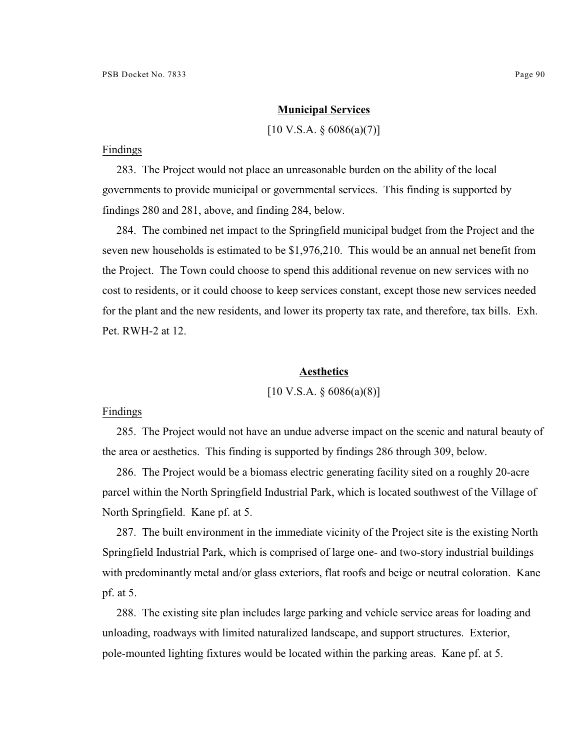### **Municipal Services**

 $[10 \text{ V.S.A. } § 6086(a)(7)]$ 

#### Findings

283. The Project would not place an unreasonable burden on the ability of the local governments to provide municipal or governmental services. This finding is supported by findings 280 and 281, above, and finding 284, below.

284. The combined net impact to the Springfield municipal budget from the Project and the seven new households is estimated to be \$1,976,210. This would be an annual net benefit from the Project. The Town could choose to spend this additional revenue on new services with no cost to residents, or it could choose to keep services constant, except those new services needed for the plant and the new residents, and lower its property tax rate, and therefore, tax bills. Exh. Pet. RWH-2 at 12.

## **Aesthetics**

 $[10 \text{ V.S.A.} \$  6086(a)(8)]

# Findings

285. The Project would not have an undue adverse impact on the scenic and natural beauty of the area or aesthetics. This finding is supported by findings 286 through 309, below.

286. The Project would be a biomass electric generating facility sited on a roughly 20-acre parcel within the North Springfield Industrial Park, which is located southwest of the Village of North Springfield. Kane pf. at 5.

287. The built environment in the immediate vicinity of the Project site is the existing North Springfield Industrial Park, which is comprised of large one- and two-story industrial buildings with predominantly metal and/or glass exteriors, flat roofs and beige or neutral coloration. Kane pf. at 5.

288. The existing site plan includes large parking and vehicle service areas for loading and unloading, roadways with limited naturalized landscape, and support structures. Exterior, pole-mounted lighting fixtures would be located within the parking areas. Kane pf. at 5.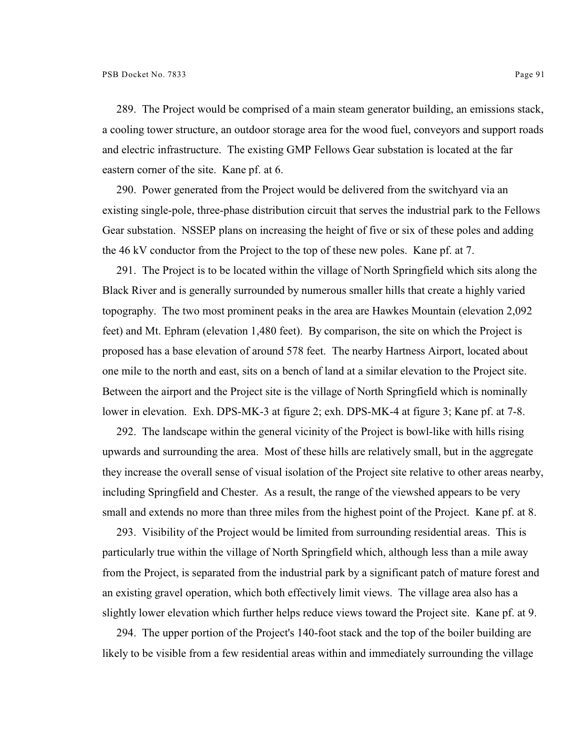289. The Project would be comprised of a main steam generator building, an emissions stack, a cooling tower structure, an outdoor storage area for the wood fuel, conveyors and support roads and electric infrastructure. The existing GMP Fellows Gear substation is located at the far eastern corner of the site. Kane pf. at 6.

290. Power generated from the Project would be delivered from the switchyard via an existing single-pole, three-phase distribution circuit that serves the industrial park to the Fellows Gear substation. NSSEP plans on increasing the height of five or six of these poles and adding the 46 kV conductor from the Project to the top of these new poles. Kane pf. at 7.

291. The Project is to be located within the village of North Springfield which sits along the Black River and is generally surrounded by numerous smaller hills that create a highly varied topography. The two most prominent peaks in the area are Hawkes Mountain (elevation 2,092 feet) and Mt. Ephram (elevation 1,480 feet). By comparison, the site on which the Project is proposed has a base elevation of around 578 feet. The nearby Hartness Airport, located about one mile to the north and east, sits on a bench of land at a similar elevation to the Project site. Between the airport and the Project site is the village of North Springfield which is nominally lower in elevation. Exh. DPS-MK-3 at figure 2; exh. DPS-MK-4 at figure 3; Kane pf. at 7-8.

292. The landscape within the general vicinity of the Project is bowl-like with hills rising upwards and surrounding the area. Most of these hills are relatively small, but in the aggregate they increase the overall sense of visual isolation of the Project site relative to other areas nearby, including Springfield and Chester. As a result, the range of the viewshed appears to be very small and extends no more than three miles from the highest point of the Project. Kane pf. at 8.

293. Visibility of the Project would be limited from surrounding residential areas. This is particularly true within the village of North Springfield which, although less than a mile away from the Project, is separated from the industrial park by a significant patch of mature forest and an existing gravel operation, which both effectively limit views. The village area also has a slightly lower elevation which further helps reduce views toward the Project site. Kane pf. at 9.

294. The upper portion of the Project's 140-foot stack and the top of the boiler building are likely to be visible from a few residential areas within and immediately surrounding the village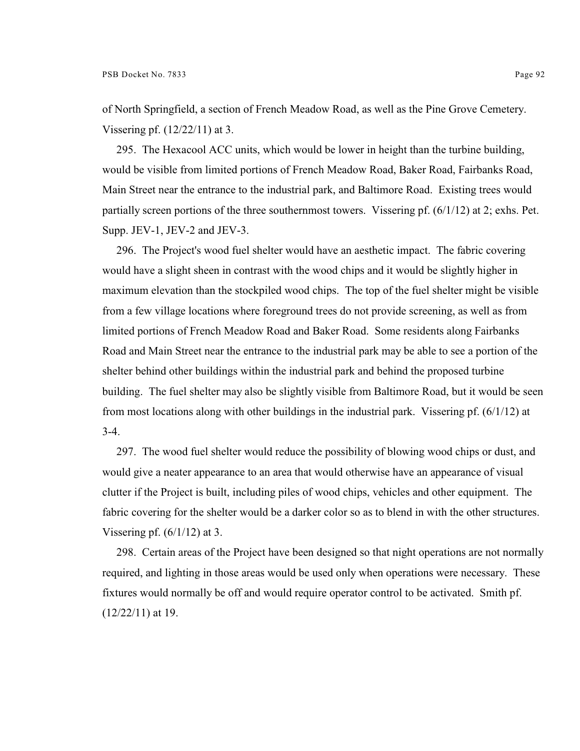of North Springfield, a section of French Meadow Road, as well as the Pine Grove Cemetery. Vissering pf. (12/22/11) at 3.

295. The Hexacool ACC units, which would be lower in height than the turbine building, would be visible from limited portions of French Meadow Road, Baker Road, Fairbanks Road, Main Street near the entrance to the industrial park, and Baltimore Road. Existing trees would partially screen portions of the three southernmost towers. Vissering pf.  $(6/1/12)$  at 2; exhs. Pet. Supp. JEV-1, JEV-2 and JEV-3.

296. The Project's wood fuel shelter would have an aesthetic impact. The fabric covering would have a slight sheen in contrast with the wood chips and it would be slightly higher in maximum elevation than the stockpiled wood chips. The top of the fuel shelter might be visible from a few village locations where foreground trees do not provide screening, as well as from limited portions of French Meadow Road and Baker Road. Some residents along Fairbanks Road and Main Street near the entrance to the industrial park may be able to see a portion of the shelter behind other buildings within the industrial park and behind the proposed turbine building. The fuel shelter may also be slightly visible from Baltimore Road, but it would be seen from most locations along with other buildings in the industrial park. Vissering pf. (6/1/12) at 3-4.

297. The wood fuel shelter would reduce the possibility of blowing wood chips or dust, and would give a neater appearance to an area that would otherwise have an appearance of visual clutter if the Project is built, including piles of wood chips, vehicles and other equipment. The fabric covering for the shelter would be a darker color so as to blend in with the other structures. Vissering pf.  $(6/1/12)$  at 3.

298. Certain areas of the Project have been designed so that night operations are not normally required, and lighting in those areas would be used only when operations were necessary. These fixtures would normally be off and would require operator control to be activated. Smith pf. (12/22/11) at 19.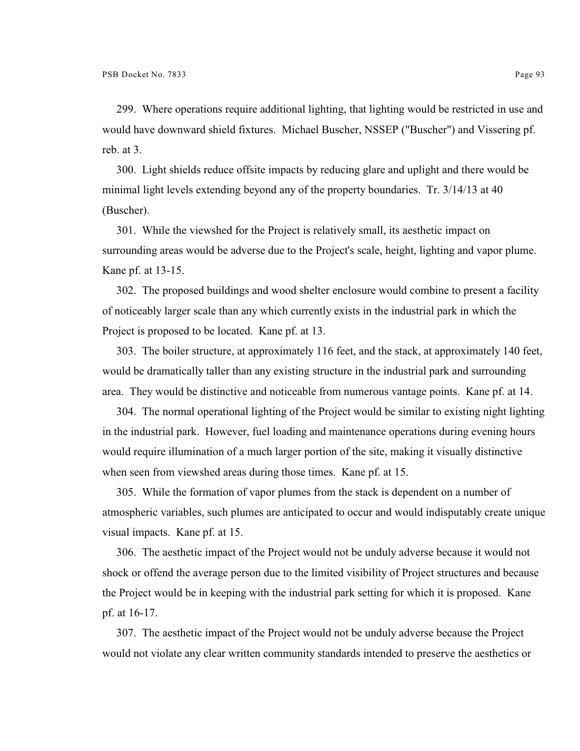299. Where operations require additional lighting, that lighting would be restricted in use and would have downward shield fixtures. Michael Buscher, NSSEP ("Buscher") and Vissering pf. reb. at 3.

300. Light shields reduce offsite impacts by reducing glare and uplight and there would be minimal light levels extending beyond any of the property boundaries. Tr. 3/14/13 at 40 (Buscher).

301. While the viewshed for the Project is relatively small, its aesthetic impact on surrounding areas would be adverse due to the Project's scale, height, lighting and vapor plume. Kane pf. at 13-15.

302. The proposed buildings and wood shelter enclosure would combine to present a facility of noticeably larger scale than any which currently exists in the industrial park in which the Project is proposed to be located. Kane pf. at 13.

303. The boiler structure, at approximately 116 feet, and the stack, at approximately 140 feet, would be dramatically taller than any existing structure in the industrial park and surrounding area. They would be distinctive and noticeable from numerous vantage points. Kane pf. at 14.

304. The normal operational lighting of the Project would be similar to existing night lighting in the industrial park. However, fuel loading and maintenance operations during evening hours would require illumination of a much larger portion of the site, making it visually distinctive when seen from viewshed areas during those times. Kane pf. at 15.

305. While the formation of vapor plumes from the stack is dependent on a number of atmospheric variables, such plumes are anticipated to occur and would indisputably create unique visual impacts. Kane pf. at 15.

306. The aesthetic impact of the Project would not be unduly adverse because it would not shock or offend the average person due to the limited visibility of Project structures and because the Project would be in keeping with the industrial park setting for which it is proposed. Kane pf. at 16-17.

307. The aesthetic impact of the Project would not be unduly adverse because the Project would not violate any clear written community standards intended to preserve the aesthetics or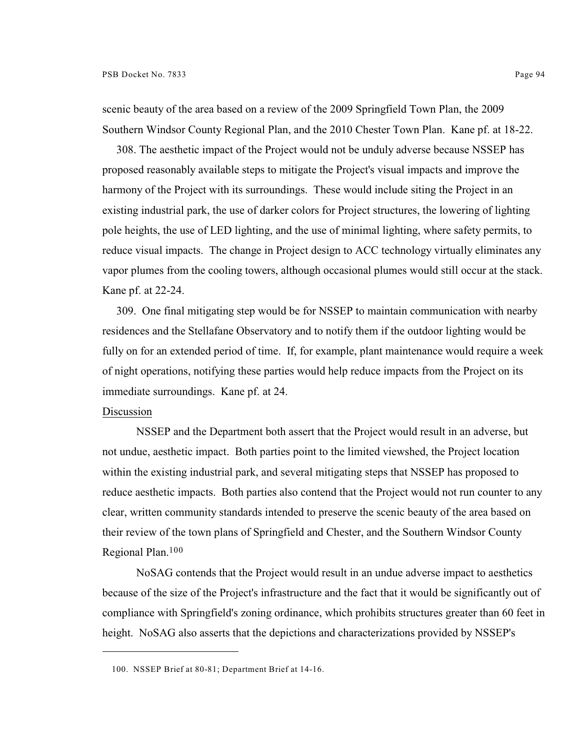scenic beauty of the area based on a review of the 2009 Springfield Town Plan, the 2009 Southern Windsor County Regional Plan, and the 2010 Chester Town Plan. Kane pf. at 18-22.

308. The aesthetic impact of the Project would not be unduly adverse because NSSEP has proposed reasonably available steps to mitigate the Project's visual impacts and improve the harmony of the Project with its surroundings. These would include siting the Project in an existing industrial park, the use of darker colors for Project structures, the lowering of lighting pole heights, the use of LED lighting, and the use of minimal lighting, where safety permits, to reduce visual impacts. The change in Project design to ACC technology virtually eliminates any vapor plumes from the cooling towers, although occasional plumes would still occur at the stack. Kane pf. at 22-24.

309. One final mitigating step would be for NSSEP to maintain communication with nearby residences and the Stellafane Observatory and to notify them if the outdoor lighting would be fully on for an extended period of time. If, for example, plant maintenance would require a week of night operations, notifying these parties would help reduce impacts from the Project on its immediate surroundings. Kane pf. at 24.

# Discussion

NSSEP and the Department both assert that the Project would result in an adverse, but not undue, aesthetic impact. Both parties point to the limited viewshed, the Project location within the existing industrial park, and several mitigating steps that NSSEP has proposed to reduce aesthetic impacts. Both parties also contend that the Project would not run counter to any clear, written community standards intended to preserve the scenic beauty of the area based on their review of the town plans of Springfield and Chester, and the Southern Windsor County Regional Plan.<sup>100</sup>

NoSAG contends that the Project would result in an undue adverse impact to aesthetics because of the size of the Project's infrastructure and the fact that it would be significantly out of compliance with Springfield's zoning ordinance, which prohibits structures greater than 60 feet in height. NoSAG also asserts that the depictions and characterizations provided by NSSEP's

<sup>100.</sup> NSSEP Brief at 80-81; Department Brief at 14-16.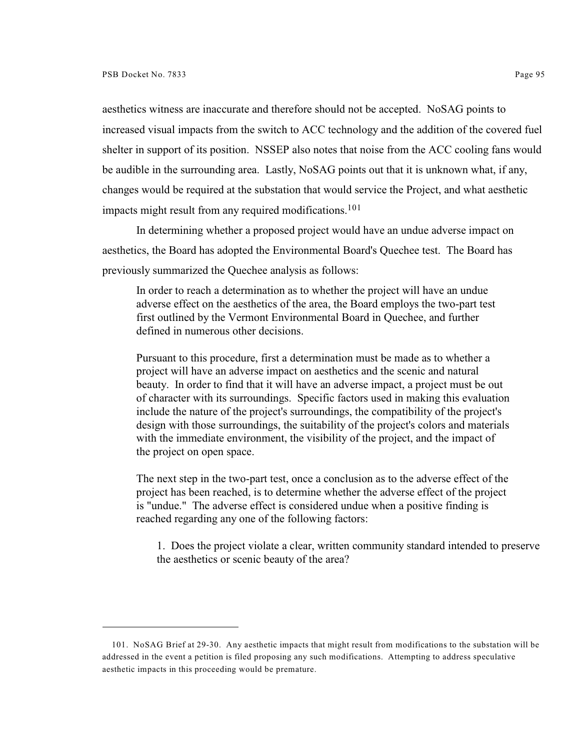aesthetics witness are inaccurate and therefore should not be accepted. NoSAG points to increased visual impacts from the switch to ACC technology and the addition of the covered fuel shelter in support of its position. NSSEP also notes that noise from the ACC cooling fans would be audible in the surrounding area. Lastly, NoSAG points out that it is unknown what, if any, changes would be required at the substation that would service the Project, and what aesthetic impacts might result from any required modifications.<sup>101</sup>

In determining whether a proposed project would have an undue adverse impact on aesthetics, the Board has adopted the Environmental Board's Quechee test. The Board has previously summarized the Quechee analysis as follows:

In order to reach a determination as to whether the project will have an undue adverse effect on the aesthetics of the area, the Board employs the two-part test first outlined by the Vermont Environmental Board in Quechee, and further defined in numerous other decisions.

Pursuant to this procedure, first a determination must be made as to whether a project will have an adverse impact on aesthetics and the scenic and natural beauty. In order to find that it will have an adverse impact, a project must be out of character with its surroundings. Specific factors used in making this evaluation include the nature of the project's surroundings, the compatibility of the project's design with those surroundings, the suitability of the project's colors and materials with the immediate environment, the visibility of the project, and the impact of the project on open space.

The next step in the two-part test, once a conclusion as to the adverse effect of the project has been reached, is to determine whether the adverse effect of the project is "undue." The adverse effect is considered undue when a positive finding is reached regarding any one of the following factors:

1. Does the project violate a clear, written community standard intended to preserve the aesthetics or scenic beauty of the area?

<sup>101.</sup> NoSAG Brief at 29-30. Any aesthetic impacts that might result from modifications to the substation will be addressed in the event a petition is filed proposing any such modifications. Attempting to address speculative aesthetic impacts in this proceeding would be premature.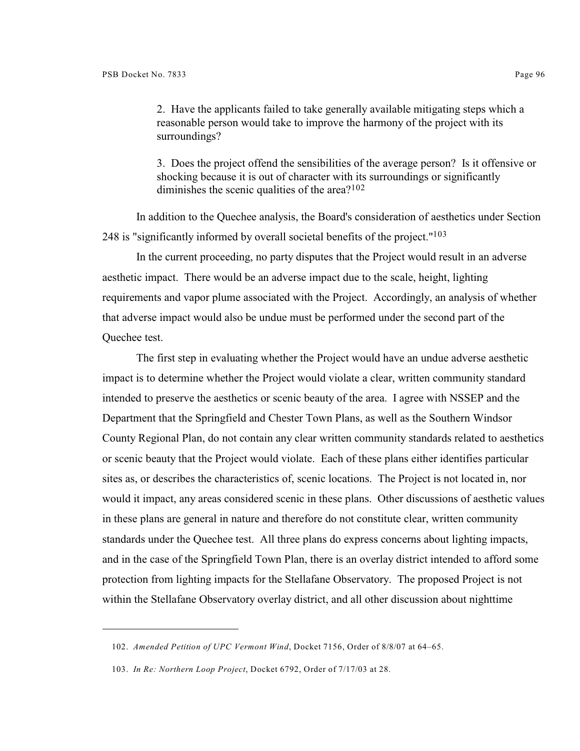2. Have the applicants failed to take generally available mitigating steps which a reasonable person would take to improve the harmony of the project with its surroundings?

3. Does the project offend the sensibilities of the average person? Is it offensive or shocking because it is out of character with its surroundings or significantly diminishes the scenic qualities of the area? $102$ 

In addition to the Quechee analysis, the Board's consideration of aesthetics under Section 248 is "significantly informed by overall societal benefits of the project."<sup>103</sup>

In the current proceeding, no party disputes that the Project would result in an adverse aesthetic impact. There would be an adverse impact due to the scale, height, lighting requirements and vapor plume associated with the Project. Accordingly, an analysis of whether that adverse impact would also be undue must be performed under the second part of the Quechee test.

The first step in evaluating whether the Project would have an undue adverse aesthetic impact is to determine whether the Project would violate a clear, written community standard intended to preserve the aesthetics or scenic beauty of the area. I agree with NSSEP and the Department that the Springfield and Chester Town Plans, as well as the Southern Windsor County Regional Plan, do not contain any clear written community standards related to aesthetics or scenic beauty that the Project would violate. Each of these plans either identifies particular sites as, or describes the characteristics of, scenic locations. The Project is not located in, nor would it impact, any areas considered scenic in these plans. Other discussions of aesthetic values in these plans are general in nature and therefore do not constitute clear, written community standards under the Quechee test. All three plans do express concerns about lighting impacts, and in the case of the Springfield Town Plan, there is an overlay district intended to afford some protection from lighting impacts for the Stellafane Observatory. The proposed Project is not within the Stellafane Observatory overlay district, and all other discussion about nighttime

<sup>102.</sup> *Amended Petition of UPC Vermont Wind*, Docket 7156, Order of 8/8/07 at 64–65.

<sup>103.</sup> *In Re: Northern Loop Project*, Docket 6792, Order of 7/17/03 at 28.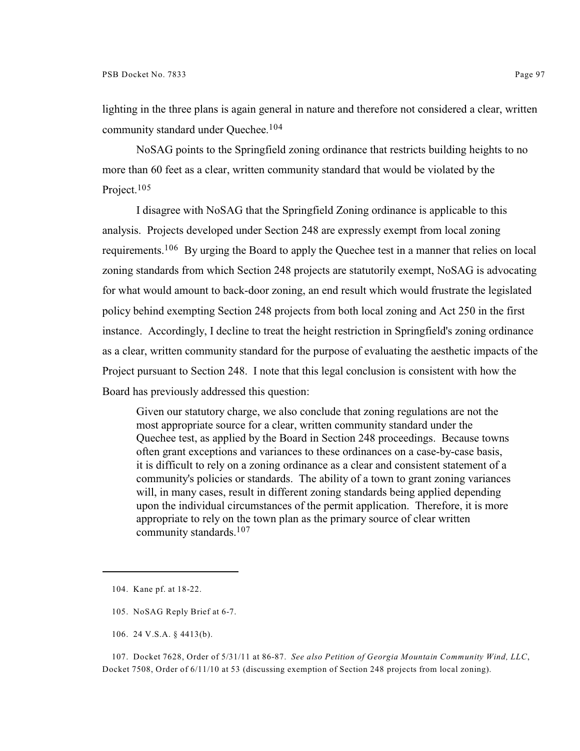lighting in the three plans is again general in nature and therefore not considered a clear, written community standard under Quechee. 104

NoSAG points to the Springfield zoning ordinance that restricts building heights to no more than 60 feet as a clear, written community standard that would be violated by the Project.<sup>105</sup>

I disagree with NoSAG that the Springfield Zoning ordinance is applicable to this analysis. Projects developed under Section 248 are expressly exempt from local zoning requirements.<sup>106</sup> By urging the Board to apply the Quechee test in a manner that relies on local zoning standards from which Section 248 projects are statutorily exempt, NoSAG is advocating for what would amount to back-door zoning, an end result which would frustrate the legislated policy behind exempting Section 248 projects from both local zoning and Act 250 in the first instance. Accordingly, I decline to treat the height restriction in Springfield's zoning ordinance as a clear, written community standard for the purpose of evaluating the aesthetic impacts of the Project pursuant to Section 248. I note that this legal conclusion is consistent with how the Board has previously addressed this question:

Given our statutory charge, we also conclude that zoning regulations are not the most appropriate source for a clear, written community standard under the Quechee test, as applied by the Board in Section 248 proceedings. Because towns often grant exceptions and variances to these ordinances on a case-by-case basis, it is difficult to rely on a zoning ordinance as a clear and consistent statement of a community's policies or standards. The ability of a town to grant zoning variances will, in many cases, result in different zoning standards being applied depending upon the individual circumstances of the permit application. Therefore, it is more appropriate to rely on the town plan as the primary source of clear written community standards.<sup>107</sup>

- 105. NoSAG Reply Brief at 6-7.
- 106. 24 V.S.A. § 4413(b).

107. Docket 7628, Order of 5/31/11 at 86-87. *See also Petition of Georgia Mountain Community Wind, LLC*, Docket 7508, Order of 6/11/10 at 53 (discussing exemption of Section 248 projects from local zoning).

<sup>104.</sup> Kane pf. at 18-22.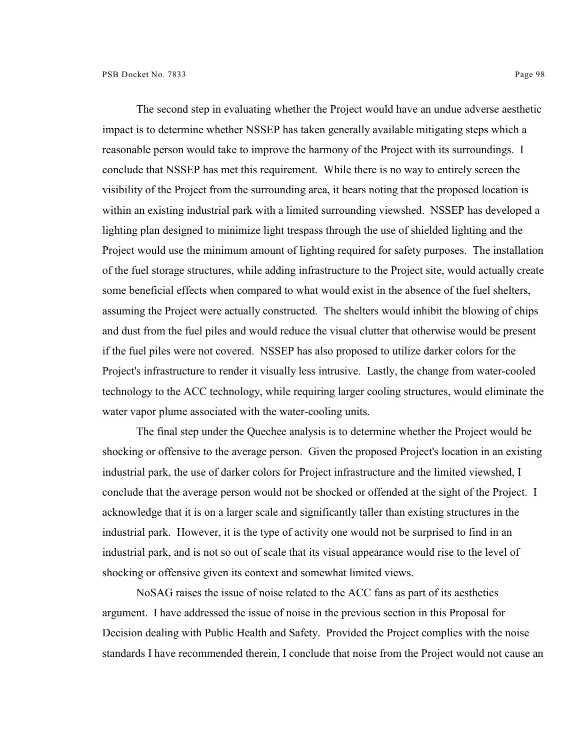The second step in evaluating whether the Project would have an undue adverse aesthetic

impact is to determine whether NSSEP has taken generally available mitigating steps which a reasonable person would take to improve the harmony of the Project with its surroundings. I conclude that NSSEP has met this requirement. While there is no way to entirely screen the visibility of the Project from the surrounding area, it bears noting that the proposed location is within an existing industrial park with a limited surrounding viewshed. NSSEP has developed a lighting plan designed to minimize light trespass through the use of shielded lighting and the Project would use the minimum amount of lighting required for safety purposes. The installation of the fuel storage structures, while adding infrastructure to the Project site, would actually create some beneficial effects when compared to what would exist in the absence of the fuel shelters, assuming the Project were actually constructed. The shelters would inhibit the blowing of chips and dust from the fuel piles and would reduce the visual clutter that otherwise would be present if the fuel piles were not covered. NSSEP has also proposed to utilize darker colors for the Project's infrastructure to render it visually less intrusive. Lastly, the change from water-cooled technology to the ACC technology, while requiring larger cooling structures, would eliminate the water vapor plume associated with the water-cooling units.

The final step under the Quechee analysis is to determine whether the Project would be shocking or offensive to the average person. Given the proposed Project's location in an existing industrial park, the use of darker colors for Project infrastructure and the limited viewshed, I conclude that the average person would not be shocked or offended at the sight of the Project. I acknowledge that it is on a larger scale and significantly taller than existing structures in the industrial park. However, it is the type of activity one would not be surprised to find in an industrial park, and is not so out of scale that its visual appearance would rise to the level of shocking or offensive given its context and somewhat limited views.

NoSAG raises the issue of noise related to the ACC fans as part of its aesthetics argument. I have addressed the issue of noise in the previous section in this Proposal for Decision dealing with Public Health and Safety. Provided the Project complies with the noise standards I have recommended therein, I conclude that noise from the Project would not cause an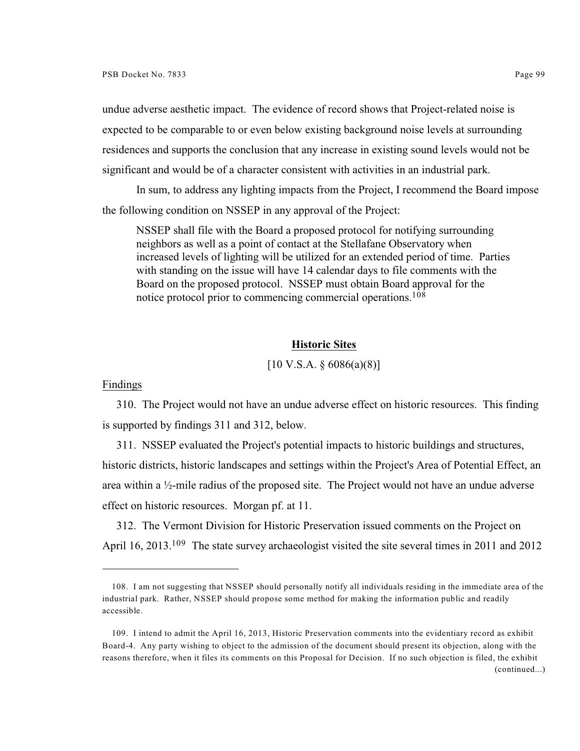undue adverse aesthetic impact. The evidence of record shows that Project-related noise is expected to be comparable to or even below existing background noise levels at surrounding residences and supports the conclusion that any increase in existing sound levels would not be significant and would be of a character consistent with activities in an industrial park.

In sum, to address any lighting impacts from the Project, I recommend the Board impose the following condition on NSSEP in any approval of the Project:

NSSEP shall file with the Board a proposed protocol for notifying surrounding neighbors as well as a point of contact at the Stellafane Observatory when increased levels of lighting will be utilized for an extended period of time. Parties with standing on the issue will have 14 calendar days to file comments with the Board on the proposed protocol. NSSEP must obtain Board approval for the notice protocol prior to commencing commercial operations.<sup>108</sup>

### **Historic Sites**

# $[10 \text{ V.S.A. } § 6086(a)(8)]$

### Findings

310. The Project would not have an undue adverse effect on historic resources. This finding is supported by findings 311 and 312, below.

311. NSSEP evaluated the Project's potential impacts to historic buildings and structures, historic districts, historic landscapes and settings within the Project's Area of Potential Effect, an area within a  $\frac{1}{2}$ -mile radius of the proposed site. The Project would not have an undue adverse effect on historic resources. Morgan pf. at 11.

312. The Vermont Division for Historic Preservation issued comments on the Project on April 16, 2013.<sup>109</sup> The state survey archaeologist visited the site several times in 2011 and 2012

<sup>108.</sup> I am not suggesting that NSSEP should personally notify all individuals residing in the immediate area of the industrial park. Rather, NSSEP should propose some method for making the information public and readily accessible.

<sup>109.</sup> I intend to admit the April 16, 2013, Historic Preservation comments into the evidentiary record as exhibit Board-4. Any party wishing to object to the admission of the document should present its objection, along with the reasons therefore, when it files its comments on this Proposal for Decision. If no such objection is filed, the exhibit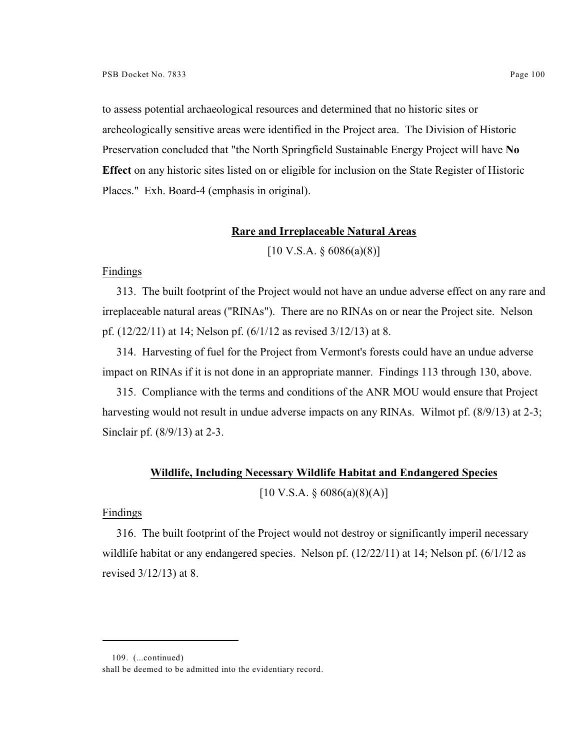to assess potential archaeological resources and determined that no historic sites or archeologically sensitive areas were identified in the Project area. The Division of Historic Preservation concluded that "the North Springfield Sustainable Energy Project will have **No Effect** on any historic sites listed on or eligible for inclusion on the State Register of Historic Places." Exh. Board-4 (emphasis in original).

### **Rare and Irreplaceable Natural Areas**

 $[10 \text{ V.S.A. } § 6086(a)(8)]$ 

## Findings

313. The built footprint of the Project would not have an undue adverse effect on any rare and irreplaceable natural areas ("RINAs"). There are no RINAs on or near the Project site. Nelson pf. (12/22/11) at 14; Nelson pf. (6/1/12 as revised 3/12/13) at 8.

314. Harvesting of fuel for the Project from Vermont's forests could have an undue adverse impact on RINAs if it is not done in an appropriate manner. Findings 113 through 130, above.

315. Compliance with the terms and conditions of the ANR MOU would ensure that Project harvesting would not result in undue adverse impacts on any RINAs. Wilmot pf. (8/9/13) at 2-3; Sinclair pf. (8/9/13) at 2-3.

#### **Wildlife, Including Necessary Wildlife Habitat and Endangered Species**

 $[10 \text{ V.S.A.} \$ \$ 6086(a)(8)(A)]

### Findings

316. The built footprint of the Project would not destroy or significantly imperil necessary wildlife habitat or any endangered species. Nelson pf. (12/22/11) at 14; Nelson pf. (6/1/12 as revised 3/12/13) at 8.

<sup>109.</sup> (...continued)

shall be deemed to be admitted into the evidentiary record.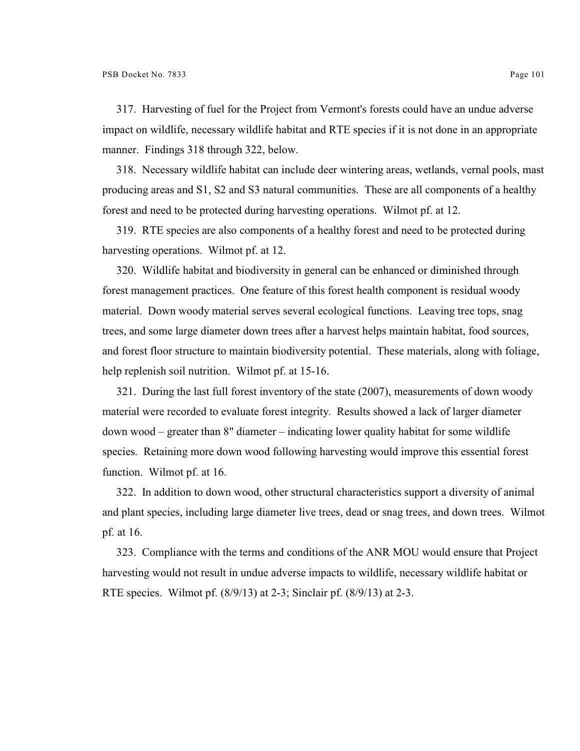317. Harvesting of fuel for the Project from Vermont's forests could have an undue adverse impact on wildlife, necessary wildlife habitat and RTE species if it is not done in an appropriate manner. Findings 318 through 322, below.

318. Necessary wildlife habitat can include deer wintering areas, wetlands, vernal pools, mast producing areas and S1, S2 and S3 natural communities. These are all components of a healthy forest and need to be protected during harvesting operations. Wilmot pf. at 12.

319. RTE species are also components of a healthy forest and need to be protected during harvesting operations. Wilmot pf. at 12.

320. Wildlife habitat and biodiversity in general can be enhanced or diminished through forest management practices. One feature of this forest health component is residual woody material. Down woody material serves several ecological functions. Leaving tree tops, snag trees, and some large diameter down trees after a harvest helps maintain habitat, food sources, and forest floor structure to maintain biodiversity potential. These materials, along with foliage, help replenish soil nutrition. Wilmot pf. at 15-16.

321. During the last full forest inventory of the state (2007), measurements of down woody material were recorded to evaluate forest integrity. Results showed a lack of larger diameter down wood – greater than 8" diameter – indicating lower quality habitat for some wildlife species. Retaining more down wood following harvesting would improve this essential forest function. Wilmot pf. at 16.

322. In addition to down wood, other structural characteristics support a diversity of animal and plant species, including large diameter live trees, dead or snag trees, and down trees. Wilmot pf. at 16.

323. Compliance with the terms and conditions of the ANR MOU would ensure that Project harvesting would not result in undue adverse impacts to wildlife, necessary wildlife habitat or RTE species. Wilmot pf. (8/9/13) at 2-3; Sinclair pf. (8/9/13) at 2-3.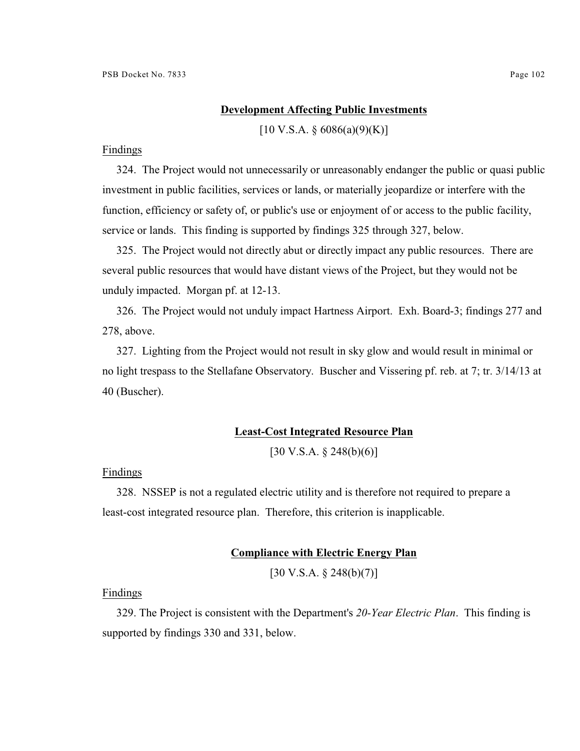### **Development Affecting Public Investments**

 $[10 \text{ V.S.A.} \$   $6086(a)(9)(K)]$ 

#### Findings

324. The Project would not unnecessarily or unreasonably endanger the public or quasi public investment in public facilities, services or lands, or materially jeopardize or interfere with the function, efficiency or safety of, or public's use or enjoyment of or access to the public facility, service or lands. This finding is supported by findings 325 through 327, below.

325. The Project would not directly abut or directly impact any public resources. There are several public resources that would have distant views of the Project, but they would not be unduly impacted. Morgan pf. at 12-13.

326. The Project would not unduly impact Hartness Airport. Exh. Board-3; findings 277 and 278, above.

327. Lighting from the Project would not result in sky glow and would result in minimal or no light trespass to the Stellafane Observatory. Buscher and Vissering pf. reb. at 7; tr. 3/14/13 at 40 (Buscher).

#### **Least-Cost Integrated Resource Plan**

 $[30 \text{ V.S.A.} \& 248(b)(6)]$ 

### Findings

328. NSSEP is not a regulated electric utility and is therefore not required to prepare a least-cost integrated resource plan. Therefore, this criterion is inapplicable.

### **Compliance with Electric Energy Plan**

[30 V.S.A. § 248(b)(7)]

#### Findings

329. The Project is consistent with the Department's *20-Year Electric Plan*. This finding is supported by findings 330 and 331, below.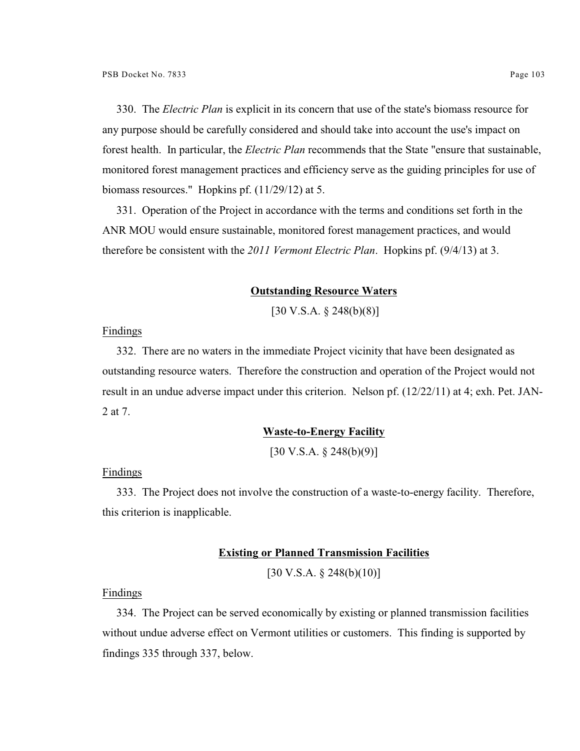330. The *Electric Plan* is explicit in its concern that use of the state's biomass resource for any purpose should be carefully considered and should take into account the use's impact on forest health. In particular, the *Electric Plan* recommends that the State "ensure that sustainable, monitored forest management practices and efficiency serve as the guiding principles for use of biomass resources." Hopkins pf. (11/29/12) at 5.

331. Operation of the Project in accordance with the terms and conditions set forth in the ANR MOU would ensure sustainable, monitored forest management practices, and would therefore be consistent with the *2011 Vermont Electric Plan*. Hopkins pf. (9/4/13) at 3.

#### **Outstanding Resource Waters**

[30 V.S.A. § 248(b)(8)]

Findings

332. There are no waters in the immediate Project vicinity that have been designated as outstanding resource waters. Therefore the construction and operation of the Project would not result in an undue adverse impact under this criterion. Nelson pf. (12/22/11) at 4; exh. Pet. JAN-2 at 7.

#### **Waste-to-Energy Facility**

[30 V.S.A. § 248(b)(9)]

Findings

333. The Project does not involve the construction of a waste-to-energy facility. Therefore, this criterion is inapplicable.

### **Existing or Planned Transmission Facilities**

 $[30 \text{ V.S.A.} \$ \$ 248(b)(10)]

Findings

334. The Project can be served economically by existing or planned transmission facilities without undue adverse effect on Vermont utilities or customers. This finding is supported by findings 335 through 337, below.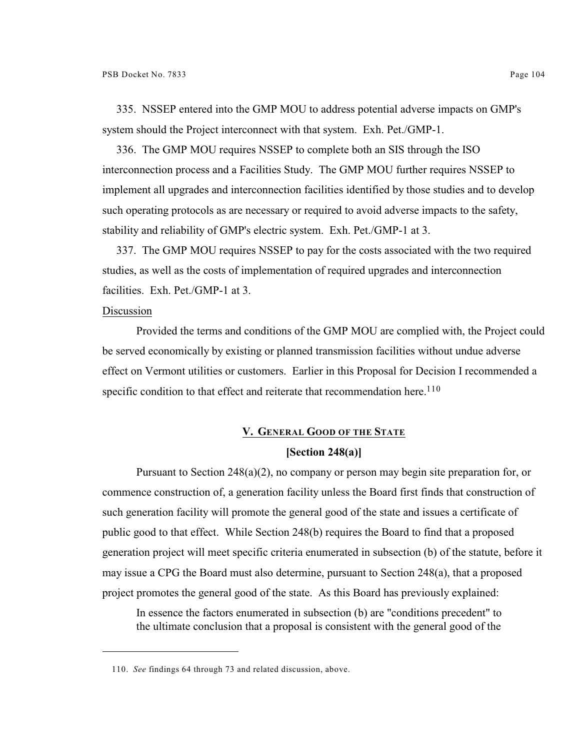335. NSSEP entered into the GMP MOU to address potential adverse impacts on GMP's system should the Project interconnect with that system. Exh. Pet./GMP-1.

336. The GMP MOU requires NSSEP to complete both an SIS through the ISO interconnection process and a Facilities Study. The GMP MOU further requires NSSEP to implement all upgrades and interconnection facilities identified by those studies and to develop such operating protocols as are necessary or required to avoid adverse impacts to the safety, stability and reliability of GMP's electric system. Exh. Pet./GMP-1 at 3.

337. The GMP MOU requires NSSEP to pay for the costs associated with the two required studies, as well as the costs of implementation of required upgrades and interconnection facilities. Exh. Pet./GMP-1 at 3.

## Discussion

Provided the terms and conditions of the GMP MOU are complied with, the Project could be served economically by existing or planned transmission facilities without undue adverse effect on Vermont utilities or customers. Earlier in this Proposal for Decision I recommended a specific condition to that effect and reiterate that recommendation here.<sup>110</sup>

### **V. GENERAL GOOD OF THE STATE**

## **[Section 248(a)]**

Pursuant to Section 248(a)(2), no company or person may begin site preparation for, or commence construction of, a generation facility unless the Board first finds that construction of such generation facility will promote the general good of the state and issues a certificate of public good to that effect. While Section 248(b) requires the Board to find that a proposed generation project will meet specific criteria enumerated in subsection (b) of the statute, before it may issue a CPG the Board must also determine, pursuant to Section 248(a), that a proposed project promotes the general good of the state. As this Board has previously explained:

In essence the factors enumerated in subsection (b) are "conditions precedent" to the ultimate conclusion that a proposal is consistent with the general good of the

<sup>110.</sup> *See* findings 64 through 73 and related discussion, above.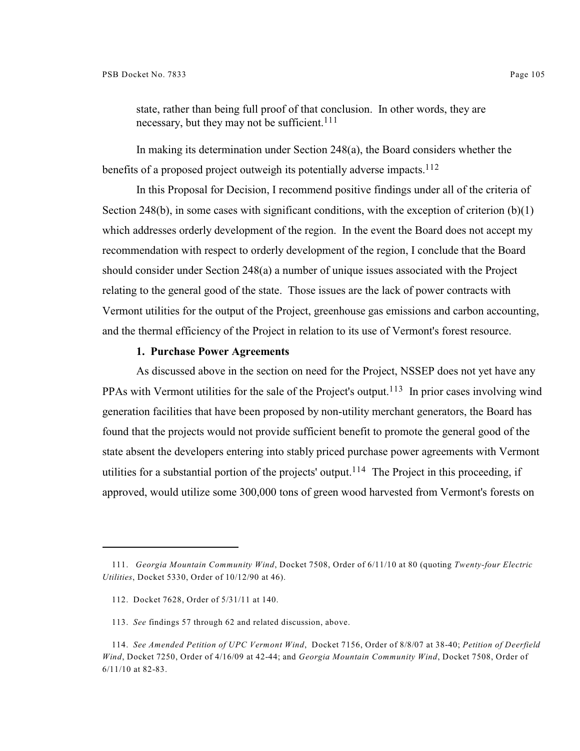state, rather than being full proof of that conclusion. In other words, they are necessary, but they may not be sufficient.<sup>111</sup>

In making its determination under Section 248(a), the Board considers whether the benefits of a proposed project outweigh its potentially adverse impacts.<sup>112</sup>

In this Proposal for Decision, I recommend positive findings under all of the criteria of Section 248(b), in some cases with significant conditions, with the exception of criterion  $(b)(1)$ which addresses orderly development of the region. In the event the Board does not accept my recommendation with respect to orderly development of the region, I conclude that the Board should consider under Section 248(a) a number of unique issues associated with the Project relating to the general good of the state. Those issues are the lack of power contracts with Vermont utilities for the output of the Project, greenhouse gas emissions and carbon accounting, and the thermal efficiency of the Project in relation to its use of Vermont's forest resource.

## **1. Purchase Power Agreements**

As discussed above in the section on need for the Project, NSSEP does not yet have any PPAs with Vermont utilities for the sale of the Project's output.<sup>113</sup> In prior cases involving wind generation facilities that have been proposed by non-utility merchant generators, the Board has found that the projects would not provide sufficient benefit to promote the general good of the state absent the developers entering into stably priced purchase power agreements with Vermont utilities for a substantial portion of the projects' output.<sup>114</sup> The Project in this proceeding, if approved, would utilize some 300,000 tons of green wood harvested from Vermont's forests on

<sup>111.</sup> *Georgia Mountain Community Wind*, Docket 7508, Order of 6/11/10 at 80 (quoting *Twenty-four Electric Utilities*, Docket 5330, Order of 10/12/90 at 46).

<sup>112.</sup> Docket 7628, Order of 5/31/11 at 140.

<sup>113.</sup> *See* findings 57 through 62 and related discussion, above.

<sup>114.</sup> *See Amended Petition of UPC Vermont Wind*, Docket 7156, Order of 8/8/07 at 38-40; *Petition of Deerfield Wind*, Docket 7250, Order of 4/16/09 at 42-44; and *Georgia Mountain Community Wind*, Docket 7508, Order of 6/11/10 at 82-83.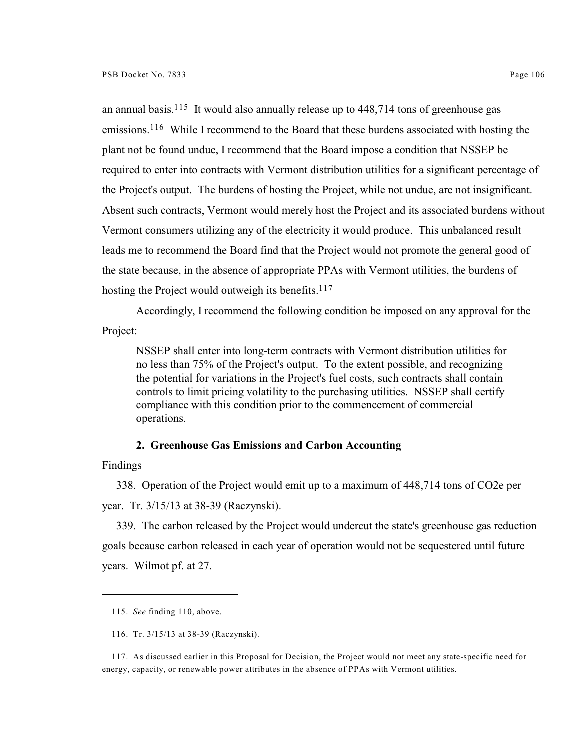an annual basis.<sup>115</sup> It would also annually release up to  $448,714$  tons of greenhouse gas emissions.<sup>116</sup> While I recommend to the Board that these burdens associated with hosting the plant not be found undue, I recommend that the Board impose a condition that NSSEP be required to enter into contracts with Vermont distribution utilities for a significant percentage of the Project's output. The burdens of hosting the Project, while not undue, are not insignificant. Absent such contracts, Vermont would merely host the Project and its associated burdens without Vermont consumers utilizing any of the electricity it would produce. This unbalanced result leads me to recommend the Board find that the Project would not promote the general good of the state because, in the absence of appropriate PPAs with Vermont utilities, the burdens of hosting the Project would outweigh its benefits. $117$ 

Accordingly, I recommend the following condition be imposed on any approval for the Project:

NSSEP shall enter into long-term contracts with Vermont distribution utilities for no less than 75% of the Project's output. To the extent possible, and recognizing the potential for variations in the Project's fuel costs, such contracts shall contain controls to limit pricing volatility to the purchasing utilities. NSSEP shall certify compliance with this condition prior to the commencement of commercial operations.

### **2. Greenhouse Gas Emissions and Carbon Accounting**

Findings

338. Operation of the Project would emit up to a maximum of 448,714 tons of CO2e per year. Tr. 3/15/13 at 38-39 (Raczynski).

339. The carbon released by the Project would undercut the state's greenhouse gas reduction goals because carbon released in each year of operation would not be sequestered until future years. Wilmot pf. at 27.

<sup>115.</sup> *See* finding 110, above.

<sup>116.</sup> Tr. 3/15/13 at 38-39 (Raczynski).

<sup>117.</sup> As discussed earlier in this Proposal for Decision, the Project would not meet any state-specific need for energy, capacity, or renewable power attributes in the absence of PPAs with Vermont utilities.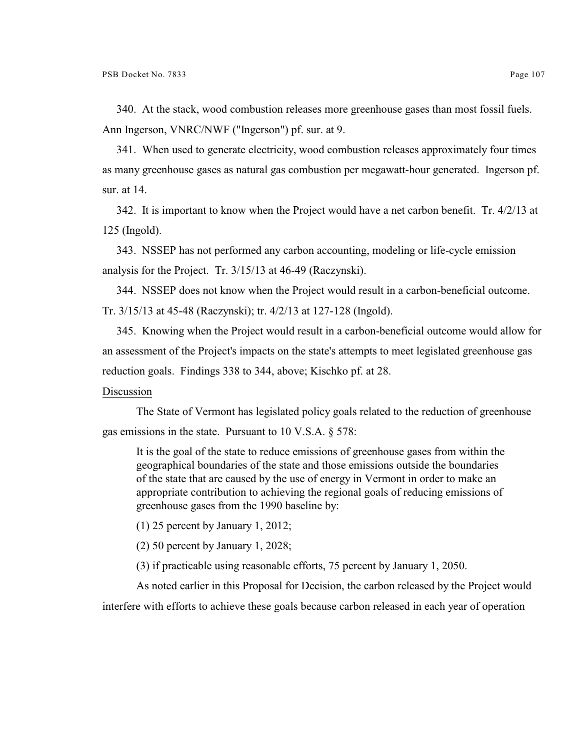340. At the stack, wood combustion releases more greenhouse gases than most fossil fuels. Ann Ingerson, VNRC/NWF ("Ingerson") pf. sur. at 9.

341. When used to generate electricity, wood combustion releases approximately four times as many greenhouse gases as natural gas combustion per megawatt-hour generated. Ingerson pf. sur. at 14.

342. It is important to know when the Project would have a net carbon benefit. Tr. 4/2/13 at 125 (Ingold).

343. NSSEP has not performed any carbon accounting, modeling or life-cycle emission analysis for the Project. Tr. 3/15/13 at 46-49 (Raczynski).

344. NSSEP does not know when the Project would result in a carbon-beneficial outcome. Tr. 3/15/13 at 45-48 (Raczynski); tr. 4/2/13 at 127-128 (Ingold).

345. Knowing when the Project would result in a carbon-beneficial outcome would allow for an assessment of the Project's impacts on the state's attempts to meet legislated greenhouse gas reduction goals. Findings 338 to 344, above; Kischko pf. at 28.

### Discussion

The State of Vermont has legislated policy goals related to the reduction of greenhouse gas emissions in the state. Pursuant to 10 V.S.A. § 578:

It is the goal of the state to reduce emissions of greenhouse gases from within the geographical boundaries of the state and those emissions outside the boundaries of the state that are caused by the use of energy in Vermont in order to make an appropriate contribution to achieving the regional goals of reducing emissions of greenhouse gases from the 1990 baseline by:

(1) 25 percent by January 1, 2012;

(2) 50 percent by January 1, 2028;

(3) if practicable using reasonable efforts, 75 percent by January 1, 2050.

As noted earlier in this Proposal for Decision, the carbon released by the Project would interfere with efforts to achieve these goals because carbon released in each year of operation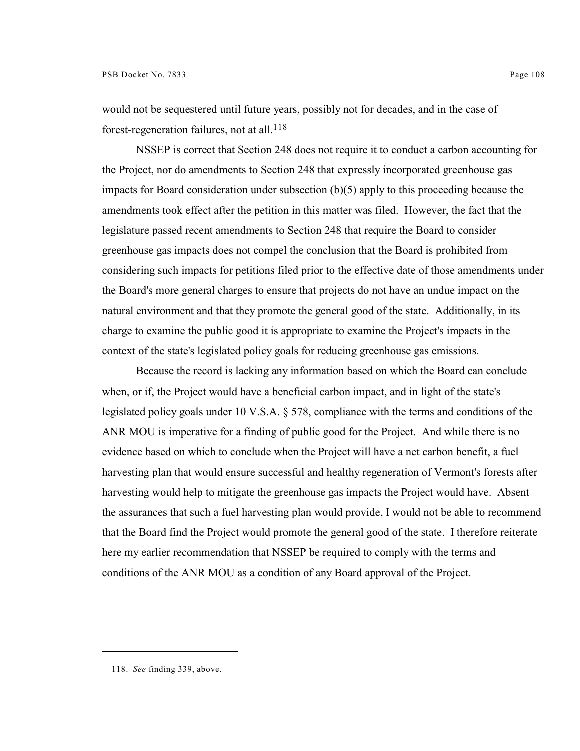would not be sequestered until future years, possibly not for decades, and in the case of forest-regeneration failures, not at all.<sup>118</sup>

NSSEP is correct that Section 248 does not require it to conduct a carbon accounting for the Project, nor do amendments to Section 248 that expressly incorporated greenhouse gas impacts for Board consideration under subsection (b)(5) apply to this proceeding because the amendments took effect after the petition in this matter was filed. However, the fact that the legislature passed recent amendments to Section 248 that require the Board to consider greenhouse gas impacts does not compel the conclusion that the Board is prohibited from considering such impacts for petitions filed prior to the effective date of those amendments under the Board's more general charges to ensure that projects do not have an undue impact on the natural environment and that they promote the general good of the state. Additionally, in its charge to examine the public good it is appropriate to examine the Project's impacts in the context of the state's legislated policy goals for reducing greenhouse gas emissions.

Because the record is lacking any information based on which the Board can conclude when, or if, the Project would have a beneficial carbon impact, and in light of the state's legislated policy goals under 10 V.S.A. § 578, compliance with the terms and conditions of the ANR MOU is imperative for a finding of public good for the Project. And while there is no evidence based on which to conclude when the Project will have a net carbon benefit, a fuel harvesting plan that would ensure successful and healthy regeneration of Vermont's forests after harvesting would help to mitigate the greenhouse gas impacts the Project would have. Absent the assurances that such a fuel harvesting plan would provide, I would not be able to recommend that the Board find the Project would promote the general good of the state. I therefore reiterate here my earlier recommendation that NSSEP be required to comply with the terms and conditions of the ANR MOU as a condition of any Board approval of the Project.

<sup>118.</sup> *See* finding 339, above.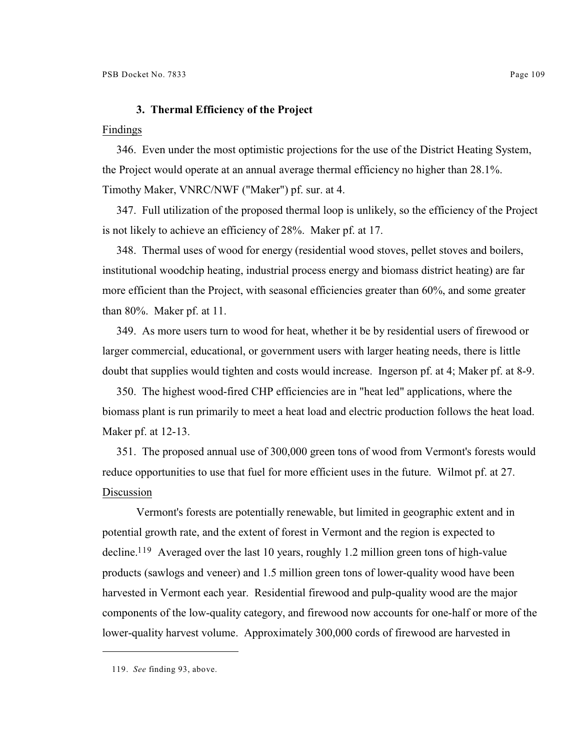## **3. Thermal Efficiency of the Project**

#### Findings

346. Even under the most optimistic projections for the use of the District Heating System, the Project would operate at an annual average thermal efficiency no higher than 28.1%. Timothy Maker, VNRC/NWF ("Maker") pf. sur. at 4.

347. Full utilization of the proposed thermal loop is unlikely, so the efficiency of the Project is not likely to achieve an efficiency of 28%. Maker pf. at 17.

348. Thermal uses of wood for energy (residential wood stoves, pellet stoves and boilers, institutional woodchip heating, industrial process energy and biomass district heating) are far more efficient than the Project, with seasonal efficiencies greater than 60%, and some greater than 80%. Maker pf. at 11.

349. As more users turn to wood for heat, whether it be by residential users of firewood or larger commercial, educational, or government users with larger heating needs, there is little doubt that supplies would tighten and costs would increase. Ingerson pf. at 4; Maker pf. at 8-9.

350. The highest wood-fired CHP efficiencies are in "heat led" applications, where the biomass plant is run primarily to meet a heat load and electric production follows the heat load. Maker pf. at 12-13.

351. The proposed annual use of 300,000 green tons of wood from Vermont's forests would reduce opportunities to use that fuel for more efficient uses in the future. Wilmot pf. at 27. Discussion

Vermont's forests are potentially renewable, but limited in geographic extent and in potential growth rate, and the extent of forest in Vermont and the region is expected to decline.<sup>119</sup> Averaged over the last 10 years, roughly 1.2 million green tons of high-value products (sawlogs and veneer) and 1.5 million green tons of lower-quality wood have been harvested in Vermont each year. Residential firewood and pulp-quality wood are the major components of the low-quality category, and firewood now accounts for one-half or more of the lower-quality harvest volume. Approximately 300,000 cords of firewood are harvested in

<sup>119.</sup> *See* finding 93, above.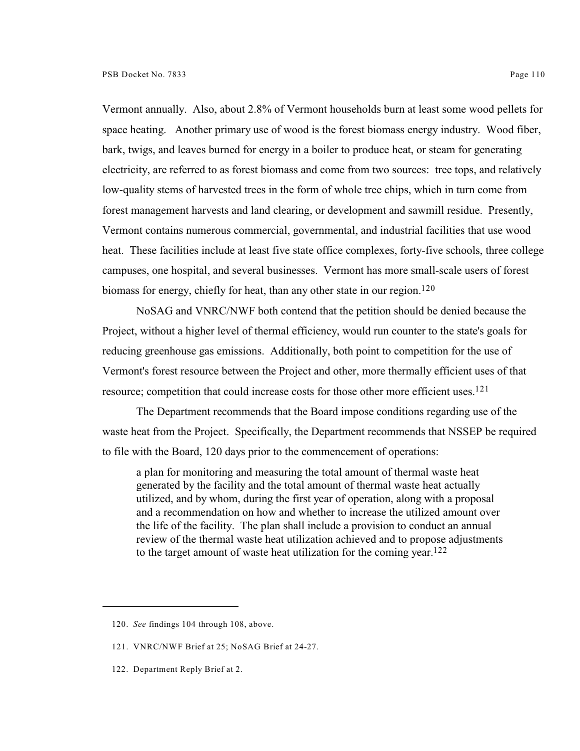Vermont annually. Also, about 2.8% of Vermont households burn at least some wood pellets for space heating. Another primary use of wood is the forest biomass energy industry. Wood fiber, bark, twigs, and leaves burned for energy in a boiler to produce heat, or steam for generating electricity, are referred to as forest biomass and come from two sources: tree tops, and relatively low-quality stems of harvested trees in the form of whole tree chips, which in turn come from forest management harvests and land clearing, or development and sawmill residue. Presently, Vermont contains numerous commercial, governmental, and industrial facilities that use wood heat. These facilities include at least five state office complexes, forty-five schools, three college campuses, one hospital, and several businesses. Vermont has more small-scale users of forest biomass for energy, chiefly for heat, than any other state in our region.<sup>120</sup>

NoSAG and VNRC/NWF both contend that the petition should be denied because the Project, without a higher level of thermal efficiency, would run counter to the state's goals for reducing greenhouse gas emissions. Additionally, both point to competition for the use of Vermont's forest resource between the Project and other, more thermally efficient uses of that resource; competition that could increase costs for those other more efficient uses.<sup>121</sup>

The Department recommends that the Board impose conditions regarding use of the waste heat from the Project. Specifically, the Department recommends that NSSEP be required to file with the Board, 120 days prior to the commencement of operations:

a plan for monitoring and measuring the total amount of thermal waste heat generated by the facility and the total amount of thermal waste heat actually utilized, and by whom, during the first year of operation, along with a proposal and a recommendation on how and whether to increase the utilized amount over the life of the facility. The plan shall include a provision to conduct an annual review of the thermal waste heat utilization achieved and to propose adjustments to the target amount of waste heat utilization for the coming year. 122

<sup>120.</sup> *See* findings 104 through 108, above.

<sup>121.</sup> VNRC/NWF Brief at 25; NoSAG Brief at 24-27.

<sup>122.</sup> Department Reply Brief at 2.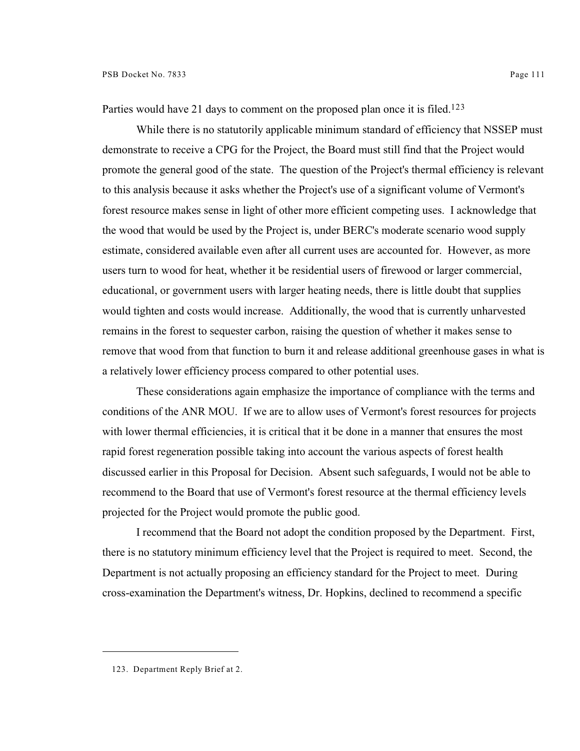Parties would have 21 days to comment on the proposed plan once it is filed.<sup>123</sup>

While there is no statutorily applicable minimum standard of efficiency that NSSEP must demonstrate to receive a CPG for the Project, the Board must still find that the Project would promote the general good of the state. The question of the Project's thermal efficiency is relevant to this analysis because it asks whether the Project's use of a significant volume of Vermont's forest resource makes sense in light of other more efficient competing uses. I acknowledge that the wood that would be used by the Project is, under BERC's moderate scenario wood supply estimate, considered available even after all current uses are accounted for. However, as more users turn to wood for heat, whether it be residential users of firewood or larger commercial, educational, or government users with larger heating needs, there is little doubt that supplies would tighten and costs would increase. Additionally, the wood that is currently unharvested remains in the forest to sequester carbon, raising the question of whether it makes sense to remove that wood from that function to burn it and release additional greenhouse gases in what is a relatively lower efficiency process compared to other potential uses.

These considerations again emphasize the importance of compliance with the terms and conditions of the ANR MOU. If we are to allow uses of Vermont's forest resources for projects with lower thermal efficiencies, it is critical that it be done in a manner that ensures the most rapid forest regeneration possible taking into account the various aspects of forest health discussed earlier in this Proposal for Decision. Absent such safeguards, I would not be able to recommend to the Board that use of Vermont's forest resource at the thermal efficiency levels projected for the Project would promote the public good.

I recommend that the Board not adopt the condition proposed by the Department. First, there is no statutory minimum efficiency level that the Project is required to meet. Second, the Department is not actually proposing an efficiency standard for the Project to meet. During cross-examination the Department's witness, Dr. Hopkins, declined to recommend a specific

<sup>123.</sup> Department Reply Brief at 2.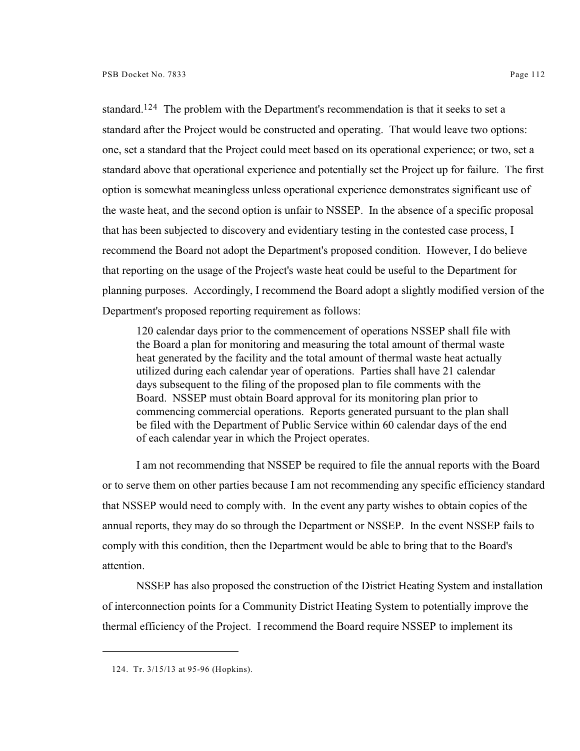standard.<sup>124</sup> The problem with the Department's recommendation is that it seeks to set a standard after the Project would be constructed and operating. That would leave two options: one, set a standard that the Project could meet based on its operational experience; or two, set a standard above that operational experience and potentially set the Project up for failure. The first option is somewhat meaningless unless operational experience demonstrates significant use of the waste heat, and the second option is unfair to NSSEP. In the absence of a specific proposal that has been subjected to discovery and evidentiary testing in the contested case process, I recommend the Board not adopt the Department's proposed condition. However, I do believe that reporting on the usage of the Project's waste heat could be useful to the Department for planning purposes. Accordingly, I recommend the Board adopt a slightly modified version of the Department's proposed reporting requirement as follows:

120 calendar days prior to the commencement of operations NSSEP shall file with the Board a plan for monitoring and measuring the total amount of thermal waste heat generated by the facility and the total amount of thermal waste heat actually utilized during each calendar year of operations. Parties shall have 21 calendar days subsequent to the filing of the proposed plan to file comments with the Board. NSSEP must obtain Board approval for its monitoring plan prior to commencing commercial operations. Reports generated pursuant to the plan shall be filed with the Department of Public Service within 60 calendar days of the end of each calendar year in which the Project operates.

I am not recommending that NSSEP be required to file the annual reports with the Board or to serve them on other parties because I am not recommending any specific efficiency standard that NSSEP would need to comply with. In the event any party wishes to obtain copies of the annual reports, they may do so through the Department or NSSEP. In the event NSSEP fails to comply with this condition, then the Department would be able to bring that to the Board's attention.

NSSEP has also proposed the construction of the District Heating System and installation of interconnection points for a Community District Heating System to potentially improve the thermal efficiency of the Project. I recommend the Board require NSSEP to implement its

<sup>124.</sup> Tr. 3/15/13 at 95-96 (Hopkins).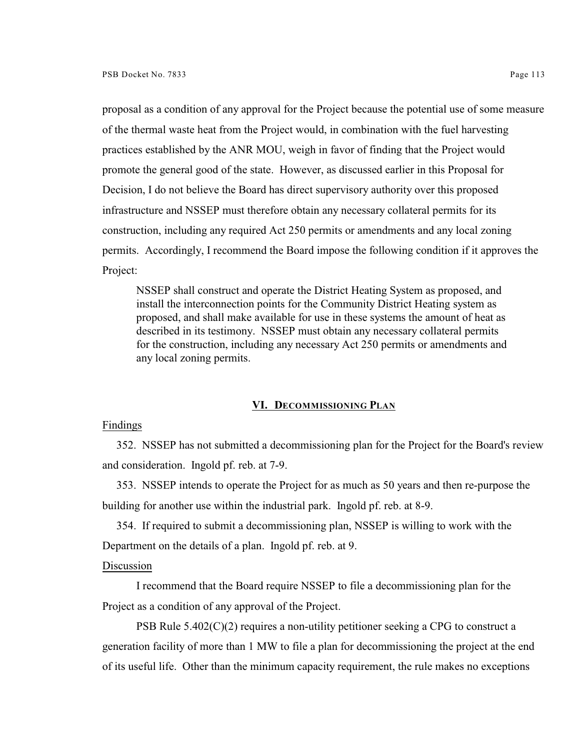proposal as a condition of any approval for the Project because the potential use of some measure of the thermal waste heat from the Project would, in combination with the fuel harvesting practices established by the ANR MOU, weigh in favor of finding that the Project would promote the general good of the state. However, as discussed earlier in this Proposal for Decision, I do not believe the Board has direct supervisory authority over this proposed infrastructure and NSSEP must therefore obtain any necessary collateral permits for its construction, including any required Act 250 permits or amendments and any local zoning permits. Accordingly, I recommend the Board impose the following condition if it approves the Project:

NSSEP shall construct and operate the District Heating System as proposed, and install the interconnection points for the Community District Heating system as proposed, and shall make available for use in these systems the amount of heat as described in its testimony. NSSEP must obtain any necessary collateral permits for the construction, including any necessary Act 250 permits or amendments and any local zoning permits.

### **VI. DECOMMISSIONING PLAN**

#### Findings

352. NSSEP has not submitted a decommissioning plan for the Project for the Board's review and consideration. Ingold pf. reb. at 7-9.

353. NSSEP intends to operate the Project for as much as 50 years and then re-purpose the building for another use within the industrial park. Ingold pf. reb. at 8-9.

354. If required to submit a decommissioning plan, NSSEP is willing to work with the Department on the details of a plan. Ingold pf. reb. at 9.

# Discussion

I recommend that the Board require NSSEP to file a decommissioning plan for the Project as a condition of any approval of the Project.

PSB Rule  $5.402(C)(2)$  requires a non-utility petitioner seeking a CPG to construct a generation facility of more than 1 MW to file a plan for decommissioning the project at the end of its useful life. Other than the minimum capacity requirement, the rule makes no exceptions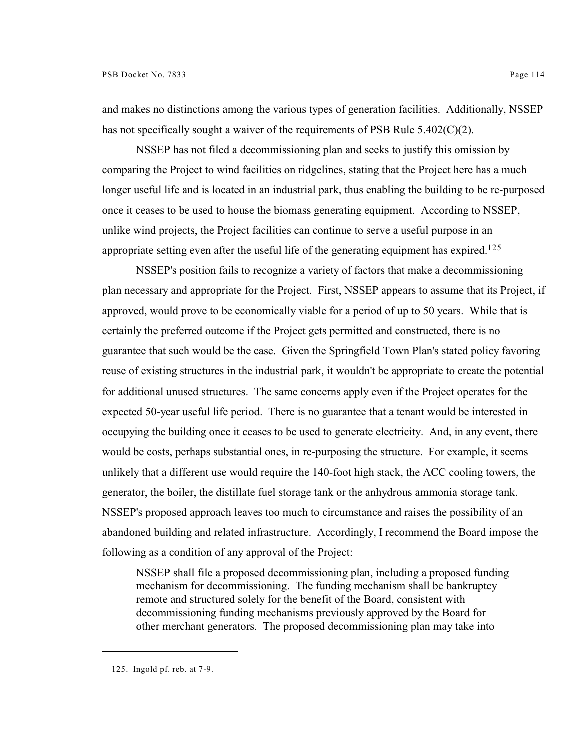and makes no distinctions among the various types of generation facilities. Additionally, NSSEP has not specifically sought a waiver of the requirements of PSB Rule  $5.402(C)(2)$ .

NSSEP has not filed a decommissioning plan and seeks to justify this omission by comparing the Project to wind facilities on ridgelines, stating that the Project here has a much longer useful life and is located in an industrial park, thus enabling the building to be re-purposed once it ceases to be used to house the biomass generating equipment. According to NSSEP, unlike wind projects, the Project facilities can continue to serve a useful purpose in an appropriate setting even after the useful life of the generating equipment has expired.<sup>125</sup>

NSSEP's position fails to recognize a variety of factors that make a decommissioning plan necessary and appropriate for the Project. First, NSSEP appears to assume that its Project, if approved, would prove to be economically viable for a period of up to 50 years. While that is certainly the preferred outcome if the Project gets permitted and constructed, there is no guarantee that such would be the case. Given the Springfield Town Plan's stated policy favoring reuse of existing structures in the industrial park, it wouldn't be appropriate to create the potential for additional unused structures. The same concerns apply even if the Project operates for the expected 50-year useful life period. There is no guarantee that a tenant would be interested in occupying the building once it ceases to be used to generate electricity. And, in any event, there would be costs, perhaps substantial ones, in re-purposing the structure. For example, it seems unlikely that a different use would require the 140-foot high stack, the ACC cooling towers, the generator, the boiler, the distillate fuel storage tank or the anhydrous ammonia storage tank. NSSEP's proposed approach leaves too much to circumstance and raises the possibility of an abandoned building and related infrastructure. Accordingly, I recommend the Board impose the following as a condition of any approval of the Project:

NSSEP shall file a proposed decommissioning plan, including a proposed funding mechanism for decommissioning. The funding mechanism shall be bankruptcy remote and structured solely for the benefit of the Board, consistent with decommissioning funding mechanisms previously approved by the Board for other merchant generators. The proposed decommissioning plan may take into

<sup>125.</sup> Ingold pf. reb. at 7-9.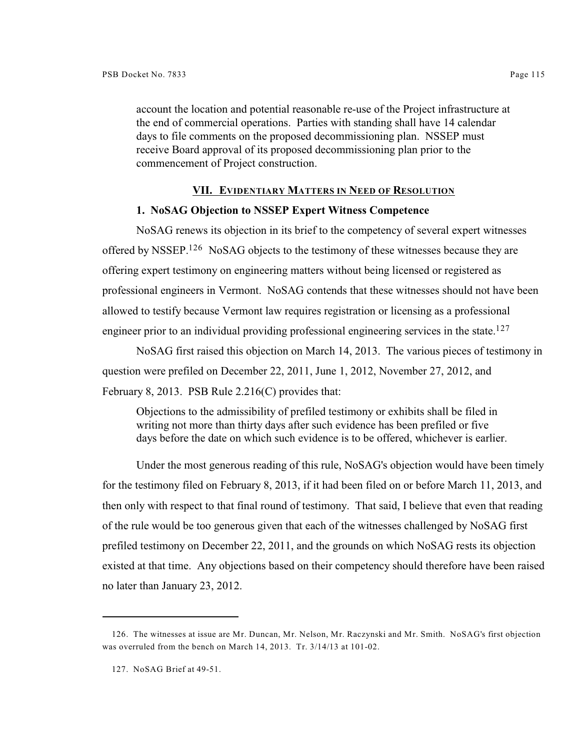account the location and potential reasonable re-use of the Project infrastructure at the end of commercial operations. Parties with standing shall have 14 calendar days to file comments on the proposed decommissioning plan. NSSEP must receive Board approval of its proposed decommissioning plan prior to the commencement of Project construction.

## **VII. EVIDENTIARY MATTERS IN NEED OF RESOLUTION**

# **1. NoSAG Objection to NSSEP Expert Witness Competence**

NoSAG renews its objection in its brief to the competency of several expert witnesses offered by NSSEP.<sup>126</sup> NoSAG objects to the testimony of these witnesses because they are offering expert testimony on engineering matters without being licensed or registered as professional engineers in Vermont. NoSAG contends that these witnesses should not have been allowed to testify because Vermont law requires registration or licensing as a professional engineer prior to an individual providing professional engineering services in the state.<sup>127</sup>

NoSAG first raised this objection on March 14, 2013. The various pieces of testimony in question were prefiled on December 22, 2011, June 1, 2012, November 27, 2012, and February 8, 2013. PSB Rule  $2.216(C)$  provides that:

Objections to the admissibility of prefiled testimony or exhibits shall be filed in writing not more than thirty days after such evidence has been prefiled or five days before the date on which such evidence is to be offered, whichever is earlier.

Under the most generous reading of this rule, NoSAG's objection would have been timely for the testimony filed on February 8, 2013, if it had been filed on or before March 11, 2013, and then only with respect to that final round of testimony. That said, I believe that even that reading of the rule would be too generous given that each of the witnesses challenged by NoSAG first prefiled testimony on December 22, 2011, and the grounds on which NoSAG rests its objection existed at that time. Any objections based on their competency should therefore have been raised no later than January 23, 2012.

<sup>126.</sup> The witnesses at issue are Mr. Duncan, Mr. Nelson, Mr. Raczynski and Mr. Smith. NoSAG's first objection was overruled from the bench on March 14, 2013. Tr. 3/14/13 at 101-02.

<sup>127.</sup> NoSAG Brief at 49-51.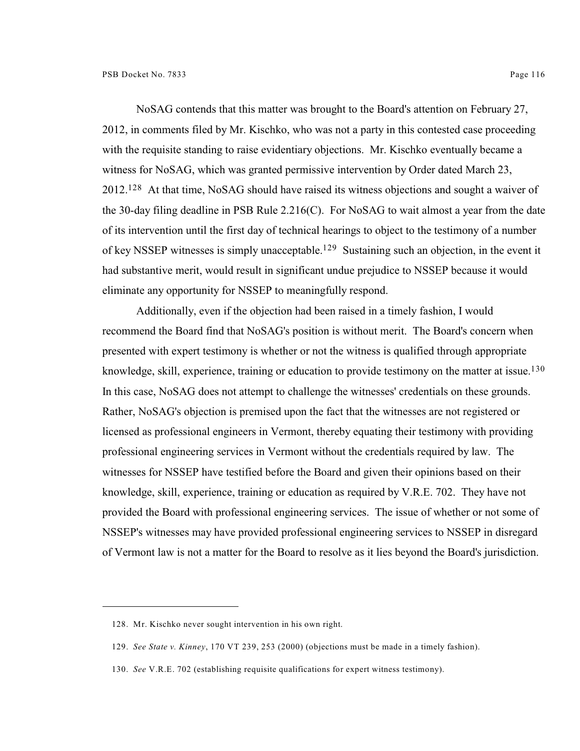NoSAG contends that this matter was brought to the Board's attention on February 27, 2012, in comments filed by Mr. Kischko, who was not a party in this contested case proceeding with the requisite standing to raise evidentiary objections. Mr. Kischko eventually became a witness for NoSAG, which was granted permissive intervention by Order dated March 23,  $2012$ <sup>128</sup> At that time, NoSAG should have raised its witness objections and sought a waiver of the 30-day filing deadline in PSB Rule 2.216(C). For NoSAG to wait almost a year from the date of its intervention until the first day of technical hearings to object to the testimony of a number of key NSSEP witnesses is simply unacceptable.<sup>129</sup> Sustaining such an objection, in the event it had substantive merit, would result in significant undue prejudice to NSSEP because it would eliminate any opportunity for NSSEP to meaningfully respond.

Additionally, even if the objection had been raised in a timely fashion, I would recommend the Board find that NoSAG's position is without merit. The Board's concern when presented with expert testimony is whether or not the witness is qualified through appropriate knowledge, skill, experience, training or education to provide testimony on the matter at issue.<sup>130</sup> In this case, NoSAG does not attempt to challenge the witnesses' credentials on these grounds. Rather, NoSAG's objection is premised upon the fact that the witnesses are not registered or licensed as professional engineers in Vermont, thereby equating their testimony with providing professional engineering services in Vermont without the credentials required by law. The witnesses for NSSEP have testified before the Board and given their opinions based on their knowledge, skill, experience, training or education as required by V.R.E. 702. They have not provided the Board with professional engineering services. The issue of whether or not some of NSSEP's witnesses may have provided professional engineering services to NSSEP in disregard of Vermont law is not a matter for the Board to resolve as it lies beyond the Board's jurisdiction.

<sup>128.</sup> Mr. Kischko never sought intervention in his own right.

<sup>129.</sup> *See State v. Kinney*, 170 VT 239, 253 (2000) (objections must be made in a timely fashion).

<sup>130.</sup> *See* V.R.E. 702 (establishing requisite qualifications for expert witness testimony).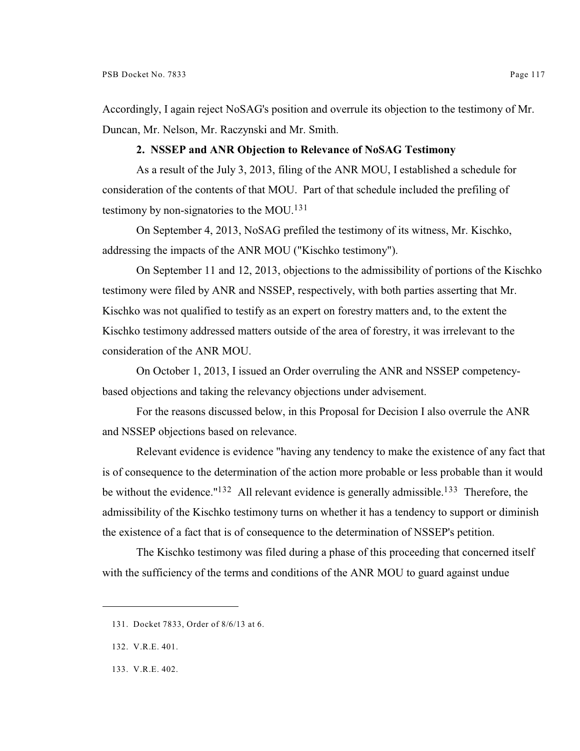Accordingly, I again reject NoSAG's position and overrule its objection to the testimony of Mr. Duncan, Mr. Nelson, Mr. Raczynski and Mr. Smith.

## **2. NSSEP and ANR Objection to Relevance of NoSAG Testimony**

As a result of the July 3, 2013, filing of the ANR MOU, I established a schedule for consideration of the contents of that MOU. Part of that schedule included the prefiling of testimony by non-signatories to the MOU. 131

On September 4, 2013, NoSAG prefiled the testimony of its witness, Mr. Kischko, addressing the impacts of the ANR MOU ("Kischko testimony").

On September 11 and 12, 2013, objections to the admissibility of portions of the Kischko testimony were filed by ANR and NSSEP, respectively, with both parties asserting that Mr. Kischko was not qualified to testify as an expert on forestry matters and, to the extent the Kischko testimony addressed matters outside of the area of forestry, it was irrelevant to the consideration of the ANR MOU.

On October 1, 2013, I issued an Order overruling the ANR and NSSEP competencybased objections and taking the relevancy objections under advisement.

For the reasons discussed below, in this Proposal for Decision I also overrule the ANR and NSSEP objections based on relevance.

Relevant evidence is evidence "having any tendency to make the existence of any fact that is of consequence to the determination of the action more probable or less probable than it would be without the evidence." $132$  All relevant evidence is generally admissible.<sup>133</sup> Therefore, the admissibility of the Kischko testimony turns on whether it has a tendency to support or diminish the existence of a fact that is of consequence to the determination of NSSEP's petition.

The Kischko testimony was filed during a phase of this proceeding that concerned itself with the sufficiency of the terms and conditions of the ANR MOU to guard against undue

<sup>131.</sup> Docket 7833, Order of 8/6/13 at 6.

<sup>132.</sup> V.R.E. 401.

<sup>133.</sup> V.R.E. 402.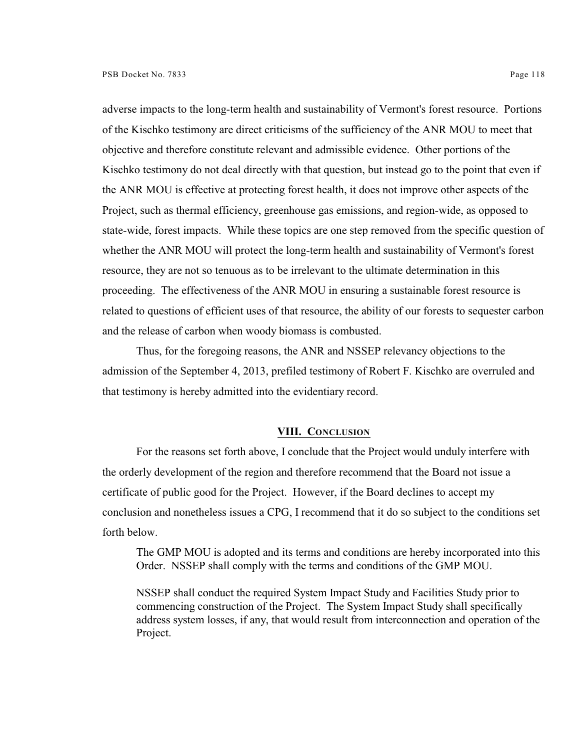adverse impacts to the long-term health and sustainability of Vermont's forest resource. Portions of the Kischko testimony are direct criticisms of the sufficiency of the ANR MOU to meet that objective and therefore constitute relevant and admissible evidence. Other portions of the Kischko testimony do not deal directly with that question, but instead go to the point that even if the ANR MOU is effective at protecting forest health, it does not improve other aspects of the Project, such as thermal efficiency, greenhouse gas emissions, and region-wide, as opposed to state-wide, forest impacts. While these topics are one step removed from the specific question of whether the ANR MOU will protect the long-term health and sustainability of Vermont's forest resource, they are not so tenuous as to be irrelevant to the ultimate determination in this proceeding. The effectiveness of the ANR MOU in ensuring a sustainable forest resource is related to questions of efficient uses of that resource, the ability of our forests to sequester carbon and the release of carbon when woody biomass is combusted.

Thus, for the foregoing reasons, the ANR and NSSEP relevancy objections to the admission of the September 4, 2013, prefiled testimony of Robert F. Kischko are overruled and that testimony is hereby admitted into the evidentiary record.

#### **VIII. CONCLUSION**

For the reasons set forth above, I conclude that the Project would unduly interfere with the orderly development of the region and therefore recommend that the Board not issue a certificate of public good for the Project. However, if the Board declines to accept my conclusion and nonetheless issues a CPG, I recommend that it do so subject to the conditions set forth below.

The GMP MOU is adopted and its terms and conditions are hereby incorporated into this Order. NSSEP shall comply with the terms and conditions of the GMP MOU.

NSSEP shall conduct the required System Impact Study and Facilities Study prior to commencing construction of the Project. The System Impact Study shall specifically address system losses, if any, that would result from interconnection and operation of the Project.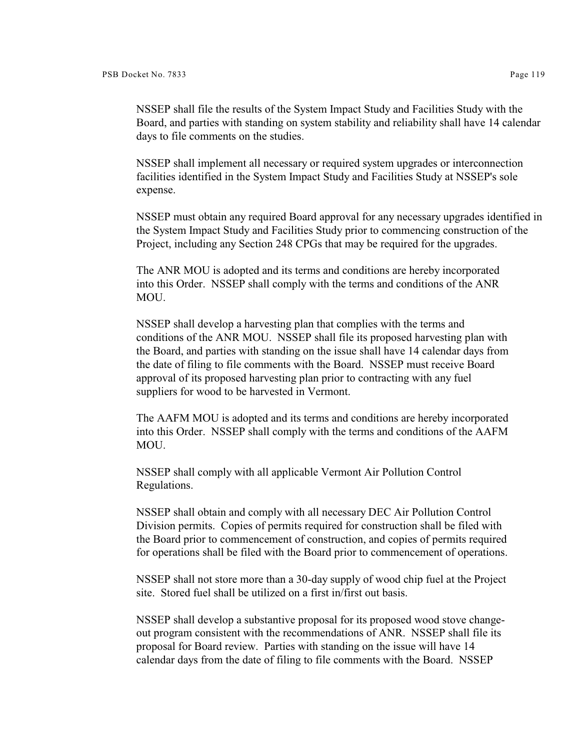NSSEP shall file the results of the System Impact Study and Facilities Study with the Board, and parties with standing on system stability and reliability shall have 14 calendar days to file comments on the studies.

NSSEP shall implement all necessary or required system upgrades or interconnection facilities identified in the System Impact Study and Facilities Study at NSSEP's sole expense.

NSSEP must obtain any required Board approval for any necessary upgrades identified in the System Impact Study and Facilities Study prior to commencing construction of the Project, including any Section 248 CPGs that may be required for the upgrades.

The ANR MOU is adopted and its terms and conditions are hereby incorporated into this Order. NSSEP shall comply with the terms and conditions of the ANR MOU.

NSSEP shall develop a harvesting plan that complies with the terms and conditions of the ANR MOU. NSSEP shall file its proposed harvesting plan with the Board, and parties with standing on the issue shall have 14 calendar days from the date of filing to file comments with the Board. NSSEP must receive Board approval of its proposed harvesting plan prior to contracting with any fuel suppliers for wood to be harvested in Vermont.

The AAFM MOU is adopted and its terms and conditions are hereby incorporated into this Order. NSSEP shall comply with the terms and conditions of the AAFM MOU.

NSSEP shall comply with all applicable Vermont Air Pollution Control Regulations.

NSSEP shall obtain and comply with all necessary DEC Air Pollution Control Division permits. Copies of permits required for construction shall be filed with the Board prior to commencement of construction, and copies of permits required for operations shall be filed with the Board prior to commencement of operations.

NSSEP shall not store more than a 30-day supply of wood chip fuel at the Project site. Stored fuel shall be utilized on a first in/first out basis.

NSSEP shall develop a substantive proposal for its proposed wood stove changeout program consistent with the recommendations of ANR. NSSEP shall file its proposal for Board review. Parties with standing on the issue will have 14 calendar days from the date of filing to file comments with the Board. NSSEP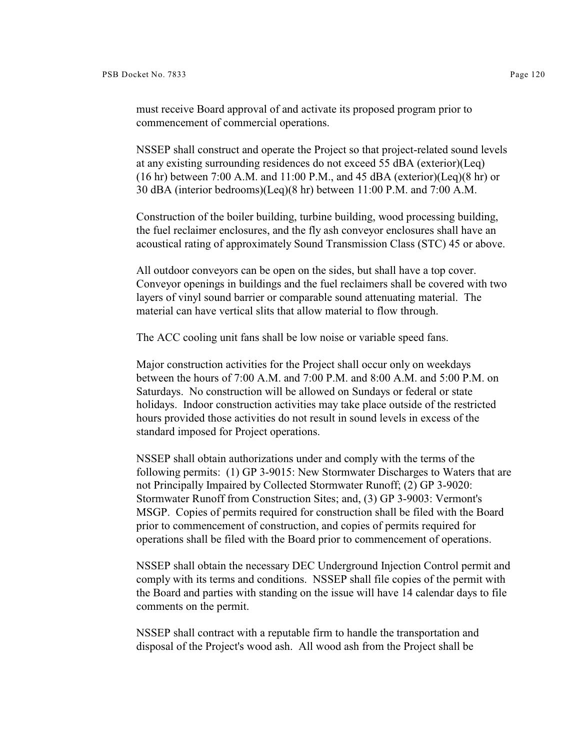must receive Board approval of and activate its proposed program prior to commencement of commercial operations.

NSSEP shall construct and operate the Project so that project-related sound levels at any existing surrounding residences do not exceed 55 dBA (exterior)(Leq) (16 hr) between 7:00 A.M. and 11:00 P.M., and 45 dBA (exterior)(Leq)(8 hr) or 30 dBA (interior bedrooms)(Leq)(8 hr) between 11:00 P.M. and 7:00 A.M.

Construction of the boiler building, turbine building, wood processing building, the fuel reclaimer enclosures, and the fly ash conveyor enclosures shall have an acoustical rating of approximately Sound Transmission Class (STC) 45 or above.

All outdoor conveyors can be open on the sides, but shall have a top cover. Conveyor openings in buildings and the fuel reclaimers shall be covered with two layers of vinyl sound barrier or comparable sound attenuating material. The material can have vertical slits that allow material to flow through.

The ACC cooling unit fans shall be low noise or variable speed fans.

Major construction activities for the Project shall occur only on weekdays between the hours of 7:00 A.M. and 7:00 P.M. and 8:00 A.M. and 5:00 P.M. on Saturdays. No construction will be allowed on Sundays or federal or state holidays. Indoor construction activities may take place outside of the restricted hours provided those activities do not result in sound levels in excess of the standard imposed for Project operations.

NSSEP shall obtain authorizations under and comply with the terms of the following permits: (1) GP 3-9015: New Stormwater Discharges to Waters that are not Principally Impaired by Collected Stormwater Runoff; (2) GP 3-9020: Stormwater Runoff from Construction Sites; and, (3) GP 3-9003: Vermont's MSGP. Copies of permits required for construction shall be filed with the Board prior to commencement of construction, and copies of permits required for operations shall be filed with the Board prior to commencement of operations.

NSSEP shall obtain the necessary DEC Underground Injection Control permit and comply with its terms and conditions. NSSEP shall file copies of the permit with the Board and parties with standing on the issue will have 14 calendar days to file comments on the permit.

NSSEP shall contract with a reputable firm to handle the transportation and disposal of the Project's wood ash. All wood ash from the Project shall be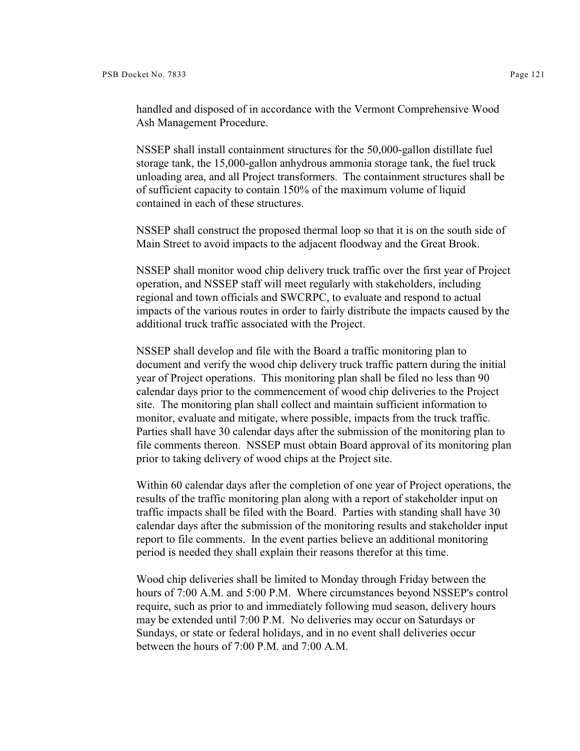handled and disposed of in accordance with the Vermont Comprehensive Wood Ash Management Procedure.

NSSEP shall install containment structures for the 50,000-gallon distillate fuel storage tank, the 15,000-gallon anhydrous ammonia storage tank, the fuel truck unloading area, and all Project transformers. The containment structures shall be of sufficient capacity to contain 150% of the maximum volume of liquid contained in each of these structures.

NSSEP shall construct the proposed thermal loop so that it is on the south side of Main Street to avoid impacts to the adjacent floodway and the Great Brook.

NSSEP shall monitor wood chip delivery truck traffic over the first year of Project operation, and NSSEP staff will meet regularly with stakeholders, including regional and town officials and SWCRPC, to evaluate and respond to actual impacts of the various routes in order to fairly distribute the impacts caused by the additional truck traffic associated with the Project.

NSSEP shall develop and file with the Board a traffic monitoring plan to document and verify the wood chip delivery truck traffic pattern during the initial year of Project operations. This monitoring plan shall be filed no less than 90 calendar days prior to the commencement of wood chip deliveries to the Project site. The monitoring plan shall collect and maintain sufficient information to monitor, evaluate and mitigate, where possible, impacts from the truck traffic. Parties shall have 30 calendar days after the submission of the monitoring plan to file comments thereon. NSSEP must obtain Board approval of its monitoring plan prior to taking delivery of wood chips at the Project site.

Within 60 calendar days after the completion of one year of Project operations, the results of the traffic monitoring plan along with a report of stakeholder input on traffic impacts shall be filed with the Board. Parties with standing shall have 30 calendar days after the submission of the monitoring results and stakeholder input report to file comments. In the event parties believe an additional monitoring period is needed they shall explain their reasons therefor at this time.

Wood chip deliveries shall be limited to Monday through Friday between the hours of 7:00 A.M. and 5:00 P.M. Where circumstances beyond NSSEP's control require, such as prior to and immediately following mud season, delivery hours may be extended until 7:00 P.M. No deliveries may occur on Saturdays or Sundays, or state or federal holidays, and in no event shall deliveries occur between the hours of 7:00 P.M. and 7:00 A.M.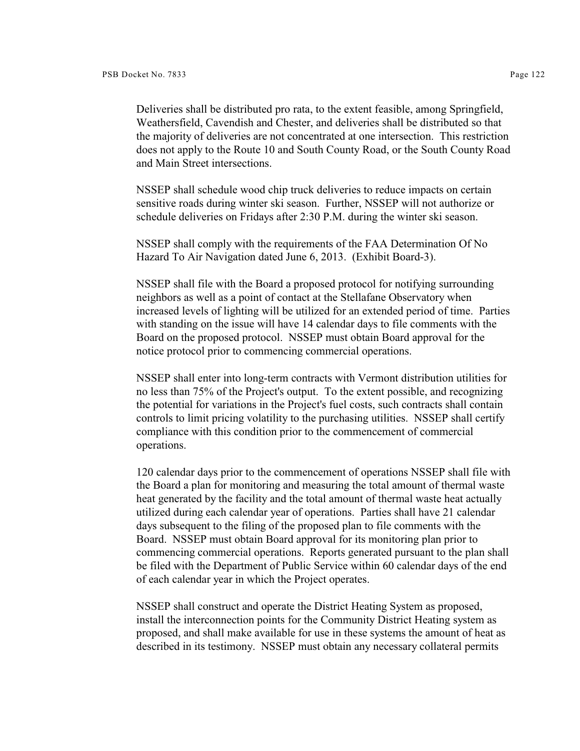Deliveries shall be distributed pro rata, to the extent feasible, among Springfield, Weathersfield, Cavendish and Chester, and deliveries shall be distributed so that the majority of deliveries are not concentrated at one intersection. This restriction does not apply to the Route 10 and South County Road, or the South County Road and Main Street intersections.

NSSEP shall schedule wood chip truck deliveries to reduce impacts on certain sensitive roads during winter ski season. Further, NSSEP will not authorize or schedule deliveries on Fridays after 2:30 P.M. during the winter ski season.

NSSEP shall comply with the requirements of the FAA Determination Of No Hazard To Air Navigation dated June 6, 2013. (Exhibit Board-3).

NSSEP shall file with the Board a proposed protocol for notifying surrounding neighbors as well as a point of contact at the Stellafane Observatory when increased levels of lighting will be utilized for an extended period of time. Parties with standing on the issue will have 14 calendar days to file comments with the Board on the proposed protocol. NSSEP must obtain Board approval for the notice protocol prior to commencing commercial operations.

NSSEP shall enter into long-term contracts with Vermont distribution utilities for no less than 75% of the Project's output. To the extent possible, and recognizing the potential for variations in the Project's fuel costs, such contracts shall contain controls to limit pricing volatility to the purchasing utilities. NSSEP shall certify compliance with this condition prior to the commencement of commercial operations.

120 calendar days prior to the commencement of operations NSSEP shall file with the Board a plan for monitoring and measuring the total amount of thermal waste heat generated by the facility and the total amount of thermal waste heat actually utilized during each calendar year of operations. Parties shall have 21 calendar days subsequent to the filing of the proposed plan to file comments with the Board. NSSEP must obtain Board approval for its monitoring plan prior to commencing commercial operations. Reports generated pursuant to the plan shall be filed with the Department of Public Service within 60 calendar days of the end of each calendar year in which the Project operates.

NSSEP shall construct and operate the District Heating System as proposed, install the interconnection points for the Community District Heating system as proposed, and shall make available for use in these systems the amount of heat as described in its testimony. NSSEP must obtain any necessary collateral permits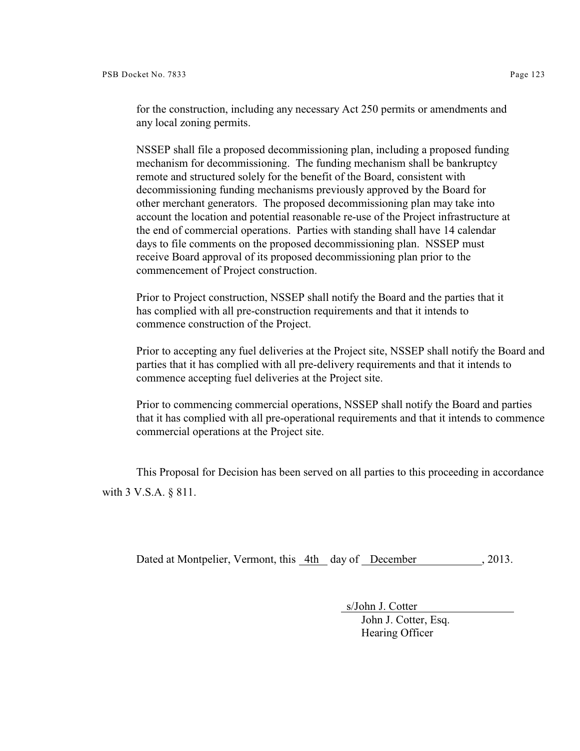NSSEP shall file a proposed decommissioning plan, including a proposed funding mechanism for decommissioning. The funding mechanism shall be bankruptcy remote and structured solely for the benefit of the Board, consistent with decommissioning funding mechanisms previously approved by the Board for other merchant generators. The proposed decommissioning plan may take into account the location and potential reasonable re-use of the Project infrastructure at the end of commercial operations. Parties with standing shall have 14 calendar days to file comments on the proposed decommissioning plan. NSSEP must receive Board approval of its proposed decommissioning plan prior to the commencement of Project construction.

Prior to Project construction, NSSEP shall notify the Board and the parties that it has complied with all pre-construction requirements and that it intends to commence construction of the Project.

Prior to accepting any fuel deliveries at the Project site, NSSEP shall notify the Board and parties that it has complied with all pre-delivery requirements and that it intends to commence accepting fuel deliveries at the Project site.

Prior to commencing commercial operations, NSSEP shall notify the Board and parties that it has complied with all pre-operational requirements and that it intends to commence commercial operations at the Project site.

This Proposal for Decision has been served on all parties to this proceeding in accordance with 3 V.S.A. § 811.

Dated at Montpelier, Vermont, this 4th day of December , 2013.

 s/John J. Cotter John J. Cotter, Esq. Hearing Officer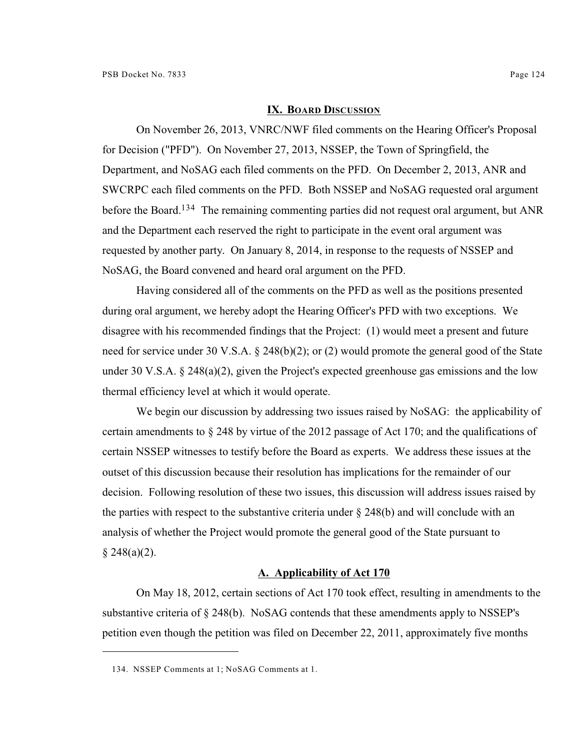#### **IX. BOARD DISCUSSION**

On November 26, 2013, VNRC/NWF filed comments on the Hearing Officer's Proposal for Decision ("PFD"). On November 27, 2013, NSSEP, the Town of Springfield, the Department, and NoSAG each filed comments on the PFD. On December 2, 2013, ANR and SWCRPC each filed comments on the PFD. Both NSSEP and NoSAG requested oral argument before the Board.<sup>134</sup> The remaining commenting parties did not request oral argument, but ANR and the Department each reserved the right to participate in the event oral argument was requested by another party. On January 8, 2014, in response to the requests of NSSEP and NoSAG, the Board convened and heard oral argument on the PFD.

Having considered all of the comments on the PFD as well as the positions presented during oral argument, we hereby adopt the Hearing Officer's PFD with two exceptions. We disagree with his recommended findings that the Project: (1) would meet a present and future need for service under 30 V.S.A. § 248(b)(2); or (2) would promote the general good of the State under 30 V.S.A. § 248(a)(2), given the Project's expected greenhouse gas emissions and the low thermal efficiency level at which it would operate.

We begin our discussion by addressing two issues raised by NoSAG: the applicability of certain amendments to § 248 by virtue of the 2012 passage of Act 170; and the qualifications of certain NSSEP witnesses to testify before the Board as experts. We address these issues at the outset of this discussion because their resolution has implications for the remainder of our decision. Following resolution of these two issues, this discussion will address issues raised by the parties with respect to the substantive criteria under  $\S$  248(b) and will conclude with an analysis of whether the Project would promote the general good of the State pursuant to  $§ 248(a)(2).$ 

### **A. Applicability of Act 170**

On May 18, 2012, certain sections of Act 170 took effect, resulting in amendments to the substantive criteria of  $\S 248(b)$ . NoSAG contends that these amendments apply to NSSEP's petition even though the petition was filed on December 22, 2011, approximately five months

<sup>134.</sup> NSSEP Comments at 1; NoSAG Comments at 1.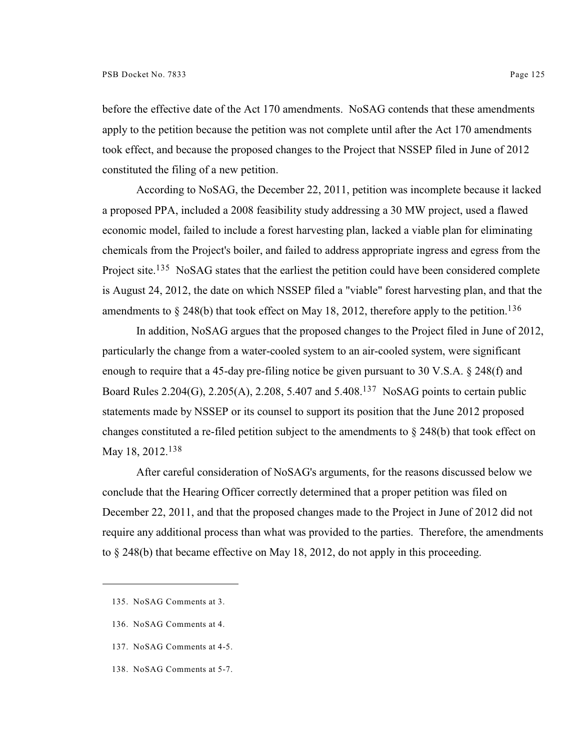before the effective date of the Act 170 amendments. NoSAG contends that these amendments apply to the petition because the petition was not complete until after the Act 170 amendments took effect, and because the proposed changes to the Project that NSSEP filed in June of 2012 constituted the filing of a new petition.

According to NoSAG, the December 22, 2011, petition was incomplete because it lacked a proposed PPA, included a 2008 feasibility study addressing a 30 MW project, used a flawed economic model, failed to include a forest harvesting plan, lacked a viable plan for eliminating chemicals from the Project's boiler, and failed to address appropriate ingress and egress from the Project site.<sup>135</sup> NoSAG states that the earliest the petition could have been considered complete is August 24, 2012, the date on which NSSEP filed a "viable" forest harvesting plan, and that the amendments to  $\S 248(b)$  that took effect on May 18, 2012, therefore apply to the petition.<sup>136</sup>

In addition, NoSAG argues that the proposed changes to the Project filed in June of 2012, particularly the change from a water-cooled system to an air-cooled system, were significant enough to require that a 45-day pre-filing notice be given pursuant to 30 V.S.A. § 248(f) and Board Rules 2.204(G), 2.205(A), 2.208, 5.407 and 5.408.<sup>137</sup> NoSAG points to certain public statements made by NSSEP or its counsel to support its position that the June 2012 proposed changes constituted a re-filed petition subject to the amendments to § 248(b) that took effect on May 18, 2012.<sup>138</sup>

After careful consideration of NoSAG's arguments, for the reasons discussed below we conclude that the Hearing Officer correctly determined that a proper petition was filed on December 22, 2011, and that the proposed changes made to the Project in June of 2012 did not require any additional process than what was provided to the parties. Therefore, the amendments to § 248(b) that became effective on May 18, 2012, do not apply in this proceeding.

- 136. NoSAG Comments at 4.
- 137. NoSAG Comments at 4-5.
- 138. NoSAG Comments at 5-7.

<sup>135.</sup> NoSAG Comments at 3.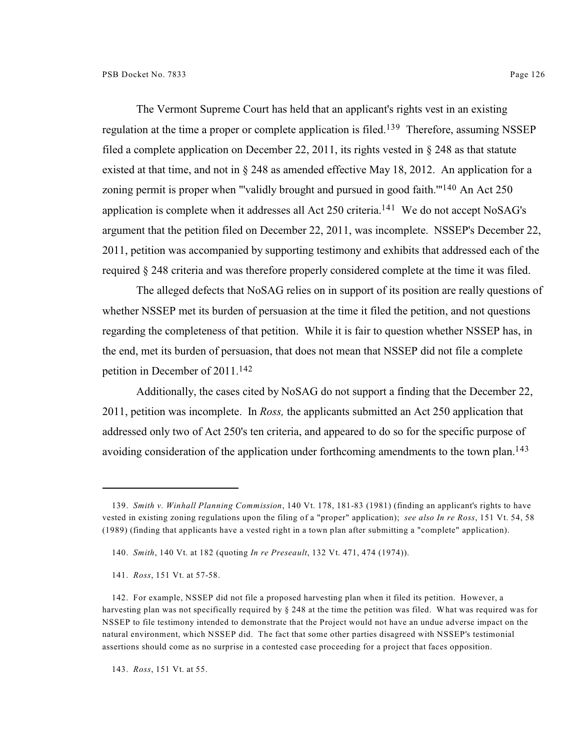The Vermont Supreme Court has held that an applicant's rights vest in an existing regulation at the time a proper or complete application is filed.<sup>139</sup> Therefore, assuming NSSEP filed a complete application on December 22, 2011, its rights vested in § 248 as that statute existed at that time, and not in § 248 as amended effective May 18, 2012. An application for a zoning permit is proper when "'validly brought and pursued in good faith."<sup>140</sup> An Act 250 application is complete when it addresses all Act 250 criteria.<sup>141</sup> We do not accept NoSAG's argument that the petition filed on December 22, 2011, was incomplete. NSSEP's December 22, 2011, petition was accompanied by supporting testimony and exhibits that addressed each of the required § 248 criteria and was therefore properly considered complete at the time it was filed.

The alleged defects that NoSAG relies on in support of its position are really questions of whether NSSEP met its burden of persuasion at the time it filed the petition, and not questions regarding the completeness of that petition. While it is fair to question whether NSSEP has, in the end, met its burden of persuasion, that does not mean that NSSEP did not file a complete petition in December of 2011.<sup>142</sup>

Additionally, the cases cited by NoSAG do not support a finding that the December 22, 2011, petition was incomplete. In *Ross,* the applicants submitted an Act 250 application that addressed only two of Act 250's ten criteria, and appeared to do so for the specific purpose of avoiding consideration of the application under forthcoming amendments to the town plan.<sup>143</sup>

143. *Ross*, 151 Vt. at 55.

<sup>139.</sup> *Smith v. Winhall Planning Commission*, 140 Vt. 178, 181-83 (1981) (finding an applicant's rights to have vested in existing zoning regulations upon the filing of a "proper" application); *see also In re Ross*, 151 Vt. 54, 58 (1989) (finding that applicants have a vested right in a town plan after submitting a "complete" application).

<sup>140.</sup> *Smith*, 140 Vt. at 182 (quoting *In re Preseault*, 132 Vt. 471, 474 (1974)).

<sup>141.</sup> *Ross*, 151 Vt. at 57-58.

<sup>142.</sup> For example, NSSEP did not file a proposed harvesting plan when it filed its petition. However, a harvesting plan was not specifically required by § 248 at the time the petition was filed. What was required was for NSSEP to file testimony intended to demonstrate that the Project would not have an undue adverse impact on the natural environment, which NSSEP did. The fact that some other parties disagreed with NSSEP's testimonial assertions should come as no surprise in a contested case proceeding for a project that faces opposition.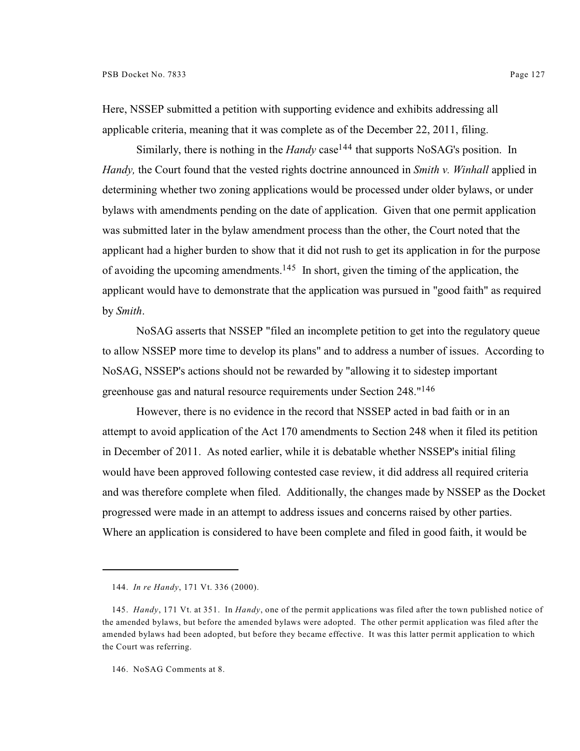Here, NSSEP submitted a petition with supporting evidence and exhibits addressing all applicable criteria, meaning that it was complete as of the December 22, 2011, filing.

Similarly, there is nothing in the *Handy* case<sup>144</sup> that supports NoSAG's position. In *Handy,* the Court found that the vested rights doctrine announced in *Smith v. Winhall* applied in determining whether two zoning applications would be processed under older bylaws, or under bylaws with amendments pending on the date of application. Given that one permit application was submitted later in the bylaw amendment process than the other, the Court noted that the applicant had a higher burden to show that it did not rush to get its application in for the purpose of avoiding the upcoming amendments.<sup>145</sup> In short, given the timing of the application, the applicant would have to demonstrate that the application was pursued in "good faith" as required by *Smith*.

NoSAG asserts that NSSEP "filed an incomplete petition to get into the regulatory queue to allow NSSEP more time to develop its plans" and to address a number of issues. According to NoSAG, NSSEP's actions should not be rewarded by "allowing it to sidestep important greenhouse gas and natural resource requirements under Section 248." 146

However, there is no evidence in the record that NSSEP acted in bad faith or in an attempt to avoid application of the Act 170 amendments to Section 248 when it filed its petition in December of 2011. As noted earlier, while it is debatable whether NSSEP's initial filing would have been approved following contested case review, it did address all required criteria and was therefore complete when filed. Additionally, the changes made by NSSEP as the Docket progressed were made in an attempt to address issues and concerns raised by other parties. Where an application is considered to have been complete and filed in good faith, it would be

<sup>144.</sup> *In re Handy*, 171 Vt. 336 (2000).

<sup>145.</sup> *Handy*, 171 Vt. at 351. In *Handy*, one of the permit applications was filed after the town published notice of the amended bylaws, but before the amended bylaws were adopted. The other permit application was filed after the amended bylaws had been adopted, but before they became effective. It was this latter permit application to which the Court was referring.

<sup>146.</sup> NoSAG Comments at 8.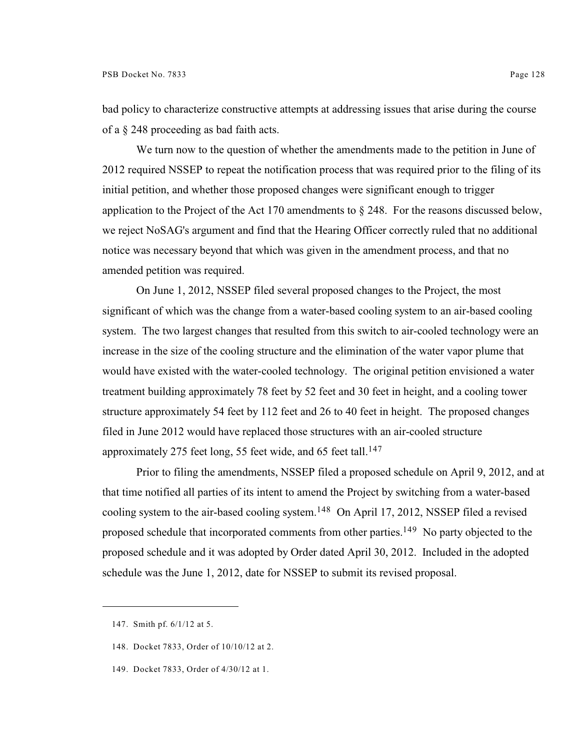bad policy to characterize constructive attempts at addressing issues that arise during the course of a § 248 proceeding as bad faith acts.

We turn now to the question of whether the amendments made to the petition in June of 2012 required NSSEP to repeat the notification process that was required prior to the filing of its initial petition, and whether those proposed changes were significant enough to trigger application to the Project of the Act 170 amendments to  $\S 248$ . For the reasons discussed below, we reject NoSAG's argument and find that the Hearing Officer correctly ruled that no additional notice was necessary beyond that which was given in the amendment process, and that no amended petition was required.

On June 1, 2012, NSSEP filed several proposed changes to the Project, the most significant of which was the change from a water-based cooling system to an air-based cooling system. The two largest changes that resulted from this switch to air-cooled technology were an increase in the size of the cooling structure and the elimination of the water vapor plume that would have existed with the water-cooled technology. The original petition envisioned a water treatment building approximately 78 feet by 52 feet and 30 feet in height, and a cooling tower structure approximately 54 feet by 112 feet and 26 to 40 feet in height. The proposed changes filed in June 2012 would have replaced those structures with an air-cooled structure approximately 275 feet long, 55 feet wide, and 65 feet tall.<sup>147</sup>

Prior to filing the amendments, NSSEP filed a proposed schedule on April 9, 2012, and at that time notified all parties of its intent to amend the Project by switching from a water-based cooling system to the air-based cooling system.<sup>148</sup> On April 17, 2012, NSSEP filed a revised proposed schedule that incorporated comments from other parties.<sup>149</sup> No party objected to the proposed schedule and it was adopted by Order dated April 30, 2012. Included in the adopted schedule was the June 1, 2012, date for NSSEP to submit its revised proposal.

<sup>147.</sup> Smith pf. 6/1/12 at 5.

<sup>148.</sup> Docket 7833, Order of 10/10/12 at 2.

<sup>149.</sup> Docket 7833, Order of 4/30/12 at 1.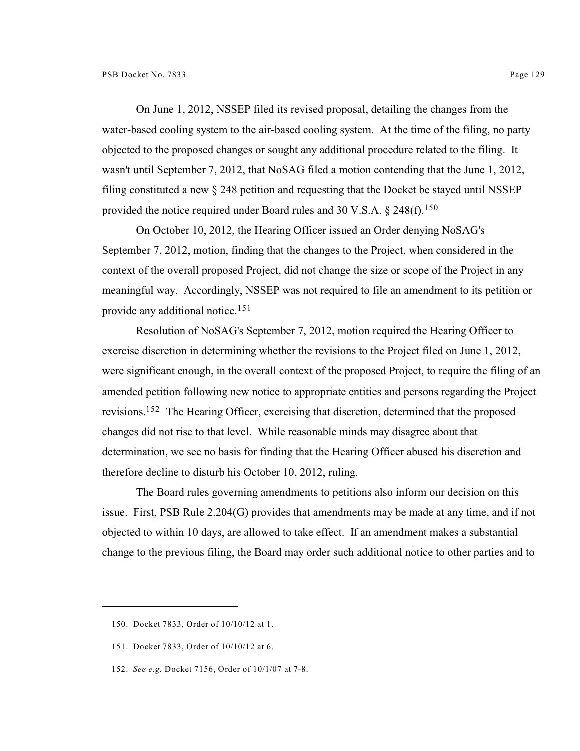On June 1, 2012, NSSEP filed its revised proposal, detailing the changes from the water-based cooling system to the air-based cooling system. At the time of the filing, no party objected to the proposed changes or sought any additional procedure related to the filing. It wasn't until September 7, 2012, that NoSAG filed a motion contending that the June 1, 2012, filing constituted a new § 248 petition and requesting that the Docket be stayed until NSSEP provided the notice required under Board rules and 30 V.S.A.  $\S$  248(f).<sup>150</sup>

On October 10, 2012, the Hearing Officer issued an Order denying NoSAG's September 7, 2012, motion, finding that the changes to the Project, when considered in the context of the overall proposed Project, did not change the size or scope of the Project in any meaningful way. Accordingly, NSSEP was not required to file an amendment to its petition or provide any additional notice.<sup>151</sup>

Resolution of NoSAG's September 7, 2012, motion required the Hearing Officer to exercise discretion in determining whether the revisions to the Project filed on June 1, 2012, were significant enough, in the overall context of the proposed Project, to require the filing of an amended petition following new notice to appropriate entities and persons regarding the Project revisions.<sup>152</sup> The Hearing Officer, exercising that discretion, determined that the proposed changes did not rise to that level. While reasonable minds may disagree about that determination, we see no basis for finding that the Hearing Officer abused his discretion and therefore decline to disturb his October 10, 2012, ruling.

The Board rules governing amendments to petitions also inform our decision on this issue. First, PSB Rule 2.204(G) provides that amendments may be made at any time, and if not objected to within 10 days, are allowed to take effect. If an amendment makes a substantial change to the previous filing, the Board may order such additional notice to other parties and to

<sup>150.</sup> Docket 7833, Order of 10/10/12 at 1.

<sup>151.</sup> Docket 7833, Order of 10/10/12 at 6.

<sup>152.</sup> *See e.g.* Docket 7156, Order of 10/1/07 at 7-8.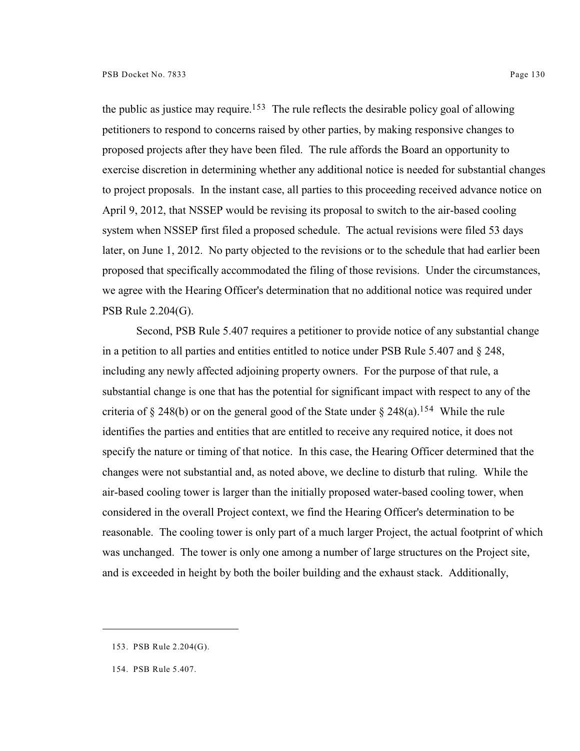the public as justice may require.<sup>153</sup> The rule reflects the desirable policy goal of allowing petitioners to respond to concerns raised by other parties, by making responsive changes to proposed projects after they have been filed. The rule affords the Board an opportunity to exercise discretion in determining whether any additional notice is needed for substantial changes to project proposals. In the instant case, all parties to this proceeding received advance notice on April 9, 2012, that NSSEP would be revising its proposal to switch to the air-based cooling system when NSSEP first filed a proposed schedule. The actual revisions were filed 53 days later, on June 1, 2012. No party objected to the revisions or to the schedule that had earlier been proposed that specifically accommodated the filing of those revisions. Under the circumstances, we agree with the Hearing Officer's determination that no additional notice was required under

PSB Rule 2.204(G).

Second, PSB Rule 5.407 requires a petitioner to provide notice of any substantial change in a petition to all parties and entities entitled to notice under PSB Rule  $5.407$  and  $\S$  248, including any newly affected adjoining property owners. For the purpose of that rule, a substantial change is one that has the potential for significant impact with respect to any of the criteria of § 248(b) or on the general good of the State under § 248(a).<sup>154</sup> While the rule identifies the parties and entities that are entitled to receive any required notice, it does not specify the nature or timing of that notice. In this case, the Hearing Officer determined that the changes were not substantial and, as noted above, we decline to disturb that ruling. While the air-based cooling tower is larger than the initially proposed water-based cooling tower, when considered in the overall Project context, we find the Hearing Officer's determination to be reasonable. The cooling tower is only part of a much larger Project, the actual footprint of which was unchanged. The tower is only one among a number of large structures on the Project site, and is exceeded in height by both the boiler building and the exhaust stack. Additionally,

<sup>153.</sup> PSB Rule 2.204(G).

<sup>154.</sup> PSB Rule 5.407.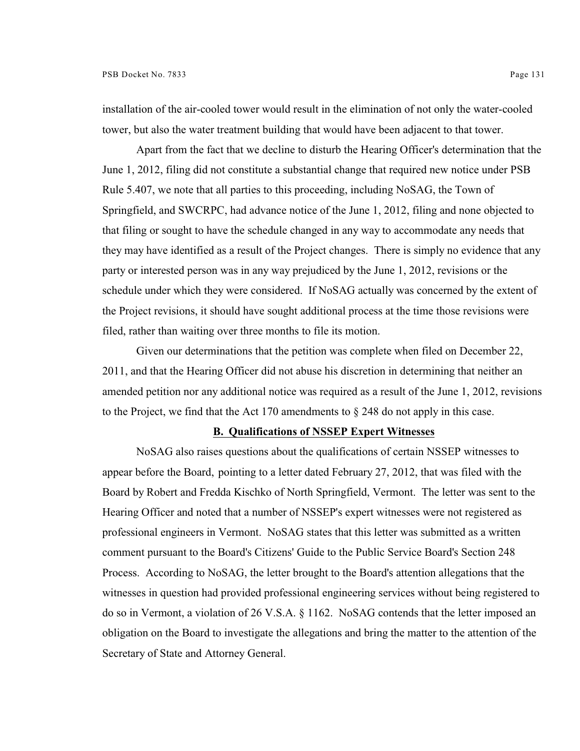installation of the air-cooled tower would result in the elimination of not only the water-cooled tower, but also the water treatment building that would have been adjacent to that tower.

Apart from the fact that we decline to disturb the Hearing Officer's determination that the June 1, 2012, filing did not constitute a substantial change that required new notice under PSB Rule 5.407, we note that all parties to this proceeding, including NoSAG, the Town of Springfield, and SWCRPC, had advance notice of the June 1, 2012, filing and none objected to that filing or sought to have the schedule changed in any way to accommodate any needs that they may have identified as a result of the Project changes. There is simply no evidence that any party or interested person was in any way prejudiced by the June 1, 2012, revisions or the schedule under which they were considered. If NoSAG actually was concerned by the extent of the Project revisions, it should have sought additional process at the time those revisions were filed, rather than waiting over three months to file its motion.

Given our determinations that the petition was complete when filed on December 22, 2011, and that the Hearing Officer did not abuse his discretion in determining that neither an amended petition nor any additional notice was required as a result of the June 1, 2012, revisions to the Project, we find that the Act 170 amendments to § 248 do not apply in this case.

#### **B. Qualifications of NSSEP Expert Witnesses**

NoSAG also raises questions about the qualifications of certain NSSEP witnesses to appear before the Board, pointing to a letter dated February 27, 2012, that was filed with the Board by Robert and Fredda Kischko of North Springfield, Vermont. The letter was sent to the Hearing Officer and noted that a number of NSSEP's expert witnesses were not registered as professional engineers in Vermont. NoSAG states that this letter was submitted as a written comment pursuant to the Board's Citizens' Guide to the Public Service Board's Section 248 Process. According to NoSAG, the letter brought to the Board's attention allegations that the witnesses in question had provided professional engineering services without being registered to do so in Vermont, a violation of 26 V.S.A. § 1162. NoSAG contends that the letter imposed an obligation on the Board to investigate the allegations and bring the matter to the attention of the Secretary of State and Attorney General.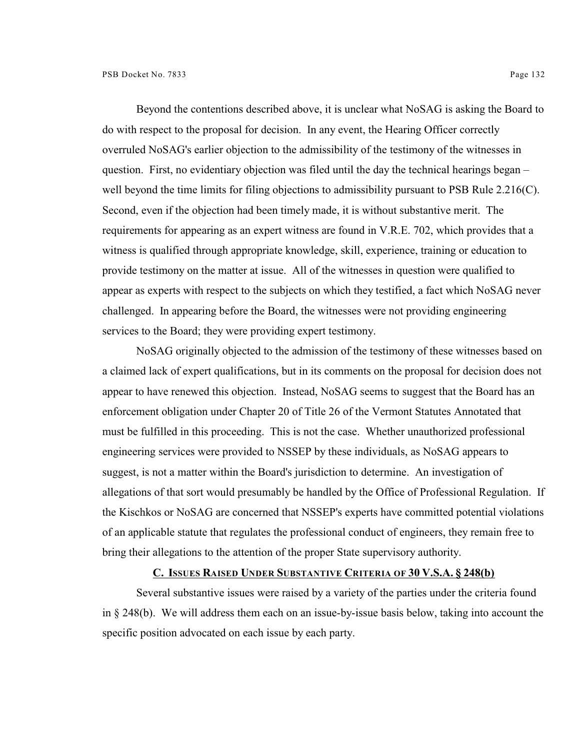Beyond the contentions described above, it is unclear what NoSAG is asking the Board to do with respect to the proposal for decision. In any event, the Hearing Officer correctly overruled NoSAG's earlier objection to the admissibility of the testimony of the witnesses in question. First, no evidentiary objection was filed until the day the technical hearings began – well beyond the time limits for filing objections to admissibility pursuant to PSB Rule 2.216(C). Second, even if the objection had been timely made, it is without substantive merit. The requirements for appearing as an expert witness are found in V.R.E. 702, which provides that a witness is qualified through appropriate knowledge, skill, experience, training or education to provide testimony on the matter at issue. All of the witnesses in question were qualified to appear as experts with respect to the subjects on which they testified, a fact which NoSAG never challenged. In appearing before the Board, the witnesses were not providing engineering services to the Board; they were providing expert testimony.

NoSAG originally objected to the admission of the testimony of these witnesses based on a claimed lack of expert qualifications, but in its comments on the proposal for decision does not appear to have renewed this objection. Instead, NoSAG seems to suggest that the Board has an enforcement obligation under Chapter 20 of Title 26 of the Vermont Statutes Annotated that must be fulfilled in this proceeding. This is not the case. Whether unauthorized professional engineering services were provided to NSSEP by these individuals, as NoSAG appears to suggest, is not a matter within the Board's jurisdiction to determine. An investigation of allegations of that sort would presumably be handled by the Office of Professional Regulation. If the Kischkos or NoSAG are concerned that NSSEP's experts have committed potential violations of an applicable statute that regulates the professional conduct of engineers, they remain free to bring their allegations to the attention of the proper State supervisory authority.

### **C. ISSUES RAISED UNDER SUBSTANTIVE CRITERIA OF 30 V.S.A. § 248(b)**

Several substantive issues were raised by a variety of the parties under the criteria found in § 248(b). We will address them each on an issue-by-issue basis below, taking into account the specific position advocated on each issue by each party.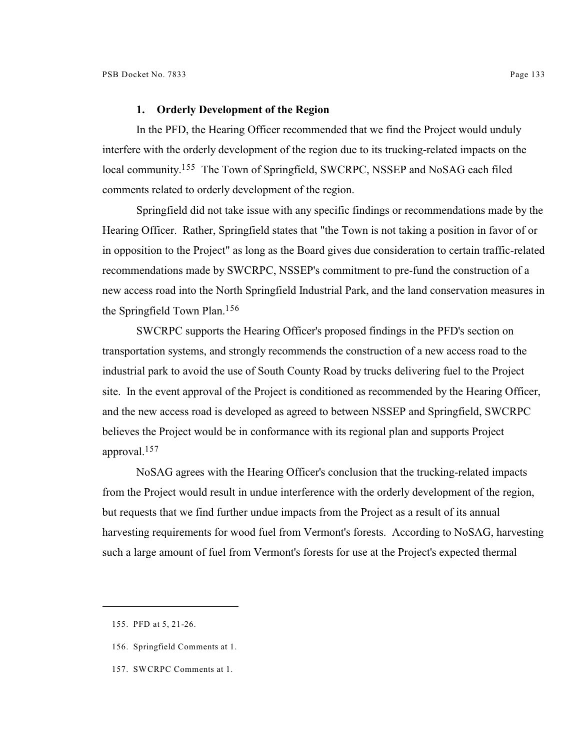## **1. Orderly Development of the Region**

In the PFD, the Hearing Officer recommended that we find the Project would unduly interfere with the orderly development of the region due to its trucking-related impacts on the local community.<sup>155</sup> The Town of Springfield, SWCRPC, NSSEP and NoSAG each filed comments related to orderly development of the region.

Springfield did not take issue with any specific findings or recommendations made by the Hearing Officer. Rather, Springfield states that "the Town is not taking a position in favor of or in opposition to the Project" as long as the Board gives due consideration to certain traffic-related recommendations made by SWCRPC, NSSEP's commitment to pre-fund the construction of a new access road into the North Springfield Industrial Park, and the land conservation measures in the Springfield Town Plan.<sup>156</sup>

SWCRPC supports the Hearing Officer's proposed findings in the PFD's section on transportation systems, and strongly recommends the construction of a new access road to the industrial park to avoid the use of South County Road by trucks delivering fuel to the Project site. In the event approval of the Project is conditioned as recommended by the Hearing Officer, and the new access road is developed as agreed to between NSSEP and Springfield, SWCRPC believes the Project would be in conformance with its regional plan and supports Project approval.<sup>157</sup>

NoSAG agrees with the Hearing Officer's conclusion that the trucking-related impacts from the Project would result in undue interference with the orderly development of the region, but requests that we find further undue impacts from the Project as a result of its annual harvesting requirements for wood fuel from Vermont's forests. According to NoSAG, harvesting such a large amount of fuel from Vermont's forests for use at the Project's expected thermal

<sup>155.</sup> PFD at 5, 21-26.

<sup>156.</sup> Springfield Comments at 1.

<sup>157.</sup> SWCRPC Comments at 1.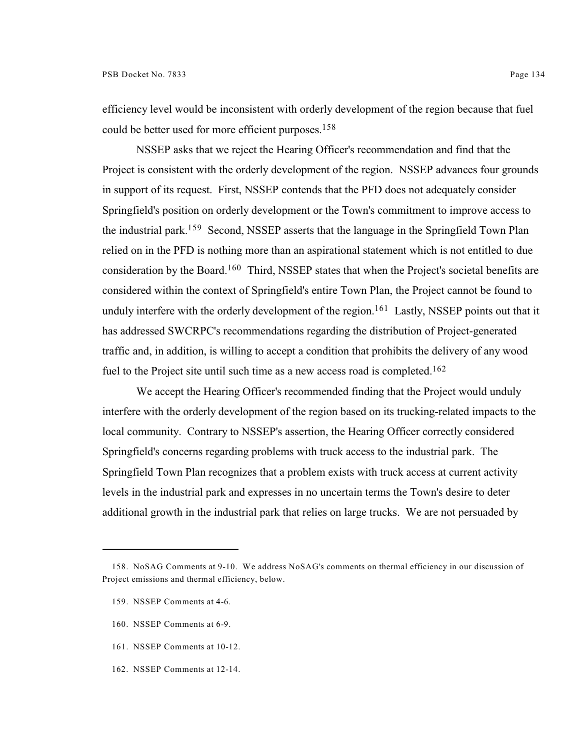efficiency level would be inconsistent with orderly development of the region because that fuel could be better used for more efficient purposes.<sup>158</sup>

NSSEP asks that we reject the Hearing Officer's recommendation and find that the Project is consistent with the orderly development of the region. NSSEP advances four grounds in support of its request. First, NSSEP contends that the PFD does not adequately consider Springfield's position on orderly development or the Town's commitment to improve access to the industrial park.<sup>159</sup> Second, NSSEP asserts that the language in the Springfield Town Plan relied on in the PFD is nothing more than an aspirational statement which is not entitled to due consideration by the Board.<sup>160</sup> Third, NSSEP states that when the Project's societal benefits are considered within the context of Springfield's entire Town Plan, the Project cannot be found to unduly interfere with the orderly development of the region.<sup>161</sup> Lastly, NSSEP points out that it has addressed SWCRPC's recommendations regarding the distribution of Project-generated traffic and, in addition, is willing to accept a condition that prohibits the delivery of any wood fuel to the Project site until such time as a new access road is completed.<sup>162</sup>

We accept the Hearing Officer's recommended finding that the Project would unduly interfere with the orderly development of the region based on its trucking-related impacts to the local community. Contrary to NSSEP's assertion, the Hearing Officer correctly considered Springfield's concerns regarding problems with truck access to the industrial park. The Springfield Town Plan recognizes that a problem exists with truck access at current activity levels in the industrial park and expresses in no uncertain terms the Town's desire to deter additional growth in the industrial park that relies on large trucks. We are not persuaded by

- 159. NSSEP Comments at 4-6.
- 160. NSSEP Comments at 6-9.
- 161. NSSEP Comments at 10-12.
- 162. NSSEP Comments at 12-14.

<sup>158.</sup> NoSAG Comments at 9-10. We address NoSAG's comments on thermal efficiency in our discussion of Project emissions and thermal efficiency, below.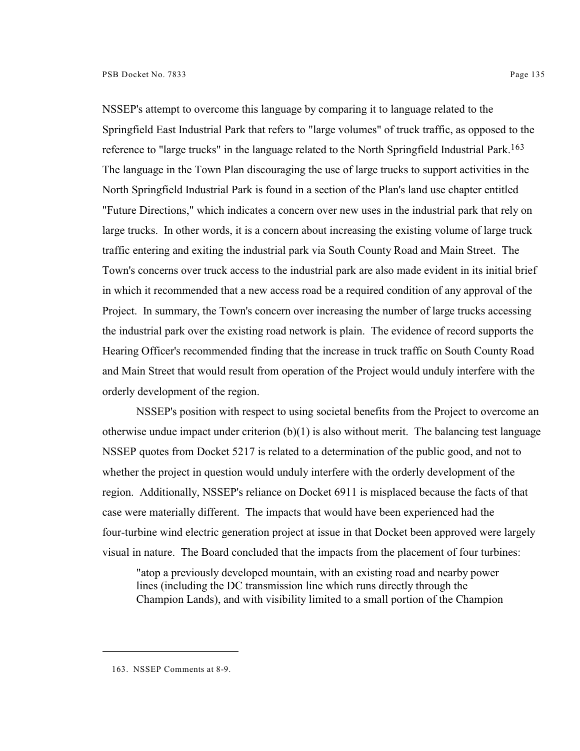NSSEP's attempt to overcome this language by comparing it to language related to the Springfield East Industrial Park that refers to "large volumes" of truck traffic, as opposed to the reference to "large trucks" in the language related to the North Springfield Industrial Park.<sup>163</sup> The language in the Town Plan discouraging the use of large trucks to support activities in the North Springfield Industrial Park is found in a section of the Plan's land use chapter entitled "Future Directions," which indicates a concern over new uses in the industrial park that rely on large trucks. In other words, it is a concern about increasing the existing volume of large truck traffic entering and exiting the industrial park via South County Road and Main Street. The Town's concerns over truck access to the industrial park are also made evident in its initial brief in which it recommended that a new access road be a required condition of any approval of the Project. In summary, the Town's concern over increasing the number of large trucks accessing the industrial park over the existing road network is plain. The evidence of record supports the Hearing Officer's recommended finding that the increase in truck traffic on South County Road and Main Street that would result from operation of the Project would unduly interfere with the orderly development of the region.

NSSEP's position with respect to using societal benefits from the Project to overcome an otherwise undue impact under criterion  $(b)(1)$  is also without merit. The balancing test language NSSEP quotes from Docket 5217 is related to a determination of the public good, and not to whether the project in question would unduly interfere with the orderly development of the region. Additionally, NSSEP's reliance on Docket 6911 is misplaced because the facts of that case were materially different. The impacts that would have been experienced had the four-turbine wind electric generation project at issue in that Docket been approved were largely visual in nature. The Board concluded that the impacts from the placement of four turbines:

"atop a previously developed mountain, with an existing road and nearby power lines (including the DC transmission line which runs directly through the Champion Lands), and with visibility limited to a small portion of the Champion

<sup>163.</sup> NSSEP Comments at 8-9.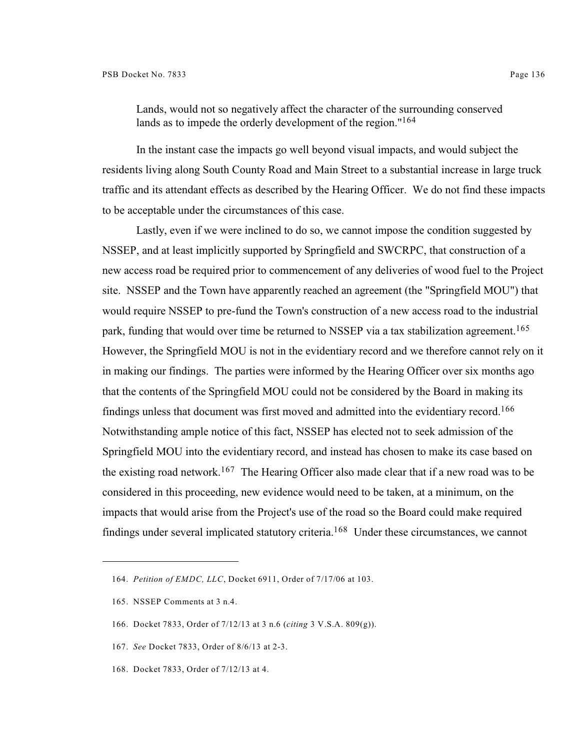Lands, would not so negatively affect the character of the surrounding conserved lands as to impede the orderly development of the region."<sup>164</sup>

In the instant case the impacts go well beyond visual impacts, and would subject the residents living along South County Road and Main Street to a substantial increase in large truck traffic and its attendant effects as described by the Hearing Officer. We do not find these impacts to be acceptable under the circumstances of this case.

Lastly, even if we were inclined to do so, we cannot impose the condition suggested by NSSEP, and at least implicitly supported by Springfield and SWCRPC, that construction of a new access road be required prior to commencement of any deliveries of wood fuel to the Project site. NSSEP and the Town have apparently reached an agreement (the "Springfield MOU") that would require NSSEP to pre-fund the Town's construction of a new access road to the industrial park, funding that would over time be returned to NSSEP via a tax stabilization agreement.<sup>165</sup> However, the Springfield MOU is not in the evidentiary record and we therefore cannot rely on it in making our findings. The parties were informed by the Hearing Officer over six months ago that the contents of the Springfield MOU could not be considered by the Board in making its findings unless that document was first moved and admitted into the evidentiary record.<sup>166</sup> Notwithstanding ample notice of this fact, NSSEP has elected not to seek admission of the Springfield MOU into the evidentiary record, and instead has chosen to make its case based on the existing road network.<sup>167</sup> The Hearing Officer also made clear that if a new road was to be considered in this proceeding, new evidence would need to be taken, at a minimum, on the impacts that would arise from the Project's use of the road so the Board could make required findings under several implicated statutory criteria.<sup>168</sup> Under these circumstances, we cannot

- 167. *See* Docket 7833, Order of 8/6/13 at 2-3.
- 168. Docket 7833, Order of 7/12/13 at 4.

<sup>164.</sup> *Petition of EMDC, LLC*, Docket 6911, Order of 7/17/06 at 103.

<sup>165.</sup> NSSEP Comments at 3 n.4.

<sup>166.</sup> Docket 7833, Order of 7/12/13 at 3 n.6 (*citing* 3 V.S.A. 809(g)).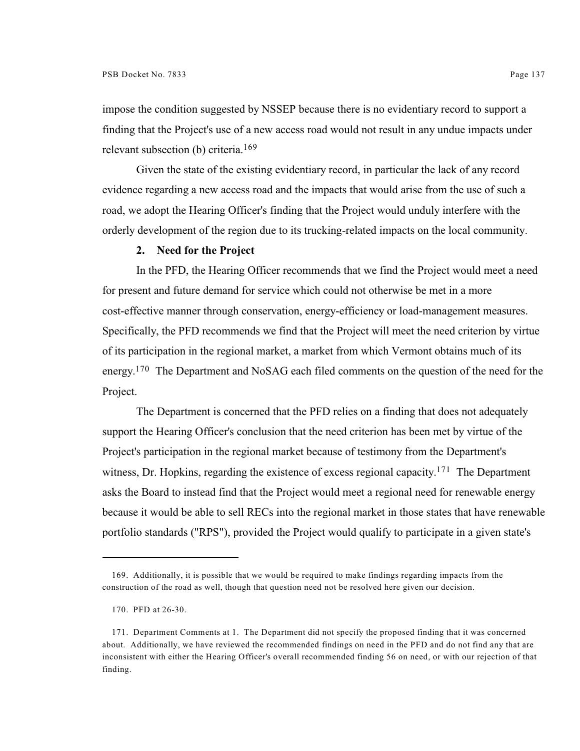impose the condition suggested by NSSEP because there is no evidentiary record to support a finding that the Project's use of a new access road would not result in any undue impacts under relevant subsection (b) criteria.<sup>169</sup>

Given the state of the existing evidentiary record, in particular the lack of any record evidence regarding a new access road and the impacts that would arise from the use of such a road, we adopt the Hearing Officer's finding that the Project would unduly interfere with the orderly development of the region due to its trucking-related impacts on the local community.

# **2. Need for the Project**

In the PFD, the Hearing Officer recommends that we find the Project would meet a need for present and future demand for service which could not otherwise be met in a more cost-effective manner through conservation, energy-efficiency or load-management measures. Specifically, the PFD recommends we find that the Project will meet the need criterion by virtue of its participation in the regional market, a market from which Vermont obtains much of its energy.  $170$  The Department and NoSAG each filed comments on the question of the need for the Project.

The Department is concerned that the PFD relies on a finding that does not adequately support the Hearing Officer's conclusion that the need criterion has been met by virtue of the Project's participation in the regional market because of testimony from the Department's witness, Dr. Hopkins, regarding the existence of excess regional capacity.<sup>171</sup> The Department asks the Board to instead find that the Project would meet a regional need for renewable energy because it would be able to sell RECs into the regional market in those states that have renewable portfolio standards ("RPS"), provided the Project would qualify to participate in a given state's

<sup>169.</sup> Additionally, it is possible that we would be required to make findings regarding impacts from the construction of the road as well, though that question need not be resolved here given our decision.

<sup>170.</sup> PFD at 26-30.

<sup>171.</sup> Department Comments at 1. The Department did not specify the proposed finding that it was concerned about. Additionally, we have reviewed the recommended findings on need in the PFD and do not find any that are inconsistent with either the Hearing Officer's overall recommended finding 56 on need, or with our rejection of that finding.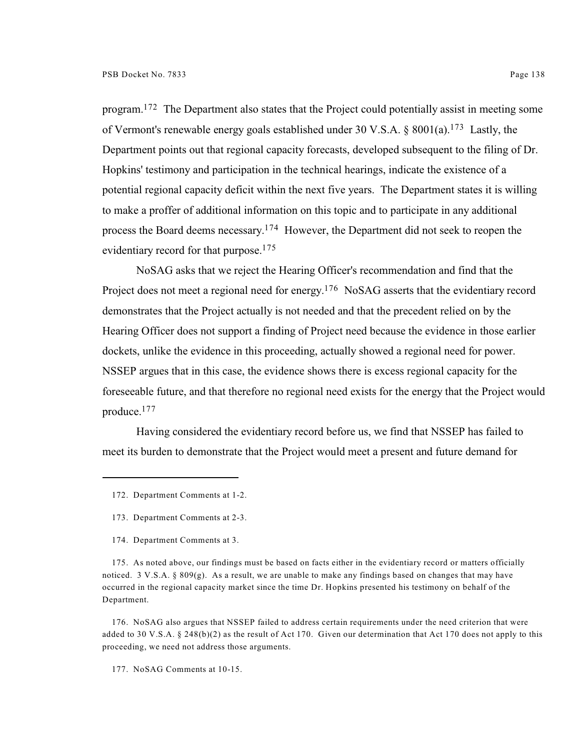program.  $172$  The Department also states that the Project could potentially assist in meeting some of Vermont's renewable energy goals established under 30 V.S.A. § 8001(a).<sup>173</sup> Lastly, the Department points out that regional capacity forecasts, developed subsequent to the filing of Dr. Hopkins' testimony and participation in the technical hearings, indicate the existence of a potential regional capacity deficit within the next five years. The Department states it is willing to make a proffer of additional information on this topic and to participate in any additional process the Board deems necessary.<sup>174</sup> However, the Department did not seek to reopen the evidentiary record for that purpose.<sup>175</sup>

NoSAG asks that we reject the Hearing Officer's recommendation and find that the Project does not meet a regional need for energy.<sup>176</sup> NoSAG asserts that the evidentiary record demonstrates that the Project actually is not needed and that the precedent relied on by the Hearing Officer does not support a finding of Project need because the evidence in those earlier dockets, unlike the evidence in this proceeding, actually showed a regional need for power. NSSEP argues that in this case, the evidence shows there is excess regional capacity for the foreseeable future, and that therefore no regional need exists for the energy that the Project would produce. 177

Having considered the evidentiary record before us, we find that NSSEP has failed to meet its burden to demonstrate that the Project would meet a present and future demand for

175. As noted above, our findings must be based on facts either in the evidentiary record or matters officially noticed. 3 V.S.A. § 809(g). As a result, we are unable to make any findings based on changes that may have occurred in the regional capacity market since the time Dr. Hopkins presented his testimony on behalf of the Department.

176. NoSAG also argues that NSSEP failed to address certain requirements under the need criterion that were added to 30 V.S.A. § 248(b)(2) as the result of Act 170. Given our determination that Act 170 does not apply to this proceeding, we need not address those arguments.

177. NoSAG Comments at 10-15.

<sup>172.</sup> Department Comments at 1-2.

<sup>173.</sup> Department Comments at 2-3.

<sup>174.</sup> Department Comments at 3.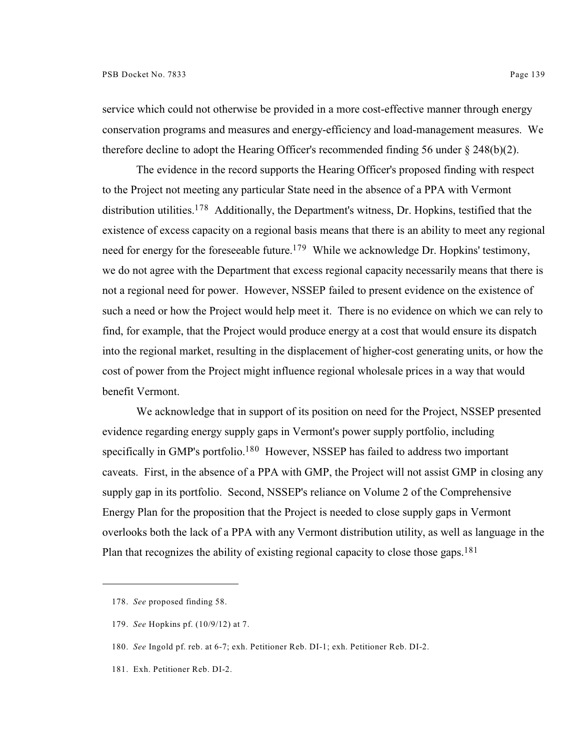service which could not otherwise be provided in a more cost-effective manner through energy conservation programs and measures and energy-efficiency and load-management measures. We therefore decline to adopt the Hearing Officer's recommended finding 56 under  $\S 248(b)(2)$ .

The evidence in the record supports the Hearing Officer's proposed finding with respect to the Project not meeting any particular State need in the absence of a PPA with Vermont distribution utilities.  $178$  Additionally, the Department's witness, Dr. Hopkins, testified that the existence of excess capacity on a regional basis means that there is an ability to meet any regional need for energy for the foreseeable future.<sup>179</sup> While we acknowledge Dr. Hopkins' testimony, we do not agree with the Department that excess regional capacity necessarily means that there is not a regional need for power. However, NSSEP failed to present evidence on the existence of such a need or how the Project would help meet it. There is no evidence on which we can rely to find, for example, that the Project would produce energy at a cost that would ensure its dispatch into the regional market, resulting in the displacement of higher-cost generating units, or how the cost of power from the Project might influence regional wholesale prices in a way that would benefit Vermont.

We acknowledge that in support of its position on need for the Project, NSSEP presented evidence regarding energy supply gaps in Vermont's power supply portfolio, including specifically in GMP's portfolio.<sup>180</sup> However, NSSEP has failed to address two important caveats. First, in the absence of a PPA with GMP, the Project will not assist GMP in closing any supply gap in its portfolio. Second, NSSEP's reliance on Volume 2 of the Comprehensive Energy Plan for the proposition that the Project is needed to close supply gaps in Vermont overlooks both the lack of a PPA with any Vermont distribution utility, as well as language in the Plan that recognizes the ability of existing regional capacity to close those gaps.<sup>181</sup>

<sup>178.</sup> *See* proposed finding 58.

<sup>179.</sup> *See* Hopkins pf. (10/9/12) at 7.

<sup>180.</sup> *See* Ingold pf. reb. at 6-7; exh. Petitioner Reb. DI-1; exh. Petitioner Reb. DI-2.

<sup>181.</sup> Exh. Petitioner Reb. DI-2.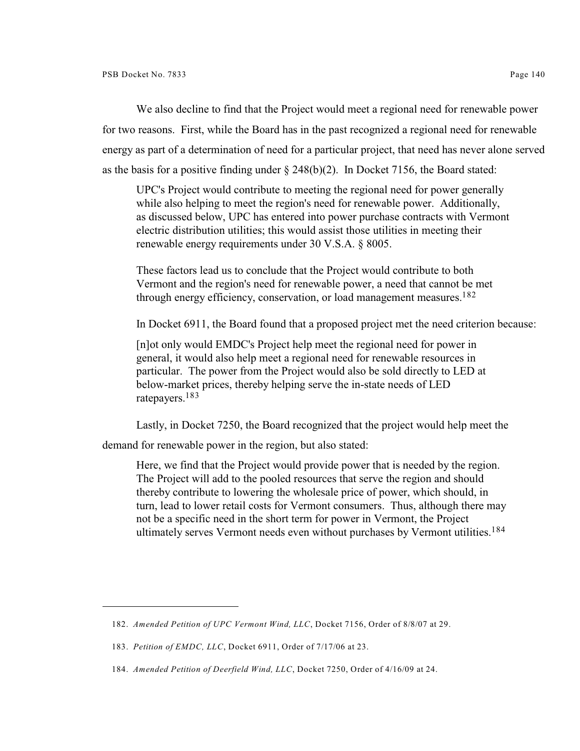We also decline to find that the Project would meet a regional need for renewable power for two reasons. First, while the Board has in the past recognized a regional need for renewable energy as part of a determination of need for a particular project, that need has never alone served as the basis for a positive finding under  $\S$  248(b)(2). In Docket 7156, the Board stated:

UPC's Project would contribute to meeting the regional need for power generally while also helping to meet the region's need for renewable power. Additionally, as discussed below, UPC has entered into power purchase contracts with Vermont electric distribution utilities; this would assist those utilities in meeting their renewable energy requirements under 30 V.S.A. § 8005.

These factors lead us to conclude that the Project would contribute to both Vermont and the region's need for renewable power, a need that cannot be met through energy efficiency, conservation, or load management measures.<sup>182</sup>

In Docket 6911, the Board found that a proposed project met the need criterion because:

[n]ot only would EMDC's Project help meet the regional need for power in general, it would also help meet a regional need for renewable resources in particular. The power from the Project would also be sold directly to LED at below-market prices, thereby helping serve the in-state needs of LED ratepayers.<sup>183</sup>

Lastly, in Docket 7250, the Board recognized that the project would help meet the

demand for renewable power in the region, but also stated:

Here, we find that the Project would provide power that is needed by the region. The Project will add to the pooled resources that serve the region and should thereby contribute to lowering the wholesale price of power, which should, in turn, lead to lower retail costs for Vermont consumers. Thus, although there may not be a specific need in the short term for power in Vermont, the Project ultimately serves Vermont needs even without purchases by Vermont utilities.<sup>184</sup>

<sup>182.</sup> *Amended Petition of UPC Vermont Wind, LLC*, Docket 7156, Order of 8/8/07 at 29.

<sup>183.</sup> *Petition of EMDC, LLC*, Docket 6911, Order of 7/17/06 at 23.

<sup>184.</sup> *Amended Petition of Deerfield Wind, LLC*, Docket 7250, Order of 4/16/09 at 24.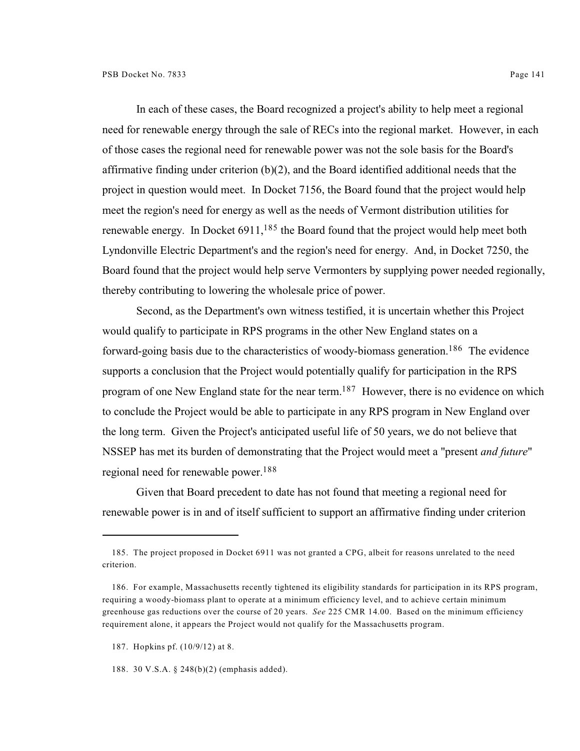In each of these cases, the Board recognized a project's ability to help meet a regional need for renewable energy through the sale of RECs into the regional market. However, in each of those cases the regional need for renewable power was not the sole basis for the Board's affirmative finding under criterion (b)(2), and the Board identified additional needs that the project in question would meet. In Docket 7156, the Board found that the project would help meet the region's need for energy as well as the needs of Vermont distribution utilities for renewable energy. In Docket  $6911$ ,  $185$  the Board found that the project would help meet both Lyndonville Electric Department's and the region's need for energy. And, in Docket 7250, the Board found that the project would help serve Vermonters by supplying power needed regionally, thereby contributing to lowering the wholesale price of power.

Second, as the Department's own witness testified, it is uncertain whether this Project would qualify to participate in RPS programs in the other New England states on a forward-going basis due to the characteristics of woody-biomass generation.<sup>186</sup> The evidence supports a conclusion that the Project would potentially qualify for participation in the RPS program of one New England state for the near term.<sup>187</sup> However, there is no evidence on which to conclude the Project would be able to participate in any RPS program in New England over the long term. Given the Project's anticipated useful life of 50 years, we do not believe that NSSEP has met its burden of demonstrating that the Project would meet a "present *and future*" regional need for renewable power. 188

Given that Board precedent to date has not found that meeting a regional need for renewable power is in and of itself sufficient to support an affirmative finding under criterion

<sup>185.</sup> The project proposed in Docket 6911 was not granted a CPG, albeit for reasons unrelated to the need criterion.

<sup>186.</sup> For example, Massachusetts recently tightened its eligibility standards for participation in its RPS program, requiring a woody-biomass plant to operate at a minimum efficiency level, and to achieve certain minimum greenhouse gas reductions over the course of 20 years. *See* 225 CMR 14.00. Based on the minimum efficiency requirement alone, it appears the Project would not qualify for the Massachusetts program.

<sup>187.</sup> Hopkins pf. (10/9/12) at 8.

<sup>188.</sup> 30 V.S.A. § 248(b)(2) (emphasis added).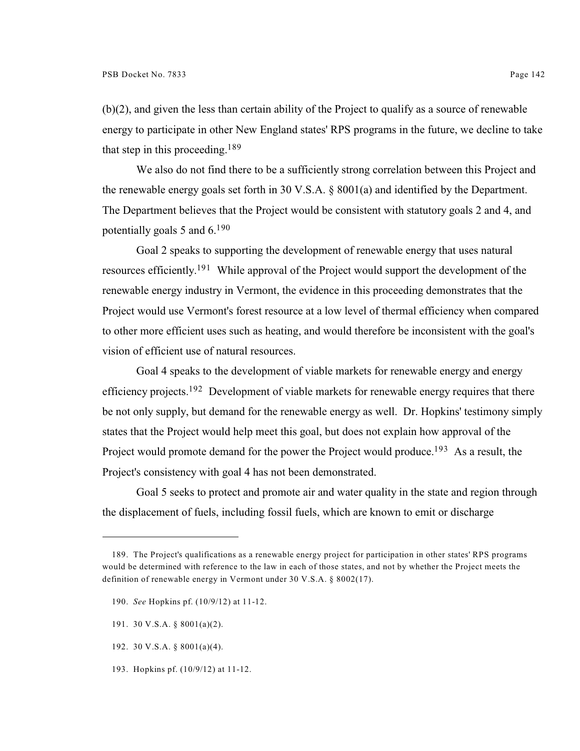(b)(2), and given the less than certain ability of the Project to qualify as a source of renewable energy to participate in other New England states' RPS programs in the future, we decline to take that step in this proceeding.<sup>189</sup>

We also do not find there to be a sufficiently strong correlation between this Project and the renewable energy goals set forth in 30 V.S.A. § 8001(a) and identified by the Department. The Department believes that the Project would be consistent with statutory goals 2 and 4, and potentially goals 5 and  $6.^{190}$ 

Goal 2 speaks to supporting the development of renewable energy that uses natural resources efficiently.<sup>191</sup> While approval of the Project would support the development of the renewable energy industry in Vermont, the evidence in this proceeding demonstrates that the Project would use Vermont's forest resource at a low level of thermal efficiency when compared to other more efficient uses such as heating, and would therefore be inconsistent with the goal's vision of efficient use of natural resources.

Goal 4 speaks to the development of viable markets for renewable energy and energy efficiency projects.<sup>192</sup> Development of viable markets for renewable energy requires that there be not only supply, but demand for the renewable energy as well. Dr. Hopkins' testimony simply states that the Project would help meet this goal, but does not explain how approval of the Project would promote demand for the power the Project would produce.<sup>193</sup> As a result, the Project's consistency with goal 4 has not been demonstrated.

Goal 5 seeks to protect and promote air and water quality in the state and region through the displacement of fuels, including fossil fuels, which are known to emit or discharge

- 190. *See* Hopkins pf. (10/9/12) at 11-12.
- 191. 30 V.S.A. § 8001(a)(2).
- 192. 30 V.S.A. § 8001(a)(4).
- 193. Hopkins pf. (10/9/12) at 11-12.

<sup>189.</sup> The Project's qualifications as a renewable energy project for participation in other states' RPS programs would be determined with reference to the law in each of those states, and not by whether the Project meets the definition of renewable energy in Vermont under 30 V.S.A. § 8002(17).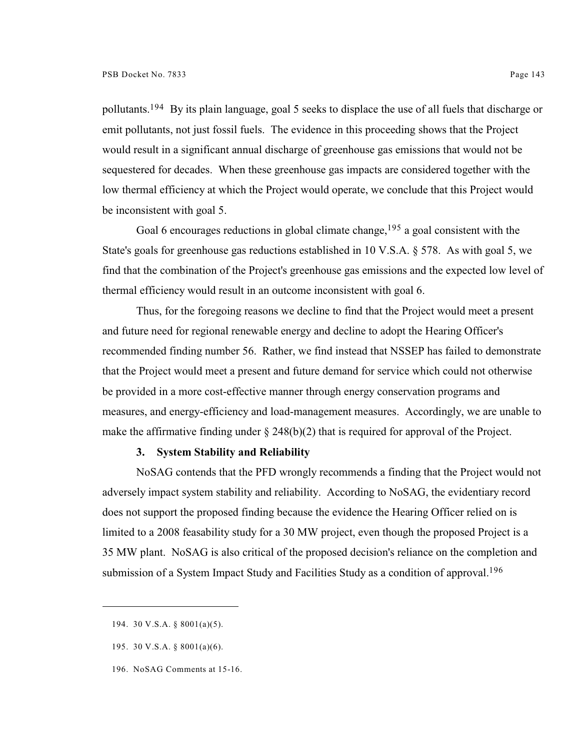pollutants.<sup>194</sup> By its plain language, goal 5 seeks to displace the use of all fuels that discharge or emit pollutants, not just fossil fuels. The evidence in this proceeding shows that the Project would result in a significant annual discharge of greenhouse gas emissions that would not be sequestered for decades. When these greenhouse gas impacts are considered together with the low thermal efficiency at which the Project would operate, we conclude that this Project would be inconsistent with goal 5.

Goal 6 encourages reductions in global climate change,  $195$  a goal consistent with the State's goals for greenhouse gas reductions established in 10 V.S.A. § 578. As with goal 5, we find that the combination of the Project's greenhouse gas emissions and the expected low level of thermal efficiency would result in an outcome inconsistent with goal 6.

Thus, for the foregoing reasons we decline to find that the Project would meet a present and future need for regional renewable energy and decline to adopt the Hearing Officer's recommended finding number 56. Rather, we find instead that NSSEP has failed to demonstrate that the Project would meet a present and future demand for service which could not otherwise be provided in a more cost-effective manner through energy conservation programs and measures, and energy-efficiency and load-management measures. Accordingly, we are unable to make the affirmative finding under  $\S$  248(b)(2) that is required for approval of the Project.

### **3. System Stability and Reliability**

NoSAG contends that the PFD wrongly recommends a finding that the Project would not adversely impact system stability and reliability. According to NoSAG, the evidentiary record does not support the proposed finding because the evidence the Hearing Officer relied on is limited to a 2008 feasability study for a 30 MW project, even though the proposed Project is a 35 MW plant. NoSAG is also critical of the proposed decision's reliance on the completion and submission of a System Impact Study and Facilities Study as a condition of approval.<sup>196</sup>

<sup>194.</sup> 30 V.S.A. § 8001(a)(5).

<sup>195.</sup> 30 V.S.A. § 8001(a)(6).

<sup>196.</sup> NoSAG Comments at 15-16.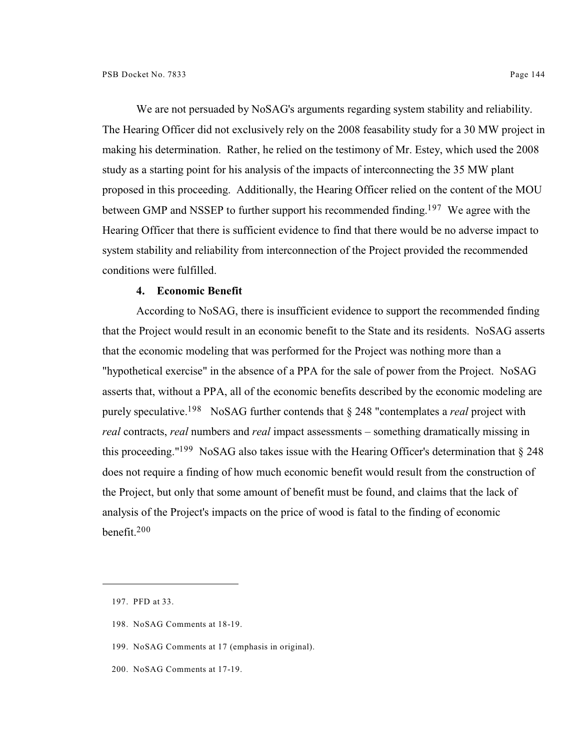We are not persuaded by NoSAG's arguments regarding system stability and reliability. The Hearing Officer did not exclusively rely on the 2008 feasability study for a 30 MW project in making his determination. Rather, he relied on the testimony of Mr. Estey, which used the 2008 study as a starting point for his analysis of the impacts of interconnecting the 35 MW plant proposed in this proceeding. Additionally, the Hearing Officer relied on the content of the MOU between GMP and NSSEP to further support his recommended finding.<sup>197</sup> We agree with the Hearing Officer that there is sufficient evidence to find that there would be no adverse impact to system stability and reliability from interconnection of the Project provided the recommended conditions were fulfilled.

### **4. Economic Benefit**

According to NoSAG, there is insufficient evidence to support the recommended finding that the Project would result in an economic benefit to the State and its residents. NoSAG asserts that the economic modeling that was performed for the Project was nothing more than a "hypothetical exercise" in the absence of a PPA for the sale of power from the Project. NoSAG asserts that, without a PPA, all of the economic benefits described by the economic modeling are purely speculative.<sup>198</sup> NoSAG further contends that  $\S$  248 "contemplates a *real* project with *real* contracts, *real* numbers and *real* impact assessments – something dramatically missing in this proceeding."<sup>199</sup> NoSAG also takes issue with the Hearing Officer's determination that  $\S 248$ does not require a finding of how much economic benefit would result from the construction of the Project, but only that some amount of benefit must be found, and claims that the lack of analysis of the Project's impacts on the price of wood is fatal to the finding of economic benefit.<sup>200</sup>

<sup>197.</sup> PFD at 33.

<sup>198.</sup> NoSAG Comments at 18-19.

<sup>199.</sup> NoSAG Comments at 17 (emphasis in original).

<sup>200.</sup> NoSAG Comments at 17-19.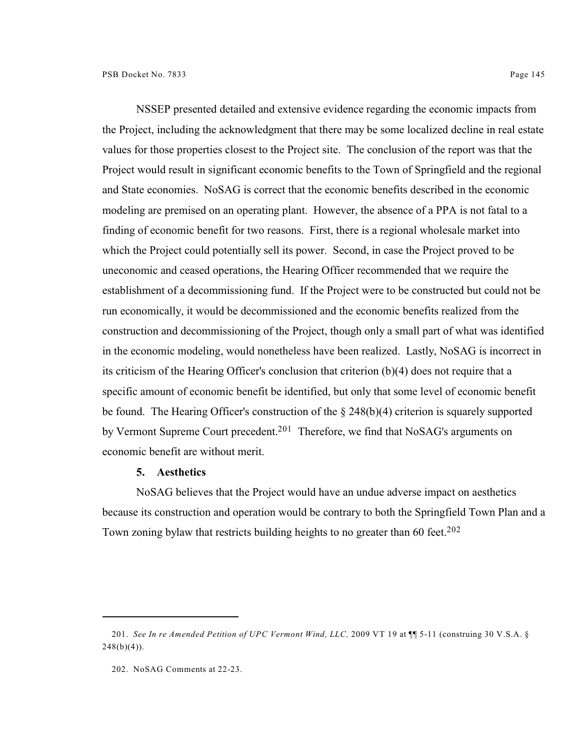NSSEP presented detailed and extensive evidence regarding the economic impacts from the Project, including the acknowledgment that there may be some localized decline in real estate values for those properties closest to the Project site. The conclusion of the report was that the Project would result in significant economic benefits to the Town of Springfield and the regional and State economies. NoSAG is correct that the economic benefits described in the economic modeling are premised on an operating plant. However, the absence of a PPA is not fatal to a finding of economic benefit for two reasons. First, there is a regional wholesale market into which the Project could potentially sell its power. Second, in case the Project proved to be uneconomic and ceased operations, the Hearing Officer recommended that we require the establishment of a decommissioning fund. If the Project were to be constructed but could not be run economically, it would be decommissioned and the economic benefits realized from the construction and decommissioning of the Project, though only a small part of what was identified in the economic modeling, would nonetheless have been realized. Lastly, NoSAG is incorrect in its criticism of the Hearing Officer's conclusion that criterion (b)(4) does not require that a specific amount of economic benefit be identified, but only that some level of economic benefit be found. The Hearing Officer's construction of the § 248(b)(4) criterion is squarely supported by Vermont Supreme Court precedent.<sup>201</sup> Therefore, we find that NoSAG's arguments on economic benefit are without merit.

#### **5. Aesthetics**

NoSAG believes that the Project would have an undue adverse impact on aesthetics because its construction and operation would be contrary to both the Springfield Town Plan and a Town zoning bylaw that restricts building heights to no greater than 60 feet.<sup>202</sup>

<sup>201.</sup> *See In re Amended Petition of UPC Vermont Wind, LLC,* 2009 VT 19 at ¶¶ 5-11 (construing 30 V.S.A. §  $248(b)(4)$ ).

<sup>202.</sup> NoSAG Comments at 22-23.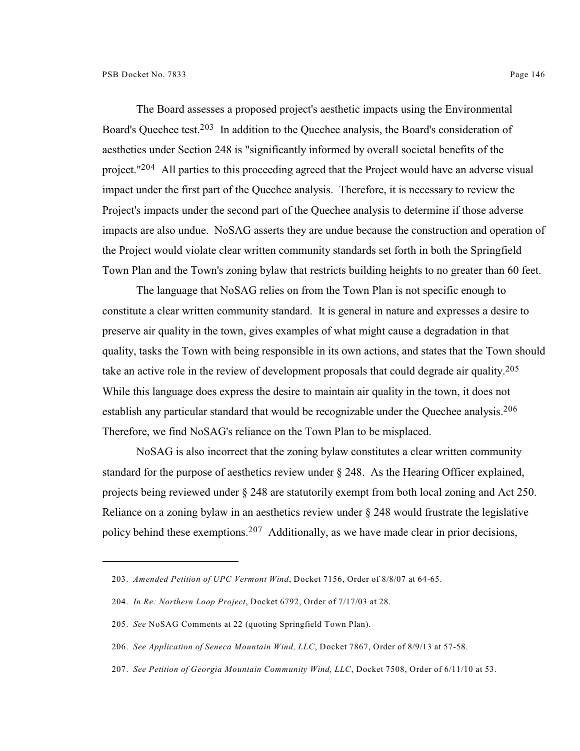The Board assesses a proposed project's aesthetic impacts using the Environmental Board's Quechee test.<sup>203</sup> In addition to the Quechee analysis, the Board's consideration of aesthetics under Section 248 is "significantly informed by overall societal benefits of the project."<sup>204</sup> All parties to this proceeding agreed that the Project would have an adverse visual impact under the first part of the Quechee analysis. Therefore, it is necessary to review the Project's impacts under the second part of the Quechee analysis to determine if those adverse impacts are also undue. NoSAG asserts they are undue because the construction and operation of the Project would violate clear written community standards set forth in both the Springfield Town Plan and the Town's zoning bylaw that restricts building heights to no greater than 60 feet.

The language that NoSAG relies on from the Town Plan is not specific enough to constitute a clear written community standard. It is general in nature and expresses a desire to preserve air quality in the town, gives examples of what might cause a degradation in that quality, tasks the Town with being responsible in its own actions, and states that the Town should take an active role in the review of development proposals that could degrade air quality. 205 While this language does express the desire to maintain air quality in the town, it does not establish any particular standard that would be recognizable under the Quechee analysis.<sup>206</sup> Therefore, we find NoSAG's reliance on the Town Plan to be misplaced.

NoSAG is also incorrect that the zoning bylaw constitutes a clear written community standard for the purpose of aesthetics review under § 248. As the Hearing Officer explained, projects being reviewed under § 248 are statutorily exempt from both local zoning and Act 250. Reliance on a zoning bylaw in an aesthetics review under § 248 would frustrate the legislative policy behind these exemptions.<sup>207</sup> Additionally, as we have made clear in prior decisions,

<sup>203.</sup> *Amended Petition of UPC Vermont Wind*, Docket 7156, Order of 8/8/07 at 64-65.

<sup>204.</sup> *In Re: Northern Loop Project*, Docket 6792, Order of 7/17/03 at 28.

<sup>205.</sup> *See* NoSAG Comments at 22 (quoting Springfield Town Plan).

<sup>206.</sup> *See Application of Seneca Mountain Wind, LLC*, Docket 7867, Order of 8/9/13 at 57-58.

<sup>207.</sup> *See Petition of Georgia Mountain Community Wind, LLC*, Docket 7508, Order of 6/11/10 at 53.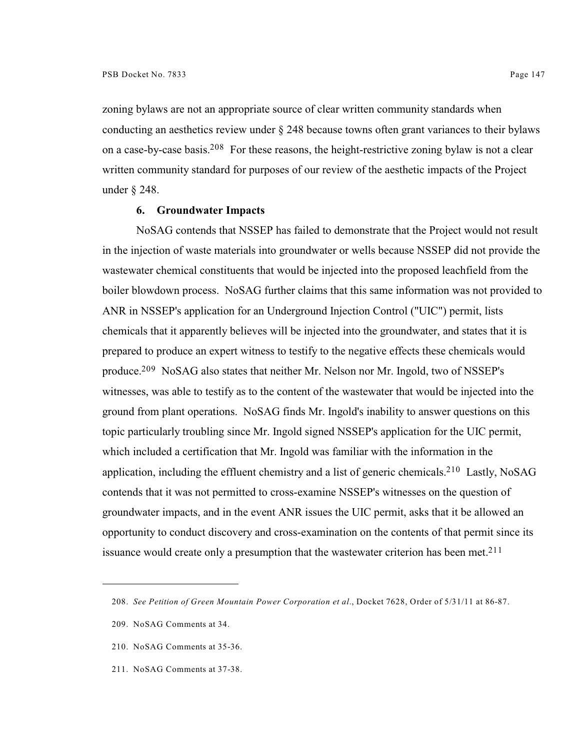zoning bylaws are not an appropriate source of clear written community standards when conducting an aesthetics review under § 248 because towns often grant variances to their bylaws on a case-by-case basis.<sup>208</sup> For these reasons, the height-restrictive zoning bylaw is not a clear written community standard for purposes of our review of the aesthetic impacts of the Project under § 248.

## **6. Groundwater Impacts**

NoSAG contends that NSSEP has failed to demonstrate that the Project would not result in the injection of waste materials into groundwater or wells because NSSEP did not provide the wastewater chemical constituents that would be injected into the proposed leachfield from the boiler blowdown process. NoSAG further claims that this same information was not provided to ANR in NSSEP's application for an Underground Injection Control ("UIC") permit, lists chemicals that it apparently believes will be injected into the groundwater, and states that it is prepared to produce an expert witness to testify to the negative effects these chemicals would produce.<sup>209</sup> NoSAG also states that neither Mr. Nelson nor Mr. Ingold, two of NSSEP's witnesses, was able to testify as to the content of the wastewater that would be injected into the ground from plant operations. NoSAG finds Mr. Ingold's inability to answer questions on this topic particularly troubling since Mr. Ingold signed NSSEP's application for the UIC permit, which included a certification that Mr. Ingold was familiar with the information in the application, including the effluent chemistry and a list of generic chemicals.<sup>210</sup> Lastly, NoSAG contends that it was not permitted to cross-examine NSSEP's witnesses on the question of groundwater impacts, and in the event ANR issues the UIC permit, asks that it be allowed an opportunity to conduct discovery and cross-examination on the contents of that permit since its issuance would create only a presumption that the wastewater criterion has been met.<sup>211</sup>

211. NoSAG Comments at 37-38.

<sup>208.</sup> *See Petition of Green Mountain Power Corporation et al*., Docket 7628, Order of 5/31/11 at 86-87.

<sup>209.</sup> NoSAG Comments at 34.

<sup>210.</sup> NoSAG Comments at 35-36.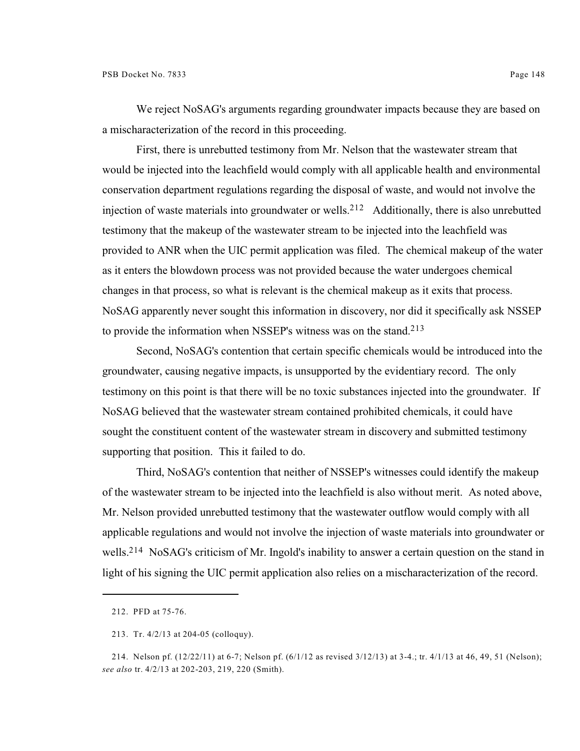We reject NoSAG's arguments regarding groundwater impacts because they are based on a mischaracterization of the record in this proceeding.

First, there is unrebutted testimony from Mr. Nelson that the wastewater stream that would be injected into the leachfield would comply with all applicable health and environmental conservation department regulations regarding the disposal of waste, and would not involve the injection of waste materials into groundwater or wells.<sup>212</sup> Additionally, there is also unrebutted testimony that the makeup of the wastewater stream to be injected into the leachfield was provided to ANR when the UIC permit application was filed. The chemical makeup of the water as it enters the blowdown process was not provided because the water undergoes chemical changes in that process, so what is relevant is the chemical makeup as it exits that process. NoSAG apparently never sought this information in discovery, nor did it specifically ask NSSEP to provide the information when NSSEP's witness was on the stand.<sup>213</sup>

Second, NoSAG's contention that certain specific chemicals would be introduced into the groundwater, causing negative impacts, is unsupported by the evidentiary record. The only testimony on this point is that there will be no toxic substances injected into the groundwater. If NoSAG believed that the wastewater stream contained prohibited chemicals, it could have sought the constituent content of the wastewater stream in discovery and submitted testimony supporting that position. This it failed to do.

Third, NoSAG's contention that neither of NSSEP's witnesses could identify the makeup of the wastewater stream to be injected into the leachfield is also without merit. As noted above, Mr. Nelson provided unrebutted testimony that the wastewater outflow would comply with all applicable regulations and would not involve the injection of waste materials into groundwater or wells.<sup>214</sup> NoSAG's criticism of Mr. Ingold's inability to answer a certain question on the stand in light of his signing the UIC permit application also relies on a mischaracterization of the record.

<sup>212.</sup> PFD at 75-76.

<sup>213.</sup> Tr. 4/2/13 at 204-05 (colloquy).

<sup>214.</sup> Nelson pf. (12/22/11) at 6-7; Nelson pf. (6/1/12 as revised 3/12/13) at 3-4.; tr. 4/1/13 at 46, 49, 51 (Nelson); *see also* tr. 4/2/13 at 202-203, 219, 220 (Smith).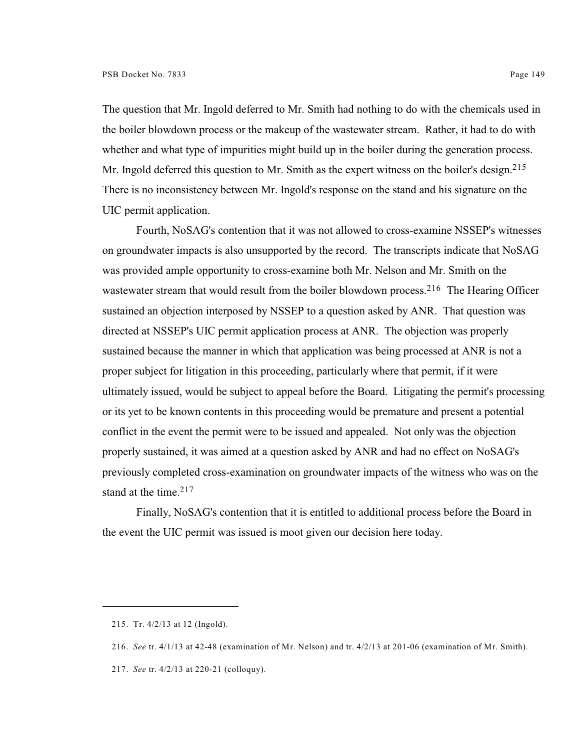The question that Mr. Ingold deferred to Mr. Smith had nothing to do with the chemicals used in the boiler blowdown process or the makeup of the wastewater stream. Rather, it had to do with whether and what type of impurities might build up in the boiler during the generation process. Mr. Ingold deferred this question to Mr. Smith as the expert witness on the boiler's design.<sup>215</sup> There is no inconsistency between Mr. Ingold's response on the stand and his signature on the UIC permit application.

Fourth, NoSAG's contention that it was not allowed to cross-examine NSSEP's witnesses on groundwater impacts is also unsupported by the record. The transcripts indicate that NoSAG was provided ample opportunity to cross-examine both Mr. Nelson and Mr. Smith on the wastewater stream that would result from the boiler blowdown process.<sup>216</sup> The Hearing Officer sustained an objection interposed by NSSEP to a question asked by ANR. That question was directed at NSSEP's UIC permit application process at ANR. The objection was properly sustained because the manner in which that application was being processed at ANR is not a proper subject for litigation in this proceeding, particularly where that permit, if it were ultimately issued, would be subject to appeal before the Board. Litigating the permit's processing or its yet to be known contents in this proceeding would be premature and present a potential conflict in the event the permit were to be issued and appealed. Not only was the objection properly sustained, it was aimed at a question asked by ANR and had no effect on NoSAG's previously completed cross-examination on groundwater impacts of the witness who was on the stand at the time. $217$ 

Finally, NoSAG's contention that it is entitled to additional process before the Board in the event the UIC permit was issued is moot given our decision here today.

<sup>215.</sup> Tr. 4/2/13 at 12 (Ingold).

<sup>216.</sup> *See* tr. 4/1/13 at 42-48 (examination of Mr. Nelson) and tr. 4/2/13 at 201-06 (examination of Mr. Smith).

<sup>217.</sup> *See* tr. 4/2/13 at 220-21 (colloquy).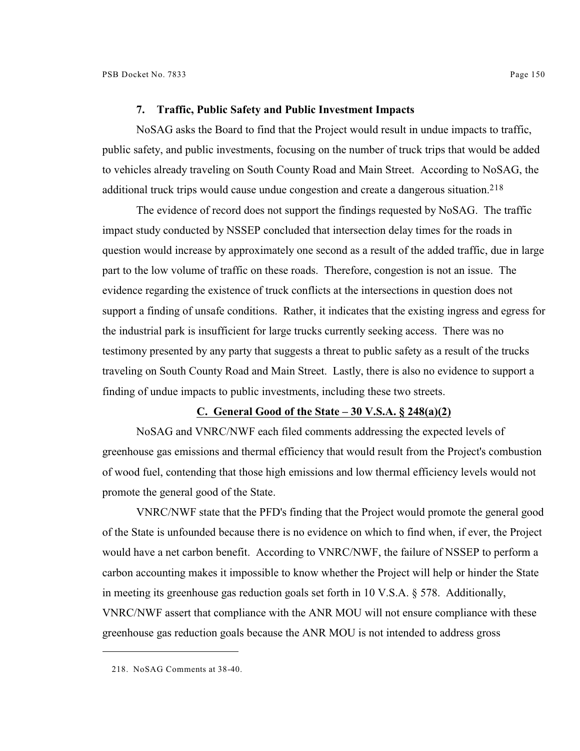NoSAG asks the Board to find that the Project would result in undue impacts to traffic, public safety, and public investments, focusing on the number of truck trips that would be added to vehicles already traveling on South County Road and Main Street. According to NoSAG, the additional truck trips would cause undue congestion and create a dangerous situation.<sup>218</sup>

The evidence of record does not support the findings requested by NoSAG. The traffic impact study conducted by NSSEP concluded that intersection delay times for the roads in question would increase by approximately one second as a result of the added traffic, due in large part to the low volume of traffic on these roads. Therefore, congestion is not an issue. The evidence regarding the existence of truck conflicts at the intersections in question does not support a finding of unsafe conditions. Rather, it indicates that the existing ingress and egress for the industrial park is insufficient for large trucks currently seeking access. There was no testimony presented by any party that suggests a threat to public safety as a result of the trucks traveling on South County Road and Main Street. Lastly, there is also no evidence to support a finding of undue impacts to public investments, including these two streets.

# **C. General Good of the State – 30 V.S.A. § 248(a)(2)**

NoSAG and VNRC/NWF each filed comments addressing the expected levels of greenhouse gas emissions and thermal efficiency that would result from the Project's combustion of wood fuel, contending that those high emissions and low thermal efficiency levels would not promote the general good of the State.

VNRC/NWF state that the PFD's finding that the Project would promote the general good of the State is unfounded because there is no evidence on which to find when, if ever, the Project would have a net carbon benefit. According to VNRC/NWF, the failure of NSSEP to perform a carbon accounting makes it impossible to know whether the Project will help or hinder the State in meeting its greenhouse gas reduction goals set forth in 10 V.S.A. § 578. Additionally, VNRC/NWF assert that compliance with the ANR MOU will not ensure compliance with these greenhouse gas reduction goals because the ANR MOU is not intended to address gross

<sup>218.</sup> NoSAG Comments at 38-40.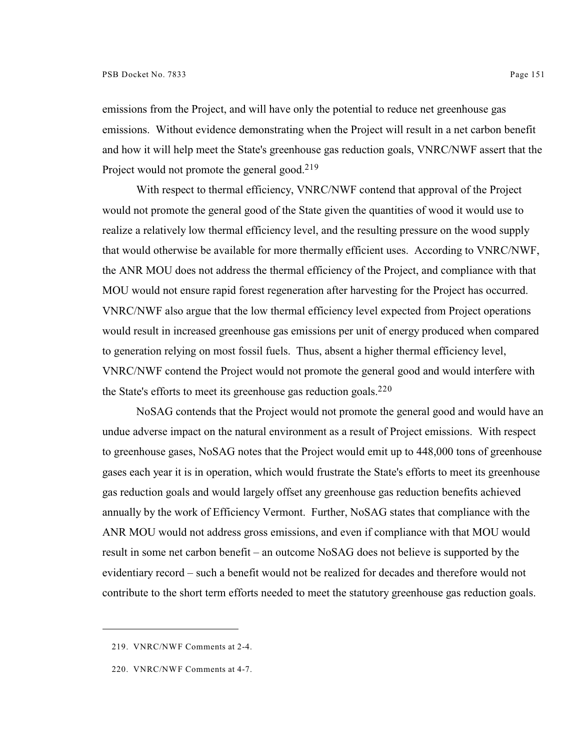emissions from the Project, and will have only the potential to reduce net greenhouse gas emissions. Without evidence demonstrating when the Project will result in a net carbon benefit and how it will help meet the State's greenhouse gas reduction goals, VNRC/NWF assert that the Project would not promote the general good.<sup>219</sup>

With respect to thermal efficiency, VNRC/NWF contend that approval of the Project would not promote the general good of the State given the quantities of wood it would use to realize a relatively low thermal efficiency level, and the resulting pressure on the wood supply that would otherwise be available for more thermally efficient uses. According to VNRC/NWF, the ANR MOU does not address the thermal efficiency of the Project, and compliance with that MOU would not ensure rapid forest regeneration after harvesting for the Project has occurred. VNRC/NWF also argue that the low thermal efficiency level expected from Project operations would result in increased greenhouse gas emissions per unit of energy produced when compared to generation relying on most fossil fuels. Thus, absent a higher thermal efficiency level, VNRC/NWF contend the Project would not promote the general good and would interfere with the State's efforts to meet its greenhouse gas reduction goals.<sup>220</sup>

NoSAG contends that the Project would not promote the general good and would have an undue adverse impact on the natural environment as a result of Project emissions. With respect to greenhouse gases, NoSAG notes that the Project would emit up to 448,000 tons of greenhouse gases each year it is in operation, which would frustrate the State's efforts to meet its greenhouse gas reduction goals and would largely offset any greenhouse gas reduction benefits achieved annually by the work of Efficiency Vermont. Further, NoSAG states that compliance with the ANR MOU would not address gross emissions, and even if compliance with that MOU would result in some net carbon benefit – an outcome NoSAG does not believe is supported by the evidentiary record – such a benefit would not be realized for decades and therefore would not contribute to the short term efforts needed to meet the statutory greenhouse gas reduction goals.

<sup>219.</sup> VNRC/NWF Comments at 2-4.

<sup>220.</sup> VNRC/NWF Comments at 4-7.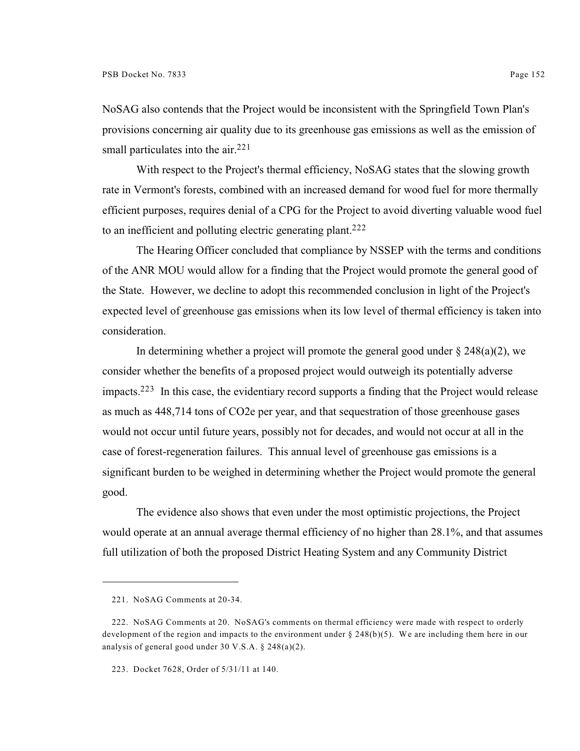NoSAG also contends that the Project would be inconsistent with the Springfield Town Plan's provisions concerning air quality due to its greenhouse gas emissions as well as the emission of small particulates into the air.<sup>221</sup>

With respect to the Project's thermal efficiency, NoSAG states that the slowing growth rate in Vermont's forests, combined with an increased demand for wood fuel for more thermally efficient purposes, requires denial of a CPG for the Project to avoid diverting valuable wood fuel to an inefficient and polluting electric generating plant.<sup>222</sup>

 The Hearing Officer concluded that compliance by NSSEP with the terms and conditions of the ANR MOU would allow for a finding that the Project would promote the general good of the State. However, we decline to adopt this recommended conclusion in light of the Project's expected level of greenhouse gas emissions when its low level of thermal efficiency is taken into consideration.

In determining whether a project will promote the general good under  $\S 248(a)(2)$ , we consider whether the benefits of a proposed project would outweigh its potentially adverse impacts.  $223$  In this case, the evidentiary record supports a finding that the Project would release as much as 448,714 tons of CO2e per year, and that sequestration of those greenhouse gases would not occur until future years, possibly not for decades, and would not occur at all in the case of forest-regeneration failures. This annual level of greenhouse gas emissions is a significant burden to be weighed in determining whether the Project would promote the general good.

The evidence also shows that even under the most optimistic projections, the Project would operate at an annual average thermal efficiency of no higher than 28.1%, and that assumes full utilization of both the proposed District Heating System and any Community District

<sup>221.</sup> NoSAG Comments at 20-34.

<sup>222.</sup> NoSAG Comments at 20. NoSAG's comments on thermal efficiency were made with respect to orderly development of the region and impacts to the environment under  $\S 248(b)(5)$ . We are including them here in our analysis of general good under 30 V.S.A. § 248(a)(2).

<sup>223.</sup> Docket 7628, Order of 5/31/11 at 140.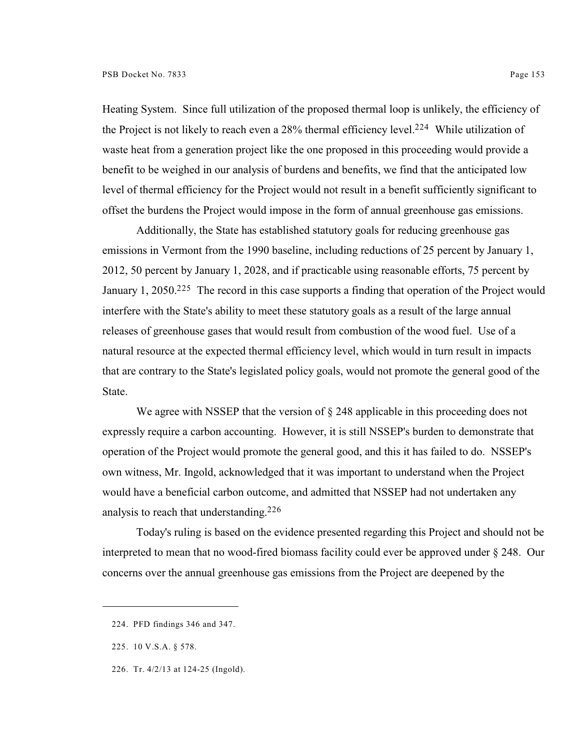Heating System. Since full utilization of the proposed thermal loop is unlikely, the efficiency of the Project is not likely to reach even a  $28\%$  thermal efficiency level.<sup>224</sup> While utilization of waste heat from a generation project like the one proposed in this proceeding would provide a benefit to be weighed in our analysis of burdens and benefits, we find that the anticipated low level of thermal efficiency for the Project would not result in a benefit sufficiently significant to offset the burdens the Project would impose in the form of annual greenhouse gas emissions.

Additionally, the State has established statutory goals for reducing greenhouse gas emissions in Vermont from the 1990 baseline, including reductions of 25 percent by January 1, 2012, 50 percent by January 1, 2028, and if practicable using reasonable efforts, 75 percent by January 1, 2050.<sup>225</sup> The record in this case supports a finding that operation of the Project would interfere with the State's ability to meet these statutory goals as a result of the large annual releases of greenhouse gases that would result from combustion of the wood fuel. Use of a natural resource at the expected thermal efficiency level, which would in turn result in impacts that are contrary to the State's legislated policy goals, would not promote the general good of the State.

We agree with NSSEP that the version of  $\S$  248 applicable in this proceeding does not expressly require a carbon accounting. However, it is still NSSEP's burden to demonstrate that operation of the Project would promote the general good, and this it has failed to do. NSSEP's own witness, Mr. Ingold, acknowledged that it was important to understand when the Project would have a beneficial carbon outcome, and admitted that NSSEP had not undertaken any analysis to reach that understanding.<sup>226</sup>

Today's ruling is based on the evidence presented regarding this Project and should not be interpreted to mean that no wood-fired biomass facility could ever be approved under § 248. Our concerns over the annual greenhouse gas emissions from the Project are deepened by the

<sup>224.</sup> PFD findings 346 and 347.

<sup>225.</sup> 10 V.S.A. § 578.

<sup>226.</sup> Tr. 4/2/13 at 124-25 (Ingold).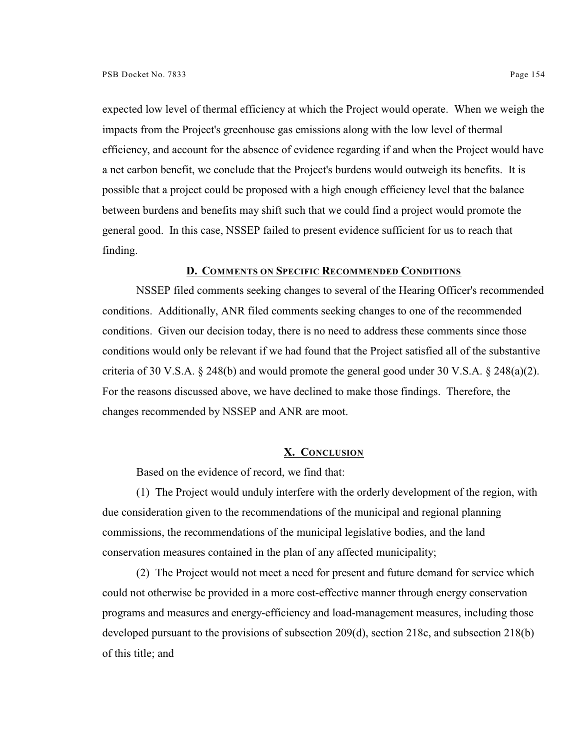expected low level of thermal efficiency at which the Project would operate. When we weigh the impacts from the Project's greenhouse gas emissions along with the low level of thermal efficiency, and account for the absence of evidence regarding if and when the Project would have a net carbon benefit, we conclude that the Project's burdens would outweigh its benefits. It is possible that a project could be proposed with a high enough efficiency level that the balance between burdens and benefits may shift such that we could find a project would promote the general good. In this case, NSSEP failed to present evidence sufficient for us to reach that finding.

## **D. COMMENTS ON SPECIFIC RECOMMENDED CONDITIONS**

NSSEP filed comments seeking changes to several of the Hearing Officer's recommended conditions. Additionally, ANR filed comments seeking changes to one of the recommended conditions. Given our decision today, there is no need to address these comments since those conditions would only be relevant if we had found that the Project satisfied all of the substantive criteria of 30 V.S.A. § 248(b) and would promote the general good under 30 V.S.A. § 248(a)(2). For the reasons discussed above, we have declined to make those findings. Therefore, the changes recommended by NSSEP and ANR are moot.

### **X. CONCLUSION**

Based on the evidence of record, we find that:

(1) The Project would unduly interfere with the orderly development of the region, with due consideration given to the recommendations of the municipal and regional planning commissions, the recommendations of the municipal legislative bodies, and the land conservation measures contained in the plan of any affected municipality;

(2) The Project would not meet a need for present and future demand for service which could not otherwise be provided in a more cost-effective manner through energy conservation programs and measures and energy-efficiency and load-management measures, including those developed pursuant to the provisions of subsection 209(d), section 218c, and subsection 218(b) of this title; and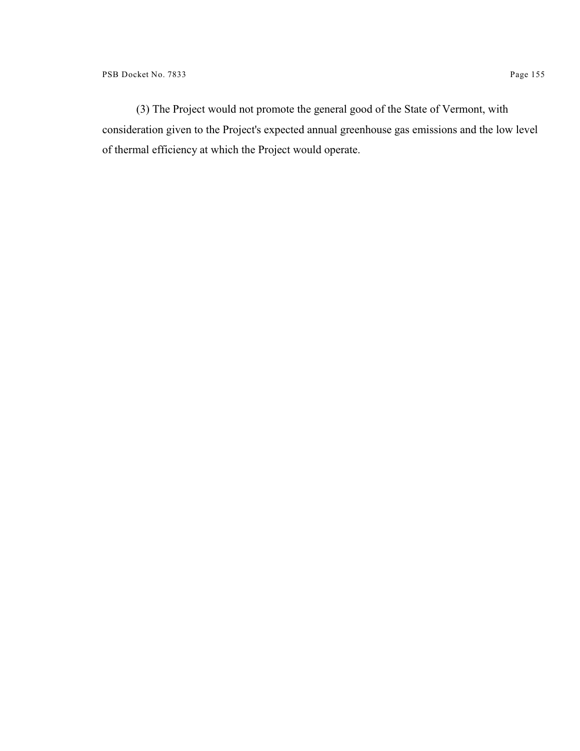(3) The Project would not promote the general good of the State of Vermont, with consideration given to the Project's expected annual greenhouse gas emissions and the low level of thermal efficiency at which the Project would operate.